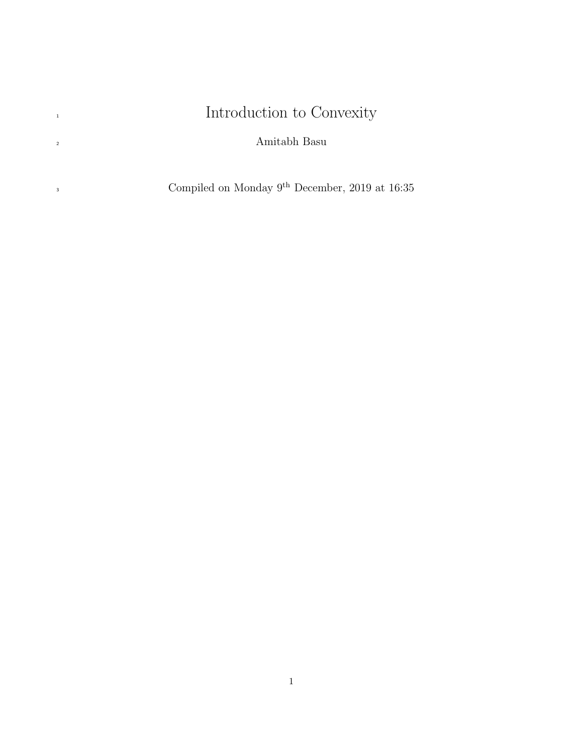# <span id="page-0-0"></span>Introduction to Convexity

Amitabh Basu

<sup>3</sup> Compiled on Monday 9<sup>th</sup> December, 2019 at 16:35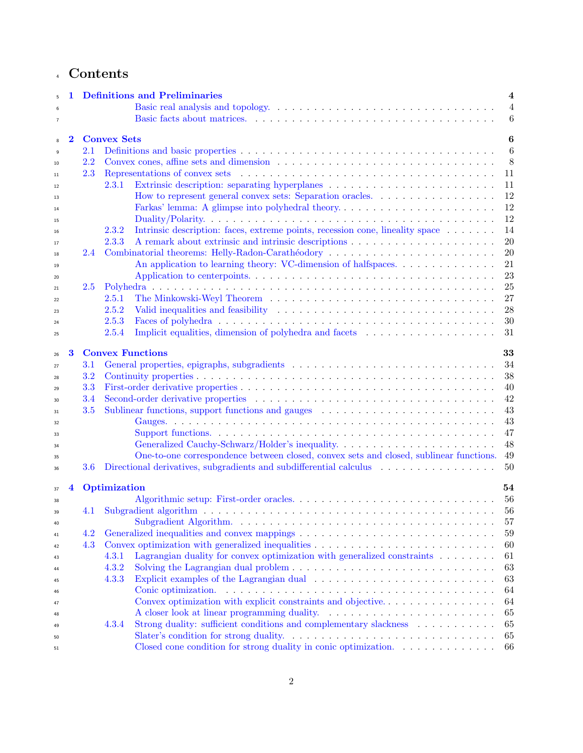# Contents

| $\overline{5}$ |                         |     | <b>Definitions and Preliminaries</b><br>4                                                                                                                                                                                            |
|----------------|-------------------------|-----|--------------------------------------------------------------------------------------------------------------------------------------------------------------------------------------------------------------------------------------|
| 6              |                         |     | $\overline{4}$                                                                                                                                                                                                                       |
| $\overline{7}$ |                         |     | $6\phantom{.}6$                                                                                                                                                                                                                      |
|                |                         |     |                                                                                                                                                                                                                                      |
| 8              | $\bf{2}$                |     | <b>Convex Sets</b><br>6                                                                                                                                                                                                              |
| 9              |                         | 2.1 | $6\phantom{.}6$                                                                                                                                                                                                                      |
| 10             |                         | 2.2 | 8                                                                                                                                                                                                                                    |
| 11             |                         | 2.3 | Representations of convex sets entertainment of the sets of the sets of the sets of the sets of the sets of the sets of the sets of the sets of the sets of the sets of the sets of the sets of the sets of the sets of the se<br>11 |
| 12             |                         |     | 2.3.1<br>11                                                                                                                                                                                                                          |
| 13             |                         |     | How to represent general convex sets: Separation oracles.<br>12                                                                                                                                                                      |
| 14             |                         |     | 12<br>Farkas' lemma: A glimpse into polyhedral theory                                                                                                                                                                                |
| 15             |                         |     | 12                                                                                                                                                                                                                                   |
| 16             |                         |     | Intrinsic description: faces, extreme points, recession cone, lineality space<br>14<br>2.3.2                                                                                                                                         |
| 17             |                         |     | $20\,$<br>2.3.3                                                                                                                                                                                                                      |
| 18             |                         | 2.4 | 20<br>Combinatorial theorems: Helly-Radon-Carathéodory                                                                                                                                                                               |
| 19             |                         |     | An application to learning theory: VC-dimension of halfspaces<br>21                                                                                                                                                                  |
| 20             |                         |     | $23\,$                                                                                                                                                                                                                               |
| 21             |                         | 2.5 | 25                                                                                                                                                                                                                                   |
| 22             |                         |     | 27<br>2.5.1                                                                                                                                                                                                                          |
| 23             |                         |     | $\sqrt{28}$<br>2.5.2                                                                                                                                                                                                                 |
| 24             |                         |     | 30<br>2.5.3                                                                                                                                                                                                                          |
| 25             |                         |     | Implicit equalities, dimension of polyhedra and facets<br>31<br>2.5.4                                                                                                                                                                |
|                |                         |     |                                                                                                                                                                                                                                      |
| 26             | 3                       |     | <b>Convex Functions</b><br>33                                                                                                                                                                                                        |
| 27             |                         | 3.1 | 34                                                                                                                                                                                                                                   |
| 28             |                         | 3.2 | 38                                                                                                                                                                                                                                   |
| 29             |                         | 3.3 | 40                                                                                                                                                                                                                                   |
| 30             |                         | 3.4 | $42\,$                                                                                                                                                                                                                               |
| 31             |                         | 3.5 | 43<br>Sublinear functions, support functions and gauges expansion of the set of the set of the set of the set of the set of the set of the set of the set of the set of the set of the set of the set of the set of the set of the s |
| 32             |                         |     | 43                                                                                                                                                                                                                                   |
| 33             |                         |     | 47                                                                                                                                                                                                                                   |
| 34             |                         |     | $48\,$                                                                                                                                                                                                                               |
| 35             |                         |     | One-to-one correspondence between closed, convex sets and closed, sublinear functions.<br>$49\,$                                                                                                                                     |
| 36             |                         | 3.6 | Directional derivatives, subgradients and subdifferential calculus<br>50                                                                                                                                                             |
|                |                         |     |                                                                                                                                                                                                                                      |
| 37             | $\overline{\mathbf{4}}$ |     | Optimization<br>54                                                                                                                                                                                                                   |
| 38             |                         |     | 56                                                                                                                                                                                                                                   |
| 39             |                         | 4.1 | 56                                                                                                                                                                                                                                   |
| 40             |                         |     | 57                                                                                                                                                                                                                                   |
| 41             |                         | 4.2 | 59                                                                                                                                                                                                                                   |
| 42             |                         | 4.3 | 60                                                                                                                                                                                                                                   |
| 43             |                         |     | Lagrangian duality for convex optimization with generalized constraints $\ldots \ldots \ldots$<br>4.3.1<br>61                                                                                                                        |
| 44             |                         |     | Solving the Lagrangian dual problem $\ldots \ldots \ldots \ldots \ldots \ldots \ldots \ldots \ldots \ldots$<br>4.3.2<br>63                                                                                                           |
| 45             |                         |     | 4.3.3<br>63                                                                                                                                                                                                                          |
| 46             |                         |     | 64                                                                                                                                                                                                                                   |
| 47             |                         |     | Convex optimization with explicit constraints and objective<br>64                                                                                                                                                                    |
| 48             |                         |     | 65                                                                                                                                                                                                                                   |
| 49             |                         |     | Strong duality: sufficient conditions and complementary slackness<br>65<br>4.3.4                                                                                                                                                     |
| 50             |                         |     | 65                                                                                                                                                                                                                                   |
| 51             |                         |     | Closed cone condition for strong duality in conic optimization.<br>66                                                                                                                                                                |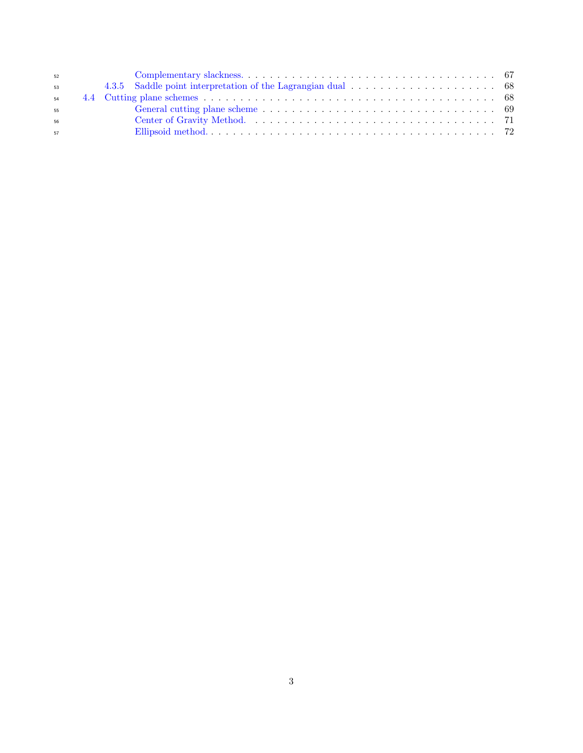| 52 |  |
|----|--|
| 53 |  |
| 54 |  |
| 55 |  |
| 56 |  |
| 57 |  |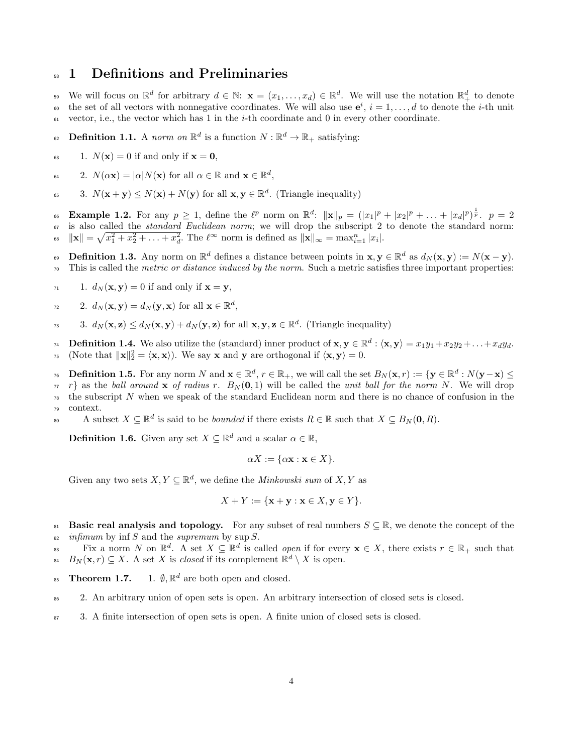# <span id="page-3-0"></span><sup>58</sup> 1 Definitions and Preliminaries

<sup>59</sup> We will focus on  $\mathbb{R}^d$  for arbitrary  $d \in \mathbb{N}$ :  $\mathbf{x} = (x_1, \ldots, x_d) \in \mathbb{R}^d$ . We will use the notation  $\mathbb{R}^d_+$  to denote <sup>60</sup> the set of all vectors with nonnegative coordinates. We will also use  $e^i$ ,  $i = 1, \ldots, d$  to denote the *i*-th unit  $\epsilon_0$  vector, i.e., the vector which has 1 in the *i*-th coordinate and 0 in every other coordinate.

<span id="page-3-7"></span>62 **Definition 1.1.** A norm on  $\mathbb{R}^d$  is a function  $N : \mathbb{R}^d \to \mathbb{R}_+$  satisfying:

<span id="page-3-6"></span>63 1.  $N(\mathbf{x}) = 0$  if and only if  $\mathbf{x} = \mathbf{0}$ ,

<sup>64</sup> 2.  $N(\alpha \mathbf{x}) = |\alpha| N(\mathbf{x})$  for all  $\alpha \in \mathbb{R}$  and  $\mathbf{x} \in \mathbb{R}^d$ ,

<span id="page-3-4"></span><sup>65</sup> 3.  $N(\mathbf{x} + \mathbf{y}) \leq N(\mathbf{x}) + N(\mathbf{y})$  for all  $\mathbf{x}, \mathbf{y} \in \mathbb{R}^d$ . (Triangle inequality)

66 **Example 1.2.** For any  $p \geq 1$ , define the  $\ell^p$  norm on  $\mathbb{R}^d$ :  $\|\mathbf{x}\|_p = (|x_1|^p + |x_2|^p + \ldots + |x_d|^p)^{\frac{1}{p}}$ .  $p = 2$ 67 is also called the *standard Euclidean norm*; we will drop the subscript 2 to denote the standard norm: <sup>68</sup>  $\|\mathbf{x}\| = \sqrt{x_1^2 + x_2^2 + \ldots + x_d^2}$ . The  $\ell^{\infty}$  norm is defined as  $\|\mathbf{x}\|_{\infty} = \max_{i=1}^{n} |x_i|$ .

69 Definition 1.3. Any norm on  $\mathbb{R}^d$  defines a distance between points in  $\mathbf{x}, \mathbf{y} \in \mathbb{R}^d$  as  $d_N(\mathbf{x}, \mathbf{y}) := N(\mathbf{x} - \mathbf{y})$ .  $\tau_0$  This is called the *metric or distance induced by the norm*. Such a metric satisfies three important properties:

$$
I_1 \qquad 1. \, d_N(\mathbf{x}, \mathbf{y}) = 0 \text{ if and only if } \mathbf{x} = \mathbf{y},
$$

<span id="page-3-2"></span>
$$
a_2 \qquad 2. \, d_N(\mathbf{x}, \mathbf{y}) = d_N(\mathbf{y}, \mathbf{x}) \text{ for all } \mathbf{x} \in \mathbb{R}^d,
$$

<span id="page-3-3"></span>3.  $d_N(\mathbf{x}, \mathbf{z}) \le d_N(\mathbf{x}, \mathbf{y}) + d_N(\mathbf{y}, \mathbf{z})$  for all  $\mathbf{x}, \mathbf{y}, \mathbf{z} \in \mathbb{R}^d$ . (Triangle inequality)

74 **Definition 1.4.** We also utilize the (standard) inner product of  $\mathbf{x}, \mathbf{y} \in \mathbb{R}^d : \langle \mathbf{x}, \mathbf{y} \rangle = x_1y_1 + x_2y_2 + \ldots + x_dy_d$ . 75 (Note that  $\|\mathbf{x}\|_2^2 = \langle \mathbf{x}, \mathbf{x} \rangle$ ). We say **x** and **y** are orthogonal if  $\langle \mathbf{x}, \mathbf{y} \rangle = 0$ .

 $\mathcal{D}_0$  **Definition 1.5.** For any norm N and  $\mathbf{x} \in \mathbb{R}^d$ ,  $r \in \mathbb{R}_+$ , we will call the set  $B_N(\mathbf{x}, r) := \{ \mathbf{y} \in \mathbb{R}^d : N(\mathbf{y}-\mathbf{x}) \leq \mathbf{y} \}$ 

 $\pi$  r} as the ball around x of radius r.  $B_N(0,1)$  will be called the unit ball for the norm N. We will drop  $78$  the subscript N when we speak of the standard Euclidean norm and there is no chance of confusion in the <sup>79</sup> context.

80 A subset  $X \subseteq \mathbb{R}^d$  is said to be *bounded* if there exists  $R \in \mathbb{R}$  such that  $X \subseteq B_N(\mathbf{0}, R)$ .

**Definition 1.6.** Given any set  $X \subseteq \mathbb{R}^d$  and a scalar  $\alpha \in \mathbb{R}$ ,

$$
\alpha X := \{\alpha \mathbf{x} : \mathbf{x} \in X\}.
$$

Given any two sets  $X, Y \subseteq \mathbb{R}^d$ , we define the *Minkowski sum* of  $X, Y$  as

$$
X + Y := \{ \mathbf{x} + \mathbf{y} : \mathbf{x} \in X, \mathbf{y} \in Y \}.
$$

<span id="page-3-1"></span>81 Basic real analysis and topology. For any subset of real numbers  $S \subseteq \mathbb{R}$ , we denote the concept of the  $\sin \theta$  infimum by inf S and the supremum by sup S.

Fix a norm N on  $\mathbb{R}^d$ . A set  $X \subseteq \mathbb{R}^d$  is called *open* if for every  $\mathbf{x} \in X$ , there exists  $r \in \mathbb{R}_+$  such that <sup>84</sup>  $B_N(\mathbf{x}, r) \subseteq X$ . A set X is *closed* if its complement  $\mathbb{R}^d \setminus X$  is open.

<span id="page-3-5"></span>Theorem 1.7. <sup>85</sup> Theorem 1.7. 1.  $\emptyset$ ,  $\mathbb{R}^d$  are both open and closed.

<sup>86</sup> 2. An arbitrary union of open sets is open. An arbitrary intersection of closed sets is closed.

<sup>87</sup> 3. A finite intersection of open sets is open. A finite union of closed sets is closed.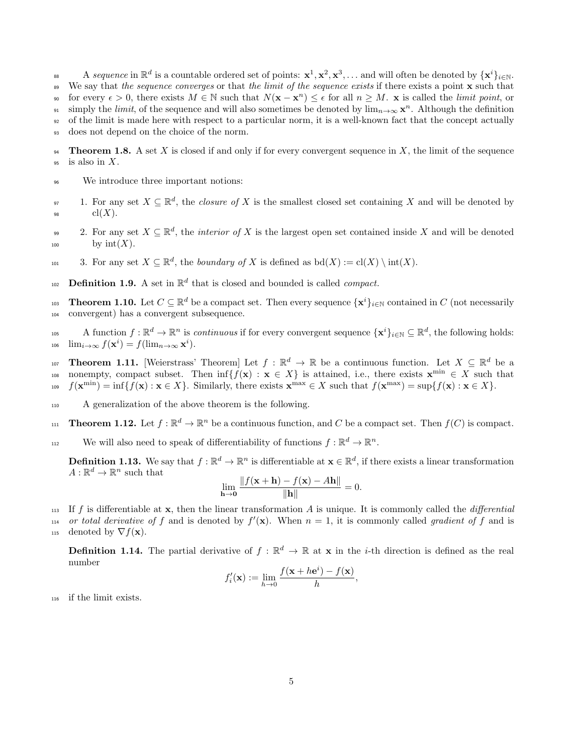88 A sequence in  $\mathbb{R}^d$  is a countable ordered set of points:  $\mathbf{x}^1, \mathbf{x}^2, \mathbf{x}^3, \ldots$  and will often be denoted by  $\{\mathbf{x}^i\}_{i\in\mathbb{N}}$ . <sup>89</sup> We say that the sequence converges or that the limit of the sequence exists if there exists a point **x** such that for every  $\epsilon > 0$ , there exists  $M \in \mathbb{N}$  such that  $N(\mathbf{x} - \mathbf{x}^n) \leq \epsilon$  for all  $n \geq M$ . **x** is called the *limit point*, or simply the *limit*, of the sequence and will also sometimes be denoted by  $\lim_{n\to\infty} \mathbf{x}^n$ . Although the definition <sup>92</sup> of the limit is made here with respect to a particular norm, it is a well-known fact that the concept actually <sup>93</sup> does not depend on the choice of the norm.

**94** Theorem 1.8. A set X is closed if and only if for every convergent sequence in X, the limit of the sequence  $95$  is also in X.

- <sup>96</sup> We introduce three important notions:
- <span id="page-4-2"></span>97 1. For any set  $X \subseteq \mathbb{R}^d$ , the *closure of* X is the smallest closed set containing X and will be denoted by 98  $\operatorname{cl}(X).$
- <span id="page-4-3"></span>2. For any set  $X \subseteq \mathbb{R}^d$ , the *interior of* X is the largest open set contained inside X and will be denoted  $_{100}$  by  $\text{int}(X)$ .
- 101 3. For any set  $X \subseteq \mathbb{R}^d$ , the boundary of X is defined as  $\text{bd}(X) := \text{cl}(X) \setminus \text{int}(X)$ .
- 102 **Definition 1.9.** A set in  $\mathbb{R}^d$  that is closed and bounded is called *compact*.

<span id="page-4-1"></span>103 **Theorem 1.10.** Let  $C \subseteq \mathbb{R}^d$  be a compact set. Then every sequence  $\{x^i\}_{i\in\mathbb{N}}$  contained in  $C$  (not necessarily <sup>104</sup> convergent) has a convergent subsequence.

105 A function  $f : \mathbb{R}^d \to \mathbb{R}^n$  is *continuous* if for every convergent sequence  $\{x^i\}_{i\in\mathbb{N}} \subseteq \mathbb{R}^d$ , the following holds:  $\lim_{i\to\infty} f(\mathbf{x}^i) = f(\lim_{n\to\infty} \mathbf{x}^i).$ 

<span id="page-4-0"></span>107 **Theorem 1.11.** [Weierstrass' Theorem] Let  $f : \mathbb{R}^d \to \mathbb{R}$  be a continuous function. Let  $X \subseteq \mathbb{R}^d$  be a nonempty, compact subset. Then  $\inf\{f(\mathbf{x}) : \mathbf{x} \in X\}$  is attained, i.e., there exists  $\mathbf{x}^{\min} \in X$  such that 109  $f(\mathbf{x}^{\min}) = \inf\{f(\mathbf{x}) : \mathbf{x} \in X\}$ . Similarly, there exists  $\mathbf{x}^{\max} \in X$  such that  $f(\mathbf{x}^{\max}) = \sup\{f(\mathbf{x}) : \mathbf{x} \in X\}$ .

- <sup>110</sup> A generalization of the above theorem is the following.
- <span id="page-4-4"></span>111 **Theorem 1.12.** Let  $f : \mathbb{R}^d \to \mathbb{R}^n$  be a continuous function, and C be a compact set. Then  $f(C)$  is compact.

112 We will also need to speak of differentiability of functions  $f : \mathbb{R}^d \to \mathbb{R}^n$ .

**Definition 1.13.** We say that  $f : \mathbb{R}^d \to \mathbb{R}^n$  is differentiable at  $\mathbf{x} \in \mathbb{R}^d$ , if there exists a linear transformation  $A: \mathbb{R}^d \to \mathbb{R}^n$  such that

$$
\lim_{\mathbf{h}\to\mathbf{0}}\frac{\|f(\mathbf{x}+\mathbf{h})-f(\mathbf{x})-A\mathbf{h}\|}{\|\mathbf{h}\|}=0.
$$

113 If f is differentiable at  $x$ , then the linear transformation A is unique. It is commonly called the *differential* 114 or total derivative of f and is denoted by  $f'(\mathbf{x})$ . When  $n = 1$ , it is commonly called gradient of f and is 115 denoted by  $\nabla f(\mathbf{x})$ .

**Definition 1.14.** The partial derivative of  $f : \mathbb{R}^d \to \mathbb{R}$  at **x** in the *i*-th direction is defined as the real number

$$
f_i'(\mathbf{x}) := \lim_{h \to 0} \frac{f(\mathbf{x} + h\mathbf{e}^i) - f(\mathbf{x})}{h},
$$

<sup>116</sup> if the limit exists.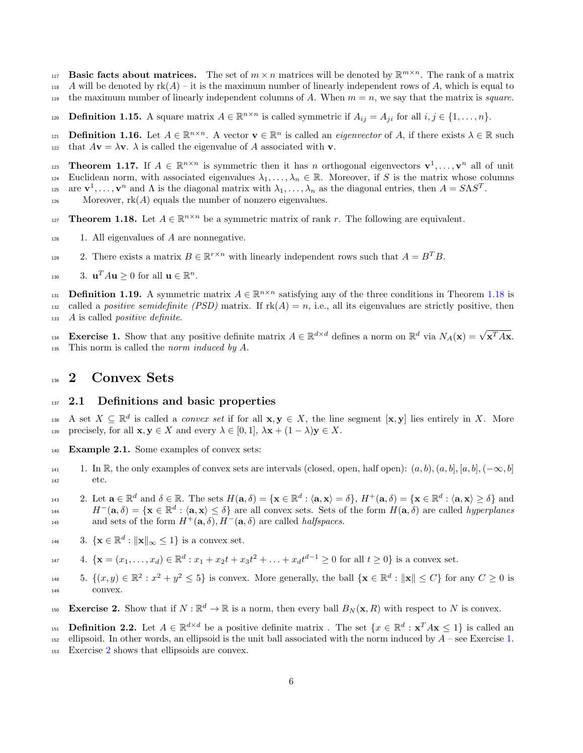- <span id="page-5-0"></span>Basic facts about matrices. The set of  $m \times n$  matrices will be denoted by  $\mathbb{R}^{m \times n}$ . The rank of a matrix
- 118 A will be denoted by  $rk(A) it$  is the maximum number of linearly independent rows of A, which is equal to
- 119 the maximum number of linearly independent columns of A. When  $m = n$ , we say that the matrix is *square*.
- **Definition 1.15.** A square matrix  $A \in \mathbb{R}^{n \times n}$  is called symmetric if  $A_{ij} = A_{ji}$  for all  $i, j \in \{1, ..., n\}$ .
- **Definition 1.16.** Let  $A \in \mathbb{R}^{n \times n}$ . A vector  $\mathbf{v} \in \mathbb{R}^n$  is called an *eigenvector* of A, if there exists  $\lambda \in \mathbb{R}$  such 122 that  $A\mathbf{v} = \lambda \mathbf{v}$ .  $\lambda$  is called the eigenvalue of A associated with **v**.
- 123 **Theorem 1.17.** If  $A \in \mathbb{R}^{n \times n}$  is symmetric then it has n orthogonal eigenvectors  $\mathbf{v}^1, \ldots, \mathbf{v}^n$  all of unit
- 124 Euclidean norm, with associated eigenvalues  $\lambda_1, \ldots, \lambda_n \in \mathbb{R}$ . Moreover, if S is the matrix whose columns are  $\mathbf{v}^1, \ldots, \mathbf{v}^n$  and  $\Lambda$  is the diagonal matrix with  $\lambda_1, \ldots, \lambda_n$  as the diagonal entries, then  $A = S \Lambda S^T$ .
- 126 Moreover,  $rk(A)$  equals the number of nonzero eigenvalues.
- 
- <span id="page-5-3"></span>127 **Theorem 1.18.** Let  $A \in \mathbb{R}^{n \times n}$  be a symmetric matrix of rank r. The following are equivalent.
- <span id="page-5-8"></span> $128$  1. All eigenvalues of A are nonnegative.
- <span id="page-5-7"></span>229 2. There exists a matrix  $B \in \mathbb{R}^{r \times n}$  with linearly independent rows such that  $A = B^T B$ .
- <span id="page-5-9"></span>130 3.  $\mathbf{u}^T A \mathbf{u} \ge 0$  for all  $\mathbf{u} \in \mathbb{R}^n$ .

**Definition 1.19.** A symmetric matrix  $A \in \mathbb{R}^{n \times n}$  satisfying any of the three conditions in Theorem [1.18](#page-5-3) is 132 called a positive semidefinite (PSD) matrix. If  $rk(A) = n$ , i.e., all its eigenvalues are strictly positive, then <sup>133</sup> A is called positive definite.

<span id="page-5-4"></span>Exercise 1. Show that any positive definite matrix  $A \in \mathbb{R}^{d \times d}$  defines a norm on  $\mathbb{R}^d$  via  $N_A(\mathbf{x}) = \sqrt{\mathbf{x}^T A \mathbf{x}}$ . <sup>135</sup> This norm is called the norm induced by A.

# <span id="page-5-1"></span><sup>136</sup> 2 Convex Sets

# <span id="page-5-2"></span> $137$  2.1 Definitions and basic properties

138 A set  $X \subseteq \mathbb{R}^d$  is called a *convex set* if for all  $\mathbf{x}, \mathbf{y} \in X$ , the line segment  $[\mathbf{x}, \mathbf{y}]$  lies entirely in X. More 139 precisely, for all  $\mathbf{x}, \mathbf{y} \in X$  and every  $\lambda \in [0, 1]$ ,  $\lambda \mathbf{x} + (1 - \lambda) \mathbf{y} \in X$ .

- <span id="page-5-6"></span><sup>140</sup> Example 2.1. Some examples of convex sets:
- 141 1. In R, the only examples of convex sets are intervals (closed, open, half open):  $(a, b), (a, b], (a, b], (-\infty, b]$ <sup>142</sup> etc.
- 2. Let  $\mathbf{a} \in \mathbb{R}^d$  and  $\delta \in \mathbb{R}$ . The sets  $H(\mathbf{a}, \delta) = {\mathbf{x} \in \mathbb{R}^d : \langle \mathbf{a}, \mathbf{x} \rangle = \delta}, H^+(\mathbf{a}, \delta) = {\mathbf{x} \in \mathbb{R}^d : \langle \mathbf{a}, \mathbf{x} \rangle \ge \delta}$  and  $H^{-}(\mathbf{a}, \delta) = {\mathbf{x} \in \mathbb{R}^d : \langle \mathbf{a}, \mathbf{x} \rangle \le \delta}$  are all convex sets. Sets of the form  $H(\mathbf{a}, \delta)$  are called *hyperplanes* and sets of the form  $H^+(\mathbf{a}, \delta)$ ,  $H^-(\mathbf{a}, \delta)$  are called *halfspaces*.
- 
- 146 3. { $\mathbf{x} \in \mathbb{R}^d : ||\mathbf{x}||_{\infty} \leq 1$ } is a convex set.
- $4. \ \{ \mathbf{x} = (x_1, \ldots, x_d) \in \mathbb{R}^d : x_1 + x_2t + x_3t^2 + \ldots + x_dt^{d-1} \geq 0 \text{ for all } t \geq 0 \} \text{ is a convex set.}$
- 148 5.  $\{(x, y) \in \mathbb{R}^2 : x^2 + y^2 \le 5\}$  is convex. More generally, the ball  $\{\mathbf{x} \in \mathbb{R}^d : ||\mathbf{x}|| \le C\}$  for any  $C \ge 0$  is <sup>149</sup> convex.
- <span id="page-5-5"></span>Exercise 2. Show that if  $N : \mathbb{R}^d \to \mathbb{R}$  is a norm, then every ball  $B_N(\mathbf{x}, R)$  with respect to N is convex.
- 151 **Definition 2.2.** Let  $A \in \mathbb{R}^{d \times d}$  be a positive definite matrix. The set  $\{x \in \mathbb{R}^d : x^T A x \le 1\}$  is called an
- $_{152}$  ellipsoid. In other words, an ellipsoid is the unit ball associated with the norm induced by  $A$  see Exercise [1.](#page-5-4)
- <sup>153</sup> Exercise [2](#page-5-5) shows that ellipsoids are convex.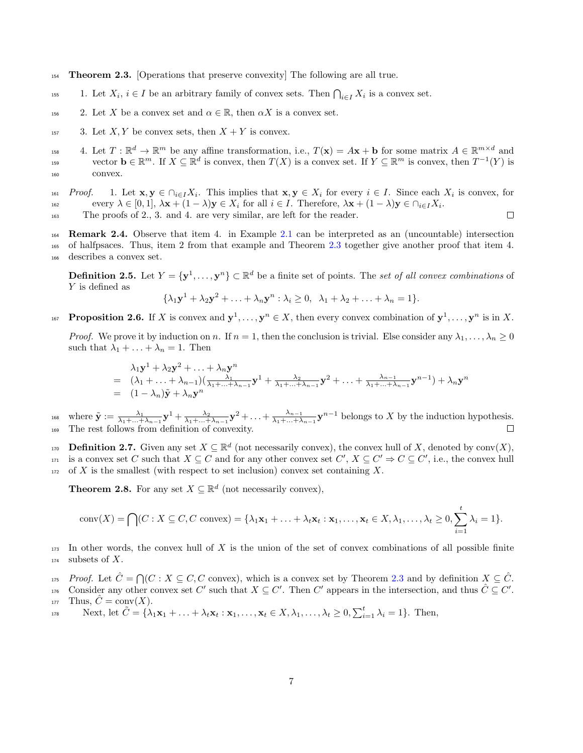- <span id="page-6-0"></span><sup>154</sup> Theorem 2.3. [Operations that preserve convexity] The following are all true.
- <sup>155</sup> 1. Let  $X_i, i \in I$  be an arbitrary family of convex sets. Then  $\bigcap_{i \in I} X_i$  is a convex set.
- 156 2. Let X be a convex set and  $\alpha \in \mathbb{R}$ , then  $\alpha X$  is a convex set.
- $157$  3. Let X, Y be convex sets, then  $X + Y$  is convex.
- <sup>158</sup> 4. Let  $T: \mathbb{R}^d \to \mathbb{R}^m$  be any affine transformation, i.e.,  $T(\mathbf{x}) = A\mathbf{x} + \mathbf{b}$  for some matrix  $A \in \mathbb{R}^{m \times d}$  and vector  $\mathbf{b} \in \mathbb{R}^m$ . If  $X \subseteq \mathbb{R}^d$  is convex, then  $T(X)$  is a convex set. If  $Y \subseteq \mathbb{R}^m$  is convex, then  $T^{-1}(Y)$  is <sup>160</sup> convex.
- 161 Proof. 1. Let  $\mathbf{x}, \mathbf{y} \in \bigcap_{i \in I} X_i$ . This implies that  $\mathbf{x}, \mathbf{y} \in X_i$  for every  $i \in I$ . Since each  $X_i$  is convex, for every  $\lambda \in [0,1], \lambda \mathbf{x} + (1-\lambda)\mathbf{y} \in X_i$  for all  $i \in I$ . Therefore,  $\lambda \mathbf{x} + (1-\lambda)\mathbf{y} \in \bigcap_{i \in I} X_i$ .  $\Box$
- <sup>163</sup> The proofs of 2., 3. and 4. are very similar, are left for the reader.
- <sup>164</sup> Remark 2.4. Observe that item 4. in Example [2.1](#page-5-6) can be interpreted as an (uncountable) intersection <sup>165</sup> of halfpsaces. Thus, item 2 from that example and Theorem [2.3](#page-6-0) together give another proof that item 4. <sup>166</sup> describes a convex set.

**Definition 2.5.** Let  $Y = \{y^1, \ldots, y^n\} \subset \mathbb{R}^d$  be a finite set of points. The set of all convex combinations of Y is defined as

$$
\{\lambda_1\mathbf{y}^1+\lambda_2\mathbf{y}^2+\ldots+\lambda_n\mathbf{y}^n:\lambda_i\geq 0, \ \lambda_1+\lambda_2+\ldots+\lambda_n=1\}.
$$

<span id="page-6-1"></span>167 **Proposition 2.6.** If X is convex and  $y^1, \ldots, y^n \in X$ , then every convex combination of  $y^1, \ldots, y^n$  is in X.

*Proof.* We prove it by induction on n. If  $n = 1$ , then the conclusion is trivial. Else consider any  $\lambda_1, \ldots, \lambda_n \geq 0$ such that  $\lambda_1 + \ldots + \lambda_n = 1$ . Then

$$
\lambda_1 \mathbf{y}^1 + \lambda_2 \mathbf{y}^2 + \ldots + \lambda_n \mathbf{y}^n
$$
\n
$$
= (\lambda_1 + \ldots + \lambda_{n-1})(\frac{\lambda_1}{\lambda_1 + \ldots + \lambda_{n-1}} \mathbf{y}^1 + \frac{\lambda_2}{\lambda_1 + \ldots + \lambda_{n-1}} \mathbf{y}^2 + \ldots + \frac{\lambda_{n-1}}{\lambda_1 + \ldots + \lambda_{n-1}} \mathbf{y}^{n-1}) + \lambda_n \mathbf{y}^n
$$
\n
$$
= (1 - \lambda_n)\tilde{\mathbf{y}} + \lambda_n \mathbf{y}^n
$$

where  $\tilde{\mathbf{y}} := \frac{\lambda_1}{\lambda_1 + ... + \lambda_{n-1}} \mathbf{y}^1 + \frac{\lambda_2}{\lambda_1 + ... + \lambda_{n-1}} \mathbf{y}^2 + ... + \frac{\lambda_{n-1}}{\lambda_1 + ... + \lambda_n}$ <sup>168</sup> where  $\tilde{\mathbf{y}} := \frac{\lambda_1}{\lambda_1 + ... + \lambda_{n-1}} \mathbf{y}^1 + \frac{\lambda_2}{\lambda_1 + ... + \lambda_{n-1}} \mathbf{y}^2 + ... + \frac{\lambda_{n-1}}{\lambda_1 + ... + \lambda_{n-1}} \mathbf{y}^{n-1}$  belongs to X by the induction hypothesis. <sup>169</sup> The rest follows from definition of convexity.

170 **Definition 2.7.** Given any set  $X \subseteq \mathbb{R}^d$  (not necessarily convex), the convex hull of X, denoted by conv $(X)$ ,  $\mathcal{I}_{171}$  is a convex set C such that  $X \subseteq C$  and for any other convex set  $C', X \subseteq C' \Rightarrow C \subseteq C'$ , i.e., the convex hull  $172$  of X is the smallest (with respect to set inclusion) convex set containing X.

<span id="page-6-2"></span>**Theorem 2.8.** For any set  $X \subseteq \mathbb{R}^d$  (not necessarily convex),

$$
conv(X) = \bigcap (C : X \subseteq C, C \text{ convex}) = \{\lambda_1 \mathbf{x}_1 + \ldots + \lambda_t \mathbf{x}_t : \mathbf{x}_1, \ldots, \mathbf{x}_t \in X, \lambda_1, \ldots, \lambda_t \ge 0, \sum_{i=1}^t \lambda_i = 1\}.
$$

 $173$  In other words, the convex hull of X is the union of the set of convex combinations of all possible finite  $174$  subsets of X.

175 Proof. Let  $\hat{C} = \bigcap (C : X \subseteq C, C \text{ convex}),$  which is a convex set by Theorem [2.3](#page-6-0) and by definition  $X \subseteq \hat{C}$ .

176 Consider any other convex set C' such that  $X \subseteq C'$ . Then C' appears in the intersection, and thus  $\hat{C} \subseteq C'$ . 177 Thus,  $\hat{C} = \text{conv}(X)$ .

Next, let 
$$
\tilde{C} = \{\lambda_1 \mathbf{x}_1 + \ldots + \lambda_t \mathbf{x}_t : \mathbf{x}_1, \ldots, \mathbf{x}_t \in X, \lambda_1, \ldots, \lambda_t \geq 0, \sum_{i=1}^t \lambda_i = 1\}
$$
. Then,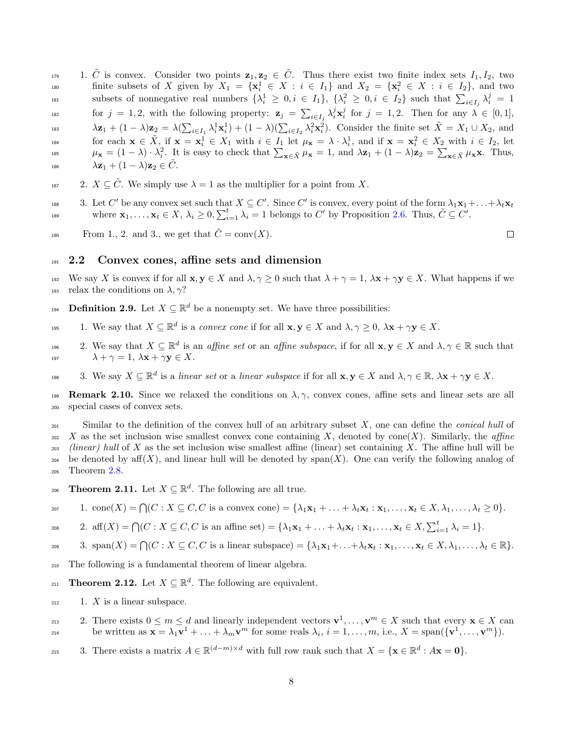1.  $\tilde{C}$  is convex. Consider two points  $\mathbf{z}_1, \mathbf{z}_2 \in \tilde{C}$ . Thus there exist two finite index sets  $I_1, I_2$ , two finite subsets of X given by  $X_1 = \{x_i^1 \in X : i \in I_1\}$  and  $X_2 = \{x_i^2 \in X : i \in I_2\}$ , and two subsets of nonnegative real numbers  $\{\lambda_i^1 \geq 0, i \in I_1\}$ ,  $\{\lambda_i^2 \geq 0, i \in I_2\}$  such that  $\sum_{i \in I_j} \lambda_i^j = 1$ for  $j = 1, 2$ , with the following property:  $\mathbf{z}_j = \sum_{i \in I_j} \lambda_i^j \mathbf{x}_i^j$  for  $j = 1, 2$ . Then for any  $\lambda \in [0, 1]$ , 183  $\lambda \mathbf{z}_1 + (1 - \lambda)\mathbf{z}_2 = \lambda (\sum_{i \in I_1} \lambda_i^1 \mathbf{x}_i^1) + (1 - \lambda)(\sum_{i \in I_2} \lambda_i^2 \mathbf{x}_i^2)$ . Consider the finite set  $\tilde{X} = X_1 \cup X_2$ , and for each  $\mathbf{x} \in \tilde{X}$ , if  $\mathbf{x} = \mathbf{x}_i^1 \in X_1$  with  $i \in I_1$  let  $\mu_{\mathbf{x}} = \lambda \cdot \lambda_i^1$ , and if  $\mathbf{x} = \mathbf{x}_i^2 \in X_2$  with  $i \in I_2$ , let <sup>185</sup>  $\mu_{\mathbf{x}} = (1 - \lambda) \cdot \lambda_i^2$ . It is easy to check that  $\sum_{\mathbf{x} \in \tilde{X}} \mu_{\mathbf{x}} = 1$ , and  $\lambda \mathbf{z}_1 + (1 - \lambda) \mathbf{z}_2 = \sum_{\mathbf{x} \in \tilde{X}} \mu_{\mathbf{x}} \mathbf{x}$ . Thus, 186  $\lambda \mathbf{z}_1 + (1 - \lambda) \mathbf{z}_2 \in \tilde{C}$ .

- <sup>187</sup> 2.  $X \subseteq \tilde{C}$ . We simply use  $\lambda = 1$  as the multiplier for a point from X.
- 188 3. Let C' be any convex set such that  $X \subseteq C'$ . Since C' is convex, every point of the form  $\lambda_1 \mathbf{x}_1 + \ldots + \lambda_t \mathbf{x}_t$ where  $\mathbf{x}_1, \ldots, \mathbf{x}_t \in X$ ,  $\lambda_i \geq 0$ ,  $\sum_{i=1}^t \lambda_i = 1$  belongs to C' by Proposition [2.6.](#page-6-1) Thus,  $\tilde{C} \subseteq C'$ .
- From 1., 2. and 3., we get that  $\tilde{C} = \text{conv}(X)$ .

### <span id="page-7-0"></span><sup>191</sup> 2.2 Convex cones, affine sets and dimension

- 192 We say X is convex if for all  $\mathbf{x}, \mathbf{y} \in X$  and  $\lambda, \gamma \geq 0$  such that  $\lambda + \gamma = 1$ ,  $\lambda \mathbf{x} + \gamma \mathbf{y} \in X$ . What happens if we 193 relax the conditions on  $\lambda$ ,  $\gamma$ ?
- **Definition 2.9.** Let  $X \subseteq \mathbb{R}^d$  be a nonempty set. We have three possibilities:
- 195 1. We say that  $X \subseteq \mathbb{R}^d$  is a convex cone if for all  $\mathbf{x}, \mathbf{y} \in X$  and  $\lambda, \gamma \geq 0$ ,  $\lambda \mathbf{x} + \gamma \mathbf{y} \in X$ .
- 196 2. We say that  $X \subseteq \mathbb{R}^d$  is an *affine set* or an *affine subspace*, if for all  $\mathbf{x}, \mathbf{y} \in X$  and  $\lambda, \gamma \in \mathbb{R}$  such that 197  $\lambda + \gamma = 1, \ \lambda \mathbf{x} + \gamma \mathbf{y} \in X.$
- 198 3. We say  $X \subseteq \mathbb{R}^d$  is a linear set or a linear subspace if for all  $\mathbf{x}, \mathbf{y} \in X$  and  $\lambda, \gamma \in \mathbb{R}$ ,  $\lambda \mathbf{x} + \gamma \mathbf{y} \in X$ .

**199 Remark 2.10.** Since we relaxed the conditions on  $\lambda, \gamma$ , convex cones, affine sets and linear sets are all <sup>200</sup> special cases of convex sets.

 $_{201}$  Similar to the definition of the convex hull of an arbitrary subset X, one can define the *conical hull* of 202 X as the set inclusion wise smallest convex cone containing X, denoted by cone(X). Similarly, the affine  $\ell$  (linear) hull of X as the set inclusion wise smallest affine (linear) set containing X. The affine hull will be 204 be denoted by aff $(X)$ , and linear hull will be denoted by span $(X)$ . One can verify the following analog of <sup>205</sup> Theorem [2.8.](#page-6-2)

<span id="page-7-2"></span>206 **Theorem 2.11.** Let  $X \subseteq \mathbb{R}^d$ . The following are all true.

$$
\text{for} \qquad 1. \text{ cone}(X) = \bigcap (C : X \subseteq C, C \text{ is a convex cone}) = \{\lambda_1 \mathbf{x}_1 + \ldots + \lambda_t \mathbf{x}_t : \mathbf{x}_1, \ldots, \mathbf{x}_t \in X, \lambda_1, \ldots, \lambda_t \ge 0\}.
$$

208 2. aff $(X) = \bigcap (C : X \subseteq C, C$  is an affine set $) = {\lambda_1 \mathbf{x}_1 + \ldots + \lambda_t \mathbf{x}_t : \mathbf{x}_1, \ldots, \mathbf{x}_t \in X, \sum_{i=1}^t \lambda_i = 1}.$ 

$$
\text{209} \qquad \text{3. } \text{span}(X) = \bigcap (C : X \subseteq C, C \text{ is a linear subspace}) = \{\lambda_1 \mathbf{x}_1 + \ldots + \lambda_t \mathbf{x}_t : \mathbf{x}_1, \ldots, \mathbf{x}_t \in X, \lambda_1, \ldots, \lambda_t \in \mathbb{R}\}.
$$

- <sup>210</sup> The following is a fundamental theorem of linear algebra.
- <span id="page-7-1"></span>211 **Theorem 2.12.** Let  $X \subseteq \mathbb{R}^d$ . The following are equivalent.
- $212$  1. X is a linear subspace.
- 213 21. There exists  $0 \leq m \leq d$  and linearly independent vectors  $\mathbf{v}^1, \ldots, \mathbf{v}^m \in X$  such that every  $\mathbf{x} \in X$  can be written as  $\mathbf{x} = \lambda_1 \mathbf{v}^1 + \ldots + \lambda_m \mathbf{v}^m$  for some reals  $\lambda_i$ ,  $i = 1, \ldots, m$ , i.e.,  $X = \text{span}(\{\mathbf{v}^1, \ldots, \mathbf{v}^m\})$ .
- 215 3. There exists a matrix  $A \in \mathbb{R}^{(d-m)\times d}$  with full row rank such that  $X = \{ \mathbf{x} \in \mathbb{R}^d : A\mathbf{x} = \mathbf{0} \}.$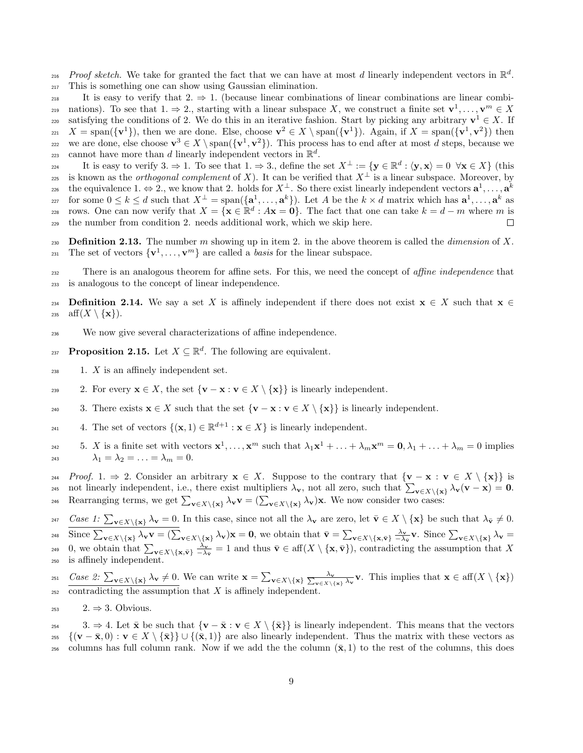216 Proof sketch. We take for granted the fact that we can have at most d linearly independent vectors in  $\mathbb{R}^d$ . <sup>217</sup> This is something one can show using Gaussian elimination.

218 It is easy to verify that  $2 \Rightarrow 1$ . (because linear combinations of linear combinations are linear combinations). To see that  $1 \Rightarrow 2$ , starting with a linear subspace X, we construct a finite set  $\mathbf{v}^1, \dots, \mathbf{v}^m \in X$ satisfying the conditions of 2. We do this in an iterative fashion. Start by picking any arbitrary  $v^1 \in X$ . If  $X = \text{span}(\{\mathbf{v}^1\})$ , then we are done. Else, choose  $\mathbf{v}^2 \in X \setminus \text{span}(\{\mathbf{v}^1\})$ . Again, if  $X = \text{span}(\{\mathbf{v}^1, \mathbf{v}^2\})$  then we are done, else choose  $\mathbf{v}^3 \in X \setminus \text{span}(\{\mathbf{v}^1, \mathbf{v}^2\})$ . This process has to end after at most d steps, because we cannot have more than d linearly independent vectors in  $\mathbb{R}^d$ .

224 It is easy to verify 3.  $\Rightarrow$  1. To see that 1.  $\Rightarrow$  3., define the set  $X^{\perp} := \{ \mathbf{y} \in \mathbb{R}^d : \langle \mathbf{y}, \mathbf{x} \rangle = 0 \ \forall \mathbf{x} \in X \}$  (this 225 is known as the *orthogonal complement* of X). It can be verified that  $X^{\perp}$  is a linear subspace. Moreover, by the equivalence 1.  $\Leftrightarrow$  2., we know that 2. holds for  $X^{\perp}$ . So there exist linearly independent vectors  $\mathbf{a}^1, \ldots, \mathbf{a}^k$ 226 for some  $0 \leq k \leq d$  such that  $X^{\perp} = \text{span}(\{\mathbf{a}_1^1, \ldots, \mathbf{a}^k\})$ . Let A be the  $k \times d$  matrix which has  $\mathbf{a}^1, \ldots, \mathbf{a}^k$  as rows. One can now verify that  $X = {\mathbf{x} \in \mathbb{R}^d : A\mathbf{x} = \mathbf{0}}$ . The fact that one can take  $k = d - m$  where m is <sup>229</sup> the number from condition 2. needs additional work, which we skip here.

230 Definition 2.13. The number m showing up in item 2. in the above theorem is called the *dimension* of X. <sup>231</sup> The set of vectors  $\{v^1, \ldots, v^m\}$  are called a *basis* for the linear subspace.

<sup>232</sup> There is an analogous theorem for affine sets. For this, we need the concept of *affine independence* that <sup>233</sup> is analogous to the concept of linear independence.

234 Definition 2.14. We say a set X is affinely independent if there does not exist  $\mathbf{x} \in X$  such that  $\mathbf{x} \in$ 235 aff $(X \setminus \{x\})$ .

<sup>236</sup> We now give several characterizations of affine independence.

<span id="page-8-0"></span>**Proposition 2.15.** Let  $X \subseteq \mathbb{R}^d$ . The following are equivalent.

- $238$  1. X is an affinely independent set.
- 239 2. For every  $\mathbf{x} \in X$ , the set  $\{\mathbf{v} \mathbf{x} : \mathbf{v} \in X \setminus \{\mathbf{x}\}\}\)$  is linearly independent.
- 240 3. There exists  $\mathbf{x} \in X$  such that the set  $\{\mathbf{v} \mathbf{x} : \mathbf{v} \in X \setminus \{\mathbf{x}\}\}\)$  is linearly independent.

241 4. The set of vectors  $\{(\mathbf{x},1)\in\mathbb{R}^{d+1}:\mathbf{x}\in X\}$  is linearly independent.

<sup>242</sup> 5. X is a finite set with vectors  $\mathbf{x}^1, \ldots, \mathbf{x}^m$  such that  $\lambda_1 \mathbf{x}^1 + \ldots + \lambda_m \mathbf{x}^m = \mathbf{0}, \lambda_1 + \ldots + \lambda_m = 0$  implies  $\lambda_1 = \lambda_2 = \ldots = \lambda_m = 0.$ 

244 Proof. 1.  $\Rightarrow$  2. Consider an arbitrary  $\mathbf{x} \in X$ . Suppose to the contrary that  $\{\mathbf{v} - \mathbf{x} : \mathbf{v} \in X \setminus \{\mathbf{x}\}\}\)$  is 245 not linearly independent, i.e., there exist multipliers  $\lambda_{\mathbf{v}}$ , not all zero, such that  $\sum_{\mathbf{v}\in X\setminus\{\mathbf{x}\}}\lambda_{\mathbf{v}}(\mathbf{v}-\mathbf{x})=\mathbf{0}$ . 246 Rearranging terms, we get  $\sum_{\mathbf{v}\in X\backslash\{\mathbf{x}\}}\lambda_{\mathbf{v}}\mathbf{v} = (\sum_{\mathbf{v}\in X\backslash\{\mathbf{x}\}}\lambda_{\mathbf{v}})\mathbf{x}$ . We now consider two cases:

247 Case 1:  $\sum_{\mathbf{v}\in X\setminus\{\mathbf{x}\}}\lambda_{\mathbf{v}}=0$ . In this case, since not all the  $\lambda_{\mathbf{v}}$  are zero, let  $\bar{\mathbf{v}}\in X\setminus\{\mathbf{x}\}$  be such that  $\lambda_{\bar{\mathbf{v}}}\neq 0$ . 248 Since  $\sum_{\mathbf{v}\in X\backslash\{\mathbf{x}\}}\lambda_{\mathbf{v}}\mathbf{v}=(\sum_{\mathbf{v}\in X\backslash\{\mathbf{x}\}}\lambda_{\mathbf{v}})\mathbf{x}=\mathbf{0}$ , we obtain that  $\bar{\mathbf{v}}=\sum_{\mathbf{v}\in X\backslash\{\mathbf{x},\bar{\mathbf{v}}\}}\frac{\lambda_{\mathbf{v}}}{-\lambda_{\bar{\mathbf{v}}}}\mathbf{v}$ . Since  $\sum_{\mathbf{v}\in X\backslash\{\mathbf{x}\}}\lambda_{\mathbf{v}}=$ <sup>249</sup> 0, we obtain that  $\sum_{\mathbf{v}\in X\backslash{\{\mathbf{x},\bar{\mathbf{v}}\}}}\frac{\lambda_{\mathbf{v}}}{-\lambda_{\bar{\mathbf{v}}}}=1$  and thus  $\bar{\mathbf{v}}\in \text{aff}(X\setminus{\{\mathbf{x},\bar{\mathbf{v}}\}})$ , contradicting the assumption that X <sup>250</sup> is affinely independent.

<sup>251</sup>  $\frac{Case\ 2:\ \sum_{\mathbf{v}\in X\backslash\{\mathbf{x}\}}\lambda_{\mathbf{v}}\neq 0.}{\text{We can write } \mathbf{x} = \sum_{\mathbf{v}\in X\backslash\{\mathbf{x}\}}\frac{\lambda_{\mathbf{v}}}{\sum_{\mathbf{v}\in X\backslash\{\mathbf{x}\}}\lambda_{\mathbf{v}}} \mathbf{v}.$  This implies that  $\mathbf{x} \in \text{aff}(X\setminus\{\mathbf{x}\})$  $_{252}$  contradicting the assumption that X is affinely independent.

<sup>253</sup> 2.  $\Rightarrow$  3. Obvious.

254 3.  $\Rightarrow$  4. Let  $\bar{\mathbf{x}}$  be such that  $\{\mathbf{v} - \bar{\mathbf{x}} : \mathbf{v} \in X \setminus {\bar{\mathbf{x}}}\}\$ is linearly independent. This means that the vectors  $\{(\mathbf{v}-\bar{\mathbf{x}},0): \mathbf{v} \in X \setminus {\bar{\mathbf{x}}}\}\cup {\{\bar{\mathbf{x}},1\}}$  are also linearly independent. Thus the matrix with these vectors as 256 columns has full column rank. Now if we add the the column  $(\bar{\mathbf{x}}, 1)$  to the rest of the columns, this does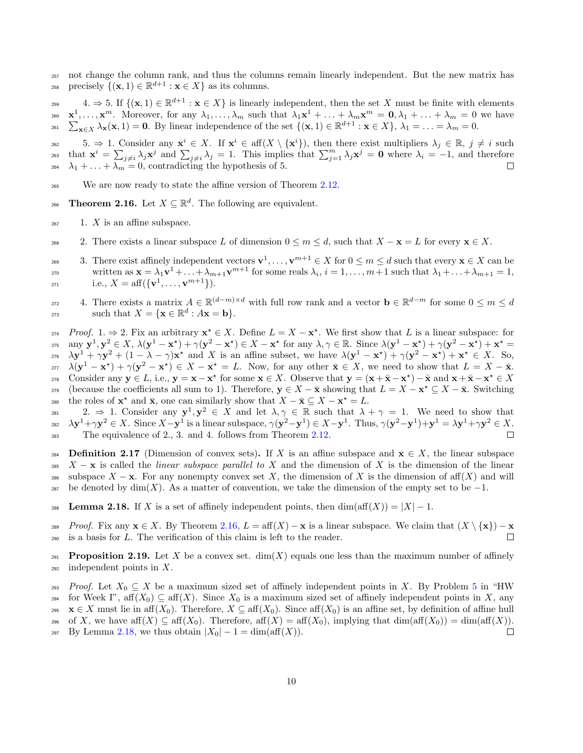<sup>257</sup> not change the column rank, and thus the columns remain linearly independent. But the new matrix has <sup>258</sup> precisely  $\{(\mathbf{x},1) \in \mathbb{R}^{d+1} : \mathbf{x} \in X\}$  as its columns.

259 4.  $\Rightarrow$  5. If  $\{(\mathbf{x},1)\in\mathbb{R}^{d+1}:\mathbf{x}\in X\}$  is linearly independent, then the set X must be finite with elements <sup>260</sup>  $\mathbf{x}^1, \ldots, \mathbf{x}^m$ . Moreover, for any  $\lambda_1, \ldots, \lambda_m$  such that  $\lambda_1 \mathbf{x}^1 + \ldots + \lambda_m \mathbf{x}^m$  $\sum$  $m = 0, \lambda_1 + \ldots + \lambda_m = 0$  we have  $\sum_{\mathbf{x}\in X} \lambda_{\mathbf{x}}(\mathbf{x},1) = \mathbf{0}$ . By linear independence of the set  $\{(\mathbf{x},1)\in \mathbb{R}^{d+1} : \mathbf{x}\in X\}$ ,  $\lambda_1 = \ldots = \lambda_m = 0$ .

 $\mathcal{L}_{262}$  5.  $\Rightarrow$  1. Consider any  $\mathbf{x}^i \in X$ . If  $\mathbf{x}^i \in \text{aff}(X \setminus {\{\mathbf{x}^i\}})$ , then there exist multipliers  $\lambda_j \in \mathbb{R}$ ,  $j \neq i$  such that  $\mathbf{x}^i = \sum_{j \neq i} \lambda_j \mathbf{x}^j$  and  $\sum_{j \neq i} \lambda_j = 1$ . This implies that  $\sum_{j=1}^m \lambda_j \mathbf{x}^j = \mathbf{0}$  where  $\lambda_i = -1$ , and therefore  $\lambda_1 + \ldots + \lambda_m = 0$ , contradicting the hypothesis of 5.

- <sup>265</sup> We are now ready to state the affine version of Theorem [2.12.](#page-7-1)
- <span id="page-9-0"></span>266 **Theorem 2.16.** Let  $X \subseteq \mathbb{R}^d$ . The following are equivalent.
- $_{267}$  1. X is an affine subspace.
- 268 2. There exists a linear subspace L of dimension  $0 \le m \le d$ , such that  $X \mathbf{x} = L$  for every  $\mathbf{x} \in X$ .
- 3. There exist affinely independent vectors  $\mathbf{v}^1, \dots, \mathbf{v}^{m+1} \in X$  for  $0 \le m \le d$  such that every  $\mathbf{x} \in X$  can be written as  $\mathbf{x} = \lambda_1 \mathbf{v}^1 + \ldots + \lambda_{m+1} \mathbf{v}^{m+1}$  for some reals  $\lambda_i$ ,  $i = 1, \ldots, m+1$  such that  $\lambda_1 + \ldots + \lambda_{m+1} = 1$ , 271 i.e.,  $X = \text{aff}(\{\mathbf{v}^1, \dots, \mathbf{v}^{m+1}\}).$
- 272 4. There exists a matrix  $A \in \mathbb{R}^{(d-m)\times d}$  with full row rank and a vector  $\mathbf{b} \in \mathbb{R}^{d-m}$  for some  $0 \leq m \leq d$ such that  $X = \{ \mathbf{x} \in \mathbb{R}^d : A\mathbf{x} = \mathbf{b} \}.$

274 Proof. 1. ⇒ 2. Fix an arbitrary  $\mathbf{x}^* \in X$ . Define  $L = X - \mathbf{x}^*$ . We first show that L is a linear subspace: for 275 any  $y^1, y^2 \in X$ ,  $\lambda(y^1 - x^*) + \gamma(y^2 - x^*) \in X - x^*$  for any  $\lambda, \gamma \in \mathbb{R}$ . Since  $\lambda(y^1 - x^*) + \gamma(y^2 - x^*) + x^* =$ 276  $\lambda y^1 + \gamma y^2 + (1 - \lambda - \gamma) x^*$  and X is an affine subset, we have  $\lambda (y^1 - x^*) + \gamma (y^2 - x^*) + x^* \in X$ . So, 277  $\lambda(\mathbf{y}^1 - \mathbf{x}^*) + \gamma(\mathbf{y}^2 - \mathbf{x}^*) \in X - \mathbf{x}^* = L$ . Now, for any other  $\bar{\mathbf{x}} \in X$ , we need to show that  $L = X - \bar{\mathbf{x}}$ . 278 Consider any  $y \in L$ , i.e.,  $y = x - x^*$  for some  $x \in X$ . Observe that  $y = (x + \bar{x} - x^*) - \bar{x}$  and  $x + \bar{x} - x^* \in X$ the coefficients all sum to 1). Therefore,  $y \in X - \bar{x}$  showing that  $L = X - x^* \subseteq X - \bar{x}$ . Switching the roles of  $\mathbf{x}^*$  and  $\bar{\mathbf{x}}$ , one can similarly show that  $X - \bar{\mathbf{x}} \subseteq X - \mathbf{x}^* = L$ .

281 2.  $\Rightarrow$  1. Consider any  $y^1, y^2 \in X$  and let  $\lambda, \gamma \in \mathbb{R}$  such that  $\lambda + \gamma = 1$ . We need to show that 282  $\lambda y^1 + \gamma y^2 \in X$ . Since  $X - y^1$  is a linear subspace,  $\gamma(y^2 - y^1) \in X - y^1$ . Thus,  $\gamma(y^2 - y^1) + y^1 = \lambda y^1 + \gamma y^2 \in X$ . <sup>283</sup> The equivalence of 2., 3. and 4. follows from Theorem [2.12.](#page-7-1)

284 Definition 2.17 (Dimension of convex sets). If X is an affine subspace and  $\mathbf{x} \in X$ , the linear subspace 285  $X - \mathbf{x}$  is called the *linear subspace parallel to X* and the dimension of X is the dimension of the linear 286 subspace  $X - \mathbf{x}$ . For any nonempty convex set X, the dimension of X is the dimension of aff(X) and will 287 be denoted by  $\dim(X)$ . As a matter of convention, we take the dimension of the empty set to be  $-1$ .

- <span id="page-9-1"></span>**288** Lemma 2.18. If X is a set of affinely independent points, then  $dim(aff(X)) = |X| - 1$ .
- 289 Proof. Fix any  $\mathbf{x} \in X$ . By Theorem [2.16,](#page-9-0)  $L = \text{aff}(X) \mathbf{x}$  is a linear subspace. We claim that  $(X \setminus \{ \mathbf{x} \}) \mathbf{x}$ <sup>290</sup> is a basis for L. The verification of this claim is left to the reader.

**Proposition 2.19.** Let X be a convex set.  $dim(X)$  equals one less than the maximum number of affinely  $_{292}$  independent points in X.

293 Proof. Let  $X_0 \subseteq X$  be a maximum sized set of affinely independent points in X. By Problem [5](#page-3-2) in "HW 294 for Week I", aff $(X_0) \subseteq \text{aff}(X)$ . Since  $X_0$  is a maximum sized set of affinely independent points in X, any 295  $\mathbf{x} \in X$  must lie in aff $(X_0)$ . Therefore,  $X \subseteq \text{aff}(X_0)$ . Since aff $(X_0)$  is an affine set, by definition of affine hull 296 of X, we have aff $(X) \subseteq \text{aff}(X_0)$ . Therefore, aff $(X) = \text{aff}(X_0)$ , implying that  $\dim(\text{aff}(X_0)) = \dim(\text{aff}(X))$ . 297 By Lemma [2.18,](#page-9-1) we thus obtain  $|X_0| - 1 = \dim(\text{aff}(X)).$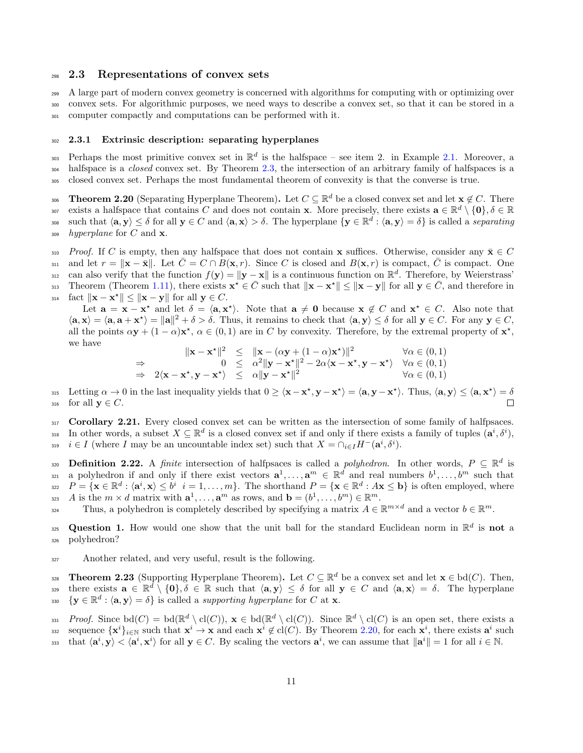### <span id="page-10-0"></span><sup>298</sup> 2.3 Representations of convex sets

<sup>299</sup> A large part of modern convex geometry is concerned with algorithms for computing with or optimizing over <sup>300</sup> convex sets. For algorithmic purposes, we need ways to describe a convex set, so that it can be stored in a <sup>301</sup> computer compactly and computations can be performed with it.

# <span id="page-10-1"></span><sup>302</sup> 2.3.1 Extrinsic description: separating hyperplanes

303 Perhaps the most primitive convex set in  $\mathbb{R}^d$  is the halfspace – see item 2. in Example [2.1.](#page-5-6) Moreover, a <sup>304</sup> halfspace is a *closed* convex set. By Theorem [2.3,](#page-6-0) the intersection of an arbitrary family of halfspaces is a <sup>305</sup> closed convex set. Perhaps the most fundamental theorem of convexity is that the converse is true.

<span id="page-10-2"></span>306 **Theorem 2.20** (Separating Hyperplane Theorem). Let  $C \subseteq \mathbb{R}^d$  be a closed convex set and let  $\mathbf{x} \notin C$ . There <sup>307</sup> exists a halfspace that contains C and does not contain x. More precisely, there exists  $\mathbf{a} \in \mathbb{R}^d \setminus \{\mathbf{0}\}, \delta \in \mathbb{R}$ such that  $\langle \mathbf{a}, \mathbf{y} \rangle \leq \delta$  for all  $\mathbf{y} \in C$  and  $\langle \mathbf{a}, \mathbf{x} \rangle > \delta$ . The hyperplane  $\{ \mathbf{y} \in \mathbb{R}^d : \langle \mathbf{a}, \mathbf{y} \rangle = \delta \}$  is called a separating  $\lambda_{309}$  hyperplane for C and **x**.

310 Proof. If C is empty, then any halfspace that does not contain x suffices. Otherwise, consider any  $\bar{\mathbf{x}} \in C$ and let  $r = ||\mathbf{x} - \bar{\mathbf{x}}||$ . Let  $\bar{C} = C \cap B(\mathbf{x}, r)$ . Since C is closed and  $B(\mathbf{x}, r)$  is compact,  $\bar{C}$  is compact. One  $\sum_{i=1}^{312}$  can also verify that the function  $f(\mathbf{y}) = ||\mathbf{y} - \mathbf{x}||$  is a continuous function on  $\mathbb{R}^d$ . Therefore, by Weierstrass' 313 Theorem (Theorem [1.11\)](#page-4-0), there exists  $\mathbf{x}^* \in \bar{C}$  such that  $\|\mathbf{x} - \mathbf{x}^*\| \le \|\mathbf{x} - \mathbf{y}\|$  for all  $\mathbf{y} \in \bar{C}$ , and therefore in 314 fact  $\|\mathbf{x} - \mathbf{x}^*\| \le \|\mathbf{x} - \mathbf{y}\|$  for all  $\mathbf{y} \in C$ .

Let  $\mathbf{a} = \mathbf{x} - \mathbf{x}^*$  and let  $\delta = \langle \mathbf{a}, \mathbf{x}^* \rangle$ . Note that  $\mathbf{a} \neq \mathbf{0}$  because  $\mathbf{x} \notin C$  and  $\mathbf{x}^* \in C$ . Also note that  $\langle \mathbf{a}, \mathbf{x} \rangle = \langle \mathbf{a}, \mathbf{a} + \mathbf{x}^* \rangle = ||\mathbf{a}||^2 + \delta > \delta$ . Thus, it remains to check that  $\langle \mathbf{a}, \mathbf{y} \rangle \leq \delta$  for all  $\mathbf{y} \in C$ . For any  $\mathbf{y} \in C$ , all the points  $\alpha y + (1 - \alpha)x^*$ ,  $\alpha \in (0, 1)$  are in C by convexity. Therefore, by the extremal property of  $x^*$ , we have  $\mathbf{r}$ 

$$
\|\mathbf{x} - \mathbf{x}^{\star}\|^2 \leq \|\mathbf{x} - (\alpha \mathbf{y} + (1 - \alpha)\mathbf{x}^{\star})\|^2 \quad \forall \alpha \in (0, 1)
$$
  
\n
$$
\Rightarrow \quad 0 \leq \alpha^2 \|\mathbf{y} - \mathbf{x}^{\star}\|^2 - 2\alpha \langle \mathbf{x} - \mathbf{x}^{\star}, \mathbf{y} - \mathbf{x}^{\star} \rangle \quad \forall \alpha \in (0, 1)
$$
  
\n
$$
\Rightarrow \quad 2\langle \mathbf{x} - \mathbf{x}^{\star}, \mathbf{y} - \mathbf{x}^{\star} \rangle \leq \alpha \|\mathbf{y} - \mathbf{x}^{\star}\|^2 \quad \forall \alpha \in (0, 1)
$$

315 Letting  $\alpha \to 0$  in the last inequality yields that  $0 \ge \langle x - x^*, y - x^* \rangle = \langle a, y - x^* \rangle$ . Thus,  $\langle a, y \rangle \le \langle a, x^* \rangle = \delta$ 316 for all  $y \in C$ .

317 Corollary 2.21. Every closed convex set can be written as the intersection of some family of halfpsaces.  $\mathbf{I}_{318}$  In other words, a subset  $X \subseteq \mathbb{R}^d$  is a closed convex set if and only if there exists a family of tuples  $(\mathbf{a}^i, \delta^i)$ , <sup>319</sup>  $i \in I$  (where I may be an uncountable index set) such that  $X = \bigcap_{i \in I} H^{-}(\mathbf{a}^i, \delta^i)$ .

<span id="page-10-3"></span>**Definition 2.22.** A finite intersection of halfpsaces is called a *polyhedron*. In other words,  $P \subseteq \mathbb{R}^d$  is a polyhedron if and only if there exist vectors  $\mathbf{a}^1, \ldots, \mathbf{a}^m \in \mathbb{R}^d$  and real numbers  $b^1, \ldots, b^m$  such that  $P = {\mathbf{x} \in \mathbb{R}^d : \langle \mathbf{a}^i, \mathbf{x} \rangle \leq b^i \, i = 1, \dots, m}$ . The shorthand  $P = {\mathbf{x} \in \mathbb{R}^d : A\mathbf{x} \leq \mathbf{b}}$  is often employed, where 323 A is the  $m \times d$  matrix with  $\mathbf{a}^1, \dots, \mathbf{a}^m$  as rows, and  $\mathbf{b} = (b^1, \dots, b^m) \in \mathbb{R}^m$ .

Thus, a polyhedron is completely described by specifying a matrix  $A \in \mathbb{R}^{m \times d}$  and a vector  $b \in \mathbb{R}^m$ .

325 Question 1. How would one show that the unit ball for the standard Euclidean norm in  $\mathbb{R}^d$  is not a <sup>326</sup> polyhedron?

<sup>327</sup> Another related, and very useful, result is the following.

**Theorem 2.23** (Supporting Hyperplane Theorem). Let  $C \subseteq \mathbb{R}^d$  be a convex set and let  $\mathbf{x} \in \text{bd}(C)$ . Then, there exists  $\mathbf{a} \in \mathbb{R}^d \setminus \{0\}, \delta \in \mathbb{R}$  such that  $\langle \mathbf{a}, \mathbf{y} \rangle \leq \delta$  for all  $\mathbf{y} \in C$  and  $\langle \mathbf{a}, \mathbf{x} \rangle = \delta$ . The hyperplane 330  $\{y \in \mathbb{R}^d : \langle \mathbf{a}, \mathbf{y} \rangle = \delta\}$  is called a supporting hyperplane for C at **x**.

331  $Proof.$  Since  $\text{bd}(C) = \text{bd}(\mathbb{R}^d \setminus \text{cl}(C)), \mathbf{x} \in \text{bd}(\mathbb{R}^d \setminus \text{cl}(C)).$  Since  $\mathbb{R}^d \setminus \text{cl}(C)$  is an open set, there exists a ss2 sequence  $\{x^i\}_{i\in\mathbb{N}}$  such that  $x^i \to x$  and each  $x^i \notin cl(C)$ . By Theorem [2.20,](#page-10-2) for each  $x^i$ , there exists  $a^i$  such that  $\langle \mathbf{a}^i, \mathbf{y} \rangle \le \langle \mathbf{a}^i, \mathbf{x}^i \rangle$  for all  $\mathbf{y} \in C$ . By scaling the vectors  $\mathbf{a}^i$ , we can assume that  $\|\mathbf{a}^i\| = 1$  for all  $i \in \mathbb{N}$ .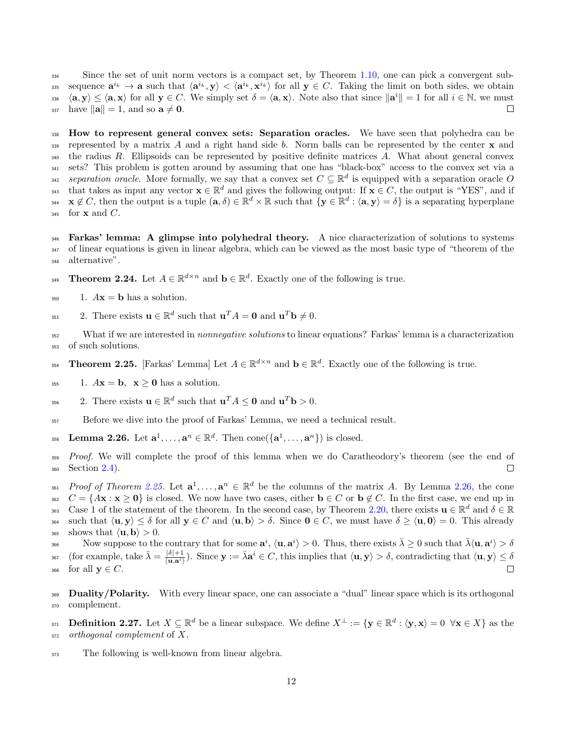<sup>334</sup> Since the set of unit norm vectors is a compact set, by Theorem [1.10,](#page-4-1) one can pick a convergent subss sequence  $\mathbf{a}^{i_k} \to \mathbf{a}$  such that  $\langle \mathbf{a}^{i_k}, \mathbf{y} \rangle < \langle \mathbf{a}^{i_k}, \mathbf{x}^{i_k} \rangle$  for all  $\mathbf{y} \in C$ . Taking the limit on both sides, we obtain 336  $\langle \mathbf{a}, \mathbf{y} \rangle \leq \langle \mathbf{a}, \mathbf{x} \rangle$  for all  $\mathbf{y} \in C$ . We simply set  $\delta = \langle \mathbf{a}, \mathbf{x} \rangle$ . Note also that since  $\|\mathbf{a}^i\| = 1$  for all  $i \in \mathbb{N}$ , we must 337 have  $\|\mathbf{a}\| = 1$ , and so  $\mathbf{a} \neq \mathbf{0}$ .

<span id="page-11-0"></span><sup>338</sup> How to represent general convex sets: Separation oracles. We have seen that polyhedra can be 339 represented by a matrix A and a right hand side b. Norm balls can be represented by the center  $\bf{x}$  and  $_{340}$  the radius R. Ellipsoids can be represented by positive definite matrices A. What about general convex <sup>341</sup> sets? This problem is gotten around by assuming that one has "black-box" access to the convex set via a separation oracle. More formally, we say that a convex set  $C \subseteq \mathbb{R}^d$  is equipped with a separation oracle O that takes as input any vector  $\mathbf{x} \in \mathbb{R}^d$  and gives the following output: If  $\mathbf{x} \in C$ , the output is "YES", and if  $x \notin C$ , then the output is a tuple  $(\mathbf{a}, \delta) \in \mathbb{R}^d \times \mathbb{R}$  such that  $\{ \mathbf{y} \in \mathbb{R}^d : \langle \mathbf{a}, \mathbf{y} \rangle = \delta \}$  is a separating hyperplane  $345$  for **x** and *C*.

<span id="page-11-1"></span><sup>346</sup> Farkas' lemma: A glimpse into polyhedral theory. A nice characterization of solutions to systems <sup>347</sup> of linear equations is given in linear algebra, which can be viewed as the most basic type of "theorem of the <sup>348</sup> alternative".

- **Theorem 2.24.** Let  $A \in \mathbb{R}^{d \times n}$  and  $\mathbf{b} \in \mathbb{R}^d$ . Exactly one of the following is true.
- $350$  1.  $A\mathbf{x} = \mathbf{b}$  has a solution.
- <sup>351</sup> 2. There exists  $\mathbf{u} \in \mathbb{R}^d$  such that  $\mathbf{u}^T A = \mathbf{0}$  and  $\mathbf{u}^T \mathbf{b} \neq 0$ .

352 What if we are interested in *nonnegative solutions* to linear equations? Farkas' lemma is a characterization <sup>353</sup> of such solutions.

- <span id="page-11-3"></span>**Theorem 2.25.** [Farkas' Lemma] Let  $A \in \mathbb{R}^{d \times n}$  and  $\mathbf{b} \in \mathbb{R}^d$ . Exactly one of the following is true.
- <sup>355</sup> 1.  $A\mathbf{x} = \mathbf{b}$ ,  $\mathbf{x} \geq 0$  has a solution.
- <sup>356</sup> 2. There exists  $\mathbf{u} \in \mathbb{R}^d$  such that  $\mathbf{u}^T A \leq \mathbf{0}$  and  $\mathbf{u}^T \mathbf{b} > 0$ .
- <sup>357</sup> Before we dive into the proof of Farkas' Lemma, we need a technical result.
- <span id="page-11-4"></span><sup>358</sup> **Lemma 2.26.** Let  $\mathbf{a}^1, \ldots, \mathbf{a}^n \in \mathbb{R}^d$ . Then  $\text{cone}(\{\mathbf{a}^1, \ldots, \mathbf{a}^n\})$  is closed.

359 Proof. We will complete the proof of this lemma when we do Caratheodory's theorem (see the end of <sup>360</sup> Section [2.4\)](#page-19-1).  $\Box$ 

- 361 Proof of Theorem [2.25.](#page-11-3) Let  $\mathbf{a}^1, \ldots, \mathbf{a}^n \in \mathbb{R}^d$  be the columns of the matrix A. By Lemma [2.26,](#page-11-4) the cone
- $S_{362}$   $C = \{A\mathbf{x} : \mathbf{x} \geq 0\}$  is closed. We now have two cases, either  $\mathbf{b} \in C$  or  $\mathbf{b} \notin C$ . In the first case, we end up in 363 Case 1 of the statement of the theorem. In the second case, by Theorem [2.20,](#page-10-2) there exists  $\mathbf{u} \in \mathbb{R}^d$  and  $\delta \in \mathbb{R}$ 364 such that  $\langle \mathbf{u}, \mathbf{y} \rangle \leq \delta$  for all  $\mathbf{y} \in C$  and  $\langle \mathbf{u}, \mathbf{b} \rangle > \delta$ . Since  $\mathbf{0} \in C$ , we must have  $\delta \geq \langle \mathbf{u}, \mathbf{0} \rangle = 0$ . This already
- $_{365}$  shows that  $\langle \mathbf{u}, \mathbf{b} \rangle > 0$ .

Now suppose to the contrary that for some  $\mathbf{a}^i$ ,  $\langle \mathbf{u}, \mathbf{a}^i \rangle > 0$ . Thus, there exists  $\bar{\lambda} \geq 0$  such that  $\bar{\lambda} \langle \mathbf{u}, \mathbf{a}^i \rangle > \delta$ 367 (for example, take  $\bar{\lambda} = \frac{|\delta|+1}{\langle \mathbf{u}, \mathbf{a}^i \rangle}$ ). Since  $\mathbf{y} := \bar{\lambda} \mathbf{a}^i \in C$ , this implies that  $\langle \mathbf{u}, \mathbf{y} \rangle > \delta$ , contradicting that  $\langle \mathbf{u}, \mathbf{y} \rangle \leq \delta$ 368 for all  $y \in C$ .

<span id="page-11-2"></span>369 Duality/Polarity. With every linear space, one can associate a "dual" linear space which is its orthogonal <sup>370</sup> complement.

**Definition 2.27.** Let  $X \subseteq \mathbb{R}^d$  be a linear subspace. We define  $X^{\perp} := \{ \mathbf{y} \in \mathbb{R}^d : \langle \mathbf{y}, \mathbf{x} \rangle = 0 \ \forall \mathbf{x} \in X \}$  as the <sup>372</sup> orthogonal complement of X.

 $373$  The following is well-known from linear algebra.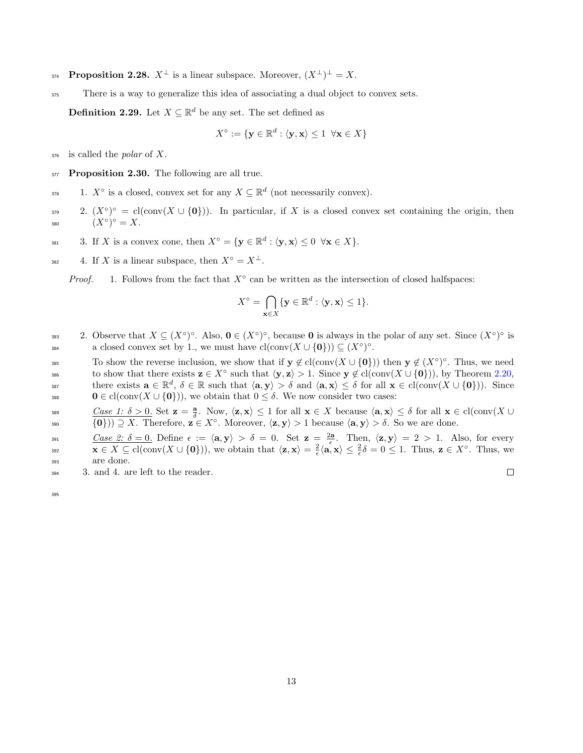- **Proposition 2.28.**  $X^{\perp}$  is a linear subspace. Moreover,  $(X^{\perp})^{\perp} = X$ .
- <sup>375</sup> There is a way to generalize this idea of associating a dual object to convex sets.

**Definition 2.29.** Let  $X \subseteq \mathbb{R}^d$  be any set. The set defined as

$$
X^\circ:=\{\mathbf{y}\in\mathbb{R}^d:\langle\mathbf{y},\mathbf{x}\rangle\leq 1\;\;\forall \mathbf{x}\in X\}
$$

 $376$  is called the *polar* of X.

<span id="page-12-0"></span>377 Proposition 2.30. The following are all true.

378 1.  $X^{\circ}$  is a closed, convex set for any  $X \subseteq \mathbb{R}^d$  (not necessarily convex).

379 2.  $(X^{\circ})^{\circ} = cl(\text{conv}(X \cup \{0\}))$ . In particular, if X is a closed convex set containing the origin, then 380  $(X^{\circ})^{\circ} = X.$ 

381 3. If X is a convex cone, then  $X^{\circ} = {\mathbf{y} \in \mathbb{R}^d : \langle \mathbf{y}, \mathbf{x} \rangle \leq 0 \quad \forall \mathbf{x} \in X}$ .

<sup>382</sup> 4. If X is a linear subspace, then  $X^{\circ} = X^{\perp}$ .

*Proof.* 1. Follows from the fact that  $X^\circ$  can be written as the intersection of closed halfspaces:

$$
X^{\circ} = \bigcap_{\mathbf{x} \in X} \{ \mathbf{y} \in \mathbb{R}^d : \langle \mathbf{y}, \mathbf{x} \rangle \le 1 \}.
$$

383 2. Observe that  $X \subseteq (X^{\circ})^{\circ}$ . Also,  $\mathbf{0} \in (X^{\circ})^{\circ}$ , because **0** is always in the polar of any set. Since  $(X^{\circ})^{\circ}$  is a closed convex set by 1., we must have  $\text{cl}(\text{conv}(X \cup \{0\})) \subseteq (X^{\circ})^{\circ}$ .

To show the reverse inclusion, we show that if  $y \notin cl(\text{conv}(X \cup \{0\}))$  then  $y \notin (X^{\circ})^{\circ}$ . Thus, we need to show that there exists  $\mathbf{z} \in X^{\circ}$  such that  $\langle \mathbf{y}, \mathbf{z} \rangle > 1$ . Since  $\mathbf{y} \notin cl(\text{conv}(X \cup \{0\})),$  by Theorem [2.20,](#page-10-2) there exists  $\mathbf{a} \in \mathbb{R}^d$ ,  $\delta \in \mathbb{R}$  such that  $\langle \mathbf{a}, \mathbf{y} \rangle > \delta$  and  $\langle \mathbf{a}, \mathbf{x} \rangle \leq \delta$  for all  $\mathbf{x} \in cl(\text{conv}(X \cup \{0\}))$ . Since 388  $0 \in \text{cl}(\text{conv}(X \cup \{0\}))$ , we obtain that  $0 \leq \delta$ . We now consider two cases:

 $\frac{Case\ 1:\ \delta > 0.}{Case\ 2:\ \delta \text{ for all } \mathbf{x} \in X \text{ because } \langle \mathbf{a}, \mathbf{x} \rangle \leq \delta \text{ for all } \mathbf{x} \in \text{cl}(\text{conv}(X \cup X)) \text{ and } \mathbf{x} \in \text{cl}(\text{conv}(X \cup X))$ 390  $\{0\})\supseteq X$ . Therefore,  $z \in X^{\circ}$ . Moreover,  $\langle z, y \rangle > 1$  because  $\langle a, y \rangle > \delta$ . So we are done.

 $Case 2: \delta = 0.$  Define  $\epsilon := \langle \mathbf{a}, \mathbf{y} \rangle > \delta = 0.$  Set  $\mathbf{z} = \frac{2\mathbf{a}}{\epsilon}$ . Then,  $\langle \mathbf{z}, \mathbf{y} \rangle = 2 > 1.$  Also, for every  $\mathbf{x} \in X \subseteq \text{cl}(\text{conv}(X \cup \{\mathbf{0}\}))$ , we obtain that  $\langle \mathbf{z}, \mathbf{x} \rangle = \frac{2}{\epsilon} \langle \mathbf{a}, \mathbf{x} \rangle \leq \frac{2}{\epsilon} \delta = 0 \leq 1$ . Thus,  $\mathbf{z} \in X^{\circ}$ . Thus, we <sup>393</sup> are done.

<sup>394</sup> 3. and 4. are left to the reader.

 $\Box$ 

395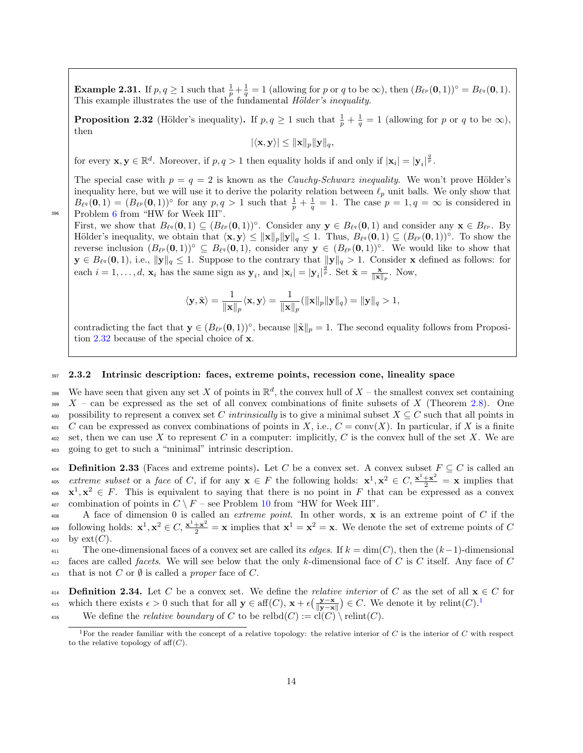**Example 2.31.** If  $p, q \ge 1$  such that  $\frac{1}{p} + \frac{1}{q} = 1$  (allowing for p or q to be  $\infty$ ), then  $(B_{\ell^p}(0, 1))^{\circ} = B_{\ell^q}(0, 1)$ . This example illustrates the use of the fundamental *Hölder's inequality*.

<span id="page-13-1"></span>**Proposition 2.32** (Hölder's inequality). If  $p, q \ge 1$  such that  $\frac{1}{p} + \frac{1}{q} = 1$  (allowing for p or q to be  $\infty$ ), then

$$
|\langle \mathbf{x}, \mathbf{y} \rangle| \leq \|\mathbf{x}\|_p \|\mathbf{y}\|_q,
$$

for every  $\mathbf{x}, \mathbf{y} \in \mathbb{R}^d$ . Moreover, if  $p, q > 1$  then equality holds if and only if  $|\mathbf{x}_i| = |\mathbf{y}_i|^{\frac{q}{p}}$ .

The special case with  $p = q = 2$  is known as the *Cauchy-Schwarz inequality*. We won't prove Hölder's inequality here, but we will use it to derive the polarity relation between  $\ell_p$  unit balls. We only show that  $B_{\ell q}(\mathbf{0},1) = (B_{\ell p}(\mathbf{0},1))^{\circ}$  for any  $p,q>1$  such that  $\frac{1}{p} + \frac{1}{q} = 1$ . The case  $p=1,q=\infty$  is considered in Problem [6](#page-3-3) from "HW for Week III".

First, we show that  $B_{\ell^q}(\mathbf{0},1) \subseteq (B_{\ell^p}(\mathbf{0},1))^{\circ}$ . Consider any  $\mathbf{y} \in B_{\ell^q}(\mathbf{0},1)$  and consider any  $\mathbf{x} \in B_{\ell^p}$ . By Hölder's inequality, we obtain that  $\langle \mathbf{x}, \mathbf{y} \rangle \leq ||\mathbf{x}||_p ||\mathbf{y}||_q \leq 1$ . Thus,  $B_{\ell^q}(\mathbf{0}, 1) \subseteq (B_{\ell^p}(\mathbf{0}, 1))^{\circ}$ . To show the reverse inclusion  $(B_{\ell^p}(0, 1))^{\circ} \subseteq B_{\ell^q}(0, 1)$ , consider any  $y \in (B_{\ell^p}(0, 1))^{\circ}$ . We would like to show that  $\mathbf{y} \in B_{\ell^q}(\mathbf{0}, 1)$ , i.e.,  $\|\mathbf{y}\|_q \leq 1$ . Suppose to the contrary that  $\|\mathbf{y}\|_q > 1$ . Consider x defined as follows: for each  $i = 1, \ldots, d$ ,  $\mathbf{x}_i$  has the same sign as  $\mathbf{y}_i$ , and  $|\mathbf{x}_i| = |\mathbf{y}_i|^{\frac{q}{p}}$ . Set  $\tilde{\mathbf{x}} = \frac{\mathbf{x}}{||\mathbf{x}||_p}$ . Now,

$$
\langle \mathbf{y}, \tilde{\mathbf{x}} \rangle = \frac{1}{\|\mathbf{x}\|_p} \langle \mathbf{x}, \mathbf{y} \rangle = \frac{1}{\|\mathbf{x}\|_p} (\|\mathbf{x}\|_p \|\mathbf{y}\|_q) = \|\mathbf{y}\|_q > 1,
$$

contradicting the fact that  $y \in (B_{\ell^p}(0, 1))^{\circ}$ , because  $\|\tilde{\mathbf{x}}\|_p = 1$ . The second equality follows from Proposition [2.32](#page-13-1) because of the special choice of x.

#### <span id="page-13-0"></span><sup>397</sup> 2.3.2 Intrinsic description: faces, extreme points, recession cone, lineality space

We have seen that given any set X of points in  $\mathbb{R}^d$ , the convex hull of X – the smallest convex set containing  $399X - can$  be expressed as the set of all convex combinations of finite subsets of X (Theorem [2.8\)](#page-6-2). One 400 possibility to represent a convex set C intrinsically is to give a minimal subset  $X \subseteq C$  such that all points in  $\alpha_{01}$  C can be expressed as convex combinations of points in X, i.e.,  $C = \text{conv}(X)$ . In particular, if X is a finite 402 set, then we can use X to represent C in a computer: implicitly, C is the convex hull of the set X. We are <sup>403</sup> going to get to such a "minimal" intrinsic description.

404 Definition 2.33 (Faces and extreme points). Let C be a convex set. A convex subset  $F \subseteq C$  is called an <sup>405</sup> extreme subset or a face of C, if for any  $x \in F$  the following holds:  $x^1, x^2 \in C$ ,  $\frac{x^1 + x^2}{2} = x$  implies that  $\mathbf{x}^1, \mathbf{x}^2 \in F$ . This is equivalent to saying that there is no point in F that can be expressed as a convex 407 combination of points in  $C \setminus F$  – see Problem [10](#page-4-2) from "HW for Week III".

408 A face of dimension 0 is called an *extreme point*. In other words,  $\bf{x}$  is an extreme point of C if the following holds:  $\mathbf{x}^1, \mathbf{x}^2 \in C$ ,  $\frac{\mathbf{x}^1 + \mathbf{x}^2}{2} = \mathbf{x}$  implies that  $\mathbf{x}^1 = \mathbf{x}^2 = \mathbf{x}$ . We denote the set of extreme points of C 410 by  $ext(C)$ .

411 The one-dimensional faces of a convex set are called its *edges*. If  $k = \dim(C)$ , then the  $(k-1)$ -dimensional 412 faces are called *facets*. We will see below that the only k-dimensional face of C is C itself. Any face of C 413 that is not C or  $\emptyset$  is called a proper face of C.

414 **Definition 2.34.** Let C be a convex set. We define the *relative interior* of C as the set of all  $x \in C$  for which there exists  $\epsilon > 0$  such that for all  $y \in \text{aff}(C)$ ,  $\mathbf{x} + \epsilon \left(\frac{\mathbf{y} - \mathbf{x}}{\|\mathbf{y} - \mathbf{x}\|}\right) \in C$ . We denote it by relint(*C*).<sup>[1](#page-13-2)</sup> 415

<sup>416</sup> We define the *relative boundary* of C to be relbd $(C) := \text{cl}(C) \setminus \text{relint}(C)$ .

396

<span id="page-13-2"></span><sup>&</sup>lt;sup>1</sup>For the reader familiar with the concept of a relative topology: the relative interior of C is the interior of C with respect to the relative topology of  $aff(C)$ .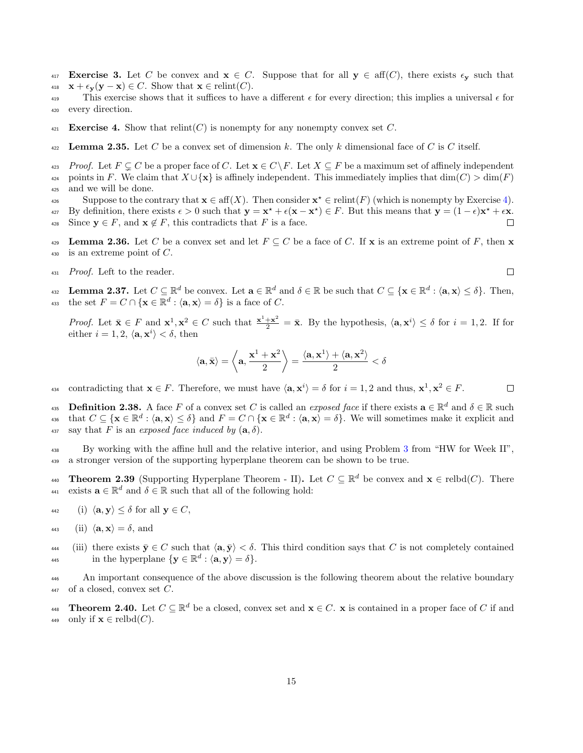- 417 Exercise 3. Let C be convex and  $x \in C$ . Suppose that for all  $y \in \text{aff}(C)$ , there exists  $\epsilon_{\mathbf{v}}$  such that 418  $\mathbf{x} + \epsilon_{\mathbf{v}}(\mathbf{y} - \mathbf{x}) \in C$ . Show that  $\mathbf{x} \in \text{relint}(C)$ .
- This exercise shows that it suffices to have a different  $\epsilon$  for every direction; this implies a universal  $\epsilon$  for <sup>420</sup> every direction.
- <span id="page-14-0"></span>421 Exercise 4. Show that relint(C) is nonempty for any nonempty convex set C.
- <span id="page-14-4"></span>422 Lemma 2.35. Let C be a convex set of dimension k. The only k dimensional face of C is C itself.
- <sup>423</sup> Proof. Let  $F \subseteq C$  be a proper face of C. Let  $\mathbf{x} \in C \backslash F$ . Let  $X \subseteq F$  be a maximum set of affinely independent 424 points in F. We claim that  $X \cup \{x\}$  is affinely independent. This immediately implies that  $dim(C) > dim(F)$ <sup>425</sup> and we will be done.
- Suppose to the contrary that  $\mathbf{x} \in \text{aff}(X)$ . Then consider  $\mathbf{x}^* \in \text{relint}(F)$  (which is nonempty by Exercise [4\)](#page-14-0).
- <sup>427</sup> By definition, there exists  $\epsilon > 0$  such that  $y = x^* + \epsilon(x x^*) \in F$ . But this means that  $y = (1 \epsilon)x^* + \epsilon x$ .
- 428 Since  $y \in F$ , and  $x \notin F$ , this contradicts that F is a face.
- <span id="page-14-5"></span>**Lemma 2.36.** Let C be a convex set and let  $F \subseteq C$  be a face of C. If **x** is an extreme point of F, then **x**  $430$  is an extreme point of C.
- <sup>431</sup> Proof. Left to the reader.
- <span id="page-14-2"></span>**Lemma 2.37.** Let  $C \subseteq \mathbb{R}^d$  be convex. Let  $\mathbf{a} \in \mathbb{R}^d$  and  $\delta \in \mathbb{R}$  be such that  $C \subseteq {\{\mathbf{x} \in \mathbb{R}^d : \langle \mathbf{a}, \mathbf{x} \rangle \le \delta\}}$ . Then, 433 the set  $F = C \cap {\mathbf{x} \in \mathbb{R}^d : \langle \mathbf{a}, \mathbf{x} \rangle = \delta}$  is a face of C.

*Proof.* Let  $\bar{\mathbf{x}} \in F$  and  $\mathbf{x}^1, \mathbf{x}^2 \in C$  such that  $\frac{\mathbf{x}^1 + \mathbf{x}^2}{2} = \bar{\mathbf{x}}$ . By the hypothesis,  $\langle \mathbf{a}, \mathbf{x}^i \rangle \leq \delta$  for  $i = 1, 2$ . If for either  $i = 1, 2, \langle \mathbf{a}, \mathbf{x}^i \rangle < \delta$ , then

$$
\langle \mathbf{a}, \bar{\mathbf{x}} \rangle = \left\langle \mathbf{a}, \frac{\mathbf{x}^1 + \mathbf{x}^2}{2} \right\rangle = \frac{\langle \mathbf{a}, \mathbf{x}^1 \rangle + \langle \mathbf{a}, \mathbf{x}^2 \rangle}{2} < \delta
$$

contradicting that  $\mathbf{x} \in F$ . Therefore, we must have  $\langle \mathbf{a}, \mathbf{x}^i \rangle = \delta$  for  $i = 1, 2$  and thus,  $\mathbf{x}^1, \mathbf{x}^2 \in F$ .  $\Box$ 

**Definition 2.38.** A face F of a convex set C is called an *exposed face* if there exists  $\mathbf{a} \in \mathbb{R}^d$  and  $\delta \in \mathbb{R}$  such that  $C \subseteq \{ \mathbf{x} \in \mathbb{R}^d : \langle \mathbf{a}, \mathbf{x} \rangle \le \delta \}$  and  $F = C \cap \{ \mathbf{x} \in \mathbb{R}^d : \langle \mathbf{a}, \mathbf{x} \rangle = \delta \}$ . We will sometimes make it explicit and 437 say that F is an exposed face induced by  $(a, \delta)$ .

<sup>438</sup> By working with the affine hull and the relative interior, and using Problem [3](#page-3-4) from "HW for Week II", <sup>439</sup> a stronger version of the supporting hyperplane theorem can be shown to be true.

<span id="page-14-1"></span>**Theorem 2.39** (Supporting Hyperplane Theorem - II). Let  $C \subseteq \mathbb{R}^d$  be convex and  $\mathbf{x} \in \text{relbd}(C)$ . There exists  $\mathbf{a} \in \mathbb{R}^d$  and  $\delta \in \mathbb{R}$  such that all of the following hold:

- 442 (i)  $\langle \mathbf{a}, \mathbf{y} \rangle \leq \delta$  for all  $\mathbf{y} \in C$ ,
- 443 (ii)  $\langle \mathbf{a}, \mathbf{x} \rangle = \delta$ , and
- 444 (iii) there exists  $\bar{y} \in C$  such that  $\langle a, \bar{y} \rangle < \delta$ . This third condition says that C is not completely contained 445 in the hyperplane  $\{y \in \mathbb{R}^d : \langle a, y \rangle = \delta\}.$

<sup>446</sup> An important consequence of the above discussion is the following theorem about the relative boundary  $447$  of a closed, convex set C.

<span id="page-14-3"></span>**Theorem 2.40.** Let  $C \subseteq \mathbb{R}^d$  be a closed, convex set and  $\mathbf{x} \in C$ . **x** is contained in a proper face of C if and 449 only if  $\mathbf{x} \in \text{relbd}(C)$ .

 $\Box$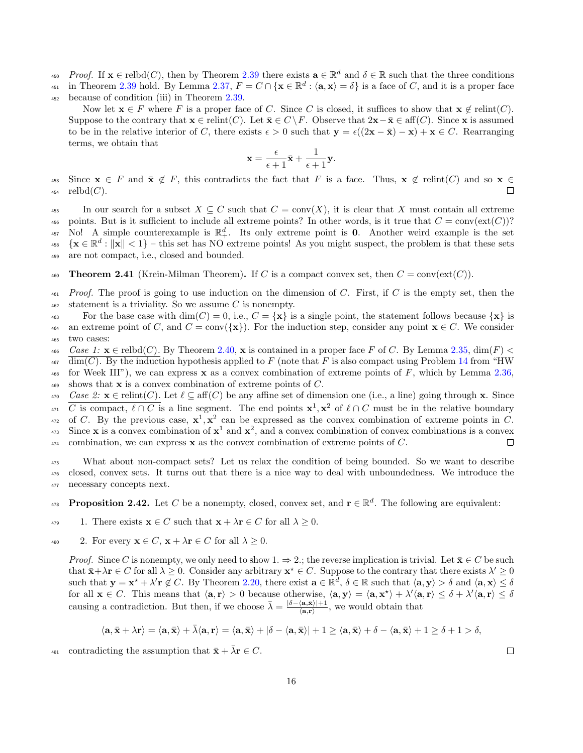- <sup>450</sup> Proof. If  $\mathbf{x} \in \text{rebd}(C)$ , then by Theorem [2.39](#page-14-1) there exists  $\mathbf{a} \in \mathbb{R}^d$  and  $\delta \in \mathbb{R}$  such that the three conditions
- 451 in Theorem [2.39](#page-14-1) hold. By Lemma [2.37,](#page-14-2)  $F = C \cap {\mathbf{x} \in \mathbb{R}^d : \langle \mathbf{a}, \mathbf{x} \rangle = \delta}$  is a face of C, and it is a proper face
- <sup>452</sup> because of condition (iii) in Theorem [2.39.](#page-14-1)

Now let  $\mathbf{x} \in F$  where F is a proper face of C. Since C is closed, it suffices to show that  $\mathbf{x} \notin \text{relint}(C)$ . Suppose to the contrary that  $\mathbf{x} \in \text{relint}(C)$ . Let  $\bar{\mathbf{x}} \in C \backslash F$ . Observe that  $2\mathbf{x} - \bar{\mathbf{x}} \in \text{aff}(C)$ . Since x is assumed to be in the relative interior of C, there exists  $\epsilon > 0$  such that  $y = \epsilon((2x - \bar{x}) - x) + x \in C$ . Rearranging terms, we obtain that

$$
\mathbf{x} = \frac{\epsilon}{\epsilon+1}\bar{\mathbf{x}} + \frac{1}{\epsilon+1}\mathbf{y}.
$$

453 Since  $\mathbf{x} \in F$  and  $\bar{\mathbf{x}} \notin F$ , this contradicts the fact that F is a face. Thus,  $\mathbf{x} \notin \text{relint}(C)$  and so  $\mathbf{x} \in \text{relint}(C)$ .  $454$  relbd $(C)$ .

455 In our search for a subset  $X \subseteq C$  such that  $C = \text{conv}(X)$ , it is clear that X must contain all extreme 456 points. But is it sufficient to include all extreme points? In other words, is it true that  $C = \text{conv}(\text{ext}(C))$ ? 457 No! A simple counterexample is  $\mathbb{R}^d_+$ . Its only extreme point is 0. Another weird example is the set  $\{ \mathbf{x} \in \mathbb{R}^d : ||\mathbf{x}|| < 1 \}$  – this set has NO extreme points! As you might suspect, the problem is that these sets <sup>459</sup> are not compact, i.e., closed and bounded.

<span id="page-15-1"></span>460 Theorem 2.41 (Krein-Milman Theorem). If C is a compact convex set, then  $C = \text{conv}(\text{ext}(C))$ .

- $461$  Proof. The proof is going to use induction on the dimension of C. First, if C is the empty set, then the  $462$  statement is a triviality. So we assume C is nonempty.
- 463 For the base case with  $\dim(C) = 0$ , i.e.,  $C = {\mathbf{x}}$  is a single point, the statement follows because  ${\mathbf{x}}$  is 464 an extreme point of C, and  $C = \text{conv}(\{\mathbf{x}\})$ . For the induction step, consider any point  $\mathbf{x} \in C$ . We consider <sup>465</sup> two cases:

 $466$  Case 1:  $\mathbf{x} \in \text{relb}(C)$ . By Theorem [2.40,](#page-14-3)  $\mathbf{x}$  is contained in a proper face F of C. By Lemma [2.35,](#page-14-4)  $\dim(F)$ 

 $\dim(C)$ . By the induction hypothesis applied to F (note that F is also compact using Problem [14](#page-5-7) from "HW 468 for Week III"), we can express x as a convex combination of extreme points of F, which by Lemma [2.36,](#page-14-5)

469 shows that  $x$  is a convex combination of extreme points of  $C$ .

 $\alpha_{470}$  Case 2:  $\mathbf{x} \in \text{relint}(C)$ . Let  $\ell \subseteq \text{aff}(C)$  be any affine set of dimension one (i.e., a line) going through x. Since <sup>471</sup> C is compact,  $\ell \cap C$  is a line segment. The end points  $\mathbf{x}^1, \mathbf{x}^2$  of  $\ell \cap C$  must be in the relative boundary <sup>472</sup> of C. By the previous case,  $x^1, x^2$  can be expressed as the convex combination of extreme points in C. <sup>473</sup> Since **x** is a convex combination of  $x^1$  and  $x^2$ , and a convex combination of convex combinations is a convex  $474$  combination, we can express **x** as the convex combination of extreme points of C.  $\Box$ 

<sup>475</sup> What about non-compact sets? Let us relax the condition of being bounded. So we want to describe <sup>476</sup> closed, convex sets. It turns out that there is a nice way to deal with unboundedness. We introduce the <sup>477</sup> necessary concepts next.

<span id="page-15-0"></span>**Proposition 2.42.** Let C be a nonempty, closed, convex set, and  $\mathbf{r} \in \mathbb{R}^d$ . The following are equivalent:

- 479 1. There exists  $\mathbf{x} \in C$  such that  $\mathbf{x} + \lambda \mathbf{r} \in C$  for all  $\lambda \geq 0$ .
- 480 2. For every  $\mathbf{x} \in C$ ,  $\mathbf{x} + \lambda \mathbf{r} \in C$  for all  $\lambda \geq 0$ .

*Proof.* Since C is nonempty, we only need to show  $1. \Rightarrow 2$ ; the reverse implication is trivial. Let  $\bar{\mathbf{x}} \in C$  be such that  $\bar{\mathbf{x}} + \lambda \mathbf{r} \in C$  for all  $\lambda \geq 0$ . Consider any arbitrary  $\mathbf{x}^* \in C$ . Suppose to the contrary that there exists  $\lambda' \geq 0$ such that  $\mathbf{y} = \mathbf{x}^* + \lambda' \mathbf{r} \notin C$ . By Theorem [2.20,](#page-10-2) there exist  $\mathbf{a} \in \mathbb{R}^d$ ,  $\delta \in \mathbb{R}$  such that  $\langle \mathbf{a}, \mathbf{y} \rangle > \delta$  and  $\langle \mathbf{a}, \mathbf{x} \rangle \leq \delta$ for all  $\mathbf{x} \in C$ . This means that  $\langle \mathbf{a}, \mathbf{r} \rangle > 0$  because otherwise,  $\langle \mathbf{a}, \mathbf{y} \rangle = \langle \mathbf{a}, \mathbf{x}^* \rangle + \lambda' \langle \mathbf{a}, \mathbf{r} \rangle \le \delta + \lambda' \langle \mathbf{a}, \mathbf{r} \rangle \le \delta$ causing a contradiction. But then, if we choose  $\bar{\lambda} = \frac{\delta - \langle \mathbf{a}, \bar{\mathbf{x}} \rangle + 1}{\langle \mathbf{a}, \mathbf{r} \rangle}$  $\frac{\langle a, x \rangle + 1}{\langle a, r \rangle}$ , we would obtain that

$$
\langle \mathbf{a}, \bar{\mathbf{x}}+\lambda \mathbf{r}\rangle=\langle \mathbf{a}, \bar{\mathbf{x}}\rangle+\bar{\lambda}\langle \mathbf{a}, \mathbf{r}\rangle=\langle \mathbf{a}, \bar{\mathbf{x}}\rangle+|\delta-\langle \mathbf{a}, \bar{\mathbf{x}}\rangle|+1\geq \langle \mathbf{a}, \bar{\mathbf{x}}\rangle+\delta-\langle \mathbf{a}, \bar{\mathbf{x}}\rangle+1\geq \delta+1>\delta,
$$

481 contradicting the assumption that  $\bar{\mathbf{x}} + \bar{\lambda} \mathbf{r} \in C$ .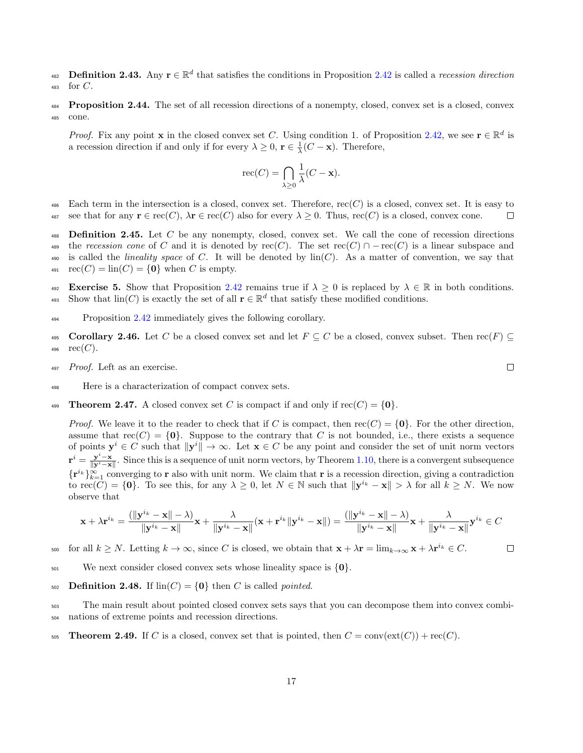**Definition 2.43.** Any  $\mathbf{r} \in \mathbb{R}^d$  that satisfies the conditions in Proposition [2.42](#page-15-0) is called a recession direction  $483$  for C.

**Proposition 2.44.** The set of all recession directions of a nonempty, closed, convex set is a closed, convex <sup>485</sup> cone.

*Proof.* Fix any point **x** in the closed convex set C. Using condition 1. of Proposition [2.42,](#page-15-0) we see  $\mathbf{r} \in \mathbb{R}^d$  is a recession direction if and only if for every  $\lambda \geq 0$ ,  $\mathbf{r} \in \frac{1}{\lambda}(C - \mathbf{x})$ . Therefore,

$$
\operatorname{rec}(C) = \bigcap_{\lambda \ge 0} \frac{1}{\lambda} (C - \mathbf{x}).
$$

486 Each term in the intersection is a closed, convex set. Therefore,  $rec(C)$  is a closed, convex set. It is easy to 487 see that for any  $\mathbf{r} \in \text{rec}(C)$ ,  $\lambda \mathbf{r} \in \text{rec}(C)$  also for every  $\lambda \geq 0$ . Thus,  $\text{rec}(C)$  is a closed, convex cone. П

488 Definition 2.45. Let  $C$  be any nonempty, closed, convex set. We call the cone of recession directions 489 the recession cone of C and it is denoted by rec(C). The set  $rec(C) \cap -rec(C)$  is a linear subspace and 490 is called the *lineality space* of C. It will be denoted by  $\text{lin}(C)$ . As a matter of convention, we say that  $_{491}$  rec $(C) = \text{lin}(C) = \{0\}$  when C is empty.

492 Exercise 5. Show that Proposition [2.42](#page-15-0) remains true if  $\lambda \geq 0$  is replaced by  $\lambda \in \mathbb{R}$  in both conditions. 493 Show that  $\text{lin}(C)$  is exactly the set of all  $\mathbf{r} \in \mathbb{R}^d$  that satisfy these modified conditions.

- <sup>494</sup> Proposition [2.42](#page-15-0) immediately gives the following corollary.
- <span id="page-16-0"></span>495 **Corollary 2.46.** Let C be a closed convex set and let  $F \subseteq C$  be a closed, convex subset. Then rec(F)  $\subseteq$  496 **rec(C)**.  $rec(C).$
- <sup>497</sup> Proof. Left as an exercise.
- <sup>498</sup> Here is a characterization of compact convex sets.
- <span id="page-16-1"></span>**499** Theorem 2.47. A closed convex set C is compact if and only if  $\text{rec}(C) = \{0\}$ .

*Proof.* We leave it to the reader to check that if C is compact, then  $\text{rec}(C) = \{0\}$ . For the other direction, assume that  $rec(C) = \{0\}$ . Suppose to the contrary that C is not bounded, i.e., there exists a sequence of points  $y^i \in C$  such that  $\|y^i\| \to \infty$ . Let  $x \in C$  be any point and consider the set of unit norm vectors  $\mathbf{r}^i = \frac{\mathbf{y}^i - \mathbf{x}}{\|\mathbf{y}^i - \mathbf{x}\|}$ . Since this is a sequence of unit norm vectors, by Theorem [1.10,](#page-4-1) there is a convergent subsequence  $\{\mathbf{r}^{i_k}\}_{k=1}^{\infty}$  converging to **r** also with unit norm. We claim that **r** is a recession direction, giving a contradiction to  $\text{rec}(C) = \{0\}$ . To see this, for any  $\lambda \geq 0$ , let  $N \in \mathbb{N}$  such that  $\|\mathbf{y}^{i_k} - \mathbf{x}\| > \lambda$  for all  $k \geq N$ . We now observe that

$$
\mathbf{x} + \lambda \mathbf{r}^{i_k} = \frac{\left(\|\mathbf{y}^{i_k} - \mathbf{x}\| - \lambda\right)}{\|\mathbf{y}^{i_k} - \mathbf{x}\|} \mathbf{x} + \frac{\lambda}{\|\mathbf{y}^{i_k} - \mathbf{x}\|} (\mathbf{x} + \mathbf{r}^{i_k} \|\mathbf{y}^{i_k} - \mathbf{x}\|) = \frac{\left(\|\mathbf{y}^{i_k} - \mathbf{x}\| - \lambda\right)}{\|\mathbf{y}^{i_k} - \mathbf{x}\|} \mathbf{x} + \frac{\lambda}{\|\mathbf{y}^{i_k} - \mathbf{x}\|} \mathbf{y}^{i_k} \in C
$$

for all  $k \geq N$ . Letting  $k \to \infty$ , since C is closed, we obtain that  $\mathbf{x} + \lambda \mathbf{r} = \lim_{k \to \infty} \mathbf{x} + \lambda \mathbf{r}^{i_k} \in C$ .  $\Box$ 

 $\frac{501}{200}$  We next consider closed convex sets whose lineality space is  $\{0\}$ .

502 Definition 2.48. If  $\text{lin}(C) = \{0\}$  then C is called *pointed*.

<sup>503</sup> The main result about pointed closed convex sets says that you can decompose them into convex combi-<sup>504</sup> nations of extreme points and recession directions.

<span id="page-16-2"></span>505 Theorem 2.49. If C is a closed, convex set that is pointed, then  $C = \text{conv}(\text{ext}(C)) + \text{rec}(C)$ .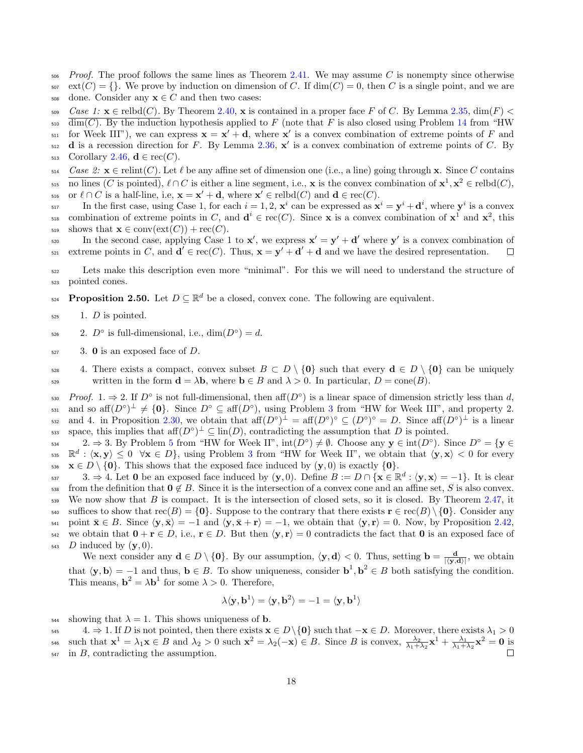$506$  Proof. The proof follows the same lines as Theorem [2.41.](#page-15-1) We may assume C is nonempty since otherwise  $\text{ext}(C) = \{\}\.$  We prove by induction on dimension of C. If  $\dim(C) = 0$ , then C is a single point, and we are

508 done. Consider any  $\mathbf{x} \in C$  and then two cases:

 $509$  Case 1:  $\mathbf{x} \in \text{reibd}(C)$ . By Theorem [2.40,](#page-14-3)  $\mathbf{x}$  is contained in a proper face F of C. By Lemma [2.35,](#page-14-4) dim(F)  $\leq$ 

 $\frac{1}{\text{dim}(C)}$ . By the induction hypothesis applied to F (note that F is also closed using Problem [14](#page-5-7) from "HW

- $\mathbf{S}_{511}$  for Week III"), we can express  $\mathbf{x} = \mathbf{x}' + \mathbf{d}$ , where  $\mathbf{x}'$  is a convex combination of extreme points of F and
- $\sigma$ <sub>512</sub> **d** is a recession direction for F. By Lemma [2.36,](#page-14-5)  $\mathbf{x}'$  is a convex combination of extreme points of C. By

513 Corollary [2.46,](#page-16-0)  $\mathbf{d} \in \text{rec}(C)$ .

 $\mathcal{L}_{514}$  Case 2:  $\mathbf{x} \in \text{relint}(C)$ . Let  $\ell$  be any affine set of dimension one (i.e., a line) going through x. Since C contains 515 no lines (C is pointed),  $\ell \cap C$  is either a line segment, i.e., **x** is the convex combination of  $\mathbf{x}^1, \mathbf{x}^2 \in \text{rebd}(C)$ , 516 or  $\ell \cap C$  is a half-line, i.e,  $\mathbf{x} = \mathbf{x}' + \mathbf{d}$ , where  $\mathbf{x}' \in \text{relbd}(C)$  and  $\mathbf{d} \in \text{rec}(C)$ .

In the first case, using Case 1, for each  $i = 1, 2, \mathbf{x}^i$  can be expressed as  $\mathbf{x}^i = \mathbf{y}^i + \mathbf{d}^i$ , where  $\mathbf{y}^i$  is a convex  $\mathcal{L}_{\text{S18}}$  combination of extreme points in C, and  $\mathbf{d}^i \in \text{rec}(C)$ . Since **x** is a convex combination of  $\mathbf{x}^1$  and  $\mathbf{x}^2$ , this 519 shows that  $\mathbf{x} \in \text{conv}(\text{ext}(C)) + \text{rec}(C)$ .

In the second case, applying Case 1 to  $x'$ , we express  $x' = y' + d'$  where y' is a convex combination of EXECUTE:  $S_{21}$  extreme points in C, and  $\mathbf{d}' \in \text{rec}(C)$ . Thus,  $\mathbf{x} = \mathbf{y}' + \mathbf{d}' + \mathbf{d}$  and we have the desired representation.  $\Box$ 

<sup>522</sup> Lets make this description even more "minimal". For this we will need to understand the structure of <sup>523</sup> pointed cones.

<span id="page-17-0"></span>**Proposition 2.50.** Let  $D \subseteq \mathbb{R}^d$  be a closed, convex cone. The following are equivalent.

 $525$  1. *D* is pointed.

<sup>526</sup> 2.  $D^{\circ}$  is full-dimensional, i.e.,  $\dim(D^{\circ}) = d$ .

 $527$  3. 0 is an exposed face of D.

528 4. There exists a compact, convex subset  $B \subset D \setminus \{0\}$  such that every  $\mathbf{d} \in D \setminus \{0\}$  can be uniquely 529 written in the form  $\mathbf{d} = \lambda \mathbf{b}$ , where  $\mathbf{b} \in B$  and  $\lambda > 0$ . In particular,  $D = \text{cone}(B)$ .

 $Proof.$  1.  $\Rightarrow$  2. If  $D^{\circ}$  is not full-dimensional, then aff $(D^{\circ})$  is a linear space of dimension strictly less than d,  $\mathcal{L}_{\text{531}}$  $\mathcal{L}_{\text{531}}$  $\mathcal{L}_{\text{531}}$  and so aff $(D^{\circ})^{\perp} \neq \{0\}$ . Since  $D^{\circ} \subseteq \text{aff}(D^{\circ})$ , using Problem 3 from "HW for Week III", and property 2.  $\text{and } 4. \text{ in Proposition 2.30, we obtain that } \text{aff}(D^{\circ})^{\perp} = \text{aff}(D^{\circ})^{\circ} \subseteq (D^{\circ})^{\circ} = D. \text{ Since } \text{aff}(D^{\circ})^{\perp} \text{ is a linear}.$  $\text{and } 4. \text{ in Proposition 2.30, we obtain that } \text{aff}(D^{\circ})^{\perp} = \text{aff}(D^{\circ})^{\circ} \subseteq (D^{\circ})^{\circ} = D. \text{ Since } \text{aff}(D^{\circ})^{\perp} \text{ is a linear}.$  $\text{and } 4. \text{ in Proposition 2.30, we obtain that } \text{aff}(D^{\circ})^{\perp} = \text{aff}(D^{\circ})^{\circ} \subseteq (D^{\circ})^{\circ} = D. \text{ Since } \text{aff}(D^{\circ})^{\perp} \text{ is a linear}.$ ssa space, this implies that aff $(D^{\circ})^{\perp} \subseteq \text{lin}(D)$ , contradicting the assumption that D is pointed.

 $2. \Rightarrow 3.$  By Problem [5](#page-3-2) from "HW for Week II",  $\text{int}(D^{\circ}) \neq \emptyset$ . Choose any  $y \in \text{int}(D^{\circ})$ . Since  $D^{\circ} = \{y \in D\}$  $\mathbb{R}^d : \langle \mathbf{x}, \mathbf{y} \rangle \leq 0 \quad \forall \mathbf{x} \in D$ , using Problem [3](#page-3-4) from "HW for Week II", we obtain that  $\langle \mathbf{y}, \mathbf{x} \rangle < 0$  for every 536  $\mathbf{x} \in D \setminus \{0\}$ . This shows that the exposed face induced by  $(\mathbf{y}, 0)$  is exactly  $\{0\}$ .

 $3. \Rightarrow 4.$  Let 0 be an exposed face induced by  $(y, 0)$ . Define  $B := D \cap {\mathbf{x} \in \mathbb{R}^d : \langle y, x \rangle = -1}.$  It is clear 538 from the definition that  $0 \notin B$ . Since it is the intersection of a convex cone and an affine set, S is also convex. 539 We now show that  $B$  is compact. It is the intersection of closed sets, so it is closed. By Theorem [2.47,](#page-16-1) it 540 suffices to show that  $\text{rec}(B) = \{0\}$ . Suppose to the contrary that there exists  $\mathbf{r} \in \text{rec}(B) \setminus \{0\}$ . Consider any 541 point  $\bar{\mathbf{x}} \in B$ . Since  $\langle \mathbf{y}, \bar{\mathbf{x}} \rangle = -1$  and  $\langle \mathbf{y}, \bar{\mathbf{x}} + \mathbf{r} \rangle = -1$ , we obtain that  $\langle \mathbf{y}, \mathbf{r} \rangle = 0$ . Now, by Proposition [2.42,](#page-15-0) 542 we obtain that  $0 + r \in D$ , i.e.,  $r \in D$ . But then  $\langle y, r \rangle = 0$  contradicts the fact that 0 is an exposed face of  $_{543}$  D induced by  $(y, 0)$ .

We next consider any  $\mathbf{d} \in D \setminus \{0\}$ . By our assumption,  $\langle \mathbf{y}, \mathbf{d} \rangle < 0$ . Thus, setting  $\mathbf{b} = \frac{\mathbf{d}}{|\langle \mathbf{y}, \mathbf{d} \rangle|}$ , we obtain that  $\langle y, b \rangle = -1$  and thus,  $b \in B$ . To show uniqueness, consider  $b^1, b^2 \in B$  both satisfying the condition. This means,  $\mathbf{b}^2 = \lambda \mathbf{b}^1$  for some  $\lambda > 0$ . Therefore,

$$
\lambda \langle \mathbf{y}, \mathbf{b}^1 \rangle = \langle \mathbf{y}, \mathbf{b}^2 \rangle = -1 = \langle \mathbf{y}, \mathbf{b}^1 \rangle
$$

544 showing that  $\lambda = 1$ . This shows uniqueness of **b**.

545 4.  $\Rightarrow$  1. If D is not pointed, then there exists  $x \in D \setminus \{0\}$  such that  $-x \in D$ . Moreover, there exists  $\lambda_1 > 0$ 546 such that  $\mathbf{x}^1 = \lambda_1 \mathbf{x} \in B$  and  $\lambda_2 > 0$  such  $\mathbf{x}^2 = \lambda_2(-\mathbf{x}) \in B$ . Since B is convex,  $\frac{\lambda_2}{\lambda_1 + \lambda_2} \mathbf{x}^1 + \frac{\lambda_1}{\lambda_1 + \lambda_2} \mathbf{x}^2 = \mathbf{0}$  is  $547$  in B, contradicting the assumption.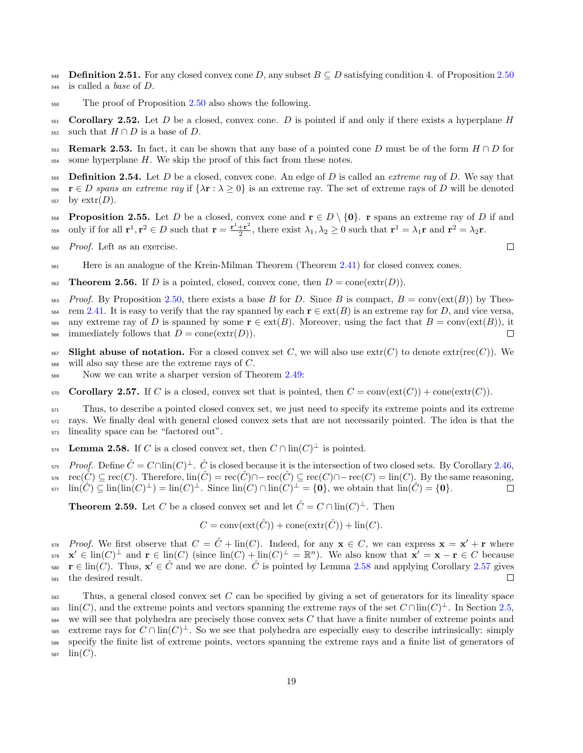- 548 Definition 2.51. For any closed convex cone D, any subset  $B \subseteq D$  satisfying condition 4. of Proposition [2.50](#page-17-0) <sup>549</sup> is called a base of D.
- <sup>550</sup> The proof of Proposition [2.50](#page-17-0) also shows the following.
- 551 Corollary 2.52. Let D be a closed, convex cone. D is pointed if and only if there exists a hyperplane  $H$ 552 such that  $H \cap D$  is a base of D.
- 553 Remark 2.53. In fact, it can be shown that any base of a pointed cone D must be of the form  $H \cap D$  for  $_{554}$  some hyperplane H. We skip the proof of this fact from these notes.
- 555 Definition 2.54. Let D be a closed, convex cone. An edge of D is called an extreme ray of D. We say that 556  $\mathbf{r} \in D$  spans an extreme ray if  $\{\lambda \mathbf{r} : \lambda \geq 0\}$  is an extreme ray. The set of extreme rays of D will be denoted  $557$  by  $extr(D)$ .
- <span id="page-18-2"></span>558 Proposition 2.55. Let D be a closed, convex cone and  $\mathbf{r} \in D \setminus \{0\}$ . r spans an extreme ray of D if and only if for all  $\mathbf{r}^1, \mathbf{r}^2 \in D$  such that  $\mathbf{r} = \frac{\mathbf{r}^1 + \mathbf{r}^2}{2}$ <sup>559</sup> only if for all  $\mathbf{r}^1, \mathbf{r}^2 \in D$  such that  $\mathbf{r} = \frac{\mathbf{r}^1 + \mathbf{r}^2}{2}$ , there exist  $\lambda_1, \lambda_2 \ge 0$  such that  $\mathbf{r}^1 = \lambda_1 \mathbf{r}$  and  $\mathbf{r}^2 = \lambda_2 \mathbf{r}$ .
- <sup>560</sup> Proof. Left as an exercise.
- <sup>561</sup> Here is an analogue of the Krein-Milman Theorem (Theorem [2.41\)](#page-15-1) for closed convex cones.
- 562 Theorem 2.56. If D is a pointed, closed, convex cone, then  $D = \text{cone}(\text{extr}(D)).$
- $563$  Proof. By Proposition [2.50,](#page-17-0) there exists a base B for D. Since B is compact,  $B = \text{conv}(\text{ext}(B))$  by Theo- $\text{564}$  rem [2.41.](#page-15-1) It is easy to verify that the ray spanned by each  $\mathbf{r} \in \text{ext}(B)$  is an extreme ray for D, and vice versa, 565 any extreme ray of D is spanned by some  $\mathbf{r} \in \text{ext}(B)$ . Moreover, using the fact that  $B = \text{conv}(\text{ext}(B))$ , it immediately follows that  $D = \text{cone}(\text{extr}(D))$ .  $\text{566}$  immediately follows that  $D = \text{cone}(\text{extr}(D)).$
- 567 Slight abuse of notation. For a closed convex set C, we will also use  $extr(C)$  to denote  $extr(rec(C))$ . We  $568$  will also say these are the extreme rays of C.
- Now we can write a sharper version of Theorem [2.49:](#page-16-2)

<span id="page-18-1"></span>570 Corollary 2.57. If C is a closed, convex set that is pointed, then  $C = \text{conv}(\text{ext}(C)) + \text{cone}(\text{extr}(C))$ .

<sup>571</sup> Thus, to describe a pointed closed convex set, we just need to specify its extreme points and its extreme <sup>572</sup> rays. We finally deal with general closed convex sets that are not necessarily pointed. The idea is that the <sup>573</sup> lineality space can be "factored out".

<span id="page-18-0"></span>**Lemma 2.58.** If C is a closed convex set, then  $C \cap \text{lin}(C)^{\perp}$  is pointed.

 $Proof.$  Define  $\hat{C} = C \cap \text{lin}(C)^{\perp}$ .  $\hat{C}$  is closed because it is the intersection of two closed sets. By Corollary [2.46,](#page-16-0)  $r_5r_6$  rec( $\hat{C}$ ) ⊆ rec( $C$ ). Therefore,  $\text{lin}(\hat{C}) = \text{rec}(\hat{C}) \cap -\text{rec}(\hat{C}) \subseteq \text{rec}(C) \cap -\text{rec}(C) = \text{lin}(C)$ . By the same reasoning,<br>  $\text{lin}(\hat{C}) \subseteq \text{lin}(\text{lin}(C)^{\perp}) = \text{lin}(C)^{\perp}$ . Since  $\text{lin}(C) \cap \text{lin}(C)^{\perp} = \{0\}$ , we obt  $\lim(\hat{C}) \subseteq \lim(\lim(C)^{\perp}) = \lim(C)^{\perp}$ . Since  $\lim(C) \cap \lim(C)^{\perp} = \{0\}$ , we obtain that  $\lim(\hat{C}) = \{0\}$ .

<span id="page-18-3"></span>**Theorem 2.59.** Let C be a closed convex set and let  $\hat{C} = C \cap \text{lin}(C)^{\perp}$ . Then

$$
C = \text{conv}(\text{ext}(\hat{C})) + \text{cone}(\text{extr}(\hat{C})) + \text{lin}(C).
$$

 $Proof.$  We first observe that  $C = \hat{C} + \text{lin}(C)$ . Indeed, for any  $\mathbf{x} \in C$ , we can express  $\mathbf{x} = \mathbf{x}' + \mathbf{r}$  where  $\mathbf{x}' \in \text{lin}(C)^\perp$  and  $\mathbf{r} \in \text{lin}(C)$  (since  $\text{lin}(C) + \text{lin}(C)^\perp = \mathbb{R}^n$ ). We also know that  $\mathbf{x}' = \mathbf{x} - \mathbf{r} \in C$  because  $\mathbf{r} \in \text{lin}(C)$ . Thus,  $\mathbf{x}' \in \hat{C}$  and we are done.  $\hat{C}$  is pointed by Lemma [2.58](#page-18-0) and applying Corollary [2.57](#page-18-1) gives <sup>581</sup> the desired result.

 $582$  Thus, a general closed convex set C can be specified by giving a set of generators for its lineality space  $\lim(C)$ , and the extreme points and vectors spanning the extreme rays of the set  $C \cap \lim(C)^{\perp}$ . In Section [2.5,](#page-24-0)  $584$  we will see that polyhedra are precisely those convex sets C that have a finite number of extreme points and Extreme rays for  $C \cap \text{lin}(C)^{\perp}$ . So we see that polyhedra are especially easy to describe intrinsically: simply <sup>586</sup> specify the finite list of extreme points, vectors spanning the extreme rays and a finite list of generators of  $587 \quad \text{lin}(C)$ .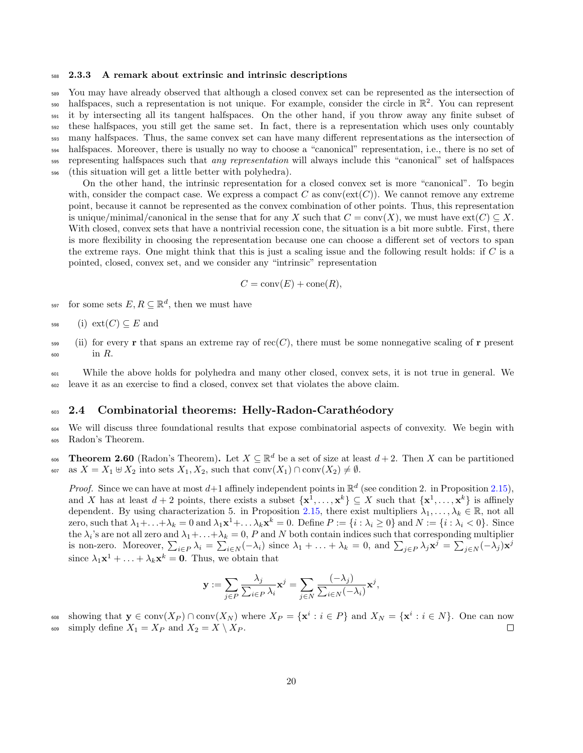#### <span id="page-19-0"></span><sup>588</sup> 2.3.3 A remark about extrinsic and intrinsic descriptions

 You may have already observed that although a closed convex set can be represented as the intersection of  $_{590}$  halfspaces, such a representation is not unique. For example, consider the circle in  $\mathbb{R}^2$ . You can represent it by intersecting all its tangent halfspaces. On the other hand, if you throw away any finite subset of these halfspaces, you still get the same set. In fact, there is a representation which uses only countably many halfspaces. Thus, the same convex set can have many different representations as the intersection of halfspaces. Moreover, there is usually no way to choose a "canonical" representation, i.e., there is no set of <sub>595</sub> representing halfspaces such that *any representation* will always include this "canonical" set of halfspaces (this situation will get a little better with polyhedra).

On the other hand, the intrinsic representation for a closed convex set is more "canonical". To begin with, consider the compact case. We express a compact C as  $conv(\text{ext}(C))$ . We cannot remove any extreme point, because it cannot be represented as the convex combination of other points. Thus, this representation is unique/minimal/canonical in the sense that for any X such that  $C = \text{conv}(X)$ , we must have  $\text{ext}(C) \subseteq X$ . With closed, convex sets that have a nontrivial recession cone, the situation is a bit more subtle. First, there is more flexibility in choosing the representation because one can choose a different set of vectors to span the extreme rays. One might think that this is just a scaling issue and the following result holds: if C is a pointed, closed, convex set, and we consider any "intrinsic" representation

$$
C = \text{conv}(E) + \text{cone}(R),
$$

<sup>597</sup> for some sets  $E, R \subseteq \mathbb{R}^d$ , then we must have

$$
598 \qquad \text{(i)} \ \operatorname{ext}(C) \subseteq E \text{ and}
$$

(ii) for every r that spans an extreme ray of rec(C), there must be some nonnegative scaling of r present  $\frac{600}{\pi}$  in R.

<sup>601</sup> While the above holds for polyhedra and many other closed, convex sets, it is not true in general. We <sup>602</sup> leave it as an exercise to find a closed, convex set that violates the above claim.

### <span id="page-19-1"></span><sup>603</sup> 2.4 Combinatorial theorems: Helly-Radon-Carathéodory

<sup>604</sup> We will discuss three foundational results that expose combinatorial aspects of convexity. We begin with <sup>605</sup> Radon's Theorem.

<span id="page-19-2"></span>606 **Theorem 2.60** (Radon's Theorem). Let  $X \subseteq \mathbb{R}^d$  be a set of size at least  $d+2$ . Then X can be partitioned 607 as  $X = X_1 \oplus X_2$  into sets  $X_1, X_2$ , such that  $conv(X_1) \cap conv(X_2) \neq \emptyset$ .

*Proof.* Since we can have at most  $d+1$  affinely independent points in  $\mathbb{R}^d$  (see condition 2. in Proposition [2.15\)](#page-8-0), and X has at least  $d+2$  points, there exists a subset  $\{\mathbf{x}^1,\ldots,\mathbf{x}^k\} \subseteq X$  such that  $\{\mathbf{x}^1,\ldots,\mathbf{x}^k\}$  is affinely dependent. By using characterization 5. in Proposition [2.15,](#page-8-0) there exist multipliers  $\lambda_1, \ldots, \lambda_k \in \mathbb{R}$ , not all zero, such that  $\lambda_1 + \ldots + \lambda_k = 0$  and  $\lambda_1 \mathbf{x}^1 + \ldots \lambda_k \mathbf{x}^k = 0$ . Define  $P := \{i : \lambda_i \geq 0\}$  and  $N := \{i : \lambda_i < 0\}$ . Since the  $\lambda_i$ 's are not all zero and  $\lambda_1+\ldots+\lambda_k=0$ , P and N both contain indices such that corresponding multiplier is non-zero. Moreover,  $\sum_{i\in P}\lambda_i = \sum_{i\in N}(-\lambda_i)$  since  $\lambda_1 + \ldots + \lambda_k = 0$ , and  $\sum_{j\in P}\lambda_j \mathbf{x}^j = \sum_{j\in N}(-\lambda_j)\mathbf{x}^j$ since  $\lambda_1 \mathbf{x}^1 + \ldots + \lambda_k \mathbf{x}^k = \mathbf{0}$ . Thus, we obtain that

$$
\mathbf{y} := \sum_{j \in P} \frac{\lambda_j}{\sum_{i \in P} \lambda_i} \mathbf{x}^j = \sum_{j \in N} \frac{(-\lambda_j)}{\sum_{i \in N} (-\lambda_i)} \mathbf{x}^j,
$$

 $s_0$  showing that  $y \in \text{conv}(X_P) \cap \text{conv}(X_N)$  where  $X_P = \{x^i : i \in P\}$  and  $X_N = \{x^i : i \in N\}$ . One can now 609 simply define  $X_1 = X_P$  and  $X_2 = X \setminus X_P$ .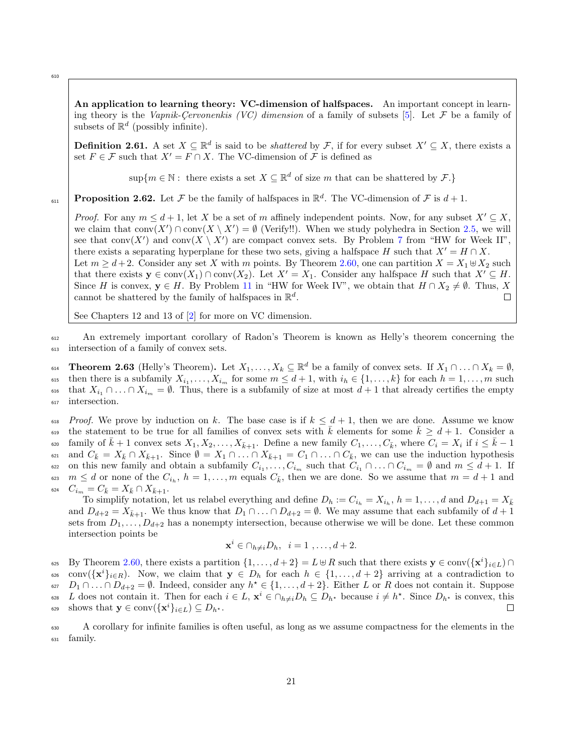610

<span id="page-20-0"></span>An application to learning theory: VC-dimension of halfspaces. An important concept in learn-ing theory is the Vapnik-Cervonenkis (VC) dimension of a family of subsets [\[5\]](#page-75-0). Let  $\mathcal F$  be a family of subsets of  $\mathbb{R}^d$  (possibly infinite).

**Definition 2.61.** A set  $X \subseteq \mathbb{R}^d$  is said to be *shattered* by F, if for every subset  $X' \subseteq X$ , there exists a set  $F \in \mathcal{F}$  such that  $X' = F \cap X$ . The VC-dimension of  $\mathcal{F}$  is defined as

 $\sup\{m \in \mathbb{N} : \text{ there exists a set } X \subseteq \mathbb{R}^d \text{ of size } m \text{ that can be shattered by } \mathcal{F}.\}$ 

**Proposition 2.62.** Let  $\mathcal F$  be the family of halfspaces in  $\mathbb{R}^d$ . The VC-dimension of  $\mathcal F$  is  $d+1$ . 611

*Proof.* For any  $m \leq d+1$ , let X be a set of m affinely independent points. Now, for any subset  $X' \subseteq X$ , we claim that  $conv(X') \cap conv(X \setminus X') = \emptyset$  (Verify!!). When we study polyhedra in Section [2.5,](#page-24-0) we will see that  $conv(X')$  and  $conv(X \setminus X')$  are compact convex sets. By Problem [7](#page-3-5) from "HW for Week II", there exists a separating hyperplane for these two sets, giving a halfspace H such that  $X' = H \cap X$ . Let  $m \geq d+2$ . Consider any set X with m points. By Theorem [2.60,](#page-19-2) one can partition  $X = X_1 \boxplus X_2$  such that there exists  $y \in \text{conv}(X_1) \cap \text{conv}(X_2)$ . Let  $X' = X_1$ . Consider any halfspace H such that  $X' \subseteq H$ . Since H is convex,  $y \in H$ . By Problem [11](#page-4-3) in "HW for Week IV", we obtain that  $H \cap X_2 \neq \emptyset$ . Thus, X cannot be shattered by the family of halfspaces in  $\mathbb{R}^d$ . cannot be shattered by the family of halfspaces in  $\mathbb{R}^d$ .

See Chapters 12 and 13 of [\[2\]](#page-75-1) for more on VC dimension.

<sup>612</sup> An extremely important corollary of Radon's Theorem is known as Helly's theorem concerning the <sup>613</sup> intersection of a family of convex sets.

<span id="page-20-1"></span>614 **Theorem 2.63** (Helly's Theorem). Let  $X_1, \ldots, X_k \subseteq \mathbb{R}^d$  be a family of convex sets. If  $X_1 \cap \ldots \cap X_k = \emptyset$ , 615 then there is a subfamily  $X_{i_1}, \ldots, X_{i_m}$  for some  $m \leq d+1$ , with  $i_h \in \{1, \ldots, k\}$  for each  $h = 1, \ldots, m$  such 616 that  $X_{i_1} \cap \ldots \cap X_{i_m} = \emptyset$ . Thus, there is a subfamily of size at most  $d+1$  that already certifies the empty <sup>617</sup> intersection.

<sup>618</sup> Proof. We prove by induction on k. The base case is if  $k \leq d+1$ , then we are done. Assume we know the statement to be true for all families of convex sets with k elements for some  $k \geq d + 1$ . Consider a 620 family of  $\bar{k} + 1$  convex sets  $X_1, X_2, \ldots, X_{\bar{k}+1}$ . Define a new family  $C_1, \ldots, C_{\bar{k}}$ , where  $C_i = X_i$  if  $i \leq \bar{k} - 1$ and  $C_{\bar{k}} = X_{\bar{k}} \cap X_{\bar{k}+1}$ . Since  $\emptyset = X_1 \cap \ldots \cap X_{\bar{k}+1} = C_1 \cap \ldots \cap C_{\bar{k}}$ , we can use the induction hypothesis  $\epsilon_{22}$  on this new family and obtain a subfamily  $C_{i_1}, \ldots, C_{i_m}$  such that  $C_{i_1} \cap \ldots \cap C_{i_m} = \emptyset$  and  $m \leq d+1$ . If  $\frac{623}{m} \leq d$  or none of the  $C_{i_h}$ ,  $h = 1, \ldots, m$  equals  $C_{\bar{k}}$ , then we are done. So we assume that  $m = d + 1$  and 624  $C_{i_m}=C_{\bar{k}}=X_{\bar{k}}\cap X_{\bar{k}+1}.$ 

To simplify notation, let us relabel everything and define  $D_h := C_{i_h} = X_{i_h}$ ,  $h = 1, \ldots, d$  and  $D_{d+1} = X_{\bar{k}}$ and  $D_{d+2} = X_{\bar{k}+1}$ . We thus know that  $D_1 \cap ... \cap D_{d+2} = \emptyset$ . We may assume that each subfamily of  $d+1$ sets from  $D_1, \ldots, D_{d+2}$  has a nonempty intersection, because otherwise we will be done. Let these common intersection points be

$$
\mathbf{x}^i \in \cap_{h \neq i} D_h, \ \ i = 1, \dots, d+2.
$$

 $\mathcal{L}_{625}$  By Theorem [2.60,](#page-19-2) there exists a partition  $\{1,\ldots,d+2\} = L \oplus R$  such that there exists  $\mathbf{y} \in \text{conv}(\{\mathbf{x}^i\}_{i \in L}) \cap$  $\text{conv}(\{\mathbf{x}^i\}_{i\in R})$ . Now, we claim that  $\mathbf{y} \in D_h$  for each  $h \in \{1, \ldots, d+2\}$  arriving at a contradiction to <sup>627</sup>  $D_1 \cap \ldots \cap D_{d+2} = \emptyset$ . Indeed, consider any  $h^* \in \{1, \ldots, d+2\}$ . Either L or R does not contain it. Suppose  $\mathcal{L}_{\text{1}}$  does not contain it. Then for each  $i \in L$ ,  $\mathbf{x}^i \in \cap_{h \neq i} D_h \subseteq D_{h^*}$  because  $i \neq h^*$ . Since  $D_{h^*}$  is convex, this shows that  $\mathbf{y} \in \text{conv}(\{\mathbf{x}^i\}_{i \in L}) \subseteq D_{h^*}.$  $\Box$ 

<sup>630</sup> A corollary for infinite families is often useful, as long as we assume compactness for the elements in the <sup>631</sup> family.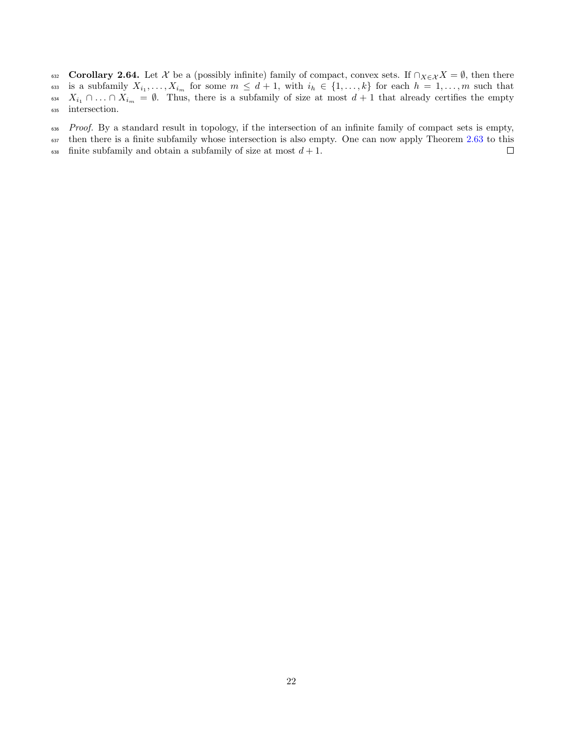<span id="page-21-0"></span>632 Corollary 2.64. Let X be a (possibly infinite) family of compact, convex sets. If  $\cap_{X\in\mathcal{X}}X = \emptyset$ , then there is a subfamily  $X_{i_1},\ldots,X_{i_m}$  for some  $m \leq d+1$ , with  $i_h \in \{1,\ldots,k\}$  for each  $h=1,\ldots,m$  such that 633 is a subfamily  $X_{i_1}, \ldots, X_{i_m}$  for some  $m \leq d+1$ , with  $i_h \in \{1, \ldots, k\}$  for each  $h = 1, \ldots, m$  such that 634  $X_{i_1} \cap \ldots \cap X_{i_m} = \emptyset$ . Thus, there is a subfamily of size at most  $d+1$  that already certifies the empty intersection. intersection.

636 Proof. By a standard result in topology, if the intersection of an infinite family of compact sets is empty,

 $\Box$ 

<sup>637</sup> then there is a finite subfamily whose intersection is also empty. One can now apply Theorem [2.63](#page-20-1) to this

638 finite subfamily and obtain a subfamily of size at most  $d + 1$ .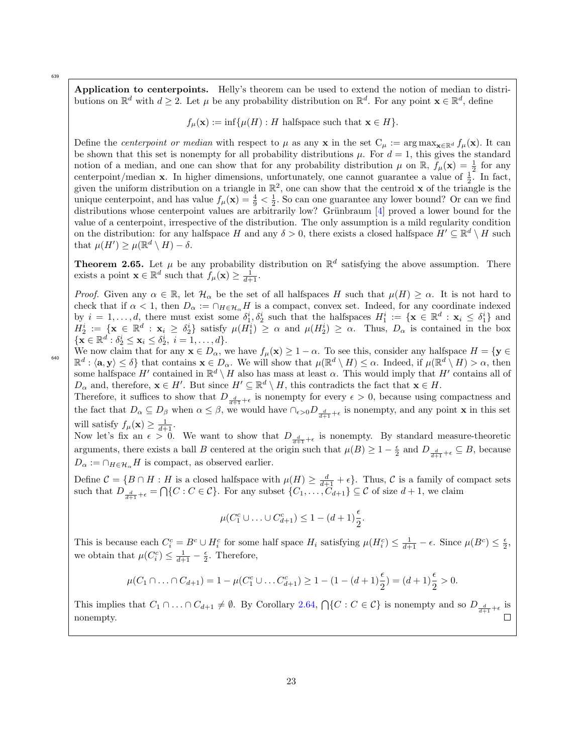639

640

<span id="page-22-0"></span>Application to centerpoints. Helly's theorem can be used to extend the notion of median to distributions on  $\mathbb{R}^d$  with  $d \geq 2$ . Let  $\mu$  be any probability distribution on  $\mathbb{R}^d$ . For any point  $\mathbf{x} \in \mathbb{R}^d$ , define

 $f_{\mu}(\mathbf{x}) := \inf \{ \mu(H) : H \text{ halfspace such that } \mathbf{x} \in H \}.$ 

Define the *centerpoint or median* with respect to  $\mu$  as any x in the set  $C_{\mu} := \arg \max_{\mathbf{x} \in \mathbb{R}^d} f_{\mu}(\mathbf{x})$ . It can be shown that this set is nonempty for all probability distributions  $\mu$ . For  $d = 1$ , this gives the standard notion of a median, and one can show that for any probability distribution  $\mu$  on  $\mathbb{R}$ ,  $f_{\mu}(\mathbf{x}) = \frac{1}{2}$  for any centerpoint/median **x**. In higher dimensions, unfortunately, one cannot guarantee a value of  $\frac{1}{2}$ . In fact, given the uniform distribution on a triangle in  $\mathbb{R}^2$ , one can show that the centroid **x** of the triangle is the unique centerpoint, and has value  $f_{\mu}(\mathbf{x}) = \frac{4}{9} < \frac{1}{2}$ . So can one guarantee any lower bound? Or can we find distributions whose centerpoint values are arbitrarily low? Grünbraum  $[4]$  proved a lower bound for the value of a centerpoint, irrespective of the distribution. The only assumption is a mild regularity condition on the distribution: for any halfspace H and any  $\delta > 0$ , there exists a closed halfspace  $H' \subseteq \mathbb{R}^d \setminus H$  such that  $\mu(H') \geq \mu(\mathbb{R}^d \setminus H) - \delta$ .

**Theorem 2.65.** Let  $\mu$  be any probability distribution on  $\mathbb{R}^d$  satisfying the above assumption. There exists a point  $\mathbf{x} \in \mathbb{R}^d$  such that  $f_{\mu}(\mathbf{x}) \ge \frac{1}{d+1}$ .

*Proof.* Given any  $\alpha \in \mathbb{R}$ , let  $\mathcal{H}_{\alpha}$  be the set of all halfspaces H such that  $\mu(H) \geq \alpha$ . It is not hard to check that if  $\alpha < 1$ , then  $D_{\alpha} := \cap_{H \in \mathcal{H}_{\alpha}} H$  is a compact, convex set. Indeed, for any coordinate indexed by  $i = 1, \ldots, d$ , there must exist some  $\delta_1^i, \delta_2^i$  such that the halfspaces  $H_1^i := \{ \mathbf{x} \in \mathbb{R}^d : \mathbf{x}_i \leq \delta_1^i \}$  and  $H_2^i := \{ \mathbf{x} \in \mathbb{R}^d : \mathbf{x}_i \geq \delta_2^i \}$  satisfy  $\mu(H_1^i) \geq \alpha$  and  $\mu(H_2^i) \geq \alpha$ . Thus,  $D_\alpha$  is contained in the box  $\{ \mathbf{x} \in \mathbb{R}^d : \delta_2^i \leq \mathbf{x}_i \leq \delta_2^i, i = 1, ..., d \}.$ 

We now claim that for any  $\mathbf{x} \in D_\alpha$ , we have  $f_\mu(\mathbf{x}) \geq 1 - \alpha$ . To see this, consider any halfspace  $H = \{ \mathbf{y} \in$  $\mathbb{R}^d$ :  $\langle \mathbf{a}, \mathbf{y} \rangle \leq \delta$  that contains  $\mathbf{x} \in D_\alpha$ . We will show that  $\mu(\mathbb{R}^d \setminus H) \leq \alpha$ . Indeed, if  $\mu(\mathbb{R}^d \setminus H) > \alpha$ , then some halfspace  $H'$  contained in  $\mathbb{R}^d \setminus H$  also has mass at least  $\alpha$ . This would imply that  $H'$  contains all of  $D_{\alpha}$  and, therefore,  $\mathbf{x} \in H'$ . But since  $H' \subseteq \mathbb{R}^d \setminus H$ , this contradicts the fact that  $\mathbf{x} \in H$ .

Therefore, it suffices to show that  $D_{\frac{d}{d+1}+\epsilon}$  is nonempty for every  $\epsilon > 0$ , because using compactness and the fact that  $D_{\alpha} \subseteq D_{\beta}$  when  $\alpha \leq \beta$ , we would have  $\cap_{\epsilon > 0} D_{\frac{d}{d+1} + \epsilon}$  is nonempty, and any point **x** in this set will satisfy  $f_{\mu}(\mathbf{x}) \ge \frac{1}{d+1}$ .

Now let's fix an  $\epsilon > 0$ . We want to show that  $D_{\frac{d}{d+1}+\epsilon}$  is nonempty. By standard measure-theoretic arguments, there exists a ball B centered at the origin such that  $\mu(B) \geq 1 - \frac{\epsilon}{2}$  and  $D_{\frac{d}{d+1} + \epsilon} \subseteq B$ , because  $D_{\alpha} := \bigcap_{H \in \mathcal{H}_{\alpha}} H$  is compact, as observed earlier.

Define  $C = \{B \cap H : H$  is a closed halfspace with  $\mu(H) \geq \frac{d}{d+1} + \epsilon\}$ . Thus, C is a family of compact sets such that  $D_{\frac{d}{d+1}+\epsilon} = \bigcap \{C : C \in \mathcal{C}\}$ . For any subset  $\{C_1, \ldots, C_{d+1}\} \subseteq \mathcal{C}$  of size  $d+1$ , we claim

$$
\mu(C_1^c \cup \ldots \cup C_{d+1}^c) \leq 1 - (d+1)\frac{\epsilon}{2}.
$$

This is because each  $C_i^c = B^c \cup H_i^c$  for some half space  $H_i$  satisfying  $\mu(H_i^c) \leq \frac{1}{d+1} - \epsilon$ . Since  $\mu(B^c) \leq \frac{\epsilon}{2}$ , we obtain that  $\mu(C_i^c) \leq \frac{1}{d+1} - \frac{\epsilon}{2}$ . Therefore,

$$
\mu(C_1 \cap \ldots \cap C_{d+1}) = 1 - \mu(C_1^c \cup \ldots C_{d+1}^c) \ge 1 - (1 - (d+1)\frac{\epsilon}{2}) = (d+1)\frac{\epsilon}{2} > 0.
$$

This implies that  $C_1 \cap ... \cap C_{d+1} \neq \emptyset$ . By Corollary [2.64,](#page-21-0)  $\bigcap \{C : C \in \mathcal{C}\}\$ is nonempty and so  $D_{\frac{d}{d+1} + \epsilon}$  is nonempty.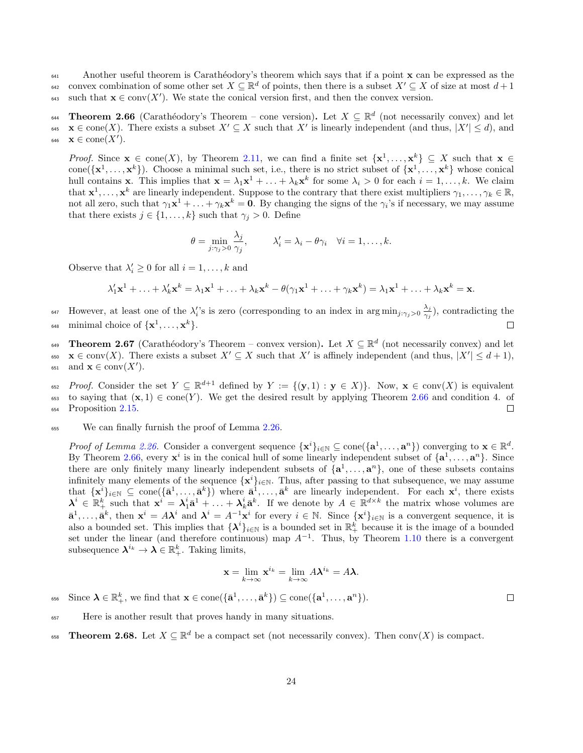$\epsilon_{641}$  Another useful theorem is Carathéodory's theorem which says that if a point  $\bf{x}$  can be expressed as the convex combination of some other set  $X \subseteq \mathbb{R}^d$  of points, then there is a subset  $X' \subseteq X$  of size at most  $d+1$ <sup>643</sup> such that  $\mathbf{x} \in \text{conv}(X')$ . We state the conical version first, and then the convex version.

<span id="page-23-0"></span>**Theorem 2.66** (Carathéodory's Theorem – cone version). Let  $X \subseteq \mathbb{R}^d$  (not necessarily convex) and let  $\mathbf{x} \in \text{cone}(X)$ . There exists a subset  $X' \subseteq X$  such that X' is linearly independent (and thus,  $|X'| \leq d$ ), and 646  $\mathbf{x} \in \text{cone}(X')$ .

*Proof.* Since  $\mathbf{x} \in \text{cone}(X)$ , by Theorem [2.11,](#page-7-2) we can find a finite set  $\{\mathbf{x}^1, \dots, \mathbf{x}^k\} \subseteq X$  such that  $\mathbf{x} \in X$ cone  $({\mathbf{x}}^1, \ldots, {\mathbf{x}}^k)$ . Choose a minimal such set, i.e., there is no strict subset of  ${\mathbf{x}}^1, \ldots, {\mathbf{x}}^k$  whose conical hull contains **x**. This implies that  $\mathbf{x} = \lambda_1 \mathbf{x}^1 + \ldots + \lambda_k \mathbf{x}^k$  for some  $\lambda_i > 0$  for each  $i = 1, \ldots, k$ . We claim that  $\mathbf{x}^1, \ldots, \mathbf{x}^k$  are linearly independent. Suppose to the contrary that there exist multipliers  $\gamma_1, \ldots, \gamma_k \in \mathbb{R}$ , not all zero, such that  $\gamma_1 \mathbf{x}^1 + \ldots + \gamma_k \mathbf{x}^k = \mathbf{0}$ . By changing the signs of the  $\gamma_i$ 's if necessary, we may assume that there exists  $j \in \{1, \ldots, k\}$  such that  $\gamma_i > 0$ . Define

$$
\theta = \min_{j:\gamma_j>0} \frac{\lambda_j}{\gamma_j}, \qquad \lambda'_i = \lambda_i - \theta \gamma_i \quad \forall i = 1,\ldots,k.
$$

Observe that  $\lambda'_i \geq 0$  for all  $i = 1, ..., k$  and

$$
\lambda'_1 \mathbf{x}^1 + \ldots + \lambda'_k \mathbf{x}^k = \lambda_1 \mathbf{x}^1 + \ldots + \lambda_k \mathbf{x}^k - \theta (\gamma_1 \mathbf{x}^1 + \ldots + \gamma_k \mathbf{x}^k) = \lambda_1 \mathbf{x}^1 + \ldots + \lambda_k \mathbf{x}^k = \mathbf{x}.
$$

However, at least one of the  $\lambda_i$ 's is zero (corresponding to an index in arg min<sub>j: $\gamma_j>0$ </sub>  $\frac{\lambda_j}{\gamma_j}$ <sup>647</sup> However, at least one of the  $\lambda_i$ 's is zero (corresponding to an index in  $\arg\min_{j:\gamma_j>0} \frac{\lambda_j}{\gamma_j}$ ), contradicting the

<sup>648</sup> minimal choice of  $\{x^1, \ldots, x^k\}$ .

<span id="page-23-1"></span> $\begin{bmatrix} 649 \end{bmatrix}$  Theorem 2.67 (Carathéodory's Theorem – convex version). Let  $X \subseteq \mathbb{R}^d$  (not necessarily convex) and let  $\mathbf{x} \in \text{conv}(X)$ . There exists a subset  $X' \subseteq X$  such that X' is affinely independent (and thus,  $|X'| \leq d+1$ ),  $\text{651} \quad \text{and } \mathbf{x} \in \text{conv}(X').$ 

 $\text{Proof.}$  Consider the set  $Y \subseteq \mathbb{R}^{d+1}$  defined by  $Y := \{(\mathbf{y}, 1) : \mathbf{y} \in X\}$ . Now,  $\mathbf{x} \in \text{conv}(X)$  is equivalent 653 to saying that  $(\mathbf{x}, 1) \in \text{cone}(Y)$ . We get the desired result by applying Theorem [2.66](#page-23-0) and condition 4. of Proposition 2.15. <sup>654</sup> Proposition [2.15.](#page-8-0)

<sup>655</sup> We can finally furnish the proof of Lemma [2.26.](#page-11-4)

Proof of Lemma [2.26.](#page-11-4) Consider a convergent sequence  $\{\mathbf{x}^i\}_{i\in\mathbb{N}} \subseteq \text{cone}(\{\mathbf{a}^1,\ldots,\mathbf{a}^n\})$  converging to  $\mathbf{x} \in \mathbb{R}^d$ . By Theorem [2.66,](#page-23-0) every  $x^i$  is in the conical hull of some linearly independent subset of  $\{a^1, \ldots, a^n\}$ . Since there are only finitely many linearly independent subsets of  $\{a^1, \ldots, a^n\}$ , one of these subsets contains infinitely many elements of the sequence  $\{x^i\}_{i\in\mathbb{N}}$ . Thus, after passing to that subsequence, we may assume that  $\{\mathbf x^i\}_{i\in\mathbb N} \subseteq \text{cone}(\{\bar{\mathbf a}^1,\ldots,\bar{\mathbf a}^k\})$  where  $\bar{\mathbf a}^1,\ldots,\bar{\mathbf a}^k$  are linearly independent. For each  $\mathbf x^i$ , there exists  $\lambda^i \in \mathbb{R}_+^k$  such that  $\mathbf{x}^i = \lambda_1^i \bar{\mathbf{a}}^1 + \ldots + \lambda_k^i \bar{\mathbf{a}}^k$ . If we denote by  $A \in \mathbb{R}^{d \times k}$  the matrix whose volumes are  $\bar{\mathbf{a}}^1, \ldots, \bar{\mathbf{a}}^k$ , then  $\mathbf{x}^i = A\lambda^i$  and  $\lambda^i = A^{-1}\mathbf{x}^i$  for every  $i \in \mathbb{N}$ . Since  $\{\mathbf{x}^i\}_{i \in \mathbb{N}}$  is a convergent sequence, it is also a bounded set. This implies that  $\{\lambda^i\}_{i\in\mathbb{N}}$  is a bounded set in  $\mathbb{R}^k_+$  because it is the image of a bounded set under the linear (and therefore continuous) map  $A^{-1}$ . Thus, by Theorem [1.10](#page-4-1) there is a convergent subsequence  $\lambda^{i_k} \to \lambda \in \mathbb{R}^k_+$ . Taking limits,

$$
\mathbf{x} = \lim_{k \to \infty} \mathbf{x}^{i_k} = \lim_{k \to \infty} A \lambda^{i_k} = A \lambda.
$$

<sup>656</sup> Since  $\lambda \in \mathbb{R}^k_+$ , we find that  $\mathbf{x} \in \text{cone}(\{\bar{\mathbf{a}}^1,\ldots,\bar{\mathbf{a}}^k\}) \subseteq \text{cone}(\{\mathbf{a}^1,\ldots,\mathbf{a}^n\})$ .

 $\Box$ 

- <sup>657</sup> Here is another result that proves handy in many situations.
- <span id="page-23-2"></span>**658 Theorem 2.68.** Let  $X \subseteq \mathbb{R}^d$  be a compact set (not necessarily convex). Then conv $(X)$  is compact.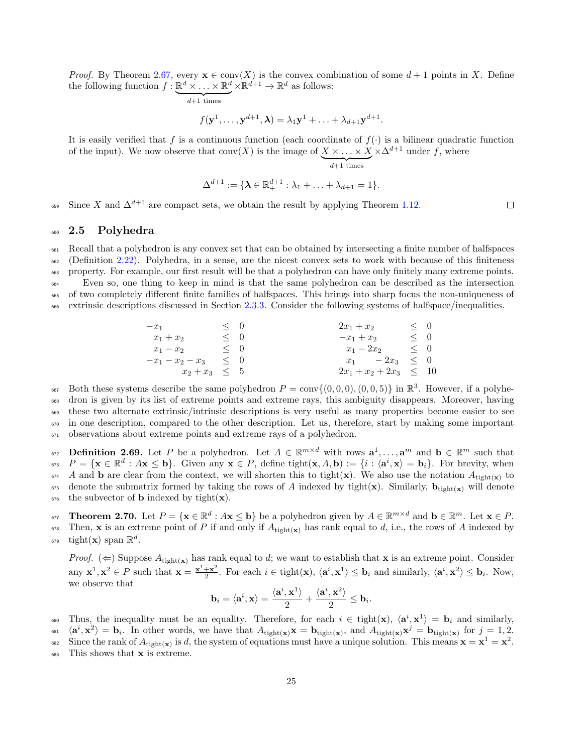*Proof.* By Theorem [2.67,](#page-23-1) every  $\mathbf{x} \in \text{conv}(X)$  is the convex combination of some  $d+1$  points in X. Define the following function  $f: \underline{\mathbb{R}^d \times ... \times \mathbb{R}^d} \times \underline{\mathbb{R}^{d+1}} \to \mathbb{R}^d$  as follows:

$$
f(\mathbf{y}^1, \dots, \mathbf{y}^{d+1}, \boldsymbol{\lambda}) = \lambda_1 \mathbf{y}^1 + \dots + \lambda_{d+1} \mathbf{y}^{d+1}.
$$

It is easily verified that f is a continuous function (each coordinate of  $f(.)$  is a bilinear quadratic function of the input). We now observe that  $conv(X)$  is the image of  $X \times ... \times X$ <br> $\frac{d+1 \text{ times}}{d+1 \text{ times}}$  $\times \Delta^{d+1}$  under f, where

$$
\Delta^{d+1}:=\{\pmb{\lambda}\in\mathbb{R}^{d+1}_+:\lambda_1+\ldots+\lambda_{d+1}=1\}.
$$

Since X and  $\Delta^{d+1}$  are compact sets, we obtain the result by applying Theorem [1.12.](#page-4-4)

# <span id="page-24-0"></span><sup>660</sup> 2.5 Polyhedra

 Recall that a polyhedron is any convex set that can be obtained by intersecting a finite number of halfspaces (Definition [2.22\)](#page-10-3). Polyhedra, in a sense, are the nicest convex sets to work with because of this finiteness property. For example, our first result will be that a polyhedron can have only finitely many extreme points. Even so, one thing to keep in mind is that the same polyhedron can be described as the intersection of two completely different finite families of halfspaces. This brings into sharp focus the non-uniqueness of extrinsic descriptions discussed in Section [2.3.3.](#page-19-0) Consider the following systems of halfspace/inequalities.

$$
\begin{array}{rcl}\n-x_1 & \leq & 0 \\
x_1 + x_2 & \leq & 0 \\
x_1 - x_2 & \leq & 0 \\
-x_1 - x_2 - x_3 & \leq & 0 \\
x_2 + x_3 & \leq & 5\n\end{array}\n\qquad\n\begin{array}{rcl}\n2x_1 + x_2 & \leq & 0 \\
-x_1 + x_2 & \leq & 0 \\
x_1 - 2x_2 & \leq & 0 \\
x_1 - 2x_3 & \leq & 0 \\
2x_1 + x_2 + 2x_3 & \leq & 10\n\end{array}
$$

667 Both these systems describe the same polyhedron  $P = \text{conv}\{(0,0,0), (0,0,5)\}$  in  $\mathbb{R}^3$ . However, if a polyhe- dron is given by its list of extreme points and extreme rays, this ambiguity disappears. Moreover, having these two alternate extrinsic/intrinsic descriptions is very useful as many properties become easier to see in one description, compared to the other description. Let us, therefore, start by making some important observations about extreme points and extreme rays of a polyhedron.

 $\mathbf{a}_1, \ldots, \mathbf{a}^m$  and  $\mathbf{b} \in \mathbb{R}^m$  such that  $\mathbf{a}_2 \in \mathbb{R}^m$  and  $\mathbf{b}_1 \in \mathbb{R}^m$  and  $\mathbf{b}_2 \in \mathbb{R}^m$  such that  $P = {\mathbf{x} \in \mathbb{R}^d : A\mathbf{x} \leq \mathbf{b}}.$  Given any  $\mathbf{x} \in P$ , define tight $(\mathbf{x}, A, \mathbf{b}) := {i : \langle \mathbf{a}^i, \mathbf{x} \rangle = \mathbf{b}_i}.$  For brevity, when  $\overline{\mathcal{A}}$  and **b** are clear from the context, we will shorten this to tight(x). We also use the notation  $A_{\text{tight(x)}}$  to  $675$  denote the submatrix formed by taking the rows of A indexed by tight(x). Similarly,  $\mathbf{b}_{\text{tight(x)}}$  will denote  $676$  the subvector of **b** indexed by tight(**x**).

<span id="page-24-1"></span> $\mathbf{F}_{677}$  Theorem 2.70. Let  $P = \{ \mathbf{x} \in \mathbb{R}^d : A\mathbf{x} \leq \mathbf{b} \}$  be a polyhedron given by  $A \in \mathbb{R}^{m \times d}$  and  $\mathbf{b} \in \mathbb{R}^m$ . Let  $\mathbf{x} \in P$ .

 $\sigma$ <sup>578</sup> Then, **x** is an extreme point of P if and only if  $A_{\text{tight}(\mathbf{x})}$  has rank equal to d, i.e., the rows of A indexed by <sup>679</sup> tight(**x**) span  $\mathbb{R}^d$ .

*Proof.* ( $\Leftarrow$ ) Suppose  $A_{\text{tight}(\mathbf{x})}$  has rank equal to d; we want to establish that **x** is an extreme point. Consider any  $\mathbf{x}^1, \mathbf{x}^2 \in P$  such that  $\mathbf{x} = \frac{\mathbf{x}^1 + \mathbf{x}^2}{2}$  $\frac{1+\mathbf{x}^2}{2}$ . For each  $i \in \text{tight}(\mathbf{x})$ ,  $\langle \mathbf{a}^i, \mathbf{x}^1 \rangle \leq \mathbf{b}_i$  and similarly,  $\langle \mathbf{a}^i, \mathbf{x}^2 \rangle \leq \mathbf{b}_i$ . Now, we observe that

$$
\mathbf{b}_{i} = \langle \mathbf{a}^{i}, \mathbf{x} \rangle = \frac{\langle \mathbf{a}^{i}, \mathbf{x}^{1} \rangle}{2} + \frac{\langle \mathbf{a}^{i}, \mathbf{x}^{2} \rangle}{2} \leq \mathbf{b}_{i}.
$$

680 Thus, the inequality must be an equality. Therefore, for each  $i \in \text{tight}(\mathbf{x})$ ,  $\langle \mathbf{a}^i, \mathbf{x}^1 \rangle = \mathbf{b}_i$  and similarly,  $\langle \mathbf{a}^i, \mathbf{x}^2 \rangle = \mathbf{b}_i$ . In other words, we have that  $A_{\text{tight}(\mathbf{x})}\mathbf{x} = \mathbf{b}_{\text{tight}(\mathbf{x})}$ , and  $A_{\text{tight}(\mathbf{x})}\mathbf{x}^j = \mathbf{b}_{\text{tight}(\mathbf{x})}$  for  $j = 1, 2, \ldots$ <sup>682</sup> Since the rank of  $A_{\text{tight}(\mathbf{x})}$  is d, the system of equations must have a unique solution. This means  $\mathbf{x} = \mathbf{x}^1 = \mathbf{x}^2$ .

<sup>683</sup> This shows that x is extreme.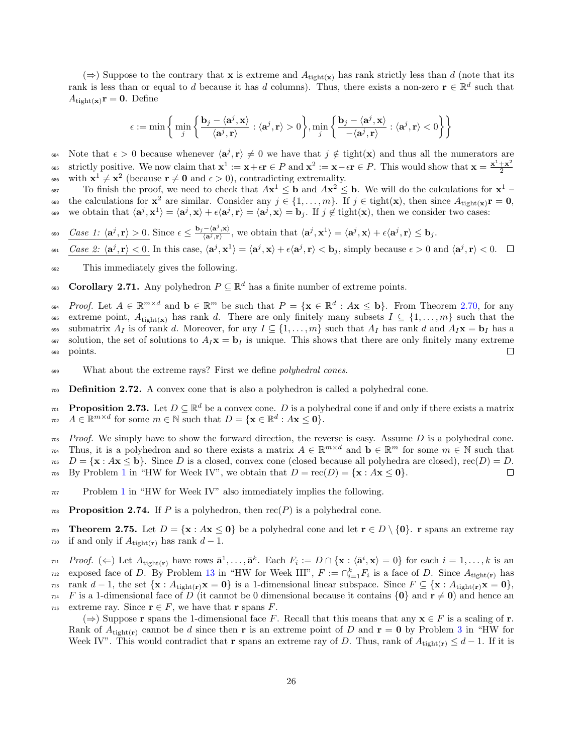$(\Rightarrow)$  Suppose to the contrary that **x** is extreme and  $A_{\text{tight}(\mathbf{x})}$  has rank strictly less than d (note that its rank is less than or equal to d because it has d columns). Thus, there exists a non-zero  $\mathbf{r} \in \mathbb{R}^d$  such that  $A_{\text{tight}(\mathbf{x})}\mathbf{r} = \mathbf{0}$ . Define

$$
\epsilon := \min \left\{ \min_j \left\{ \frac{\mathbf{b}_j - \langle \mathbf{a}^j, \mathbf{x} \rangle}{\langle \mathbf{a}^j, \mathbf{r} \rangle} : \langle \mathbf{a}^j, \mathbf{r} \rangle > 0 \right\}, \min_j \left\{ \frac{\mathbf{b}_j - \langle \mathbf{a}^j, \mathbf{x} \rangle}{-\langle \mathbf{a}^j, \mathbf{r} \rangle} : \langle \mathbf{a}^j, \mathbf{r} \rangle < 0 \right\} \right\}
$$

Note that  $\epsilon > 0$  because whenever  $\langle a^j, r \rangle \neq 0$  we have that  $j \notin \text{tight}(x)$  and thus all the numerators are strictly positive. We now claim that  $x^1 := x + \epsilon r \in P$  and  $x^2 := x - \epsilon r \in P$ . This would show that  $x = \frac{x^1 + x^2}{2}$ 2 685 <sup>686</sup> with  $\mathbf{x}^1 \neq \mathbf{x}^2$  (because  $\mathbf{r} \neq \mathbf{0}$  and  $\epsilon > 0$ ), contradicting extremality.

To finish the proof, we need to check that  $A\mathbf{x}^1 \leq \mathbf{b}$  and  $A\mathbf{x}^2 \leq \mathbf{b}$ . We will do the calculations for  $\mathbf{x}^1$ 688 the calculations for  $\mathbf{x}^2$  are similar. Consider any  $j \in \{1, \ldots, m\}$ . If  $j \in \text{tight}(\mathbf{x})$ , then since  $A_{\text{tight}(\mathbf{x})}\mathbf{r} = \mathbf{0}$ , 689 we obtain that  $\langle \mathbf{a}^j, \mathbf{x}^1 \rangle = \langle \mathbf{a}^j, \mathbf{x} \rangle + \epsilon \langle \mathbf{a}^j, \mathbf{r} \rangle = \langle \mathbf{a}^j, \mathbf{x} \rangle = \mathbf{b}_j$ . If  $j \notin \text{tight}(\mathbf{x})$ , then we consider two cases:

- $\text{Case 1: } \langle \mathbf{a}^j, \mathbf{r} \rangle > 0.$  Since  $\epsilon \leq \frac{\mathbf{b}_j \langle \mathbf{a}^j, \mathbf{x} \rangle}{\langle \mathbf{a}^j, \mathbf{r} \rangle}$  $\frac{Case\ 1\colon \langle \mathbf{a}^j, \mathbf{r}\rangle >0.}{\langle \mathbf{a}^j, \mathbf{r}\rangle}$  Since  $\epsilon\leq \frac{\mathbf{b}_j - \langle \mathbf{a}^j, \mathbf{x}\rangle}{\langle \mathbf{a}^j, \mathbf{r}\rangle}$ , we obtain that  $\langle \mathbf{a}^j, \mathbf{x}^1\rangle = \langle \mathbf{a}^j, \mathbf{x}\rangle + \epsilon \langle \mathbf{a}^j, \mathbf{r}\rangle \leq \mathbf{b}_j$ .
- <sup>691</sup>  $\frac{Case\ 2: \langle \mathbf{a}^j, \mathbf{r} \rangle < 0.}{\langle \mathbf{a}^j, \mathbf{r} \rangle \langle \mathbf{a}^j, \mathbf{x}^i \rangle} = \langle \mathbf{a}^j, \mathbf{x} \rangle + \epsilon \langle \mathbf{a}^j, \mathbf{r} \rangle < \mathbf{b}_j$ , simply because  $\epsilon > 0$  and  $\langle \mathbf{a}^j, \mathbf{r} \rangle < 0.$
- <sup>692</sup> This immediately gives the following.

<span id="page-25-0"></span>693 **Corollary 2.71.** Any polyhedron  $P \subseteq \mathbb{R}^d$  has a finite number of extreme points.

 $P_{\text{root}}$ . Let  $A \in \mathbb{R}^{m \times d}$  and  $\mathbf{b} \in \mathbb{R}^m$  be such that  $P = \{ \mathbf{x} \in \mathbb{R}^d : A\mathbf{x} \leq \mathbf{b} \}$ . From Theorem [2.70,](#page-24-1) for any 695 extreme point,  $A_{\text{tight}(\mathbf{x})}$  has rank d. There are only finitely many subsets  $I \subseteq \{1, \ldots, m\}$  such that the 696 submatrix  $A_I$  is of rank d. Moreover, for any  $I \subseteq \{1, \ldots, m\}$  such that  $A_I$  has rank d and  $A_I$ **x** = **b**<sub>I</sub> has a 697 solution, the set of solutions to  $A_I\mathbf{x} = \mathbf{b}_I$  is unique. This shows that there are only finitely many extreme <sup>698</sup> points.  $\Box$ 

- 699 What about the extreme rays? First we define *polyhedral cones*.
- <sup>700</sup> Definition 2.72. A convex cone that is also a polyhedron is called a polyhedral cone.
- **Proposition 2.73.** Let  $D \subseteq \mathbb{R}^d$  be a convex cone. D is a polyhedral cone if and only if there exists a matrix  $A \in \mathbb{R}^{m \times d}$  for some  $m \in \mathbb{N}$  such that  $D = \{ \mathbf{x} \in \mathbb{R}^d : A\mathbf{x} \leq \mathbf{0} \}.$

 $703$  Proof. We simply have to show the forward direction, the reverse is easy. Assume D is a polyhedral cone. Thus, it is a polyhedron and so there exists a matrix  $A \in \mathbb{R}^{m \times d}$  and  $\mathbf{b} \in \mathbb{R}^m$  for some  $m \in \mathbb{N}$  such that  $D = {\mathbf{x} : A\mathbf{x} \leq \mathbf{b}}$ . Since D is a closed, convex cone (closed because all polyhedra are closed), rec(D) = D.<br>The By Problem 1 in "HW for Week IV", we obtain that  $D = \text{rec}(D) = {\mathbf{x} : A\mathbf{x} \leq \mathbf{0}}$ .  $_{706}$  By Problem [1](#page-3-6) in "HW for Week IV", we obtain that  $D = \text{rec}(D) = {\mathbf{x} : A\mathbf{x} \leq \mathbf{0}}$ .

- <sup>707</sup> Problem [1](#page-3-6) in "HW for Week IV" also immediately implies the following.
- <span id="page-25-1"></span>708 Proposition 2.74. If P is a polyhedron, then  $rec(P)$  is a polyhedral cone.
- 709 Theorem 2.75. Let  $D = \{x : Ax \le 0\}$  be a polyhedral cone and let  $r \in D \setminus \{0\}$ . r spans an extreme ray  $_{710}$  if and only if  $A_{\text{tight}(\mathbf{r})}$  has rank  $d-1$ .

 $P_{\text{root}}(z)$  Let  $A_{\text{tight}(r)}$  have rows  $\bar{\mathbf{a}}^1, \ldots, \bar{\mathbf{a}}^k$ . Each  $F_i := D \cap {\mathbf{x} : \langle \bar{\mathbf{a}}^i, \mathbf{x} \rangle = 0}$  for each  $i = 1, \ldots, k$  is an  $\mu_{12}$  exposed face of D. By Problem [13](#page-5-8) in "HW for Week III",  $F := \bigcap_{i=1}^k F_i$  is a face of D. Since  $A_{\text{tight}(r)}$  has  $r_{13}$  rank  $d-1$ , the set  $\{x : A_{tight(r)}x = 0\}$  is a 1-dimensional linear subspace. Since  $F \subseteq \{x : A_{tight(r)}x = 0\}$ ,  $_{714}$  F is a 1-dimensional face of D (it cannot be 0 dimensional because it contains  $\{0\}$  and  $\mathbf{r} \neq \mathbf{0}$ ) and hence an 715 extreme ray. Since  $\mathbf{r} \in F$ , we have that  $\mathbf{r}$  spans  $F$ .

(⇒) Suppose **r** spans the 1-dimensional face F. Recall that this means that any  $\mathbf{x} \in F$  is a scaling of **r**. Rank of  $A_{tight(r)}$  cannot be d since then r is an extreme point of D and  $r = 0$  by Problem [3](#page-3-4) in "HW for Week IV". This would contradict that r spans an extreme ray of D. Thus, rank of  $A_{\text{tight}(r)} \leq d-1$ . If it is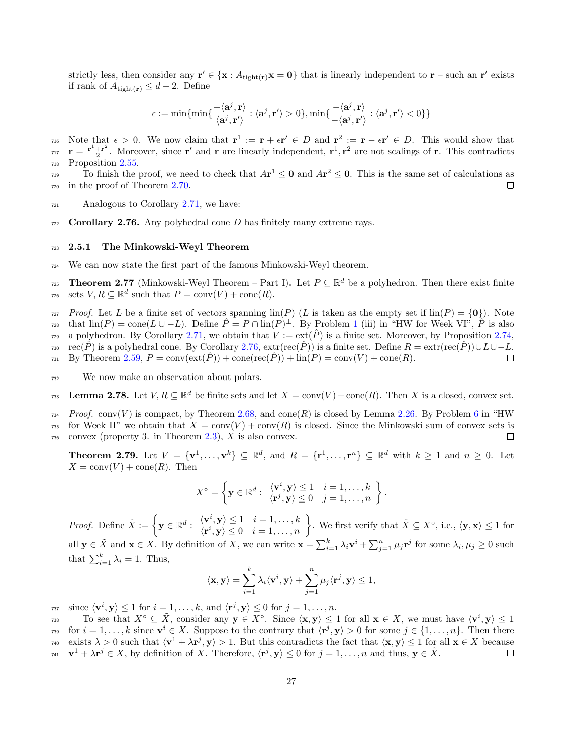strictly less, then consider any  $\mathbf{r}' \in \{\mathbf{x} : A_{\text{tight}(\mathbf{r})}\mathbf{x} = \mathbf{0}\}\$  that is linearly independent to  $\mathbf{r}$  – such an  $\mathbf{r}'$  exists if rank of  $A_{\text{tight}(\mathbf{r})} \leq d - 2$ . Define

$$
\epsilon := \min\{\min\{\frac{-\langle \mathbf{a}^j, \mathbf{r}\rangle}{\langle \mathbf{a}^j, \mathbf{r}'\rangle}: \langle \mathbf{a}^j, \mathbf{r}'\rangle > 0\}, \min\{\frac{-\langle \mathbf{a}^j, \mathbf{r}\rangle}{-\langle \mathbf{a}^j, \mathbf{r}'\rangle}: \langle \mathbf{a}^j, \mathbf{r}'\rangle < 0\}\}\
$$

note that  $\epsilon > 0$ . We now claim that  $\mathbf{r}^1 := \mathbf{r} + \epsilon \mathbf{r}' \in D$  and  $\mathbf{r}^2 := \mathbf{r} - \epsilon \mathbf{r}' \in D$ . This would show that  $\mathbf{r}=\frac{\mathbf{r}^{1}+\mathbf{r}^{2}}{2}$  $r_1 = \frac{\mathbf{r}^1 + \mathbf{r}^2}{2}$ . Moreover, since  $\mathbf{r}'$  and  $\mathbf{r}$  are linearly independent,  $\mathbf{r}^1, \mathbf{r}^2$  are not scalings of  $\mathbf{r}$ . This contradicts <sup>718</sup> Proposition [2.55.](#page-18-2)

To finish the proof, we need to check that  $A\mathbf{r}^1 \leq \mathbf{0}$  and  $A\mathbf{r}^2 \leq \mathbf{0}$ . This is the same set of calculations as <sup>720</sup> in the proof of Theorem [2.70.](#page-24-1)

- <sup>721</sup> Analogous to Corollary [2.71,](#page-25-0) we have:
- <span id="page-26-1"></span> $722$  Corollary 2.76. Any polyhedral cone D has finitely many extreme rays.

#### <span id="page-26-0"></span><sup>723</sup> 2.5.1 The Minkowski-Weyl Theorem

<sup>724</sup> We can now state the first part of the famous Minkowski-Weyl theorem.

<span id="page-26-2"></span>Theorem 2.77 (Minkowski-Weyl Theorem – Part I). Let  $P \subseteq \mathbb{R}^d$  be a polyhedron. Then there exist finite sets  $V, R \subseteq \mathbb{R}^d$  such that  $P = \text{conv}(V) + \text{cone}(R)$ .

*r*<sub>27</sub> Proof. Let L be a finite set of vectors spanning  $\text{lin}(P)$  (L is taken as the empty set if  $\text{lin}(P) = \{0\}$ ). Note that  $\text{lin}(P) = \text{cone}(L \cup -L)$ . Define  $\hat{P} = P \cap \text{lin}(P)^{\perp}$ . By Problem [1](#page-3-6) (iii) in "HW for Week VI",  $\hat{P}$  is also a polyhedron. By Corollary [2.71,](#page-25-0) we obtain that  $V := \text{ext}(\hat{P})$  is a finite set. Moreover, by Proposition [2.74,](#page-25-1)

rso rec( $\hat{P}$ ) is a polyhedral cone. By Corollary [2.76,](#page-26-1) extr(rec( $\hat{P}$ )) is a finite set. Define  $R = \text{extr}(\text{rec}(\hat{P})) \cup L \cup -L$ .<br>By Theorem 2.59,  $P = \text{conv}(\text{ext}(\hat{P})) + \text{cone}(\text{rec}(\hat{P})) + \text{lin}(P) = \text{conv}(V) + \text{cone}(R)$ .  $B_Y$  Theorem [2.59,](#page-18-3)  $P = \text{conv}(\text{ext}(P)) + \text{cone}(\text{rec}(P)) + \text{lin}(P) = \text{conv}(V) + \text{cone}(R)$ .

<sup>732</sup> We now make an observation about polars.

<span id="page-26-4"></span>**Lemma 2.78.** Let  $V, R \subseteq \mathbb{R}^d$  be finite sets and let  $X = \text{conv}(V) + \text{cone}(R)$ . Then X is a closed, convex set.

 $T_{734}$  Proof. conv(V) is compact, by Theorem [2.68,](#page-23-2) and cone(R) is closed by Lemma [2.26.](#page-11-4) By Problem [6](#page-3-3) in "HW 735 for Week II" we obtain that  $X = \text{conv}(V) + \text{conv}(R)$  is closed. Since the Minkowski sum of convex sets is  $\gamma$ <sup>36</sup> convex (property 3. in Theorem [2.3\)](#page-6-0), X is also convex.  $\Box$ 

<span id="page-26-3"></span>**Theorem 2.79.** Let  $V = \{v^1, \ldots, v^k\} \subseteq \mathbb{R}^d$ , and  $R = \{r^1, \ldots, r^n\} \subseteq \mathbb{R}^d$  with  $k \ge 1$  and  $n \ge 0$ . Let  $X = \text{conv}(V) + \text{cone}(R)$ . Then

$$
X^{\circ} = \left\{ \mathbf{y} \in \mathbb{R}^d : \begin{array}{l} \langle \mathbf{v}^i, \mathbf{y} \rangle \leq 1 & i = 1, \dots, k \\ \langle \mathbf{r}^j, \mathbf{y} \rangle \leq 0 & j = 1, \dots, n \end{array} \right\}.
$$

*Proof.* Define  $\tilde{X} := \begin{cases} \mathbf{y} \in \mathbb{R}^d : \begin{cases} \mathbf{v}^i, \mathbf{y} \geq 1 & i = 1, \ldots, k \\ \mathbf{r}^i \cdot \mathbf{v} \geq 0 & i = 1, \ldots, n \end{cases} \end{cases}$  $\langle \mathbf{v}^i, \mathbf{y} \rangle \leq 1$   $i = 1, ..., k$ ,<br>  $\langle \mathbf{r}^i, \mathbf{y} \rangle \leq 0$   $i = 1, ..., n$ ,<br>  $\langle \mathbf{r}^i, \mathbf{y} \rangle \leq 1$  for all  $\mathbf{y} \in \tilde{X}$  and  $\mathbf{x} \in X$ . By definition of X, we can write  $\mathbf{x} = \sum_{i=1}^{k} \lambda_i \mathbf{v}^i + \sum_{j=1}^{n} \mu_j \mathbf{r}^j$  for some  $\lambda_i, \mu_j \ge 0$  such that  $\sum_{i=1}^{k} \lambda_i = 1$ . Thus,

$$
\langle \mathbf{x}, \mathbf{y} \rangle = \sum_{i=1}^k \lambda_i \langle \mathbf{v}^i, \mathbf{y} \rangle + \sum_{j=1}^n \mu_j \langle \mathbf{r}^j, \mathbf{y} \rangle \le 1,
$$

 $\text{trace } \langle \mathbf{v}^i, \mathbf{y} \rangle \leq 1 \text{ for } i = 1, \dots, k, \text{ and } \langle \mathbf{r}^j, \mathbf{y} \rangle \leq 0 \text{ for } j = 1, \dots, n.$ 

To see that  $X^{\circ} \subseteq \tilde{X}$ , consider any  $y \in X^{\circ}$ . Since  $\langle x, y \rangle \leq 1$  for all  $x \in X$ , we must have  $\langle v^{i}, y \rangle \leq 1$ for  $i = 1, \ldots, k$  since  $\mathbf{v}^i \in X$ . Suppose to the contrary that  $\langle \mathbf{r}^j, \mathbf{y} \rangle > 0$  for some  $j \in \{1, \ldots, n\}$ . Then there  $\alpha_1, \alpha_2, \ldots, \alpha_N \geq 0$  such that  $\langle \mathbf{v}^1 + \lambda \mathbf{r}^j, \mathbf{y} \rangle > 1$ . But this contradicts the fact that  $\langle \mathbf{x}, \mathbf{y} \rangle \leq 1$  for all  $\mathbf{x} \in X$  because  $\mathbf{v}^1 + \lambda \mathbf{r}^j \in X$ , by definition of X. Therefore,  $\langle \mathbf{r}^j, \mathbf{y} \rangle \leq 0$  for  $j = 1, \ldots, n$  and thus,  $\mathbf{y} \in \tilde{X}$ .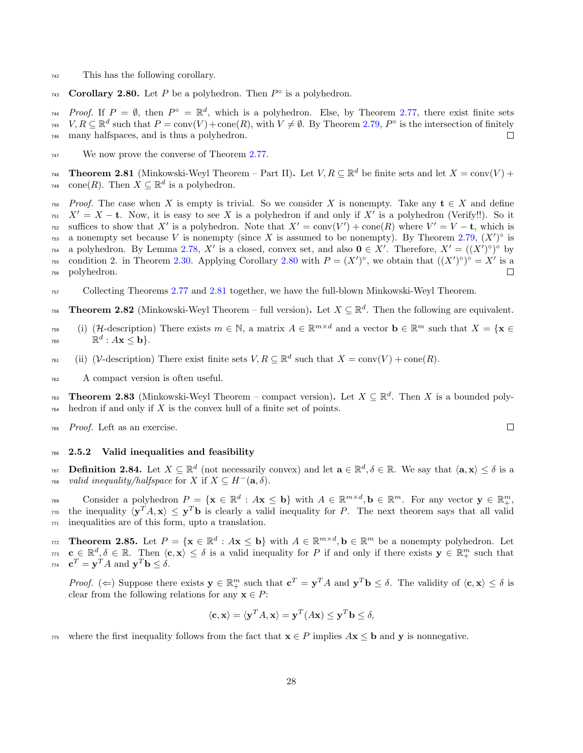- <sup>742</sup> This has the following corollary.
- <span id="page-27-1"></span>743 Corollary 2.80. Let P be a polyhedron. Then  $P^{\circ}$  is a polyhedron.

 $Proof.$  If  $P = \emptyset$ , then  $P^{\circ} = \mathbb{R}^{d}$ , which is a polyhedron. Else, by Theorem [2.77,](#page-26-2) there exist finite sets <sup>745</sup>  $V, R \subseteq \mathbb{R}^d$  such that  $P = \text{conv}(V) + \text{cone}(R)$ , with  $V \neq \emptyset$ . By Theorem [2.79,](#page-26-3)  $P^{\circ}$  is the intersection of finitely <sup>746</sup> many halfspaces, and is thus a polyhedron.  $\Box$ 

<sup>747</sup> We now prove the converse of Theorem [2.77.](#page-26-2)

<span id="page-27-2"></span>**Theorem 2.81** (Minkowski-Weyl Theorem – Part II). Let  $V, R \subseteq \mathbb{R}^d$  be finite sets and let  $X = \text{conv}(V) +$ <sup>749</sup> cone(R). Then  $X \subseteq \mathbb{R}^d$  is a polyhedron.

*750* Proof. The case when X is empty is trivial. So we consider X is nonempty. Take any  $t \in X$  and define  $X' = X - t$ . Now, it is easy to see X is a polyhedron if and only if X' is a polyhedron (Verify!!). So it suffices to show that X' is a polyhedron. Note that  $X' = \text{conv}(V') + \text{cone}(R)$  where  $V' = V - t$ , which is <sup>753</sup> a nonempty set because V is nonempty (since X is assumed to be nonempty). By Theorem [2.79,](#page-26-3)  $(X')^{\circ}$  is <sup>754</sup> a polyhedron. By Lemma [2.78,](#page-26-4) X' is a closed, convex set, and also  $\mathbf{0} \in X'$ . Therefore,  $X' = ((X')^{\circ})^{\circ}$  by <sup>755</sup> condition 2. in Theorem [2.30.](#page-12-0) Applying Corollary [2.80](#page-27-1) with  $P = (X')^{\circ}$ , we obtain that  $((X')^{\circ})^{\circ} = X'$  is a <sup>756</sup> polyhedron.  $\Box$ 

- <sup>757</sup> Collecting Theorems [2.77](#page-26-2) and [2.81](#page-27-2) together, we have the full-blown Minkowski-Weyl Theorem.
- **Theorem 2.82** (Minkowski-Weyl Theorem full version). Let  $X \subseteq \mathbb{R}^d$ . Then the following are equivalent.
- <sup>759</sup> (i) (H-description) There exists  $m \in \mathbb{N}$ , a matrix  $A \in \mathbb{R}^{m \times d}$  and a vector  $\mathbf{b} \in \mathbb{R}^m$  such that  $X = \{ \mathbf{x} \in \mathbb{R}^m : \mathbb{R}^m \times \mathbb{R}^m : \mathbb{R}^m \times \mathbb{R}^m \times \mathbb{R}^m \}$ 760  $\mathbb{R}^d : A\mathbf{x} \leq \mathbf{b}$ .
- <sup>761</sup> (ii) (V-description) There exist finite sets  $V, R \subseteq \mathbb{R}^d$  such that  $X = \text{conv}(V) + \text{cone}(R)$ .
- <sup>762</sup> A compact version is often useful.

<span id="page-27-4"></span>**Theorem 2.83** (Minkowski-Weyl Theorem – compact version). Let  $X \subseteq \mathbb{R}^d$ . Then X is a bounded poly- $764$  hedron if and only if X is the convex hull of a finite set of points.

<sup>765</sup> Proof. Left as an exercise.

#### <span id="page-27-0"></span><sup>766</sup> 2.5.2 Valid inequalities and feasibility

**Definition 2.84.** Let  $X \subseteq \mathbb{R}^d$  (not necessarily convex) and let  $\mathbf{a} \in \mathbb{R}^d, \delta \in \mathbb{R}$ . We say that  $\langle \mathbf{a}, \mathbf{x} \rangle \leq \delta$  is a <sup>768</sup> valid inequality/halfspace for X if  $X \subseteq H^{-}(\mathbf{a}, \delta)$ .

Consider a polyhedron  $P = \{ \mathbf{x} \in \mathbb{R}^d : A\mathbf{x} \leq \mathbf{b} \}$  with  $A \in \mathbb{R}^{m \times d}$ ,  $\mathbf{b} \in \mathbb{R}^m$ . For any vector  $\mathbf{y} \in \mathbb{R}^m_+$ ,  $\tau$ <sup>70</sup> the inequality  $\langle y^T A, x \rangle \leq y^T b$  is clearly a valid inequality for P. The next theorem says that all valid <sup>771</sup> inequalities are of this form, upto a translation.

<span id="page-27-3"></span>Theorem 2.85. Let  $P = \{ \mathbf{x} \in \mathbb{R}^d : A\mathbf{x} \leq \mathbf{b} \}$  with  $A \in \mathbb{R}^{m \times d}$ ,  $\mathbf{b} \in \mathbb{R}^m$  be a nonempty polyhedron. Let  $c \in \mathbb{R}^d, \delta \in \mathbb{R}$ . Then  $\langle c, x \rangle \leq \delta$  is a valid inequality for P if and only if there exists  $y \in \mathbb{R}^m_+$  such that  $\mathbf{c}^T = \mathbf{y}^T A$  and  $\mathbf{y}^T \mathbf{b} \leq \delta$ .

Proof. ( $\Leftarrow$ ) Suppose there exists  $y \in \mathbb{R}^m_+$  such that  $c^T = y^T A$  and  $y^T b \le \delta$ . The validity of  $\langle c, x \rangle \le \delta$  is clear from the following relations for any  $x \in P$ :

$$
\langle \mathbf{c}, \mathbf{x} \rangle = \langle \mathbf{y}^T A, \mathbf{x} \rangle = \mathbf{y}^T (A \mathbf{x}) \leq \mathbf{y}^T \mathbf{b} \leq \delta,
$$

775 where the first inequality follows from the fact that  $\mathbf{x} \in P$  implies  $A\mathbf{x} \leq \mathbf{b}$  and y is nonnegative.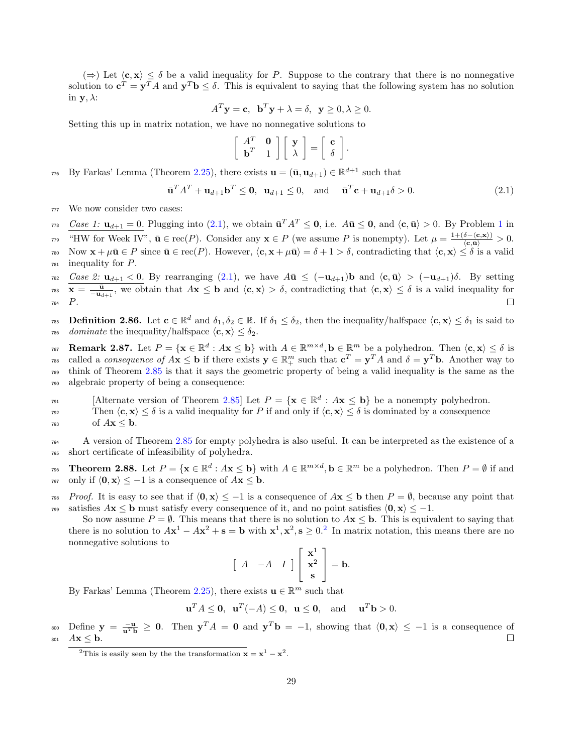$(\Rightarrow)$  Let  $\langle c, x \rangle \leq \delta$  be a valid inequality for P. Suppose to the contrary that there is no nonnegative solution to  $\mathbf{c}^T = \mathbf{y}^T A$  and  $\mathbf{y}^T \mathbf{b} \leq \delta$ . This is equivalent to saying that the following system has no solution in  $\mathbf{y}, \lambda$ :

$$
A^T \mathbf{y} = \mathbf{c}, \ \mathbf{b}^T \mathbf{y} + \lambda = \delta, \ \mathbf{y} \ge 0, \lambda \ge 0.
$$

Setting this up in matrix notation, we have no nonnegative solutions to

$$
\left[\begin{array}{cc} A^T & \mathbf{0} \\ \mathbf{b}^T & 1 \end{array}\right] \left[\begin{array}{c} \mathbf{y} \\ \lambda \end{array}\right] = \left[\begin{array}{c} \mathbf{c} \\ \delta \end{array}\right]
$$

 $\pi$ <sup>6</sup> By Farkas' Lemma (Theorem [2.25\)](#page-11-3), there exists  $\mathbf{u} = (\bar{\mathbf{u}}, \mathbf{u}_{d+1}) \in \mathbb{R}^{d+1}$  such that

<span id="page-28-0"></span>
$$
\overline{\mathbf{u}}^T A^T + \mathbf{u}_{d+1} \mathbf{b}^T \le \mathbf{0}, \ \mathbf{u}_{d+1} \le 0, \ \text{and} \ \overline{\mathbf{u}}^T \mathbf{c} + \mathbf{u}_{d+1} \delta > 0. \tag{2.1}
$$

.

<sup>777</sup> We now consider two cases:

<sup>778</sup>  $\frac{Case\ 1: \mathbf{u}_{d+1} = 0.}{\text{Plugging into (2.1), we obtain } \mathbf{u}^T A^T \leq \mathbf{0}, \text{ i.e. } A\mathbf{u} \leq \mathbf{0}, \text{ and } \langle \mathbf{c}, \mathbf{u} \rangle > 0. \text{ By Problem 1 in } \mathbf{u}$  $\frac{Case\ 1: \mathbf{u}_{d+1} = 0.}{\text{Plugging into (2.1), we obtain } \mathbf{u}^T A^T \leq \mathbf{0}, \text{ i.e. } A\mathbf{u} \leq \mathbf{0}, \text{ and } \langle \mathbf{c}, \mathbf{u} \rangle > 0. \text{ By Problem 1 in } \mathbf{u}$  $\frac{Case\ 1: \mathbf{u}_{d+1} = 0.}{\text{Plugging into (2.1), we obtain } \mathbf{u}^T A^T \leq \mathbf{0}, \text{ i.e. } A\mathbf{u} \leq \mathbf{0}, \text{ and } \langle \mathbf{c}, \mathbf{u} \rangle > 0. \text{ By Problem 1 in } \mathbf{u}$  $\frac{Case\ 1: \mathbf{u}_{d+1} = 0.}{\text{Plugging into (2.1), we obtain } \mathbf{u}^T A^T \leq \mathbf{0}, \text{ i.e. } A\mathbf{u} \leq \mathbf{0}, \text{ and } \langle \mathbf{c}, \mathbf{u} \rangle > 0. \text{ By Problem 1 in } \mathbf{u}$  $\frac{Case\ 1: \mathbf{u}_{d+1} = 0.}{\text{Plugging into (2.1), we obtain } \mathbf{u}^T A^T \leq \mathbf{0}, \text{ i.e. } A\mathbf{u} \leq \mathbf{0}, \text{ and } \langle \mathbf{c}, \mathbf{u} \rangle > 0. \text{ By Problem 1 in } \mathbf{u}$ 

<sup>779</sup> "HW for Week IV",  $\bar{\mathbf{u}} \in \text{rec}(P)$ . Consider any  $\mathbf{x} \in P$  (we assume P is nonempty). Let  $\mu = \frac{1 + (\delta - \langle \mathbf{c}, \mathbf{x} \rangle)}{\langle \mathbf{c}, \bar{\mathbf{u}} \rangle} > 0$ .

780 Now  $\mathbf{x} + \mu \bar{\mathbf{u}} \in P$  since  $\bar{\mathbf{u}} \in \text{rec}(P)$ . However,  $\langle \mathbf{c}, \mathbf{x} + \mu \bar{\mathbf{u}} \rangle = \delta + 1 > \delta$ , contradicting that  $\langle \mathbf{c}, \mathbf{x} \rangle \leq \delta$  is a valid <sup>781</sup> inequality for P.

 $782$  Case 2:  $u_{d+1} < 0$ . By rearranging [\(2.1\)](#page-28-0), we have  $A\bar{u} \leq (-u_{d+1})b$  and  $\langle c, \bar{u} \rangle > (-u_{d+1})\delta$ . By setting  $\bar{x} = \frac{\bar{u}}{-u_{d+1}},$  we obtain that  $A\mathbf{x} \leq \mathbf{b}$  and  $\langle \mathbf{c}, \mathbf{x} \rangle > \delta$ , contradicting that  $\langle \mathbf{c}, \mathbf{x} \rangle \leq \delta$  is a valid inequality for <sup>784</sup> P.

**Definition 2.86.** Let  $\mathbf{c} \in \mathbb{R}^d$  and  $\delta_1, \delta_2 \in \mathbb{R}$ . If  $\delta_1 \leq \delta_2$ , then the inequality/halfspace  $\langle \mathbf{c}, \mathbf{x} \rangle \leq \delta_1$  is said to 786 dominate the inequality/halfspace  $\langle \mathbf{c}, \mathbf{x} \rangle \leq \delta_2$ .

Remark 2.87. Let  $P = \{x \in \mathbb{R}^d : Ax \leq b\}$  with  $A \in \mathbb{R}^{m \times d}$ ,  $b \in \mathbb{R}^m$  be a polyhedron. Then  $\langle c, x \rangle \leq \delta$  is <sup>788</sup> called a *consequence of*  $A\mathbf{x} \leq \mathbf{b}$  if there exists  $\mathbf{y} \in \mathbb{R}^m_+$  such that  $\mathbf{c}^T = \mathbf{y}^T A$  and  $\delta = \mathbf{y}^T \mathbf{b}$ . Another way to <sup>789</sup> think of Theorem [2.85](#page-27-3) is that it says the geometric property of being a valid inequality is the same as the <sup>790</sup> algebraic property of being a consequence:

[Alternate version of Theorem [2.85\]](#page-27-3) Let  $P = {\mathbf{x} \in \mathbb{R}^d : A\mathbf{x} \leq \mathbf{b}}$  be a nonempty polyhedron.

Then  $\langle c, x \rangle \leq \delta$  is a valid inequality for P if and only if  $\langle c, x \rangle \leq \delta$  is dominated by a consequence

 $\log A\mathbf{x} \leq \mathbf{b}$ .

<sup>794</sup> A version of Theorem [2.85](#page-27-3) for empty polyhedra is also useful. It can be interpreted as the existence of a <sup>795</sup> short certificate of infeasibility of polyhedra.

Theorem 2.88. Let  $P = \{ \mathbf{x} \in \mathbb{R}^d : A \mathbf{x} \leq \mathbf{b} \}$  with  $A \in \mathbb{R}^{m \times d}$ ,  $\mathbf{b} \in \mathbb{R}^m$  be a polyhedron. Then  $P = \emptyset$  if and  $\text{and } \text{only if } \langle 0, \mathbf{x} \rangle \leq -1 \text{ is a consequence of } A\mathbf{x} \leq \mathbf{b}.$ 

*Proof.* It is easy to see that if  $\langle 0, x \rangle \le -1$  is a consequence of  $A\mathbf{x} \le \mathbf{b}$  then  $P = \emptyset$ , because any point that satisfies  $A\mathbf{x} \leq \mathbf{b}$  must satisfy every consequence of it, and no point satisfies  $\langle \mathbf{0}, \mathbf{x} \rangle \leq -1$ .

So now assume  $P = \emptyset$ . This means that there is no solution to  $A\mathbf{x} \leq \mathbf{b}$ . This is equivalent to saying that there is no solution to  $A\mathbf{x}^1 - A\mathbf{x}^2 + \mathbf{s} = \mathbf{b}$  $A\mathbf{x}^1 - A\mathbf{x}^2 + \mathbf{s} = \mathbf{b}$  $A\mathbf{x}^1 - A\mathbf{x}^2 + \mathbf{s} = \mathbf{b}$  with  $\mathbf{x}^1, \mathbf{x}^2, \mathbf{s} \ge 0.2$  In matrix notation, this means there are no nonnegative solutions to

$$
\left[\begin{array}{cc} A & -A & I \end{array}\right] \left[\begin{array}{c} \mathbf{x}^1 \\ \mathbf{x}^2 \\ \mathbf{s} \end{array}\right] = \mathbf{b}.
$$

By Farkas' Lemma (Theorem [2.25\)](#page-11-3), there exists  $\mathbf{u} \in \mathbb{R}^m$  such that

$$
\mathbf{u}^T A \le \mathbf{0}, \ \mathbf{u}^T(-A) \le \mathbf{0}, \ \mathbf{u} \le \mathbf{0}, \ \text{and} \ \mathbf{u}^T \mathbf{b} > 0.
$$

 $\sum_{\mathbf{p} \to \mathbf{p}} \mathbf{p} = \frac{-\mathbf{u}}{\mathbf{u}^T \mathbf{b}} \geq \mathbf{0}$ . Then  $\mathbf{y}^T A = \mathbf{0}$  and  $\mathbf{y}^T \mathbf{b} = -1$ , showing that  $\langle \mathbf{0}, \mathbf{x} \rangle \leq -1$  is a consequence of 801  $A\mathbf{x} \leq \mathbf{b}$ .

<span id="page-28-1"></span><sup>&</sup>lt;sup>2</sup>This is easily seen by the the transformation  $\mathbf{x} = \mathbf{x}^1 - \mathbf{x}^2$ .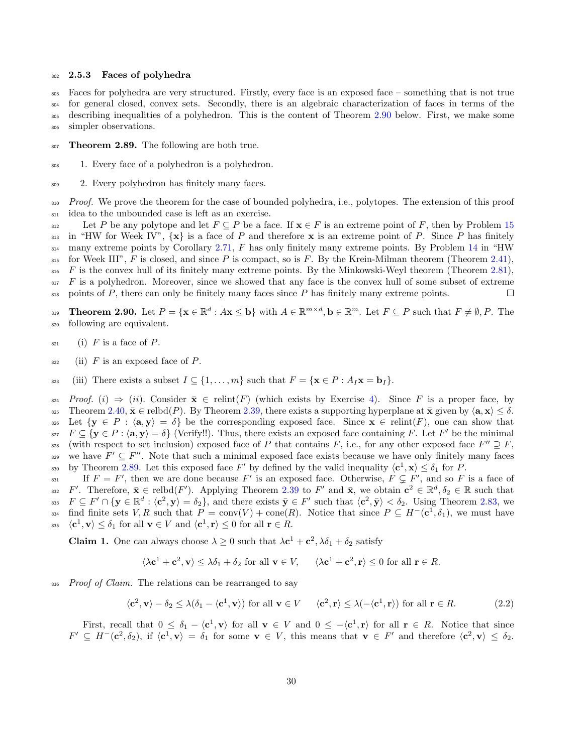#### <span id="page-29-0"></span>802 2.5.3 Faces of polyhedra

 Faces for polyhedra are very structured. Firstly, every face is an exposed face – something that is not true for general closed, convex sets. Secondly, there is an algebraic characterization of faces in terms of the describing inequalities of a polyhedron. This is the content of Theorem [2.90](#page-29-1) below. First, we make some simpler observations.

- <span id="page-29-2"></span>807 Theorem 2.89. The following are both true.
- <sup>808</sup> 1. Every face of a polyhedron is a polyhedron.
- <sup>809</sup> 2. Every polyhedron has finitely many faces.

810 Proof. We prove the theorem for the case of bounded polyhedra, i.e., polytopes. The extension of this proof <sup>811</sup> idea to the unbounded case is left as an exercise.

812 Let P be any polytope and let  $F \subseteq P$  be a face. If  $\mathbf{x} \in F$  is an extreme point of F, then by Problem [15](#page-5-9) 813 in "HW for Week IV",  $\{x\}$  is a face of P and therefore x is an extreme point of P. Since P has finitely  $814$  $814$  many extreme points by Corollary [2.71,](#page-25-0) F has only finitely many extreme points. By Problem 14 in "HW 815 for Week III", F is closed, and since P is compact, so is F. By the Krein-Milman theorem (Theorem [2.41\)](#page-15-1),  $816$  F is the convex hull of its finitely many extreme points. By the Minkowski-Weyl theorem (Theorem [2.81\)](#page-27-2),  $817$  F is a polyhedron. Moreover, since we showed that any face is the convex hull of some subset of extreme  $\frac{1}{818}$  points of P, there can only be finitely many faces since P has finitely many extreme points.  $\Box$ 

<span id="page-29-1"></span> $\mathbf{F} = \{ \mathbf{x} \in \mathbb{R}^d : A \mathbf{x} \leq \mathbf{b} \}$  with  $A \in \mathbb{R}^{m \times d}$ ,  $\mathbf{b} \in \mathbb{R}^m$ . Let  $F \subseteq P$  such that  $F \neq \emptyset, P$ . The <sup>820</sup> following are equivalent.

- $s_{21}$  (i) F is a face of P.
- $822$  (ii) F is an exposed face of P.
- 823 (iii) There exists a subset  $I \subseteq \{1, \ldots, m\}$  such that  $F = \{x \in P : A_I x = b_I\}.$

824 Proof. (i)  $\Rightarrow$  (ii). Consider  $\bar{\mathbf{x}} \in \text{relint}(F)$  (which exists by Exercise [4\)](#page-14-0). Since F is a proper face, by  $\text{degree}$  Theorem 2.40,  $\bar{\mathbf{x}} \in \text{relbd}(P)$ . By Theorem 2.39, there exists a supporting hyperplane at  $\bar{\mathbf{x$ Theorem [2.40,](#page-14-3)  $\bar{\mathbf{x}} \in \text{relbd}(P)$ . By Theorem [2.39,](#page-14-1) there exists a supporting hyperplane at  $\bar{\mathbf{x}}$  given by  $\langle \mathbf{a}, \mathbf{x} \rangle \leq \delta$ . 826 Let  $\{y \in P : \langle a, y \rangle = \delta\}$  be the corresponding exposed face. Since  $x \in \text{relint}(F)$ , one can show that <sup>827</sup>  $F \subseteq {\mathbf{y} \in P : \langle \mathbf{a}, \mathbf{y} \rangle = \delta}$  (Verify!!). Thus, there exists an exposed face containing F. Let F' be the minimal <sup>828</sup> (with respect to set inclusion) exposed face of P that contains F, i.e., for any other exposed face  $F'' \supseteq F$ , we have  $F' \subseteq F''$ . Note that such a minimal exposed face exists because we have only finitely many faces by Theorem [2.89.](#page-29-2) Let this exposed face  $F'$  by defined by the valid inequality  $\langle c^1, x \rangle \le \delta_1$  for P.

If  $F = F'$ , then we are done because F' is an exposed face. Otherwise,  $F \subsetneq F'$ , and so F is a face of <sup>832</sup>  $F'$ . Therefore,  $\bar{\mathbf{x}} \in \text{rebdd}(F')$ . Applying Theorem [2.39](#page-14-1) to F' and  $\bar{\mathbf{x}}$ , we obtain  $\mathbf{c}^2 \in \mathbb{R}^d, \delta_2 \in \mathbb{R}$  such that <sup>833</sup>  $F \subseteq F' \cap {\mathbf{y \in \mathbb{R}^d : \langle c^2, y \rangle = \delta_2}, \text{ and there exists } \overline{y} \in F' \text{ such that } \langle c^2, \overline{y} \rangle < \delta_2. \text{ Using Theorem 2.83, we}$  $F \subseteq F' \cap {\mathbf{y \in \mathbb{R}^d : \langle c^2, y \rangle = \delta_2}, \text{ and there exists } \overline{y} \in F' \text{ such that } \langle c^2, \overline{y} \rangle < \delta_2. \text{ Using Theorem 2.83, we}$  $F \subseteq F' \cap {\mathbf{y \in \mathbb{R}^d : \langle c^2, y \rangle = \delta_2}, \text{ and there exists } \overline{y} \in F' \text{ such that } \langle c^2, \overline{y} \rangle < \delta_2. \text{ Using Theorem 2.83, we}$ <sup>834</sup> find finite sets V, R such that  $P = \text{conv}(V) + \text{cone}(R)$ . Notice that since  $P \subseteq H^-(c^1, \delta_1)$ , we must have <sup>835</sup>  $\langle \mathbf{c}^1, \mathbf{v} \rangle \leq \delta_1$  for all  $\mathbf{v} \in V$  and  $\langle \mathbf{c}^1, \mathbf{r} \rangle \leq 0$  for all  $\mathbf{r} \in R$ .

**Claim 1.** One can always choose  $\lambda \geq 0$  such that  $\lambda \mathbf{c}^1 + \mathbf{c}^2$ ,  $\lambda \delta_1 + \delta_2$  satisfy

$$
\langle \lambda \mathbf{c}^1 + \mathbf{c}^2, \mathbf{v} \rangle \le \lambda \delta_1 + \delta_2
$$
 for all  $\mathbf{v} \in V$ ,  $\langle \lambda \mathbf{c}^1 + \mathbf{c}^2, \mathbf{r} \rangle \le 0$  for all  $\mathbf{r} \in R$ .

836 Proof of Claim. The relations can be rearranged to say

<span id="page-29-3"></span> $\langle \mathbf{c}^2, \mathbf{v} \rangle - \delta_2 \leq \lambda (\delta_1 - \langle \mathbf{c}^1, \mathbf{v} \rangle)$  for all  $\mathbf{v} \in V \quad \langle \mathbf{c}^2, \mathbf{r} \rangle \leq \lambda (-\langle \mathbf{c}^1, \mathbf{r} \rangle)$  for all  $\mathbf{r} \in R.$  (2.2)

First, recall that  $0 \leq \delta_1 - \langle c^1, v \rangle$  for all  $v \in V$  and  $0 \leq -\langle c^1, r \rangle$  for all  $r \in R$ . Notice that since  $F' \subseteq H^-(c^2, \delta_2)$ , if  $\langle c^1, v \rangle = \delta_1$  for some  $v \in V$ , this means that  $v \in F'$  and therefore  $\langle c^2, v \rangle \leq \delta_2$ .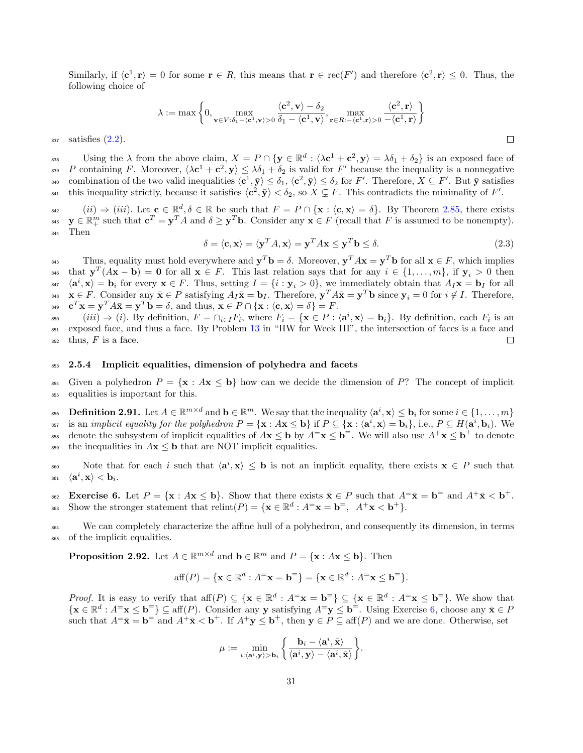Similarly, if  $\langle c^1, r \rangle = 0$  for some  $r \in R$ , this means that  $r \in \text{rec}(F')$  and therefore  $\langle c^2, r \rangle \leq 0$ . Thus, the following choice of

$$
\lambda:=\max\left\{0,\max_{\mathbf{v}\in V:\delta_1-\langle\mathbf{c}^1,\mathbf{v}\rangle>0}\frac{\langle\mathbf{c}^2,\mathbf{v}\rangle-\delta_2}{\delta_1-\langle\mathbf{c}^1,\mathbf{v}\rangle},\max_{\mathbf{r}\in R:-\langle\mathbf{c}^1,\mathbf{r}\rangle>0}\frac{\langle\mathbf{c}^2,\mathbf{r}\rangle}{-\langle\mathbf{c}^1,\mathbf{r}\rangle}\right\}
$$

 $_{837}$  satisfies  $(2.2)$ .

Using the  $\lambda$  from the above claim,  $X = P \cap {\{{\bf y} \in \mathbb{R}^d : \langle \lambda {\bf c}^1 + {\bf c}^2, {\bf y} \rangle = \lambda \delta_1 + \delta_2 } }$  is an exposed face of <sup>839</sup> P containing F. Moreover,  $\langle \lambda c^1 + c^2, y \rangle \leq \lambda \delta_1 + \delta_2$  is valid for F' because the inequality is a nonnegative <sup>840</sup> combination of the two valid inequalities  $\langle c^1, \bar{y} \rangle \leq \delta_1, \langle c^2, \bar{y} \rangle \leq \delta_2$  for F'. Therefore,  $X \subseteq F'$ . But  $\bar{y}$  satisfies <sup>841</sup> this inequality strictly, because it satisfies  $\langle c^2, \bar{y} \rangle < \delta_2$ , so  $X \subsetneq F$ . This contradicts the minimality of F'.

 $(iii) \Rightarrow (iii)$ . Let  $\mathbf{c} \in \mathbb{R}^d$ ,  $\delta \in \mathbb{R}$  be such that  $F = P \cap {\mathbf{x} : \langle \mathbf{c}, \mathbf{x} \rangle = \delta}$ . By Theorem [2.85,](#page-27-3) there exists <sup>843</sup>  $\mathbf{y} \in \mathbb{R}_+^m$  such that  $\mathbf{c}^T = \mathbf{y}^T A$  and  $\delta \geq \mathbf{y}^T \mathbf{b}$ . Consider any  $\mathbf{x} \in F$  (recall that F is assumed to be nonempty). <sup>844</sup> Then

$$
\delta = \langle \mathbf{c}, \mathbf{x} \rangle = \langle \mathbf{y}^T A, \mathbf{x} \rangle = \mathbf{y}^T A \mathbf{x} \le \mathbf{y}^T \mathbf{b} \le \delta. \tag{2.3}
$$

Thus, equality must hold everywhere and  $\mathbf{y}^T \mathbf{b} = \delta$ . Moreover,  $\mathbf{y}^T A \mathbf{x} = \mathbf{y}^T \mathbf{b}$  for all  $\mathbf{x} \in F$ , which implies 846 that  $\mathbf{y}^T(A\mathbf{x} - \mathbf{b}) = \mathbf{0}$  for all  $\mathbf{x} \in F$ . This last relation says that for any  $i \in \{1, ..., m\}$ , if  $\mathbf{y}_i > 0$  then  $\langle \mathbf{a}^i, \mathbf{x} \rangle = \mathbf{b}_i$  for every  $\mathbf{x} \in F$ . Thus, setting  $I = \{i : \mathbf{y}_i > 0\}$ , we immediately obtain that  $A_I \mathbf{x} = \mathbf{b}_I$  for all <sup>848</sup>  $\mathbf{x} \in F$ . Consider any  $\bar{\mathbf{x}} \in P$  satisfying  $A_I \bar{\mathbf{x}} = \mathbf{b}_I$ . Therefore,  $\mathbf{y}^T A \bar{\mathbf{x}} = \mathbf{y}^T \mathbf{b}$  since  $\mathbf{y}_i = 0$  for  $i \notin I$ . Therefore,  $\mathbf{c}^T \mathbf{x} = \mathbf{y}^T A \bar{\mathbf{x}} = \mathbf{y}^T \mathbf{b} = \delta$ , and thus,  $\mathbf{x} \in P \cap {\mathbf{x} : \langle \mathbf{c}, \mathbf{x} \rangle = \delta} = F$ .

 $(iii) \Rightarrow (i)$ . By definition,  $F = \bigcap_{i \in I} F_i$ , where  $F_i = \{ \mathbf{x} \in P : \langle \mathbf{a}^i, \mathbf{x} \rangle = \mathbf{b}_i \}$ . By definition, each  $F_i$  is an <sup>851</sup> exposed face, and thus a face. By Problem [13](#page-5-8) in "HW for Week III", the intersection of faces is a face and  $_{852}$  thus, F is a face.  $\Box$ 

#### <span id="page-30-0"></span>853 2.5.4 Implicit equalities, dimension of polyhedra and facets

854 Given a polyhedron  $P = \{x : Ax \leq b\}$  how can we decide the dimension of P? The concept of implicit <sup>855</sup> equalities is important for this.

**Definition 2.91.** Let  $A \in \mathbb{R}^{m \times d}$  and  $\mathbf{b} \in \mathbb{R}^m$ . We say that the inequality  $\langle \mathbf{a}^i, \mathbf{x} \rangle \leq \mathbf{b}_i$  for some  $i \in \{1, \ldots, m\}$ <sup>857</sup> is an *implicit equality for the polyhedron*  $P = {\mathbf{x} : A\mathbf{x} \leq \mathbf{b}}$  if  $P \subseteq {\mathbf{x} : \langle \mathbf{a}^i, \mathbf{x} \rangle = \mathbf{b}_i}$ , i.e.,  $P \subseteq H(\mathbf{a}^i, \mathbf{b}_i)$ . We the subsystem of implicit equalities of  $A\mathbf{x} \leq \mathbf{b}$  by  $A^{\dagger}\mathbf{x} \leq \mathbf{b}^{\dagger}$ . We will also use  $A^+\mathbf{x} \leq \mathbf{b}^+$  to denote 859 the inequalities in  $A\mathbf{x} \leq \mathbf{b}$  that are NOT implicit equalities.

Note that for each i such that  $\langle \mathbf{a}^i, \mathbf{x} \rangle \leq \mathbf{b}$  is not an implicit equality, there exists  $\mathbf{x} \in P$  such that  $_{861}\quad\langle \mathbf{a}^{i},\mathbf{x}\rangle < \mathbf{b}_{i}.$ 

<span id="page-30-1"></span>Exercise 6. Let  $P = \{x : Ax \leq b\}$ . Show that there exists  $\bar{x} \in P$  such that  $A^= \bar{x} = b^-$  and  $A^+ \bar{x} < b^+$ . Show the stronger statement that  $relint(P) = {\mathbf{x} \in \mathbb{R}^d : A^= \mathbf{x} = \mathbf{b}^=}$ ,  $A^+ \mathbf{x} < \mathbf{b}^+}$ .

<sup>864</sup> We can completely characterize the affine hull of a polyhedron, and consequently its dimension, in terms <sup>865</sup> of the implicit equalities.

**Proposition 2.92.** Let  $A \in \mathbb{R}^{m \times d}$  and  $\mathbf{b} \in \mathbb{R}^m$  and  $P = \{ \mathbf{x} : A\mathbf{x} \leq \mathbf{b} \}$ . Then

$$
\text{aff}(P) = \{ \mathbf{x} \in \mathbb{R}^d : A^= \mathbf{x} = \mathbf{b}^= \} = \{ \mathbf{x} \in \mathbb{R}^d : A^= \mathbf{x} \leq \mathbf{b}^= \}.
$$

*Proof.* It is easy to verify that  $\text{aff}(P) \subseteq \{\mathbf{x} \in \mathbb{R}^d : A^= \mathbf{x} = \mathbf{b}^=\} \subseteq \{\mathbf{x} \in \mathbb{R}^d : A^= \mathbf{x} \leq \mathbf{b}^=\}$ . We show that  $\{x \in \mathbb{R}^d : A^=x \leq b^=\} \subseteq \text{aff}(P)$ . Consider any y satisfying  $A^=y \leq b^=$ . Using Exercise [6,](#page-30-1) choose any  $\bar{x} \in P$ such that  $A^= \bar{\mathbf{x}} = \mathbf{b}^-$  and  $A^+ \bar{\mathbf{x}} < \mathbf{b}^+$ . If  $A^+ \mathbf{y} \leq \mathbf{b}^+$ , then  $\mathbf{y} \in P \subseteq \text{aff}(P)$  and we are done. Otherwise, set

$$
\mu := \min_{i : \langle \mathbf{a}^i, \mathbf{y} \rangle > \mathbf{b}_i} \left\{ \frac{\mathbf{b}_i - \langle \mathbf{a}^i, \bar{\mathbf{x}} \rangle}{\langle \mathbf{a}^i, \mathbf{y} \rangle - \langle \mathbf{a}^i, \bar{\mathbf{x}} \rangle} \right\}.
$$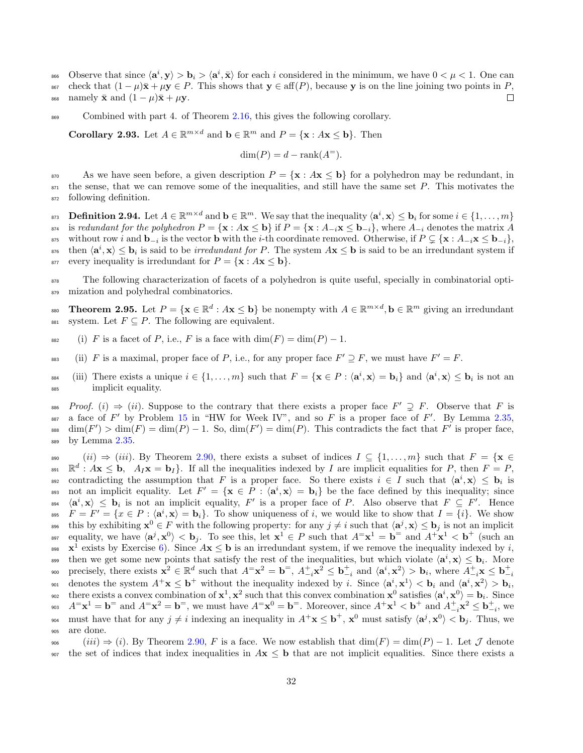- 666 Observe that since  $\langle \mathbf{a}^i, \mathbf{y} \rangle > \mathbf{b}_i > \langle \mathbf{a}^i, \bar{\mathbf{x}} \rangle$  for each i considered in the minimum, we have  $0 < \mu < 1$ . One can
- 867 check that  $(1 \mu)\bar{\mathbf{x}} + \mu \mathbf{y} \in P$ . This shows that  $\mathbf{y} \in \text{aff}(P)$ , because  $\mathbf{y}$  is on the line joining two points in  $P$ ,<br>ass namely  $\bar{\mathbf{x}}$  and  $(1 \mu)\bar{\mathbf{x}} + \mu \mathbf{y}$ .
- 868 namely  $\bar{\mathbf{x}}$  and  $(1 \mu)\bar{\mathbf{x}} + \mu \mathbf{y}$ .

869 Combined with part 4. of Theorem [2.16,](#page-9-0) this gives the following corollary.

<span id="page-31-0"></span>**Corollary 2.93.** Let  $A \in \mathbb{R}^{m \times d}$  and  $\mathbf{b} \in \mathbb{R}^m$  and  $P = \{\mathbf{x} : A\mathbf{x} \leq \mathbf{b}\}\)$ . Then

$$
\dim(P) = d - \operatorname{rank}(A^=).
$$

870 As we have seen before, a given description  $P = \{x : Ax \leq b\}$  for a polyhedron may be redundant, in  $\frac{871}{100}$  the sense, that we can remove some of the inequalities, and still have the same set P. This motivates the <sup>872</sup> following definition.

**Definition 2.94.** Let  $A \in \mathbb{R}^{m \times d}$  and  $\mathbf{b} \in \mathbb{R}^m$ . We say that the inequality  $\langle \mathbf{a}^i, \mathbf{x} \rangle \leq \mathbf{b}_i$  for some  $i \in \{1, \ldots, m\}$ <sup>874</sup> is redundant for the polyhedron  $P = \{x : Ax \le b\}$  if  $P = \{x : A_{-i}x \le b_{-i}\}$ , where  $A_{-i}$  denotes the matrix A <sup>875</sup> without row i and  $\mathbf{b}_{-i}$  is the vector  $\mathbf{b}$  with the i-th coordinate removed. Otherwise, if  $P \subsetneq {\mathbf{x} : A_{-i} \mathbf{x} \leq \mathbf{b}_{-i}}$ , <sup>876</sup> then  $\langle \mathbf{a}^i, \mathbf{x} \rangle \leq \mathbf{b}_i$  is said to be *irredundant for P*. The system  $A\mathbf{x} \leq \mathbf{b}$  is said to be an irredundant system if 877 every inequality is irredundant for  $P = \{x : Ax \leq b\}.$ 

<sup>878</sup> The following characterization of facets of a polyhedron is quite useful, specially in combinatorial opti-879 mization and polyhedral combinatorics.

**EXECUTE:** Theorem 2.95. Let  $P = \{ \mathbf{x} \in \mathbb{R}^d : A\mathbf{x} \leq \mathbf{b} \}$  be nonempty with  $A \in \mathbb{R}^{m \times d}$ ,  $\mathbf{b} \in \mathbb{R}^m$  giving an irredundant 881 system. Let  $F \subseteq P$ . The following are equivalent.

- 882 (i) F is a facet of P, i.e., F is a face with  $\dim(F) = \dim(P) 1$ .
- <sup>883</sup> (ii) F is a maximal, proper face of P, i.e., for any proper face  $F' \supseteq F$ , we must have  $F' = F$ .
- <sup>884</sup> (iii) There exists a unique  $i \in \{1, ..., m\}$  such that  $F = \{\mathbf{x} \in P : \langle \mathbf{a}^i, \mathbf{x} \rangle = \mathbf{b}_i\}$  and  $\langle \mathbf{a}^i, \mathbf{x} \rangle \leq \mathbf{b}_i$  is not an <sup>885</sup> implicit equality.

886 Proof. (i)  $\Rightarrow$  (ii). Suppose to the contrary that there exists a proper face  $F' \supsetneq F$ . Observe that F is  $\alpha$  a face of F' by Problem [15](#page-5-9) in "HW for Week IV", and so F is a proper face of F'. By Lemma [2.35,](#page-14-4) <sup>888</sup> dim(F') > dim(F) = dim(P) - 1. So, dim(F') = dim(P). This contradicts the fact that F' is proper face, 889 by Lemma [2.35.](#page-14-4)

890 (ii)  $\Rightarrow$  (iii). By Theorem [2.90,](#page-29-1) there exists a subset of indices  $I \subseteq \{1, ..., m\}$  such that  $F = \{x \in \mathbb{R}^d : Ax \leq \mathbf{b}, A_Ix = \mathbf{b}_I\}$ . If all the inequalities indexed by *I* are implicit equalities for *P*, then  $F = P$ . <sup>891</sup>  $\mathbb{R}^d$  :  $A$ **x**  $\leq$  **b**,  $A_I$ **x** = **b**<sub>I</sub> $\}$ . If all the inequalities indexed by I are implicit equalities for P, then  $F = P$ , contradicting the assumption that F is a proper face. So there exists  $i \in I$  such that  $\langle \mathbf{a}^i, \mathbf{x} \rangle \leq \mathbf{b}_i$  is <sup>893</sup> not an implicit equality. Let  $F' = {\mathbf{x} \in P : \langle a^i, x \rangle = \mathbf{b}_i}$  be the face defined by this inequality; since  $\langle \mathbf{a}^i, \mathbf{x} \rangle \leq \mathbf{b}_i$  is not an implicit equality, F' is a proper face of P. Also observe that  $F \subseteq F'$ . Hence <sup>895</sup>  $F = F' = \{x \in P : \langle \mathbf{a}^i, \mathbf{x} \rangle = \mathbf{b}_i\}.$  To show uniqueness of i, we would like to show that  $I = \{i\}.$  We show <sup>896</sup> this by exhibiting  $\mathbf{x}^0 \in F$  with the following property: for any  $j \neq i$  such that  $\langle \mathbf{a}^j, \mathbf{x} \rangle \leq \mathbf{b}_j$  is not an implicit <sup>897</sup> equality, we have  $\langle \mathbf{a}^j, \mathbf{x}^0 \rangle < \mathbf{b}_j$ . To see this, let  $\mathbf{x}^1 \in P$  such that  $A^= \mathbf{x}^1 = \mathbf{b}^-$  and  $A^+ \mathbf{x}^1 < \mathbf{b}^+$  (such an 898  $\mathbf{x}^1$  exists by Exercise [6\)](#page-30-1). Since  $A\mathbf{x} \leq \mathbf{b}$  is an irredundant system, if we remove the inequality indexed by i, then we get some new points that satisfy the rest of the inequalities, but which violate  $\langle \mathbf{a}^i, \mathbf{x} \rangle \leq \mathbf{b}_i$ . More precisely, there exists  $\mathbf{x}^2 \in \mathbb{R}^d$  such that  $A^= \mathbf{x}^2 = \mathbf{b}^=$ ,  $A^+_{-i} \mathbf{x}^2 \leq \mathbf{b}^+_{-i}$  and  $\langle \mathbf{a}^i, \mathbf{x}^2 \rangle > \mathbf{b}_i$ , where  $A^+_{-i} \mathbf{x} \leq \mathbf{b}^+_{-i}$ 900  $\mathbf{a}_{01}$  denotes the system  $A^+\mathbf{x} \leq \mathbf{b}^+$  without the inequality indexed by i. Since  $\langle \mathbf{a}^i, \mathbf{x}^1 \rangle < \mathbf{b}_i$  and  $\langle \mathbf{a}^i, \mathbf{x}^2 \rangle > \mathbf{b}_i$ , there exists a convex combination of  $\mathbf{x}^1$ ,  $\mathbf{x}^2$  such that this convex combination  $\mathbf{x}^0$  satisfies  $\langle \mathbf{a}^i, \mathbf{x}^0 \rangle = \mathbf{b}_i$ . Since <sup>903</sup>  $A^{\dagger} \mathbf{x}^1 = \mathbf{b}^{\dagger}$  and  $A^{\dagger} \mathbf{x}^2 = \mathbf{b}^{\dagger}$ , we must have  $A^{\dagger} \mathbf{x}^0 = \mathbf{b}^{\dagger}$ . Moreover, since  $A^{\dagger} \mathbf{x}^1 < \mathbf{b}^{\dagger}$  and  $A^{\dagger}_{-i} \mathbf{x}^2 \leq \mathbf{b}^{\dagger}_{-i}$ , we 904 must have that for any  $j \neq i$  indexing an inequality in  $A^+ \mathbf{x} \leq \mathbf{b}^+, \mathbf{x}^0$  must satisfy  $\langle \mathbf{a}^j, \mathbf{x}^0 \rangle < \mathbf{b}_j$ . Thus, we <sup>905</sup> are done.

 $(iii) \Rightarrow (i)$ . By Theorem [2.90,](#page-29-1) F is a face. We now establish that  $\dim(F) = \dim(P) - 1$ . Let J denote 907 the set of indices that index inequalities in  $A\mathbf{x} \leq \mathbf{b}$  that are not implicit equalities. Since there exists a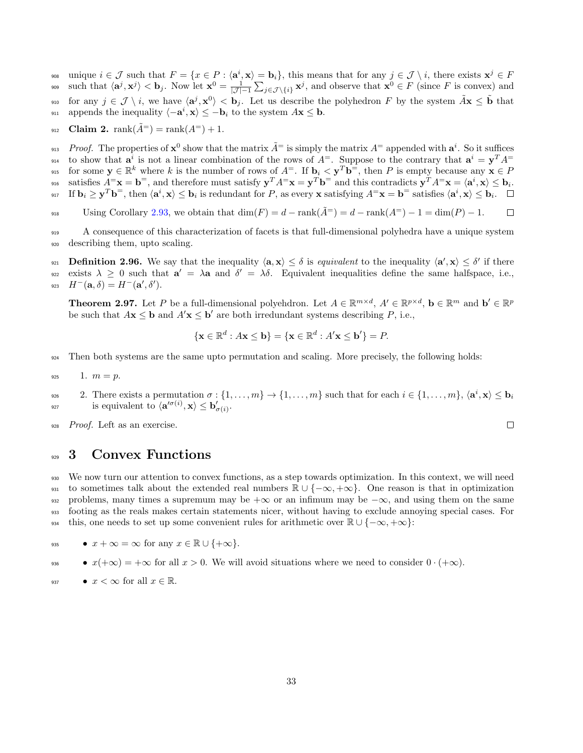$\mathbf{u}_i \in \mathcal{J}$  such that  $F = \{x \in P : \langle \mathbf{a}^i, \mathbf{x} \rangle = \mathbf{b}_i\},\$  this means that for any  $j \in \mathcal{J} \setminus i$ , there exists  $\mathbf{x}^j \in F$ <sup>909</sup> such that  $\langle \mathbf{a}^j, \mathbf{x}^j \rangle < \mathbf{b}_j$ . Now let  $\mathbf{x}^0 = \frac{1}{|\mathcal{J}| - 1} \sum_{j \in \mathcal{J} \setminus \{i\}} \mathbf{x}^j$ , and observe that  $\mathbf{x}^0 \in F$  (since F is convex) and <sup>910</sup> for any  $j \in \mathcal{J} \setminus i$ , we have  $\langle \mathbf{a}^j, \mathbf{x}^0 \rangle < \mathbf{b}_j$ . Let us describe the polyhedron F by the system  $\tilde{A} \mathbf{x} \leq \tilde{\mathbf{b}}$  that 911 appends the inequality  $\langle -a^i, x \rangle \leq -b_i$  to the system  $A\mathbf{x} \leq \mathbf{b}$ .

912 **Claim 2.** rank $(\tilde{A}^{\equiv})$  = rank $(A^{\equiv}) + 1$ .

<sup>913</sup> Proof. The properties of  $x^0$  show that the matrix  $\tilde{A}^=$  is simply the matrix  $A^=$  appended with  $a^i$ . So it suffices <sup>914</sup> to show that  $a^i$  is not a linear combination of the rows of  $A^=$ . Suppose to the contrary that  $a^i = y^T A^=$  $f_{\mathbf{S}}$  for some  $\mathbf{y} \in \mathbb{R}^k$  where k is the number of rows of  $A^=$ . If  $\mathbf{b}_i \leq \mathbf{y}^T \mathbf{b}^=$ , then P is empty because any  $\mathbf{x} \in P$ <sup>916</sup> satisfies  $A^{\equiv} \mathbf{x} = \mathbf{b}^{\equiv}$ , and therefore must satisfy  $\mathbf{y}^T A^{\equiv} \mathbf{x} = \mathbf{y}^T \mathbf{b}^{\equiv}$  and this contradicts  $\mathbf{y}^T A^{\equiv} \mathbf{x} = \langle \mathbf{a}^i, \mathbf{x} \rangle \leq \mathbf{b}_i$ . <sup>917</sup> If  $\mathbf{b}_i \geq \mathbf{y}^T \mathbf{b}^=$ , then  $\langle \mathbf{a}^i, \mathbf{x} \rangle \leq \mathbf{b}_i$  is redundant for P, as every **x** satisfying  $A^= \mathbf{x} = \mathbf{b}^=$  satisfies  $\langle \mathbf{a}^i, \mathbf{x} \rangle \leq \mathbf{b}_i$ .

 $U\sin g$  Corollary [2.93,](#page-31-0) we obtain that  $\dim(F) = d - \operatorname{rank}(\tilde{A}^{\pm}) = d - \operatorname{rank}(A^{\pm}) - 1 = \dim(P) - 1$ .  $\Box$ 

<sup>919</sup> A consequence of this characterization of facets is that full-dimensional polyhedra have a unique system <sup>920</sup> describing them, upto scaling.

**Definition 2.96.** We say that the inequality  $\langle \mathbf{a}, \mathbf{x} \rangle \leq \delta$  is equivalent to the inequality  $\langle \mathbf{a}', \mathbf{x} \rangle \leq \delta'$  if there exists  $\lambda \geq 0$  such that  $a' = \lambda a$  and  $\delta' = \lambda \delta$ . Equivalent inequalities define the same halfspace, i.e., 923  $H^-(\mathbf{a},\delta) = H^-(\mathbf{a}',\delta').$ 

**Theorem 2.97.** Let P be a full-dimensional polyehdron. Let  $A \in \mathbb{R}^{m \times d}$ ,  $A' \in \mathbb{R}^{p \times d}$ ,  $\mathbf{b} \in \mathbb{R}^m$  and  $\mathbf{b}' \in \mathbb{R}^p$ be such that  $A\mathbf{x} \leq \mathbf{b}$  and  $A'\mathbf{x} \leq \mathbf{b}'$  are both irredundant systems describing  $P$ , i.e.,

$$
\{\mathbf x \in \mathbb{R}^d : A\mathbf x \le \mathbf b\} = \{\mathbf x \in \mathbb{R}^d : A'\mathbf x \le \mathbf b'\} = P.
$$

<sup>924</sup> Then both systems are the same upto permutation and scaling. More precisely, the following holds:

$$
925 \qquad 1. \ \ m=p.
$$

2. There exists a permutation  $\sigma : \{1, \ldots, m\} \to \{1, \ldots, m\}$  such that for each  $i \in \{1, \ldots, m\}$ ,  $\langle \mathbf{a}^i, \mathbf{x} \rangle \leq \mathbf{b}_i$ 926 <sup>927</sup> is equivalent to  $\langle \mathbf{a}'^{\sigma(i)}, \mathbf{x} \rangle \leq \mathbf{b}'_{\sigma(i)}$ .

 $\Box$ 

928 *Proof.* Left as an exercise.

# <span id="page-32-0"></span>929 3 Convex Functions

<sup>930</sup> We now turn our attention to convex functions, as a step towards optimization. In this context, we will need 931 to sometimes talk about the extended real numbers  $\mathbb{R} \cup \{-\infty, +\infty\}$ . One reason is that in optimization  $932$  problems, many times a supremum may be  $+\infty$  or an infimum may be  $-\infty$ , and using them on the same <sup>933</sup> footing as the reals makes certain statements nicer, without having to exclude annoying special cases. For this, one needs to set up some convenient rules for arithmetic over  $\mathbb{R} \cup \{-\infty, +\infty\}$ :

935 •  $x + \infty = \infty$  for any  $x \in \mathbb{R} \cup \{+\infty\}.$ 

• 
$$
x(+\infty) = +\infty
$$
 for all  $x > 0$ . We will avoid situations where we need to consider  $0 \cdot (+\infty)$ .

937 •  $x < \infty$  for all  $x \in \mathbb{R}$ .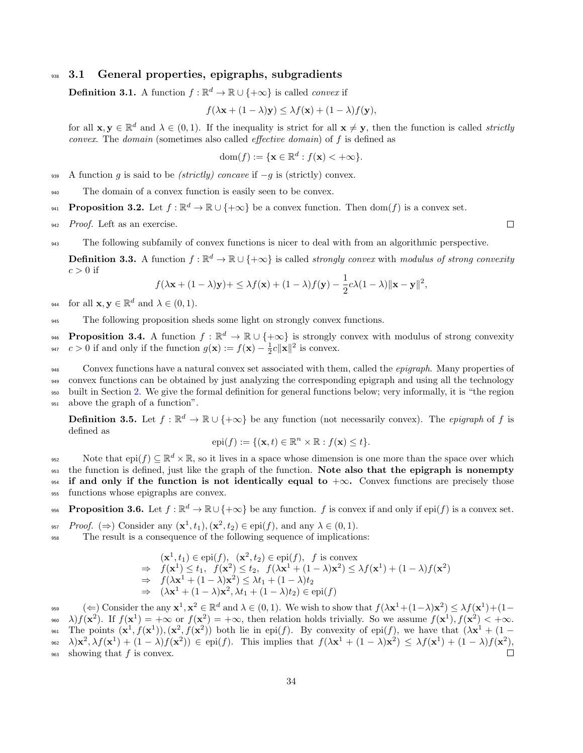## 938 3.1 General properties, epigraphs, subgradients

<span id="page-33-0"></span>**Definition 3.1.** A function  $f : \mathbb{R}^d \to \mathbb{R} \cup \{+\infty\}$  is called *convex* if

$$
f(\lambda \mathbf{x} + (1 - \lambda)\mathbf{y}) \leq \lambda f(\mathbf{x}) + (1 - \lambda)f(\mathbf{y}),
$$

for all  $\mathbf{x}, \mathbf{y} \in \mathbb{R}^d$  and  $\lambda \in (0, 1)$ . If the inequality is strict for all  $\mathbf{x} \neq \mathbf{y}$ , then the function is called *strictly* convex. The domain (sometimes also called effective domain) of f is defined as

dom
$$
(f) := \{ \mathbf{x} \in \mathbb{R}^d : f(\mathbf{x}) < +\infty \}.
$$

939 A function g is said to be (strictly) concave if  $-g$  is (strictly) convex.

<sup>940</sup> The domain of a convex function is easily seen to be convex.

**Proposition 3.2.** Let  $f : \mathbb{R}^d \to \mathbb{R} \cup \{+\infty\}$  be a convex function. Then  $dom(f)$  is a convex set.

942 Proof. Left as an exercise.

<sup>943</sup> The following subfamily of convex functions is nicer to deal with from an algorithmic perspective.

**Definition 3.3.** A function  $f : \mathbb{R}^d \to \mathbb{R} \cup \{+\infty\}$  is called *strongly convex* with *modulus of strong convexity*  $c > 0$  if

$$
f(\lambda \mathbf{x} + (1 - \lambda)\mathbf{y}) + \leq \lambda f(\mathbf{x}) + (1 - \lambda)f(\mathbf{y}) - \frac{1}{2}c\lambda(1 - \lambda)\|\mathbf{x} - \mathbf{y}\|^2,
$$

<sup>944</sup> for all  $\mathbf{x}, \mathbf{y} \in \mathbb{R}^d$  and  $\lambda \in (0, 1)$ .

<sup>945</sup> The following proposition sheds some light on strongly convex functions.

**Proposition 3.4.** A function  $f : \mathbb{R}^d \to \mathbb{R} \cup \{+\infty\}$  is strongly convex with modulus of strong convexity 947  $c > 0$  if and only if the function  $g(\mathbf{x}) := f(\mathbf{x}) - \frac{1}{2}c \|\mathbf{x}\|^2$  is convex.

948 Convex functions have a natural convex set associated with them, called the *epigraph*. Many properties of convex functions can be obtained by just analyzing the corresponding epigraph and using all the technology built in Section [2.](#page-5-1) We give the formal definition for general functions below; very informally, it is "the region above the graph of a function".

**Definition 3.5.** Let  $f : \mathbb{R}^d \to \mathbb{R} \cup \{+\infty\}$  be any function (not necessarily convex). The *epigraph* of f is defined as

$$
epi(f) := \{ (\mathbf{x}, t) \in \mathbb{R}^n \times \mathbb{R} : f(\mathbf{x}) \le t \}.
$$

Note that  $epi(f) \subseteq \mathbb{R}^d \times \mathbb{R}$ , so it lives in a space whose dimension is one more than the space over which <sup>953</sup> the function is defined, just like the graph of the function. Note also that the epigraph is nonempty 954 if and only if the function is not identically equal to  $+\infty$ . Convex functions are precisely those <sup>955</sup> functions whose epigraphs are convex.

<span id="page-33-1"></span>**Proposition 3.6.** Let  $f : \mathbb{R}^d \to \mathbb{R} \cup \{+\infty\}$  be any function.  $f$  is convex if and only if  $epi(f)$  is a convex set.

<sup>957</sup> Proof. ( $\Rightarrow$ ) Consider any  $(\mathbf{x}^1, t_1), (\mathbf{x}^2, t_2) \in \text{epi}(f)$ , and any  $\lambda \in (0, 1)$ .

<sup>958</sup> The result is a consequence of the following sequence of implications:

$$
(\mathbf{x}^1, t_1) \in \text{epi}(f), \ (\mathbf{x}^2, t_2) \in \text{epi}(f), \ f \text{ is convex}
$$
  
\n
$$
\Rightarrow f(\mathbf{x}^1) \le t_1, \ f(\mathbf{x}^2) \le t_2, \ f(\lambda \mathbf{x}^1 + (1 - \lambda)\mathbf{x}^2) \le \lambda f(\mathbf{x}^1) + (1 - \lambda)f(\mathbf{x}^2)
$$
  
\n
$$
\Rightarrow f(\lambda \mathbf{x}^1 + (1 - \lambda)\mathbf{x}^2) \le \lambda t_1 + (1 - \lambda)t_2
$$
  
\n
$$
\Rightarrow (\lambda \mathbf{x}^1 + (1 - \lambda)\mathbf{x}^2, \lambda t_1 + (1 - \lambda)t_2) \in \text{epi}(f)
$$

<sup>959</sup> (  $\Leftarrow$ ) Consider the any  $\mathbf{x}^1, \mathbf{x}^2 \in \mathbb{R}^d$  and  $\lambda \in (0, 1)$ . We wish to show that  $f(\lambda \mathbf{x}^1 + (1-\lambda)\mathbf{x}^2) \leq \lambda f(\mathbf{x}^1) + (1-\lambda)\mathbf{x}^2$ <sup>960</sup>  $\lambda$ )  $f(\mathbf{x}^2)$ . If  $f(\mathbf{x}^1) = +\infty$  or  $f(\mathbf{x}^2) = +\infty$ , then relation holds trivially. So we assume  $f(\mathbf{x}^1)$ ,  $f(\mathbf{x}^2) < +\infty$ .

<sup>961</sup> The points  $(\mathbf{x}^1, f(\mathbf{x}^1)), (\mathbf{x}^2, f(\mathbf{x}^2))$  both lie in epi(f). By convexity of epi(f), we have that  $(\lambda \mathbf{x}^1 + (1 -$ <sup>962</sup>  $\lambda$ )**x**<sup>2</sup>,  $\lambda f(\mathbf{x}^1) + (1 - \lambda)f(\mathbf{x}^2)$   $\in$  epi(f). This implies that  $f(\lambda \mathbf{x}^1 + (1 - \lambda)\mathbf{x}^2) \leq \lambda f(\mathbf{x}^1) + (1 - \lambda)f(\mathbf{x}^2)$ ,  $_{963}$  showing that f is convex.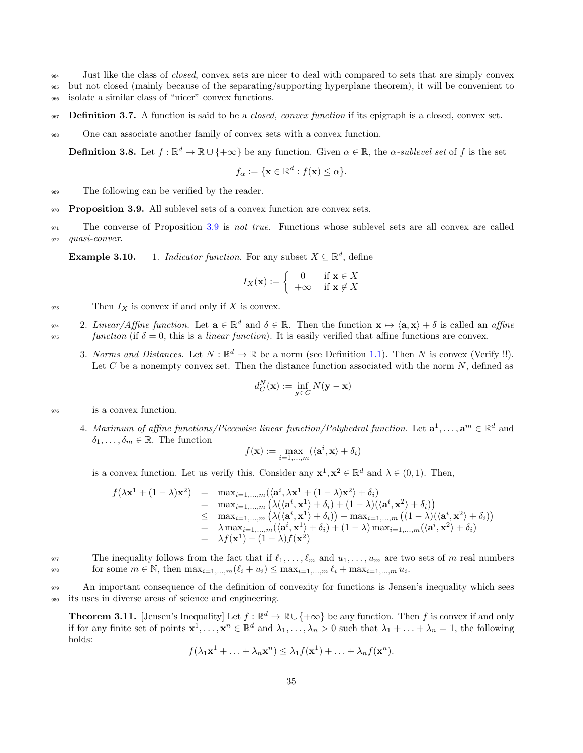<sup>964</sup> Just like the class of closed, convex sets are nicer to deal with compared to sets that are simply convex

- <sup>965</sup> but not closed (mainly because of the separating/supporting hyperplane theorem), it will be convenient to
- <sup>966</sup> isolate a similar class of "nicer" convex functions.
- 967 Definition 3.7. A function is said to be a *closed, convex function* if its epigraph is a closed, convex set.
- <sup>968</sup> One can associate another family of convex sets with a convex function.

**Definition 3.8.** Let  $f : \mathbb{R}^d \to \mathbb{R} \cup \{+\infty\}$  be any function. Given  $\alpha \in \mathbb{R}$ , the  $\alpha$ -sublevel set of f is the set

$$
f_{\alpha} := \{ \mathbf{x} \in \mathbb{R}^d : f(\mathbf{x}) \leq \alpha \}.
$$

<sup>969</sup> The following can be verified by the reader.

<span id="page-34-0"></span>970 Proposition 3.9. All sublevel sets of a convex function are convex sets.

<sup>971</sup> The converse of Proposition [3.9](#page-34-0) is not true. Functions whose sublevel sets are all convex are called 972 quasi-convex.

**Example 3.10.** 1. *Indicator function*. For any subset  $X \subseteq \mathbb{R}^d$ , define

$$
I_X(\mathbf{x}) := \begin{cases} 0 & \text{if } \mathbf{x} \in X \\ +\infty & \text{if } \mathbf{x} \notin X \end{cases}
$$

 $\mathbb{P}^{33}$  Then  $I_X$  is convex if and only if X is convex.

- <sup>974</sup> 2. Linear/Affine function. Let  $\mathbf{a} \in \mathbb{R}^d$  and  $\delta \in \mathbb{R}$ . Then the function  $\mathbf{x} \mapsto \langle \mathbf{a}, \mathbf{x} \rangle + \delta$  is called an affine  $function$  (if  $\delta = 0$ , this is a *linear function*). It is easily verified that affine functions are convex.
	- 3. Norms and Distances. Let  $N : \mathbb{R}^d \to \mathbb{R}$  be a norm (see Definition [1.1\)](#page-3-7). Then N is convex (Verify !!). Let  $C$  be a nonempty convex set. Then the distance function associated with the norm  $N$ , defined as

$$
d_C^N(\mathbf{x}) := \inf_{\mathbf{y} \in C} N(\mathbf{y} - \mathbf{x})
$$

<sup>976</sup> is a convex function.

4. Maximum of affine functions/Piecewise linear function/Polyhedral function. Let  $\mathbf{a}^1, \ldots, \mathbf{a}^m \in \mathbb{R}^d$  and  $\delta_1, \ldots, \delta_m \in \mathbb{R}$ . The function

$$
f(\mathbf{x}) := \max_{i=1,\ldots,m} (\langle \mathbf{a}^i, \mathbf{x}\rangle + \delta_i)
$$

is a convex function. Let us verify this. Consider any  $\mathbf{x}^1, \mathbf{x}^2 \in \mathbb{R}^d$  and  $\lambda \in (0, 1)$ . Then,

$$
f(\lambda \mathbf{x}^1 + (1 - \lambda)\mathbf{x}^2) = \max_{i=1,\dots,m} (\langle \mathbf{a}^i, \lambda \mathbf{x}^1 + (1 - \lambda)\mathbf{x}^2 \rangle + \delta_i)
$$
  
\n
$$
= \max_{i=1,\dots,m} (\lambda(\langle \mathbf{a}^i, \mathbf{x}^1 \rangle + \delta_i) + (1 - \lambda)(\langle \mathbf{a}^i, \mathbf{x}^2 \rangle + \delta_i))
$$
  
\n
$$
\leq \max_{i=1,\dots,m} (\lambda(\langle \mathbf{a}^i, \mathbf{x}^1 \rangle + \delta_i)) + \max_{i=1,\dots,m} ((1 - \lambda)(\langle \mathbf{a}^i, \mathbf{x}^2 \rangle + \delta_i))
$$
  
\n
$$
= \lambda \max_{i=1,\dots,m} (\langle \mathbf{a}^i, \mathbf{x}^1 \rangle + \delta_i) + (1 - \lambda) \max_{i=1,\dots,m} (\langle \mathbf{a}^i, \mathbf{x}^2 \rangle + \delta_i)
$$
  
\n
$$
= \lambda f(\mathbf{x}^1) + (1 - \lambda)f(\mathbf{x}^2)
$$

977 The inequality follows from the fact that if  $\ell_1, \ldots, \ell_m$  and  $u_1, \ldots, u_m$  are two sets of m real numbers for some  $m \in \mathbb{N}$ , then  $\max_{i=1,...,m} (\ell_i + u_i) \leq \max_{i=1,...,m} \ell_i + \max_{i=1,...,m} u_i$ .

<sup>979</sup> An important consequence of the definition of convexity for functions is Jensen's inequality which sees <sup>980</sup> its uses in diverse areas of science and engineering.

**Theorem 3.11.** [Jensen's Inequality] Let  $f : \mathbb{R}^d \to \mathbb{R} \cup \{+\infty\}$  be any function. Then f is convex if and only if for any finite set of points  $\mathbf{x}^1, \ldots, \mathbf{x}^n \in \mathbb{R}^d$  and  $\lambda_1, \ldots, \lambda_n > 0$  such that  $\lambda_1 + \ldots + \lambda_n = 1$ , the following holds:

$$
f(\lambda_1\mathbf{x}^1 + \ldots + \lambda_n\mathbf{x}^n) \leq \lambda_1 f(\mathbf{x}^1) + \ldots + \lambda_n f(\mathbf{x}^n).
$$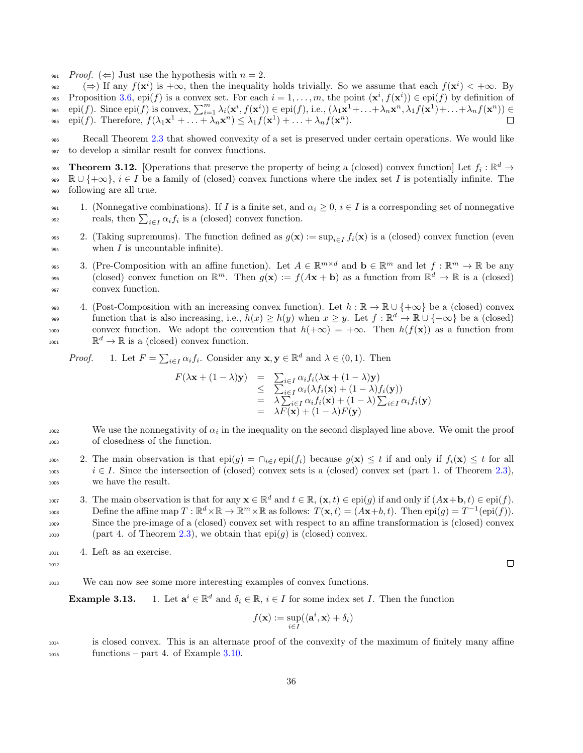- 981 Proof.  $(\Leftarrow)$  Just use the hypothesis with  $n = 2$ .<br>( $\Rightarrow$ ) If any  $f(\mathbf{x}^i)$  is  $+\infty$ , then the inequality
- $\Rightarrow$  ( $\Rightarrow$ ) If any  $f(\mathbf{x}^i)$  is  $+\infty$ , then the inequality holds trivially. So we assume that each  $f(\mathbf{x}^i) < +\infty$ . By Proposition [3.6,](#page-33-1) epi(f) is a convex set. For each  $i = 1, \ldots, m$ , the point  $(\mathbf{x}^i, f(\mathbf{x}^i)) \in \text{epi}(f)$  by definition of
- <sup>984</sup> epi(f). Since epi(f) is convex,  $\sum_{i=1}^{m} \lambda_i(\mathbf{x}^i, f(\mathbf{x}^i)) \in$  epi(f), i.e.,  $(\lambda_1 \mathbf{x}^1 + \ldots + \lambda_n \mathbf{x}^n, \lambda_1 f(\mathbf{x}^1) + \ldots + \lambda_n f(\mathbf{x}^n)) \in$ 985 epi(f). Therefore,  $f(\lambda_1\mathbf{x}^1 + \ldots + \lambda_n\mathbf{x}^n) \leq \lambda_1 f(\mathbf{x}^1) + \ldots + \lambda_n f(\mathbf{x}^n)$ .
- <sup>986</sup> Recall Theorem [2.3](#page-6-0) that showed convexity of a set is preserved under certain operations. We would like <sup>987</sup> to develop a similar result for convex functions.

**Theorem 3.12.** [Operations that preserve the property of being a (closed) convex function] Let  $f_i : \mathbb{R}^d \to$ 989  $\mathbb{R} \cup \{+\infty\}, i \in I$  be a family of (closed) convex functions where the index set I is potentially infinite. The <sup>990</sup> following are all true.

991 1. (Nonnegative combinations). If I is a finite set, and  $\alpha_i \geq 0$ ,  $i \in I$  is a corresponding set of nonnegative reals, then  $\sum_{i\in I} \alpha_i f_i$  is a (closed) convex function.

993 2. (Taking supremums). The function defined as  $g(\mathbf{x}) := \sup_{i \in I} f_i(\mathbf{x})$  is a (closed) convex function (even  $\frac{994}{994}$  when I is uncountable infinite).

- <sup>995</sup> 3. (Pre-Composition with an affine function). Let  $A \in \mathbb{R}^{m \times d}$  and  $\mathbf{b} \in \mathbb{R}^m$  and let  $f: \mathbb{R}^m \to \mathbb{R}$  be any  $\text{closed}$  convex function on  $\mathbb{R}^m$ . Then  $g(\mathbf{x}) := f(A\mathbf{x} + \mathbf{b})$  as a function from  $\mathbb{R}^d \to \mathbb{R}$  is a (closed) <sup>997</sup> convex function.
- 998 4. (Post-Composition with an increasing convex function). Let  $h : \mathbb{R} \to \mathbb{R} \cup \{+\infty\}$  be a (closed) convex function that is also increasing, i.e.,  $h(x) \ge h(y)$  when  $x \ge y$ . Let  $f : \mathbb{R}^d \to \mathbb{R} \cup \{+\infty\}$  be a (closed) 1000 convex function. We adopt the convention that  $h(+\infty) = +\infty$ . Then  $h(f(\mathbf{x}))$  as a function from  $\mathbb{R}^d \to \mathbb{R}$  is a (closed) convex function.

*Proof.* 1. Let  $F = \sum_{i \in I} \alpha_i f_i$ . Consider any  $\mathbf{x}, \mathbf{y} \in \mathbb{R}^d$  and  $\lambda \in (0, 1)$ . Then

$$
F(\lambda \mathbf{x} + (1 - \lambda)\mathbf{y}) = \sum_{i \in I} \alpha_i f_i(\lambda \mathbf{x} + (1 - \lambda)\mathbf{y})
$$
  
\n
$$
\leq \sum_{i \in I} \alpha_i (\lambda f_i(\mathbf{x}) + (1 - \lambda) f_i(\mathbf{y}))
$$
  
\n
$$
= \lambda \sum_{i \in I} \alpha_i f_i(\mathbf{x}) + (1 - \lambda) \sum_{i \in I} \alpha_i f_i(\mathbf{y})
$$
  
\n
$$
= \lambda F(\mathbf{x}) + (1 - \lambda) F(\mathbf{y})
$$

- $1002$  We use the nonnegativity of  $\alpha_i$  in the inequality on the second displayed line above. We omit the proof <sup>1003</sup> of closedness of the function.
- 1004 2. The main observation is that  $epi(g) = \bigcap_{i \in I} epi(f_i)$  because  $g(\mathbf{x}) \leq t$  if and only if  $f_i(\mathbf{x}) \leq t$  for all  $i \in I$ . Since the intersection of (closed) convex sets is a (closed) convex set (part 1. of Theorem [2.3\)](#page-6-0), <sup>1006</sup> we have the result.

1007 3. The main observation is that for any  $\mathbf{x} \in \mathbb{R}^d$  and  $t \in \mathbb{R}$ ,  $(\mathbf{x}, t) \in$ epi(g) if and only if  $(A\mathbf{x} + \mathbf{b}, t) \in$ epi(f).  $D$  Define the affine map  $T : \mathbb{R}^d \times \mathbb{R} \to \mathbb{R}^m \times \mathbb{R}$  as follows:  $T(\mathbf{x}, t) = (A\mathbf{x} + b, t)$ . Then  $epi(g) = T^{-1}(epi(f))$ . <sup>1009</sup> Since the pre-image of a (closed) convex set with respect to an affine transformation is (closed) convex 1010 (part 4. of Theorem [2.3\)](#page-6-0), we obtain that  $epi(g)$  is (closed) convex.

- <sup>1011</sup> 4. Left as an exercise.
- 1012

$$
\qquad \qquad \Box
$$

<sup>1013</sup> We can now see some more interesting examples of convex functions.

Example 3.13.  $i \in \mathbb{R}^d$  and  $\delta_i \in \mathbb{R}$ ,  $i \in I$  for some index set I. Then the function

$$
f(\mathbf{x}) := \sup_{i \in I} (\langle \mathbf{a}^i, \mathbf{x} \rangle + \delta_i)
$$

<sup>1014</sup> is closed convex. This is an alternate proof of the convexity of the maximum of finitely many affine  $1015$  functions – part 4. of Example [3.10.](#page-0-0)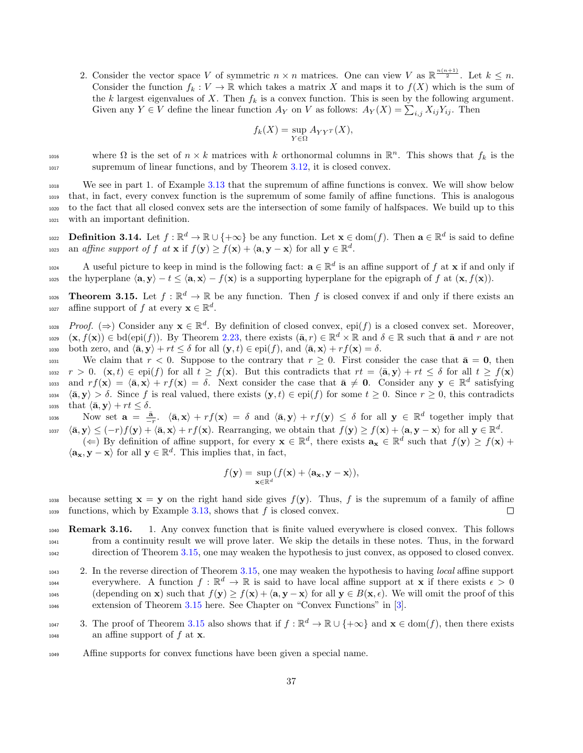2. Consider the vector space V of symmetric  $n \times n$  matrices. One can view V as  $\mathbb{R}^{\frac{n(n+1)}{2}}$ . Let  $k \leq n$ . Consider the function  $f_k : V \to \mathbb{R}$  which takes a matrix X and maps it to  $f(X)$  which is the sum of the k largest eigenvalues of X. Then  $f_k$  is a convex function. This is seen by the following argument. Given any  $Y \in V$  define the linear function  $A_Y$  on V as follows:  $A_Y(X) = \sum_{i,j} X_{ij} Y_{ij}$ . Then

$$
f_k(X) = \sup_{Y \in \Omega} A_{YY^T}(X),
$$

where  $\Omega$  is the set of  $n \times k$  matrices with k orthonormal columns in  $\mathbb{R}^n$ . This shows that  $f_k$  is the <sup>1017</sup> supremum of linear functions, and by Theorem [3.12,](#page-35-0) it is closed convex.

 We see in part 1. of Example [3.13](#page-0-0) that the supremum of affine functions is convex. We will show below that, in fact, every convex function is the supremum of some family of affine functions. This is analogous to the fact that all closed convex sets are the intersection of some family of halfspaces. We build up to this with an important definition.

<span id="page-36-1"></span>1022 **Definition 3.14.** Let  $f : \mathbb{R}^d \to \mathbb{R} \cup \{+\infty\}$  be any function. Let  $\mathbf{x} \in \text{dom}(f)$ . Then  $\mathbf{a} \in \mathbb{R}^d$  is said to define 1023 an affine support of f at  $\mathbf{x}$  if  $f(\mathbf{y}) \ge f(\mathbf{x}) + \langle \mathbf{a}, \mathbf{y} - \mathbf{x} \rangle$  for all  $\mathbf{y} \in \mathbb{R}^d$ .

A useful picture to keep in mind is the following fact:  $\mathbf{a} \in \mathbb{R}^d$  is an affine support of f at **x** if and only if 1025 the hyperplane  $\langle \mathbf{a}, \mathbf{y} \rangle - t \le \langle \mathbf{a}, \mathbf{x} \rangle - f(\mathbf{x})$  is a supporting hyperplane for the epigraph of f at  $(\mathbf{x}, f(\mathbf{x}))$ .

<span id="page-36-0"></span>1026 **Theorem 3.15.** Let  $f : \mathbb{R}^d \to \mathbb{R}$  be any function. Then f is closed convex if and only if there exists an 1027 affine support of f at every  $\mathbf{x} \in \mathbb{R}^d$ .

 $Proof.$  ( $\Rightarrow$ ) Consider any  $\mathbf{x} \in \mathbb{R}^d$ . By definition of closed convex, epi(f) is a closed convex set. Moreover, 1029  $(\mathbf{x}, f(\mathbf{x})) \in \text{bd}(\text{epi}(f))$ . By Theorem [2.23,](#page-10-0) there exists  $(\bar{\mathbf{a}}, r) \in \mathbb{R}^d \times \mathbb{R}$  and  $\delta \in \mathbb{R}$  such that  $\bar{\mathbf{a}}$  and  $r$  are not 1030 both zero, and  $\langle \bar{\mathbf{a}}, \mathbf{y} \rangle + rt \leq \delta$  for all  $(\mathbf{y}, t) \in \text{epi}(f)$ , and  $\langle \bar{\mathbf{a}}, \mathbf{x} \rangle + rf(\mathbf{x}) = \delta$ .

1031 We claim that  $r < 0$ . Suppose to the contrary that  $r \geq 0$ . First consider the case that  $\bar{a} = 0$ , then 1032  $r > 0$ .  $(\mathbf{x}, t) \in \text{epi}(f)$  for all  $t \geq f(\mathbf{x})$ . But this contradicts that  $rt = \langle \bar{\mathbf{a}}, \mathbf{y} \rangle + rt \leq \delta$  for all  $t \geq f(\mathbf{x})$ 1033 and  $rf(\mathbf{x}) = \langle \bar{\mathbf{a}}, \mathbf{x} \rangle + rf(\mathbf{x}) = \delta$ . Next consider the case that  $\bar{\mathbf{a}} \neq \mathbf{0}$ . Consider any  $\mathbf{y} \in \mathbb{R}^d$  satisfying  $\langle \bar{\mathbf{a}}, \mathbf{y} \rangle > \delta$ . Since f is real valued, there exists  $(\mathbf{y}, t) \in \text{epi}(f)$  for some  $t \geq 0$ . Since  $r \geq 0$ , this contradicts 1035 that  $\langle \bar{\mathbf{a}}, \mathbf{y} \rangle + rt \leq \delta$ .

1036 Now set  $\mathbf{a} = \frac{\bar{\mathbf{a}}}{-r}$ .  $\langle \bar{\mathbf{a}}, \mathbf{x} \rangle + rf(\mathbf{x}) = \delta$  and  $\langle \bar{\mathbf{a}}, \mathbf{y} \rangle + rf(\mathbf{y}) \leq \delta$  for all  $\mathbf{y} \in \mathbb{R}^d$  together imply that  $h_{1037}$   $\langle \bar{\mathbf{a}}, \mathbf{y} \rangle \leq (-r)f(\mathbf{y}) + \langle \bar{\mathbf{a}}, \mathbf{x} \rangle + rf(\mathbf{x})$ . Rearranging, we obtain that  $f(\mathbf{y}) \geq f(\mathbf{x}) + \langle \mathbf{a}, \mathbf{y} - \mathbf{x} \rangle$  for all  $\mathbf{y} \in \mathbb{R}^d$ .

 $(\Leftarrow)$  By definition of affine support, for every  $\mathbf{x} \in \mathbb{R}^d$ , there exists  $\mathbf{a}_\mathbf{x} \in \mathbb{R}^d$  such that  $f(\mathbf{y}) \geq f(\mathbf{x}) +$  $\langle \mathbf{a_x}, \mathbf{y} - \mathbf{x} \rangle$  for all  $\mathbf{y} \in \mathbb{R}^d$ . This implies that, in fact,

$$
f(\mathbf{y}) = \sup_{\mathbf{x} \in \mathbb{R}^d} (f(\mathbf{x}) + \langle \mathbf{a}_{\mathbf{x}}, \mathbf{y} - \mathbf{x} \rangle),
$$

1038 because setting  $\mathbf{x} = \mathbf{y}$  on the right hand side gives  $f(\mathbf{y})$ . Thus, f is the supremum of a family of affine  $1039$  functions, which by Example [3.13,](#page-0-0) shows that f is closed convex. П

1040 **Remark 3.16.** 1. Any convex function that is finite valued everywhere is closed convex. This follows <sup>1041</sup> from a continuity result we will prove later. We skip the details in these notes. Thus, in the forward <sup>1042</sup> direction of Theorem [3.15,](#page-36-0) one may weaken the hypothesis to just convex, as opposed to closed convex.

<sup>1043</sup> 2. In the reverse direction of Theorem [3.15,](#page-36-0) one may weaken the hypothesis to having *local* affine support everywhere. A function  $f : \mathbb{R}^d \to \mathbb{R}$  is said to have local affine support at **x** if there exists  $\epsilon > 0$ 1045 (depending on **x**) such that  $f(\mathbf{y}) \ge f(\mathbf{x}) + \langle \mathbf{a}, \mathbf{y} - \mathbf{x} \rangle$  for all  $\mathbf{y} \in B(\mathbf{x}, \epsilon)$ . We will omit the proof of this <sup>1046</sup> extension of Theorem [3.15](#page-36-0) here. See Chapter on "Convex Functions" in [\[3\]](#page-75-0).

- 1047 3. The proof of Theorem [3.15](#page-36-0) also shows that if  $f : \mathbb{R}^d \to \mathbb{R} \cup \{+\infty\}$  and  $\mathbf{x} \in \text{dom}(f)$ , then there exists  $_{1048}$  an affine support of f at **x**.
- 1049 Affine supports for convex functions have been given a special name.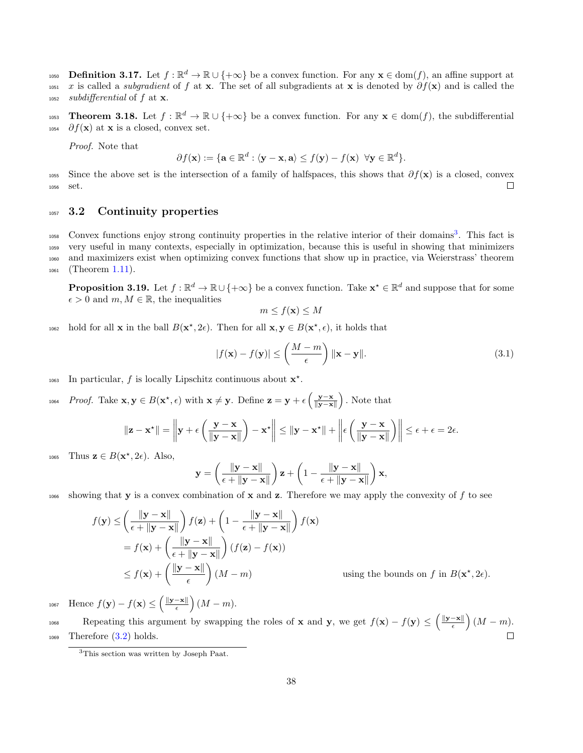<span id="page-37-2"></span>1050 **Definition 3.17.** Let  $f : \mathbb{R}^d \to \mathbb{R} \cup \{+\infty\}$  be a convex function. For any  $\mathbf{x} \in \text{dom}(f)$ , an affine support at 1051 x is called a *subgradient* of f at x. The set of all subgradients at x is denoted by  $\partial f(x)$  and is called the  $_{1052}$  subdifferential of f at x.

1053 **Theorem 3.18.** Let  $f : \mathbb{R}^d \to \mathbb{R} \cup \{+\infty\}$  be a convex function. For any  $\mathbf{x} \in \text{dom}(f)$ , the subdifferential  $1054$  ∂ $f(\mathbf{x})$  at **x** is a closed, convex set.

Proof. Note that

$$
\partial f(\mathbf{x}) := \{ \mathbf{a} \in \mathbb{R}^d : \langle \mathbf{y} - \mathbf{x}, \mathbf{a} \rangle \leq f(\mathbf{y}) - f(\mathbf{x}) \ \forall \mathbf{y} \in \mathbb{R}^d \}.
$$

1055 Since the above set is the intersection of a family of halfspaces, this shows that  $\partial f(\mathbf{x})$  is a closed, convex <sup>1056</sup> set.  $\Box$ 

### <sup>1057</sup> 3.2 Continuity properties

1058 Convex functions enjoy strong continuity properties in the relative interior of their domains<sup>[3](#page-37-0)</sup>. This fact is very useful in many contexts, especially in optimization, because this is useful in showing that minimizers and maximizers exist when optimizing convex functions that show up in practice, via Weierstrass' theorem (Theorem [1.11\)](#page-4-0).

<span id="page-37-1"></span>**Proposition 3.19.** Let  $f : \mathbb{R}^d \to \mathbb{R} \cup \{+\infty\}$  be a convex function. Take  $\mathbf{x}^* \in \mathbb{R}^d$  and suppose that for some  $\epsilon > 0$  and  $m, M \in \mathbb{R}$ , the inequalities

$$
m \le f(\mathbf{x}) \le M
$$

1062 hold for all **x** in the ball  $B(\mathbf{x}^*, 2\epsilon)$ . Then for all **x**,  $\mathbf{y} \in B(\mathbf{x}^*, \epsilon)$ , it holds that

$$
|f(\mathbf{x}) - f(\mathbf{y})| \le \left(\frac{M-m}{\epsilon}\right) \|\mathbf{x} - \mathbf{y}\|.
$$
 (3.1)

1063 In particular, f is locally Lipschitz continuous about  $\mathbf{x}^*$ .

1064 Proof. Take  $\mathbf{x}, \mathbf{y} \in B(\mathbf{x}^*, \epsilon)$  with  $\mathbf{x} \neq \mathbf{y}$ . Define  $\mathbf{z} = \mathbf{y} + \epsilon \left( \frac{\mathbf{y} - \mathbf{x}}{\|\mathbf{y} - \mathbf{x}\|} \right)$ . Note that

$$
\|\mathbf{z} - \mathbf{x}^{\star}\| = \left\|\mathbf{y} + \epsilon \left(\frac{\mathbf{y} - \mathbf{x}}{\|\mathbf{y} - \mathbf{x}\|}\right) - \mathbf{x}^{\star}\right\| \le \|\mathbf{y} - \mathbf{x}^{\star}\| + \left\|\epsilon \left(\frac{\mathbf{y} - \mathbf{x}}{\|\mathbf{y} - \mathbf{x}\|}\right)\right\| \le \epsilon + \epsilon = 2\epsilon.
$$

1065 Thus  $\mathbf{z} \in B(\mathbf{x}^*, 2\epsilon)$ . Also,

$$
\mathbf{y} = \left(\frac{\|\mathbf{y} - \mathbf{x}\|}{\epsilon + \|\mathbf{y} - \mathbf{x}\|}\right) \mathbf{z} + \left(1 - \frac{\|\mathbf{y} - \mathbf{x}\|}{\epsilon + \|\mathbf{y} - \mathbf{x}\|}\right) \mathbf{x},
$$

1066 showing that **y** is a convex combination of **x** and **z**. Therefore we may apply the convexity of f to see

$$
f(\mathbf{y}) \le \left(\frac{\|\mathbf{y} - \mathbf{x}\|}{\epsilon + \|\mathbf{y} - \mathbf{x}\|}\right) f(\mathbf{z}) + \left(1 - \frac{\|\mathbf{y} - \mathbf{x}\|}{\epsilon + \|\mathbf{y} - \mathbf{x}\|}\right) f(\mathbf{x})
$$
  
=  $f(\mathbf{x}) + \left(\frac{\|\mathbf{y} - \mathbf{x}\|}{\epsilon + \|\mathbf{y} - \mathbf{x}\|}\right) (f(\mathbf{z}) - f(\mathbf{x}))$   
 $\le f(\mathbf{x}) + \left(\frac{\|\mathbf{y} - \mathbf{x}\|}{\epsilon}\right) (M - m)$  using the bounds on  $f$  in  $B(\mathbf{x}^*, 2\epsilon)$ .

Hence  $f(\mathbf{y}) - f(\mathbf{x}) \leq \left(\frac{\|\mathbf{y} - \mathbf{x}\|}{\epsilon}\right)$ 1067 Hence  $f(\mathbf{y}) - f(\mathbf{x}) \le \left(\frac{\|\mathbf{y} - \mathbf{x}\|}{\epsilon}\right) (M - m).$ 

1068 Repeating this argument by swapping the roles of **x** and **y**, we get  $f(\mathbf{x}) - f(\mathbf{y}) \leq (\frac{\|\mathbf{y} - \mathbf{x}\|}{\epsilon})(M - m)$ . Repeating this argument by swapping the roles of **x** and **y**, we get  $f(\mathbf{x}) - f(\mathbf{y}) \leq \left(\frac{\|\mathbf{y} - \mathbf{x}\|}{\epsilon}\right)$ <sup>1069</sup> Therefore [\(3.2\)](#page-38-0) holds.  $\Box$ 

<span id="page-37-0"></span><sup>3</sup>This section was written by Joseph Paat.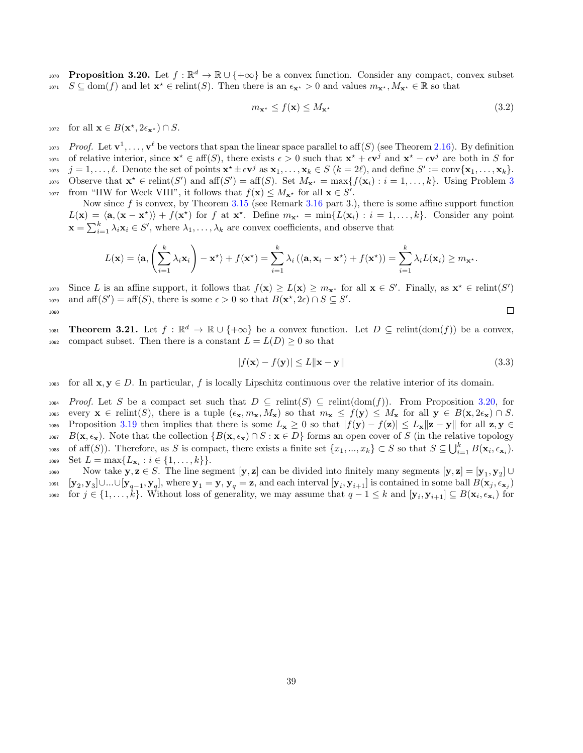<span id="page-38-1"></span> $P_{\text{proposition}}$  3.20. Let  $f : \mathbb{R}^d \to \mathbb{R} \cup \{+\infty\}$  be a convex function. Consider any compact, convex subset 1071  $S \subseteq \text{dom}(f)$  and let  $\mathbf{x}^* \in \text{relint}(S)$ . Then there is an  $\epsilon_{\mathbf{x}^*} > 0$  and values  $m_{\mathbf{x}^*}, M_{\mathbf{x}^*} \in \mathbb{R}$  so that

<span id="page-38-0"></span>
$$
m_{\mathbf{x}^{\star}} \le f(\mathbf{x}) \le M_{\mathbf{x}^{\star}} \tag{3.2}
$$

1072 for all  $\mathbf{x} \in B(\mathbf{x}^*, 2\epsilon_{\mathbf{x}^*}) \cap S$ .

<sup>1073</sup> Proof. Let  $\mathbf{v}^1, \ldots, \mathbf{v}^\ell$  be vectors that span the linear space parallel to aff(S) (see Theorem [2.16\)](#page-9-0). By definition 1074 of relative interior, since  $\mathbf{x}^* \in \text{aff}(S)$ , there exists  $\epsilon > 0$  such that  $\mathbf{x}^* + \epsilon \mathbf{v}^j$  and  $\mathbf{x}^* - \epsilon \mathbf{v}^j$  are both in S for <sup>1075</sup>  $j = 1, \ldots, \ell$ . Denote the set of points  $\mathbf{x}^* \pm \epsilon \mathbf{v}^j$  as  $\mathbf{x}_1, \ldots, \mathbf{x}_k \in S$   $(k = 2\ell)$ , and define  $S' := \text{conv}\{\mathbf{x}_1, \ldots, \mathbf{x}_k\}.$ 1076 Observe that  $\mathbf{x}^* \in \text{relint}(S')$  and  $\text{aff}(S') = \text{aff}(S)$ . Set  $M_{\mathbf{x}^*} = \max\{f(\mathbf{x}_i) : i = 1, \ldots, k\}$ . Using Problem [3](#page-3-0) 1077 from "HW for Week VIII", it follows that  $f(\mathbf{x}) \leq M_{\mathbf{x}^*}$  for all  $\mathbf{x} \in S'$ .

Now since  $f$  is convex, by Theorem [3.15](#page-36-0) (see Remark [3.16](#page-0-0) part 3.), there is some affine support function  $L(\mathbf{x}) = \langle \mathbf{a}, (\mathbf{x} - \mathbf{x}^*) \rangle + f(\mathbf{x}^*)$  for f at  $\mathbf{x}^*$ . Define  $m_{\mathbf{x}^*} = \min\{L(\mathbf{x}_i) : i = 1, ..., k\}$ . Consider any point  $\mathbf{x} = \sum_{i=1}^{k} \lambda_i \mathbf{x}_i \in S'$ , where  $\lambda_1, \dots, \lambda_k$  are convex coefficients, and observe that

$$
L(\mathbf{x}) = \langle \mathbf{a}, \left( \sum_{i=1}^k \lambda_i \mathbf{x}_i \right) - \mathbf{x}^* \rangle + f(\mathbf{x}^*) = \sum_{i=1}^k \lambda_i \left( \langle \mathbf{a}, \mathbf{x}_i - \mathbf{x}^* \rangle + f(\mathbf{x}^*) \right) = \sum_{i=1}^k \lambda_i L(\mathbf{x}_i) \geq m_{\mathbf{x}^*}.
$$

<sup>1078</sup> Since L is an affine support, it follows that  $f(\mathbf{x}) \ge L(\mathbf{x}) \ge m_{\mathbf{x}^*}$  for all  $\mathbf{x} \in S'$ . Finally, as  $\mathbf{x}^* \in \text{relint}(S')$ 1079 and  $\text{aff}(S') = \text{aff}(S)$ , there is some  $\epsilon > 0$  so that  $B(\mathbf{x}^*, 2\epsilon) \cap S \subseteq S'$ .  $\Box$ 1080

<span id="page-38-2"></span>1081 **Theorem 3.21.** Let  $f : \mathbb{R}^d \to \mathbb{R} \cup \{+\infty\}$  be a convex function. Let  $D \subseteq \text{relint}(\text{dom}(f))$  be a convex, 1082 compact subset. Then there is a constant  $L = L(D) \geq 0$  so that

$$
|f(\mathbf{x}) - f(\mathbf{y})| \le L \|\mathbf{x} - \mathbf{y}\|
$$
\n(3.3)

1083 for all  $x, y \in D$ . In particular, f is locally Lipschitz continuous over the relative interior of its domain.

 $1084$  Proof. Let S be a compact set such that  $D \subseteq \text{relint}(S) \subseteq \text{relint}(\text{dom}(f))$ . From Proposition [3.20,](#page-38-1) for 1085 every  $\mathbf{x} \in \text{relint}(S)$ , there is a tuple  $(\epsilon_{\mathbf{x}}, m_{\mathbf{x}}, M_{\mathbf{x}})$  so that  $m_{\mathbf{x}} \leq f(\mathbf{y}) \leq M_{\mathbf{x}}$  for all  $\mathbf{y} \in B(\mathbf{x}, 2\epsilon_{\mathbf{x}}) \cap S$ . 1086 Proposition [3.19](#page-37-1) then implies that there is some  $L_{\mathbf{x}} \geq 0$  so that  $|f(\mathbf{y}) - f(\mathbf{z})| \leq L_{\mathbf{x}} \|\mathbf{z} - \mathbf{y}\|$  for all  $\mathbf{z}, \mathbf{y} \in$ 1087 B( $\mathbf{x}, \epsilon_{\mathbf{x}}$ ). Note that the collection  $\{B(\mathbf{x}, \epsilon_{\mathbf{x}}) \cap S : \mathbf{x} \in D\}$  forms an open cover of S (in the relative topology 1088 of aff(S)). Therefore, as S is compact, there exists a finite set  $\{x_1, ..., x_k\} \subset S$  so that  $S \subseteq \bigcup_{i=1}^k B(\mathbf{x}_i, \epsilon_{\mathbf{x}_i})$ . 1089 Set  $L = \max\{L_{\mathbf{x}_i} : i \in \{1, ..., k\}\}.$ 

Now take  $y, z \in S$ . The line segment  $[y, z]$  can be divided into finitely many segments  $[y, z] = [y_1, y_2] \cup \{z_1, z_2\}$  $[\mathbf{y}_2, \mathbf{y}_3] \cup ... \cup [\mathbf{y}_{q-1}, \mathbf{y}_q],$  where  $\mathbf{y}_1 = \mathbf{y}, \mathbf{y}_q = \mathbf{z}$ , and each interval  $[\mathbf{y}_i, \mathbf{y}_{i+1}]$  is contained in some ball  $B(\mathbf{x}_j, \epsilon_{\mathbf{x}_j})$ 1092 for  $j \in \{1, \ldots, k\}$ . Without loss of generality, we may assume that  $q - 1 \leq k$  and  $[\mathbf{y}_i, \mathbf{y}_{i+1}] \subseteq B(\mathbf{x}_i, \epsilon_{\mathbf{x}_i})$  for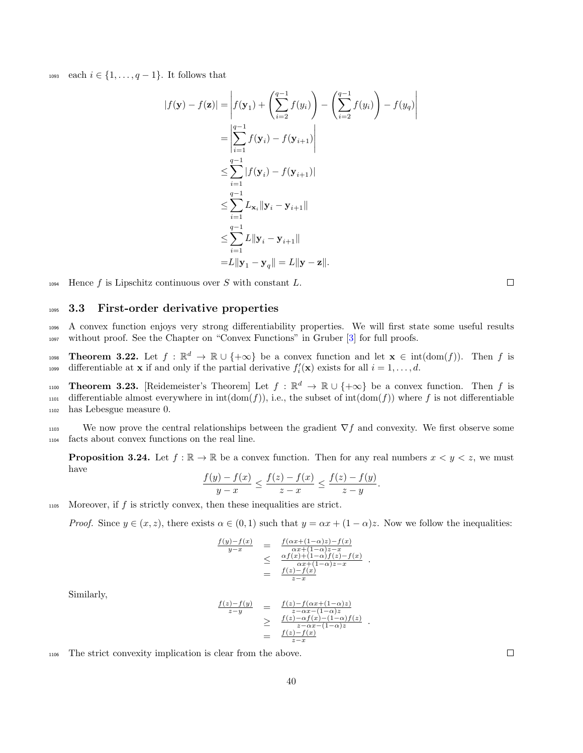1093 each  $i \in \{1, \ldots, q-1\}$ . It follows that

$$
|f(\mathbf{y}) - f(\mathbf{z})| = \left| f(\mathbf{y}_1) + \left( \sum_{i=2}^{q-1} f(y_i) \right) - \left( \sum_{i=2}^{q-1} f(y_i) \right) - f(y_q) \right|
$$
  
\n
$$
= \left| \sum_{i=1}^{q-1} f(\mathbf{y}_i) - f(\mathbf{y}_{i+1}) \right|
$$
  
\n
$$
\leq \sum_{i=1}^{q-1} |f(\mathbf{y}_i) - f(\mathbf{y}_{i+1})|
$$
  
\n
$$
\leq \sum_{i=1}^{q-1} L_{\mathbf{x}_i} ||\mathbf{y}_i - \mathbf{y}_{i+1}||
$$
  
\n
$$
\leq \sum_{i=1}^{q-1} L ||\mathbf{y}_i - \mathbf{y}_{i+1}||
$$
  
\n
$$
= L ||\mathbf{y}_1 - \mathbf{y}_q|| = L ||\mathbf{y} - \mathbf{z}||.
$$

 $_{1094}$  Hence f is Lipschitz continuous over S with constant L.

<sup>1095</sup> 3.3 First-order derivative properties

<sup>1096</sup> A convex function enjoys very strong differentiability properties. We will first state some useful results <sup>1097</sup> without proof. See the Chapter on "Convex Functions" in Gruber [\[3\]](#page-75-0) for full proofs.

Theorem 3.22. Let  $f : \mathbb{R}^d \to \mathbb{R} \cup \{+\infty\}$  be a convex function and let  $\mathbf{x} \in \text{int}(\text{dom}(f))$ . Then f is differentiable at **x** if and only if the partial derivative  $f_i'(\mathbf{x})$  exists for all  $i = 1, ..., d$ .

Theorem 3.23. [Reidemeister's Theorem] Let  $f : \mathbb{R}^d \to \mathbb{R} \cup \{+\infty\}$  be a convex function. Then f is 1101 differentiable almost everywhere in  $int(\text{dom}(f))$ , i.e., the subset of  $int(\text{dom}(f))$  where f is not differentiable <sup>1102</sup> has Lebesgue measure 0.

1103 We now prove the central relationships between the gradient  $\nabla f$  and convexity. We first observe some <sup>1104</sup> facts about convex functions on the real line.

<span id="page-39-0"></span>**Proposition 3.24.** Let  $f : \mathbb{R} \to \mathbb{R}$  be a convex function. Then for any real numbers  $x < y < z$ , we must have

$$
\frac{f(y) - f(x)}{y - x} \le \frac{f(z) - f(x)}{z - x} \le \frac{f(z) - f(y)}{z - y}
$$

.

.

 $1105$  Moreover, if f is strictly convex, then these inequalities are strict.

*Proof.* Since  $y \in (x, z)$ , there exists  $\alpha \in (0, 1)$  such that  $y = \alpha x + (1 - \alpha)z$ . Now we follow the inequalities:

$$
\frac{f(y)-f(x)}{y-x} = \frac{f(\alpha x+(1-\alpha)z)-f(x)}{\alpha x+(1-\alpha)z-x}
$$
\n
$$
\leq \frac{\alpha f(x)+(1-\alpha)f(z)-f(x)}{\alpha x+(1-\alpha)f(z)-f(x)}
$$
\n
$$
= \frac{f(z)-f(x)}{z-x}
$$

Similarly,

$$
\begin{array}{rcl}\n\frac{f(z) - f(y)}{z - y} & = & \frac{f(z) - f(\alpha x + (1 - \alpha)z)}{z - \alpha x - (1 - \alpha)z} \\
& \geq & \frac{f(z) - \alpha f(x) - (1 - \alpha) f(z)}{z - \alpha x - (1 - \alpha)z} \\
& = & \frac{f(z) - f(x)}{z - x}\n\end{array}.
$$

<sup>1106</sup> The strict convexity implication is clear from the above.

 $\Box$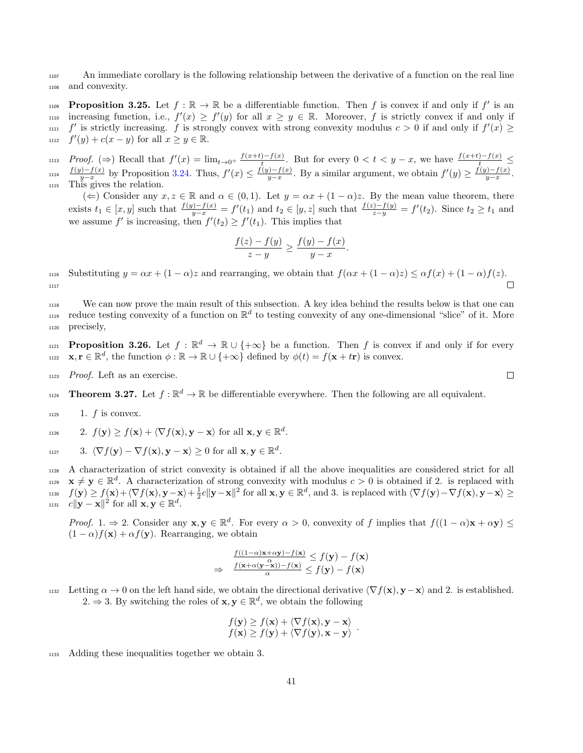<sup>1107</sup> An immediate corollary is the following relationship between the derivative of a function on the real line <sup>1108</sup> and convexity.

<span id="page-40-0"></span>**Proposition 3.25.** Let  $f : \mathbb{R} \to \mathbb{R}$  be a differentiable function. Then f is convex if and only if f' is an  $\sum_{y=0}^{\infty}$  increasing function, i.e.,  $f'(x) \ge f'(y)$  for all  $x \ge y \in \mathbb{R}$ . Moreover, f is strictly convex if and only if  $f'$  is strictly increasing. f is strongly convex with strong convexity modulus  $c > 0$  if and only if  $f'(x) \ge$ 1112  $f'(y) + c(x - y)$  for all  $x \ge y \in \mathbb{R}$ .

*Proof.* ( $\Rightarrow$ ) Recall that  $f'(x) = \lim_{t \to 0^+} \frac{f(x+t) - f(x)}{t}$ the proof. (⇒) Recall that  $f'(x) = \lim_{t\to 0^+} \frac{f(x+t)-f(x)}{t}$ . But for every  $0 < t < y-x$ , we have  $\frac{f(x+t)-f(x)}{t} \le$ <br>  $f(y)-f(x)$  by Proposition 2.24. Thus,  $f'(x) < f(y)-f(x)$ . Proposition example, we obtain  $f'(x) > f(y)-f(x)$  $\frac{f(y)-f(x)}{y-x}$  by Proposition [3.24.](#page-39-0) Thus,  $f'(x) \leq \frac{f(y)-f(x)}{y-x}$  $\frac{f(y)-f(x)}{y-x}$ . By a similar argument, we obtain  $f'(y) \ge \frac{f(y)-f(x)}{y-x}$  $y_1$ <sup>1(y)-t(x)</sup> by Proposition 3.24. Thus,  $f'(x) \leq \frac{f(y)-f(x)}{y-x}$ . By a similar argument, we obtain  $f'(y) \geq \frac{f(y)-f(x)}{y-x}$ . 1115 This gives the relation.

( $\Leftarrow$ ) Consider any  $x, z \in \mathbb{R}$  and  $\alpha \in (0, 1)$ . Let  $y = \alpha x + (1 - \alpha)z$ . By the mean value theorem, there exists  $t_1 \in [x, y]$  such that  $\frac{f(y)-f(x)}{y-x} = f'(t_1)$  and  $t_2 \in [y, z]$  such that  $\frac{f(z)-f(y)}{z-y} = f'(t_2)$ . Since  $t_2 \ge t_1$  and we assume  $f'$  is increasing, then  $f'(t_2) \ge f'(t_1)$ . This implies that

$$
\frac{f(z) - f(y)}{z - y} \ge \frac{f(y) - f(x)}{y - x}.
$$

1116 Substituting  $y = \alpha x + (1 - \alpha)z$  and rearranging, we obtain that  $f(\alpha x + (1 - \alpha)z) \leq \alpha f(x) + (1 - \alpha)f(z)$ . 1117

<sup>1118</sup> We can now prove the main result of this subsection. A key idea behind the results below is that one can <sup>1119</sup> reduce testing convexity of a function on  $\mathbb{R}^d$  to testing convexity of any one-dimensional "slice" of it. More <sup>1120</sup> precisely,

<span id="page-40-1"></span>**Proposition 3.26.** Let  $f : \mathbb{R}^d \to \mathbb{R} \cup \{+\infty\}$  be a function. Then f is convex if and only if for every 1122  $\mathbf{x}, \mathbf{r} \in \mathbb{R}^d$ , the function  $\phi : \mathbb{R} \to \mathbb{R} \cup \{+\infty\}$  defined by  $\phi(t) = f(\mathbf{x} + t\mathbf{r})$  is convex.

<sup>1123</sup> Proof. Left as an exercise.

Theorem 3.27. Let  $f : \mathbb{R}^d \to \mathbb{R}$  be differentiable everywhere. Then the following are all equivalent.

 $1125$  1. f is convex.

$$
1126 \t 2. \t f(\mathbf{y}) \ge f(\mathbf{x}) + \langle \nabla f(\mathbf{x}), \mathbf{y} - \mathbf{x} \rangle \text{ for all } \mathbf{x}, \mathbf{y} \in \mathbb{R}^d.
$$

$$
\text{and} \quad 3. \ \langle \nabla f(\mathbf{y}) - \nabla f(\mathbf{x}), \mathbf{y} - \mathbf{x} \rangle \ge 0 \text{ for all } \mathbf{x}, \mathbf{y} \in \mathbb{R}^d.
$$

 A characterization of strict convexity is obtained if all the above inequalities are considered strict for all  $\mathbf{x} \neq \mathbf{y} \in \mathbb{R}^d$ . A characterization of strong convexity with modulus  $c > 0$  is obtained if 2. is replaced with  $f(\mathbf{y}) \ge f(\mathbf{x}) + \langle \nabla f(\mathbf{x}), \mathbf{y}-\mathbf{x} \rangle + \frac{1}{2}c||\mathbf{y}-\mathbf{x}||^2$  for all  $\mathbf{x}, \mathbf{y} \in \mathbb{R}^d$ , and 3. is replaced with  $\langle \nabla f(\mathbf{y}) - \nabla f(\mathbf{x}), \mathbf{y}-\mathbf{x} \rangle \ge$  $c \|\mathbf{y} - \mathbf{x}\|^2$  for all  $\mathbf{x}, \mathbf{y} \in \mathbb{R}^d$ .

Proof. 1.  $\Rightarrow$  2. Consider any  $\mathbf{x}, \mathbf{y} \in \mathbb{R}^d$ . For every  $\alpha > 0$ , convexity of f implies that  $f((1 - \alpha)\mathbf{x} + \alpha \mathbf{y}) \le$  $(1 - \alpha)f(\mathbf{x}) + \alpha f(\mathbf{y})$ . Rearranging, we obtain

$$
\Rightarrow \frac{f((1-\alpha)\mathbf{x}+\alpha\mathbf{y})-f(\mathbf{x})}{\frac{f(\mathbf{x}+\alpha(\mathbf{y}-\mathbf{x}))-f(\mathbf{x})}{\alpha}} \le f(\mathbf{y}) - f(\mathbf{x})
$$

1132 Letting  $\alpha \to 0$  on the left hand side, we obtain the directional derivative  $\langle \nabla f(\mathbf{x}), \mathbf{y}-\mathbf{x} \rangle$  and 2. is established. 2.  $\Rightarrow$  3. By switching the roles of **x**, **y**  $\in \mathbb{R}^d$ , we obtain the following

$$
f(\mathbf{y}) \ge f(\mathbf{x}) + \langle \nabla f(\mathbf{x}), \mathbf{y} - \mathbf{x} \rangle f(\mathbf{x}) \ge f(\mathbf{y}) + \langle \nabla f(\mathbf{y}), \mathbf{x} - \mathbf{y} \rangle
$$

<sup>1133</sup> Adding these inequalities together we obtain 3.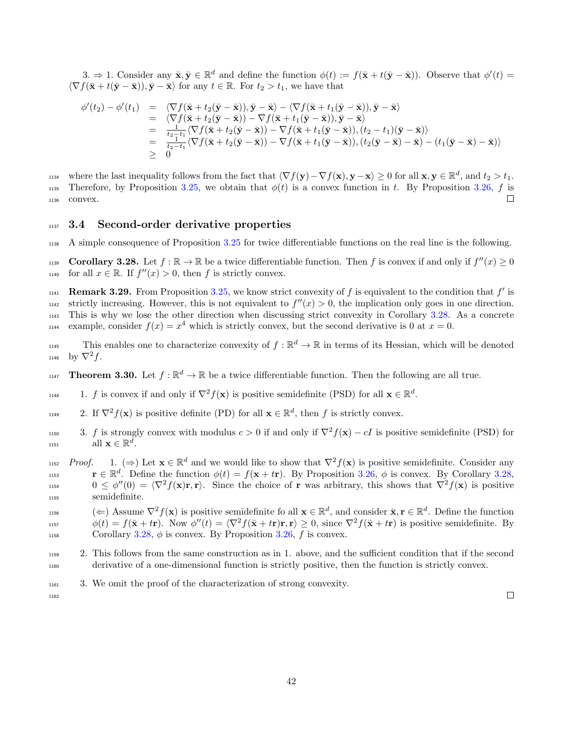3.  $\Rightarrow$  1. Consider any  $\bar{\mathbf{x}}, \bar{\mathbf{y}} \in \mathbb{R}^d$  and define the function  $\phi(t) := f(\bar{\mathbf{x}} + t(\bar{\mathbf{y}} - \bar{\mathbf{x}}))$ . Observe that  $\phi'(t) =$  $\langle \nabla f(\bar{\mathbf{x}} + t(\bar{\mathbf{y}} - \bar{\mathbf{x}})), \bar{\mathbf{y}} - \bar{\mathbf{x}} \rangle$  for any  $t \in \mathbb{R}$ . For  $t_2 > t_1$ , we have that

$$
\begin{array}{rcl}\n\phi'(t_2) - \phi'(t_1) & = & \langle \nabla f(\bar{\mathbf{x}} + t_2(\bar{\mathbf{y}} - \bar{\mathbf{x}})), \bar{\mathbf{y}} - \bar{\mathbf{x}} \rangle - \langle \nabla f(\bar{\mathbf{x}} + t_1(\bar{\mathbf{y}} - \bar{\mathbf{x}})), \bar{\mathbf{y}} - \bar{\mathbf{x}} \rangle \\
& = & \langle \nabla f(\bar{\mathbf{x}} + t_2(\bar{\mathbf{y}} - \bar{\mathbf{x}})) - \nabla f(\bar{\mathbf{x}} + t_1(\bar{\mathbf{y}} - \bar{\mathbf{x}})), \bar{\mathbf{y}} - \bar{\mathbf{x}} \rangle \\
& = & \frac{1}{t_2 - t_1} \langle \nabla f(\bar{\mathbf{x}} + t_2(\bar{\mathbf{y}} - \bar{\mathbf{x}})) - \nabla f(\bar{\mathbf{x}} + t_1(\bar{\mathbf{y}} - \bar{\mathbf{x}})), (t_2 - t_1)(\bar{\mathbf{y}} - \bar{\mathbf{x}}) \rangle \\
& = & \frac{1}{t_2 - t_1} \langle \nabla f(\bar{\mathbf{x}} + t_2(\bar{\mathbf{y}} - \bar{\mathbf{x}})) - \nabla f(\bar{\mathbf{x}} + t_1(\bar{\mathbf{y}} - \bar{\mathbf{x}})), (t_2(\bar{\mathbf{y}} - \bar{\mathbf{x}}) - \bar{\mathbf{x}}) - (t_1(\bar{\mathbf{y}} - \bar{\mathbf{x}}) - \bar{\mathbf{x}}) \rangle \\
& \geq & 0\n\end{array}
$$

1134 where the last inequality follows from the fact that  $\langle \nabla f(\mathbf{y}) - \nabla f(\mathbf{x}), \mathbf{y}-\mathbf{x} \rangle \ge 0$  for all  $\mathbf{x}, \mathbf{y} \in \mathbb{R}^d$ , and  $t_2 > t_1$ . 1135 Therefore, by Proposition [3.25,](#page-40-0) we obtain that  $\phi(t)$  is a convex function in t. By Proposition [3.26,](#page-40-1) f is <sup>1136</sup> convex.  $\Box$ 

### 1137 3.4 Second-order derivative properties

<sup>1138</sup> A simple consequence of Proposition [3.25](#page-40-0) for twice differentiable functions on the real line is the following.

<span id="page-41-0"></span>1139 **Corollary 3.28.** Let  $f : \mathbb{R} \to \mathbb{R}$  be a twice differentiable function. Then f is convex if and only if  $f''(x) \ge 0$ 1140 for all  $x \in \mathbb{R}$ . If  $f''(x) > 0$ , then f is strictly convex.

1141 **Remark 3.29.** From Proposition [3.25,](#page-40-0) we know strict convexity of f is equivalent to the condition that  $f'$  is  $_{1142}$  strictly increasing. However, this is not equivalent to  $f''(x) > 0$ , the implication only goes in one direction. <sup>1143</sup> This is why we lose the other direction when discussing strict convexity in Corollary [3.28.](#page-41-0) As a concrete 1144 example, consider  $f(x) = x^4$  which is strictly convex, but the second derivative is 0 at  $x = 0$ .

This enables one to characterize convexity of  $f : \mathbb{R}^d \to \mathbb{R}$  in terms of its Hessian, which will be denoted 1146 by  $\nabla^2 f$ .

- **Theorem 3.30.** Let  $f : \mathbb{R}^d \to \mathbb{R}$  be a twice differentiable function. Then the following are all true.
- 1148 1148 1. f is convex if and only if  $\nabla^2 f(\mathbf{x})$  is positive semidefinite (PSD) for all  $\mathbf{x} \in \mathbb{R}^d$ .
- 1149 2. If  $\nabla^2 f(\mathbf{x})$  is positive definite (PD) for all  $\mathbf{x} \in \mathbb{R}^d$ , then f is strictly convex.
- 1150 **3.** f is strongly convex with modulus  $c > 0$  if and only if  $\nabla^2 f(\mathbf{x}) cI$  is positive semidefinite (PSD) for  $_{1151}$  all  $\mathbf{x} \in \mathbb{R}^d$ .
- $Proof.$  1.  $(\Rightarrow)$  Let  $\mathbf{x} \in \mathbb{R}^d$  and we would like to show that  $\nabla^2 f(\mathbf{x})$  is positive semidefinite. Consider any 1153  $\mathbf{r} \in \mathbb{R}^d$ . Define the function  $\phi(t) = f(\mathbf{x} + t\mathbf{r})$ . By Proposition [3.26,](#page-40-1)  $\phi$  is convex. By Corollary [3.28,](#page-41-0) 1154  $0 \leq \phi''(0) = \langle \nabla^2 f(\mathbf{x}) \mathbf{r}, \mathbf{r} \rangle$ . Since the choice of **r** was arbitrary, this shows that  $\nabla^2 f(\mathbf{x})$  is positive <sup>1155</sup> semidefinite.
- 1156  $(\Leftarrow)$  Assume  $\nabla^2 f(\mathbf{x})$  is positive semidefinite fo all  $\mathbf{x} \in \mathbb{R}^d$ , and consider  $\bar{\mathbf{x}}, \mathbf{r} \in \mathbb{R}^d$ . Define the function 1157  $\phi(t) = f(\bar{\mathbf{x}} + t\mathbf{r})$ . Now  $\phi''(t) = \langle \nabla^2 f(\bar{\mathbf{x}} + t\mathbf{r})\mathbf{r}, \mathbf{r} \rangle \ge 0$ , since  $\nabla^2 f(\bar{\mathbf{x}} + t\mathbf{r})$  is positive semidefinite. By 1158 Corollary [3.28,](#page-41-0)  $\phi$  is convex. By Proposition [3.26,](#page-40-1)  $f$  is convex.
- <sup>1159</sup> 2. This follows from the same construction as in 1. above, and the sufficient condition that if the second <sup>1160</sup> derivative of a one-dimensional function is strictly positive, then the function is strictly convex.
- <sup>1161</sup> 3. We omit the proof of the characterization of strong convexity.

1162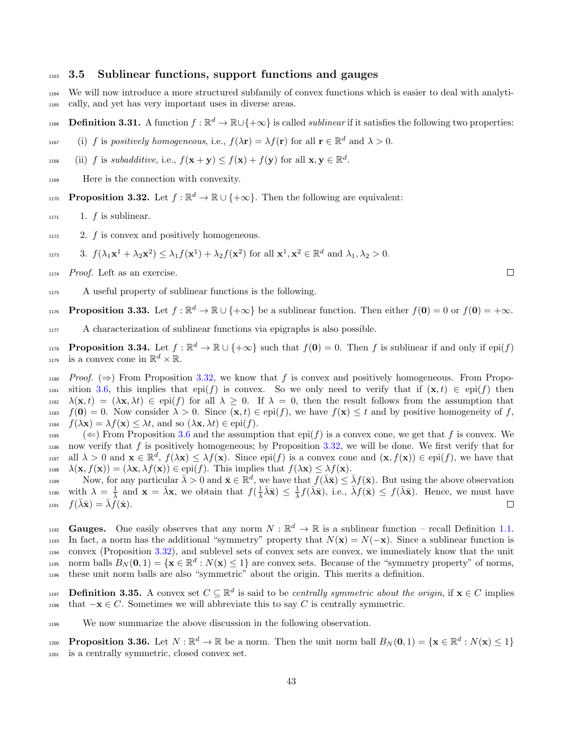### <sup>1163</sup> 3.5 Sublinear functions, support functions and gauges

<sup>1164</sup> We will now introduce a more structured subfamily of convex functions which is easier to deal with analyti-<sup>1165</sup> cally, and yet has very important uses in diverse areas.

- 1166 **Definition 3.31.** A function  $f : \mathbb{R}^d \to \mathbb{R} \cup \{+\infty\}$  is called *sublinear* if it satisfies the following two properties:
- 1167 (i) f is positively homogeneous, i.e.,  $f(\lambda \mathbf{r}) = \lambda f(\mathbf{r})$  for all  $\mathbf{r} \in \mathbb{R}^d$  and  $\lambda > 0$ .
- 1168 (ii) f is subadditive, i.e.,  $f(\mathbf{x} + \mathbf{y}) \le f(\mathbf{x}) + f(\mathbf{y})$  for all  $\mathbf{x}, \mathbf{y} \in \mathbb{R}^d$ .
- <sup>1169</sup> Here is the connection with convexity.
- <span id="page-42-0"></span>1170 **Proposition 3.32.** Let  $f : \mathbb{R}^d \to \mathbb{R} \cup \{+\infty\}$ . Then the following are equivalent:
- $1171$  1. f is sublinear.
- $1172$  2. f is convex and positively homogeneous.
- 1173 3.  $f(\lambda_1 \mathbf{x}^1 + \lambda_2 \mathbf{x}^2) \leq \lambda_1 f(\mathbf{x}^1) + \lambda_2 f(\mathbf{x}^2)$  for all  $\mathbf{x}^1, \mathbf{x}^2 \in \mathbb{R}^d$  and  $\lambda_1, \lambda_2 > 0$ .
- <sup>1174</sup> Proof. Left as an exercise.
- <sup>1175</sup> A useful property of sublinear functions is the following.

<span id="page-42-1"></span>1176 **Proposition 3.33.** Let  $f : \mathbb{R}^d \to \mathbb{R} \cup \{+\infty\}$  be a sublinear function. Then either  $f(\mathbf{0}) = 0$  or  $f(\mathbf{0}) = +\infty$ .

<sup>1177</sup> A characterization of sublinear functions via epigraphs is also possible.

<span id="page-42-2"></span> $P_{\text{toposition 3.34. Let } f : \mathbb{R}^d \to \mathbb{R} \cup \{+\infty\}$  such that  $f(\mathbf{0}) = 0$ . Then f is sublinear if and only if epi $(f)$ <sup>1179</sup> is a convex cone in  $\mathbb{R}^d \times \mathbb{R}$ .

1180 Proof. ( $\Rightarrow$ ) From Proposition [3.32,](#page-42-0) we know that f is convex and positively homogeneous. From Propo-1181 sition [3.6,](#page-33-0) this implies that epi(f) is convex. So we only need to verify that if  $(\mathbf{x}, t) \in$  epi(f) then 1182  $\lambda(\mathbf{x},t) = (\lambda \mathbf{x}, \lambda t) \in \text{epi}(f)$  for all  $\lambda \geq 0$ . If  $\lambda = 0$ , then the result follows from the assumption that 1183  $f(\mathbf{0}) = 0$ . Now consider  $\lambda > 0$ . Since  $(\mathbf{x}, t) \in \text{epi}(f)$ , we have  $f(\mathbf{x}) \leq t$  and by positive homogeneity of f, 1184  $f(\lambda \mathbf{x}) = \lambda f(\mathbf{x}) \leq \lambda t$ , and so  $(\lambda \mathbf{x}, \lambda t) \in \text{epi}(f)$ .

1185 ( $\Leftarrow$ ) From Proposition [3.6](#page-33-0) and the assumption that epi(f) is a convex cone, we get that f is convex. We 1186 now verify that f is positively homogeneous; by Proposition  $3.32$ , we will be done. We first verify that for  $\lim_{n \to \infty}$  all  $\lambda > 0$  and  $\mathbf{x} \in \mathbb{R}^d$ ,  $f(\lambda \mathbf{x}) \leq \lambda f(\mathbf{x})$ . Since  $epi(f)$  is a convex cone and  $(\mathbf{x}, f(\mathbf{x})) \in epi(f)$ , we have that 1188  $\lambda(\mathbf{x}, f(\mathbf{x})) = (\lambda \mathbf{x}, \lambda f(\mathbf{x})) \in \text{epi}(f)$ . This implies that  $f(\lambda \mathbf{x}) \leq \lambda f(\mathbf{x})$ .

Now, for any particular  $\bar{\lambda} > 0$  and  $\bar{\mathbf{x}} \in \mathbb{R}^d$ , we have that  $f(\bar{\lambda}\bar{\mathbf{x}}) \leq \bar{\lambda}f(\bar{\mathbf{x}})$ . But using the above observation 1190 with  $\lambda = \frac{1}{\lambda}$  and  $\mathbf{x} = \overline{\lambda} \mathbf{x}$ , we obtain that  $f(\frac{1}{\lambda} \overline{\lambda} \overline{\mathbf{x}}) \leq \frac{1}{\lambda} f(\overline{\lambda} \overline{\mathbf{x}})$ , i.e.,  $\overline{\lambda} f(\overline{\mathbf{x}}) \leq f(\overline{\lambda} \overline{\mathbf{x}})$ . Hence, we must have 1191  $f(\bar{\lambda}\bar{\mathbf{x}}) = \bar{\lambda}\hat{f}(\bar{\mathbf{x}}).$  $\Box$ 

Gauges. One easily observes that any norm  $N : \mathbb{R}^d \to \mathbb{R}$  is a sublinear function – recall Definition [1.1.](#page-3-1) 1193 In fact, a norm has the additional "symmetry" property that  $N(\mathbf{x}) = N(-\mathbf{x})$ . Since a sublinear function is <sup>1194</sup> convex (Proposition [3.32\)](#page-42-0), and sublevel sets of convex sets are convex, we immediately know that the unit 1195 norm balls  $B_N(0,1) = \{ \mathbf{x} \in \mathbb{R}^d : N(\mathbf{x}) \leq 1 \}$  are convex sets. Because of the "symmetry property" of norms, <sup>1196</sup> these unit norm balls are also "symmetric" about the origin. This merits a definition.

**Definition 3.35.** A convex set  $C \subseteq \mathbb{R}^d$  is said to be *centrally symmetric about the origin*, if  $\mathbf{x} \in C$  implies 1198 that  $-\mathbf{x} \in C$ . Sometimes we will abbreviate this to say C is centrally symmetric.

1199 We now summarize the above discussion in the following observation.

**Proposition 3.36.** Let  $N : \mathbb{R}^d \to \mathbb{R}$  be a norm. Then the unit norm ball  $B_N(\mathbf{0}, 1) = \{ \mathbf{x} \in \mathbb{R}^d : N(\mathbf{x}) \leq 1 \}$ <sup>1201</sup> is a centrally symmetric, closed convex set.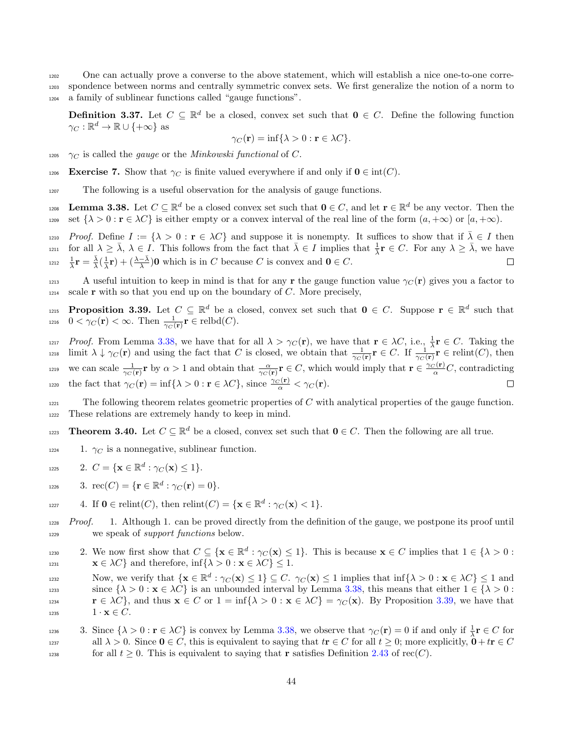<sup>1202</sup> One can actually prove a converse to the above statement, which will establish a nice one-to-one corre-<sup>1203</sup> spondence between norms and centrally symmetric convex sets. We first generalize the notion of a norm to <sup>1204</sup> a family of sublinear functions called "gauge functions".

**Definition 3.37.** Let  $C \subseteq \mathbb{R}^d$  be a closed, convex set such that  $\mathbf{0} \in C$ . Define the following function  $\gamma_C : \mathbb{R}^d \to \mathbb{R} \cup \{+\infty\}$  as

$$
\gamma_C(\mathbf{r}) = \inf \{ \lambda > 0 : \mathbf{r} \in \lambda C \}.
$$

1205  $\gamma_C$  is called the *gauge* or the *Minkowski functional* of C.

1206 Exercise 7. Show that  $\gamma_C$  is finite valued everywhere if and only if  $\mathbf{0} \in \text{int}(C)$ .

<sup>1207</sup> The following is a useful observation for the analysis of gauge functions.

<span id="page-43-0"></span>**Lemma 3.38.** Let  $C \subseteq \mathbb{R}^d$  be a closed convex set such that  $\mathbf{0} \in C$ , and let  $\mathbf{r} \in \mathbb{R}^d$  be any vector. Then the 1209 set  $\{\lambda > 0 : \mathbf{r} \in \lambda C\}$  is either empty or a convex interval of the real line of the form  $(a, +\infty)$  or  $[a, +\infty)$ .

<sup>1210</sup> Proof. Define  $I := {\lambda > 0 : \mathbf{r} \in \lambda C}$  and suppose it is nonempty. It suffices to show that if  $\overline{\lambda} \in I$  then for all  $\lambda \geq \overline{\lambda}$ ,  $\lambda \in I$ . This follows from the fact that  $\overline{\lambda} \in I$  implies that  $\frac{1}{\overline{\lambda}} \mathbf{r} \in C$ . For any  $\lambda \geq \overline{\lambda}$ , we have  $\frac{1}{\lambda}\mathbf{r} = \frac{\bar{\lambda}}{\lambda}(\frac{1}{\lambda}\mathbf{r}) + (\frac{\lambda-\bar{\lambda}}{\lambda})\mathbf{0}$  which is in C because C is convex and  $\mathbf{0} \in C$ .  $\Box$ 

1213 A useful intuition to keep in mind is that for any r the gauge function value  $\gamma_C(\mathbf{r})$  gives you a factor to  $1214$  scale **r** with so that you end up on the boundary of C. More precisely,

<span id="page-43-1"></span>**Proposition 3.39.** Let  $C \subseteq \mathbb{R}^d$  be a closed, convex set such that  $0 \in C$ . Suppose  $\mathbf{r} \in \mathbb{R}^d$  such that 1216  $0 < \gamma_C(\mathbf{r}) < \infty$ . Then  $\frac{1}{\gamma_C(\mathbf{r})}\mathbf{r} \in \text{relbd}(C)$ .

1217 *Proof.* From Lemma [3.38,](#page-43-0) we have that for all  $\lambda > \gamma_C(\mathbf{r})$ , we have that  $\mathbf{r} \in \lambda C$ , i.e.,  $\frac{1}{\lambda}\mathbf{r} \in C$ . Taking the  $\lim_{T \to \infty} \lim_{\mathbf{\hat{r}} \to \infty} \frac{1}{r} \mathbf{\hat{r}}$  and using the fact that C is closed, we obtain that  $\frac{1}{\gamma_C(\mathbf{r})} \mathbf{r} \in C$ . If  $\frac{1}{\gamma_C(\mathbf{r})} \mathbf{r} \in \text{relint}(C)$ , then we can scale  $\frac{1}{\gamma_C(\mathbf{r})}\mathbf{r}$  by  $\alpha > 1$  and obtain that  $\frac{\alpha}{\gamma_C(\mathbf{r})}\mathbf{r} \in C$ , which would imply that  $\mathbf{r} \in \frac{\gamma_C(\mathbf{r})}{\alpha}C$ , contradicting 1220 the fact that  $\gamma_C(\mathbf{r}) = \inf \{ \lambda > 0 : \mathbf{r} \in \lambda C \}$ , since  $\frac{\gamma_C(\mathbf{r})}{\alpha} < \gamma_C(\mathbf{r})$ .  $\Box$ 

 $1221$  The following theorem relates geometric properties of C with analytical properties of the gauge function. <sup>1222</sup> These relations are extremely handy to keep in mind.

- <span id="page-43-2"></span>1223 **Theorem 3.40.** Let  $C \subseteq \mathbb{R}^d$  be a closed, convex set such that  $\mathbf{0} \in C$ . Then the following are all true.
- $1224$  1.  $\gamma_C$  is a nonnegative, sublinear function.
- 1225 2.  $C = {\mathbf{x} \in \mathbb{R}^d : \gamma_C(\mathbf{x}) \le 1}.$
- 1226 3.  $\operatorname{rec}(C) = {\{\mathbf{r} \in \mathbb{R}^d : \gamma_C(\mathbf{r}) = 0\}}.$

$$
\text{1227} \qquad \text{4. If } \mathbf{0} \in \text{relint}(C), \text{ then } \text{relint}(C) = \{ \mathbf{x} \in \mathbb{R}^d : \gamma_C(\mathbf{x}) < 1 \}.
$$

 $1228$  Proof. 1. Although 1. can be proved directly from the definition of the gauge, we postpone its proof until <sup>1229</sup> we speak of support functions below.

- 1230 2. We now first show that  $C \subseteq \{ \mathbf{x} \in \mathbb{R}^d : \gamma_C(\mathbf{x}) \leq 1 \}.$  This is because  $\mathbf{x} \in C$  implies that  $1 \in \{ \lambda > 0 :$ 1231  $\mathbf{x} \in \lambda C$  and therefore, inf $\{\lambda > 0 : \mathbf{x} \in \lambda C\} \leq 1$ .
- Now, we verify that  $\{x \in \mathbb{R}^d : \gamma_C(x) \leq 1\} \subseteq C$ .  $\gamma_C(x) \leq 1$  implies that  $\inf\{\lambda > 0 : x \in \lambda C\} \leq 1$  and since  $\{\lambda > 0 : \mathbf{x} \in \lambda C\}$  is an unbounded interval by Lemma [3.38,](#page-43-0) this means that either  $1 \in \{\lambda > 0 : \mathbf{x} \in \lambda C\}$ 1234  $\mathbf{r} \in \lambda C$ , and thus  $\mathbf{x} \in C$  or  $1 = \inf\{\lambda > 0 : \mathbf{x} \in \lambda C\} = \gamma_C(\mathbf{x})$ . By Proposition [3.39,](#page-43-1) we have that 1235  $1 \cdot \mathbf{x} \in C$ .
- 1236 3. Since  $\{\lambda > 0 : \mathbf{r} \in \lambda C\}$  is convex by Lemma [3.38,](#page-43-0) we observe that  $\gamma_C(\mathbf{r}) = 0$  if and only if  $\frac{1}{\lambda}\mathbf{r} \in C$  for all  $\lambda > 0$ . Since  $0 \in C$ , this is equivalent to saying that  $t r \in C$  for all  $t \geq 0$ ; more explicitly,  $0 + t r \in C$ 1238 for all  $t \geq 0$ . This is equivalent to saying that **r** satisfies Definition [2.43](#page-16-0) of rec(C).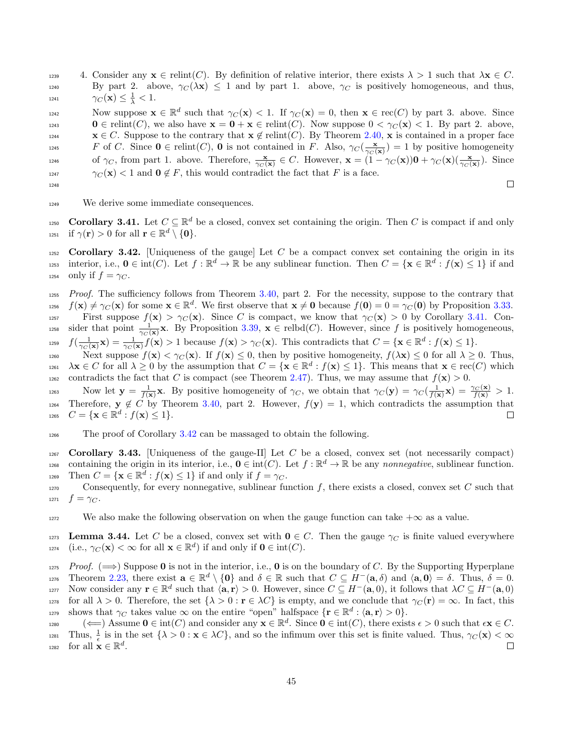1239 4. Consider any  $\mathbf{x} \in \text{relint}(C)$ . By definition of relative interior, there exists  $\lambda > 1$  such that  $\lambda \mathbf{x} \in C$ . 1240 By part 2. above,  $\gamma_C(\lambda x) \leq 1$  and by part 1. above,  $\gamma_C$  is positively homogeneous, and thus, 1241  $\gamma_C(\mathbf{x}) \leq \frac{1}{\lambda} < 1.$ 

Now suppose  $\mathbf{x} \in \mathbb{R}^d$  such that  $\gamma_C(\mathbf{x}) < 1$ . If  $\gamma_C(\mathbf{x}) = 0$ , then  $\mathbf{x} \in \text{rec}(C)$  by part 3. above. Since  $1243$  0 ∈ relint(C), we also have  $\mathbf{x} = \mathbf{0} + \mathbf{x} \in \text{relint}(C)$ . Now suppose  $0 < \gamma_C(\mathbf{x}) < 1$ . By part 2. above,  $x \in C$ . Suppose to the contrary that  $x \notin \text{relint}(C)$ . By Theorem [2.40,](#page-14-0) x is contained in a proper face 1245 F of C. Since  $\mathbf{0} \in \text{relint}(C)$ ,  $\mathbf{0}$  is not contained in F. Also,  $\gamma_C(\frac{\mathbf{x}}{\gamma_C(\mathbf{x})}) = 1$  by positive homogeneity 1246 of  $\gamma_C$ , from part 1. above. Therefore,  $\frac{\mathbf{x}}{\gamma_C(\mathbf{x})} \in C$ . However,  $\mathbf{x} = (1 - \gamma_C(\mathbf{x}))\mathbf{0} + \gamma_C(\mathbf{x})(\frac{\mathbf{x}}{\gamma_C(\mathbf{x})})$ . Since 1247  $\gamma_C(\mathbf{x}) < 1$  and  $\mathbf{0} \notin F$ , this would contradict the fact that F is a face.

$$
^{1248}
$$

 $\Box$ 

1249 We derive some immediate consequences.

<span id="page-44-0"></span>1250 **Corollary 3.41.** Let  $C \subseteq \mathbb{R}^d$  be a closed, convex set containing the origin. Then C is compact if and only 1251 if  $\gamma(\mathbf{r}) > 0$  for all  $\mathbf{r} \in \mathbb{R}^d \setminus \{0\}.$ 

<span id="page-44-1"></span> $1252$  Corollary 3.42. [Uniqueness of the gauge] Let C be a compact convex set containing the origin in its interior, i.e.,  $\mathbf{0} \in \text{int}(C)$ . Let  $f : \mathbb{R}^d \to \mathbb{R}$  be any sublinear function. Then  $C = {\mathbf{x} \in \mathbb{R}^d : f(\mathbf{x}) \leq 1}$  if and 1254 only if  $f = \gamma_C$ .

1255 Proof. The sufficiency follows from Theorem [3.40,](#page-43-2) part 2. For the necessity, suppose to the contrary that 1256  $f(\mathbf{x}) \neq \gamma_C(\mathbf{x})$  for some  $\mathbf{x} \in \mathbb{R}^d$ . We first observe that  $\mathbf{x} \neq \mathbf{0}$  because  $f(\mathbf{0}) = 0 = \gamma_C(\mathbf{0})$  by Proposition [3.33.](#page-42-1) 1257 First suppose  $f(\mathbf{x}) > \gamma_C(\mathbf{x})$ . Since C is compact, we know that  $\gamma_C(\mathbf{x}) > 0$  by Corollary [3.41.](#page-44-0) Con-<sup>1258</sup> sider that point  $\frac{1}{\gamma_C(\mathbf{x})}\mathbf{x}$ . By Proposition [3.39,](#page-43-1)  $\mathbf{x} \in \text{relbd}(C)$ . However, since f is positively homogeneous,

<sup>1259</sup>  $f(\frac{1}{\gamma_C(\mathbf{x})}\mathbf{x}) = \frac{1}{\gamma_C(\mathbf{x})}f(\mathbf{x}) > 1$  because  $f(\mathbf{x}) > \gamma_C(\mathbf{x})$ . This contradicts that  $C = {\mathbf{x} \in \mathbb{R}^d : f(\mathbf{x}) \leq 1}.$ 

1260 Next suppose  $f(\mathbf{x}) < \gamma_C(\mathbf{x})$ . If  $f(\mathbf{x}) \leq 0$ , then by positive homogeneity,  $f(\lambda \mathbf{x}) \leq 0$  for all  $\lambda \geq 0$ . Thus,  $\lambda \mathbf{x} \in C$  for all  $\lambda \geq 0$  by the assumption that  $C = {\mathbf{x} \in \mathbb{R}^d : f(\mathbf{x}) \leq 1}$ . This means that  $\mathbf{x} \in \text{rec}(C)$  which 1262 contradicts the fact that C is compact (see Theorem [2.47\)](#page-16-1). Thus, we may assume that  $f(\mathbf{x}) > 0$ .

Now let  $y = \frac{1}{f(x)}x$ . By positive homogeneity of  $\gamma_C$ , we obtain that  $\gamma_C(y) = \gamma_C(\frac{1}{f(x)}x) = \frac{\gamma_C(x)}{f(x)} > 1$ . 1264 Therefore,  $y \notin C$  by Theorem [3.40,](#page-43-2) part 2. However,  $f(y) = 1$ , which contradicts the assumption that  $C = {\mathbf{x} \in \mathbb{R}^d : f(\mathbf{x}) \leq 1}.$ 

<sup>1266</sup> The proof of Corollary [3.42](#page-44-1) can be massaged to obtain the following.

 $1267$  Corollary 3.43. [Uniqueness of the gauge-II] Let C be a closed, convex set (not necessarily compact) containing the origin in its interior, i.e.,  $\mathbf{0} \in \text{int}(C)$ . Let  $f : \mathbb{R}^d \to \mathbb{R}$  be any nonnegative, sublinear function. 1269 Then  $C = {\mathbf{x} \in \mathbb{R}^d : f(\mathbf{x}) \le 1}$  if and only if  $f = \gamma_C$ .

1270 Consequently, for every nonnegative, sublinear function  $f$ , there exists a closed, convex set  $C$  such that 1271  $f = \gamma_C$ .

1272 We also make the following observation on when the gauge function can take  $+\infty$  as a value.

<span id="page-44-2"></span>1273 Lemma 3.44. Let C be a closed, convex set with  $0 \in C$ . Then the gauge  $\gamma_C$  is finite valued everywhere 1274 (i.e.,  $\gamma_C(\mathbf{x}) < \infty$  for all  $\mathbf{x} \in \mathbb{R}^d$ ) if and only if  $\mathbf{0} \in \text{int}(C)$ .

 $1275$  Proof. ( $\implies$ ) Suppose 0 is not in the interior, i.e., 0 is on the boundary of C. By the Supporting Hyperplane 1276 Theorem [2.23,](#page-10-0) there exist  $\mathbf{a} \in \mathbb{R}^d \setminus \{\mathbf{0}\}$  and  $\delta \in \mathbb{R}$  such that  $C \subseteq H^-(\mathbf{a}, \delta)$  and  $\langle \mathbf{a}, \mathbf{0} \rangle = \delta$ . Thus,  $\delta = 0$ . Now consider any  $\mathbf{r} \in \mathbb{R}^d$  such that  $\langle \mathbf{a}, \mathbf{r} \rangle > 0$ . However, since  $C \subseteq H^{-}(\mathbf{a}, 0)$ , it follows that  $\lambda C \subseteq H^{-}(\mathbf{a}, 0)$ 1278 for all  $\lambda > 0$ . Therefore, the set  $\{\lambda > 0 : \mathbf{r} \in \lambda C\}$  is empty, and we conclude that  $\gamma_C(\mathbf{r}) = \infty$ . In fact, this shows that  $\gamma_C$  takes value  $\infty$  on the entire "open" halfspace  $\{ \mathbf{r} \in \mathbb{R}^d : \langle \mathbf{a}, \mathbf{r} \rangle > 0 \}.$ 

1280  $(\Leftarrow)$  Assume  $\mathbf{0} \in \text{int}(C)$  and consider any  $\mathbf{x} \in \mathbb{R}^d$ . Since  $\mathbf{0} \in \text{int}(C)$ , there exists  $\epsilon > 0$  such that  $\epsilon \mathbf{x} \in C$ . Thus,  $\frac{1}{\epsilon}$  is in the set  $\{\lambda > 0 : \mathbf{x} \in \lambda C\}$ , and so the infimum over this set is finite valued. Thus,  $\gamma_C(\mathbf{x}) < \infty$ 1282 for all  $\mathbf{x} \in \mathbb{R}^d$ .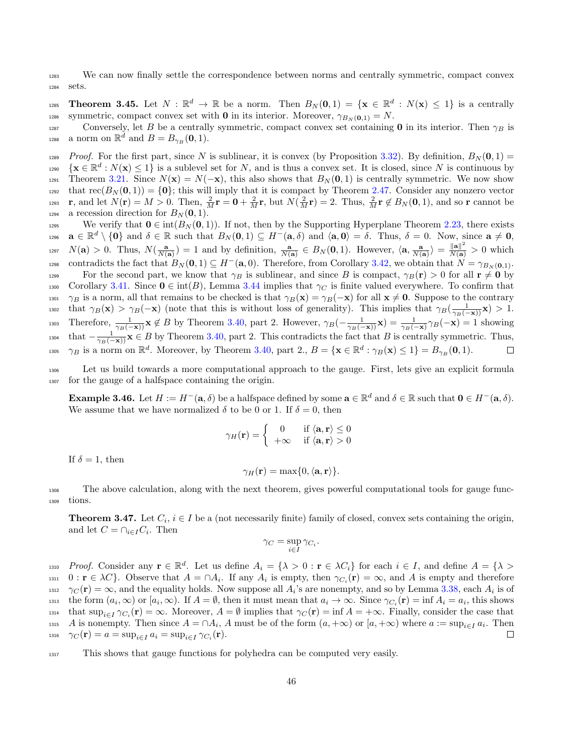<sup>1283</sup> We can now finally settle the correspondence between norms and centrally symmetric, compact convex <sup>1284</sup> sets.

1285 **Theorem 3.45.** Let  $N : \mathbb{R}^d \to \mathbb{R}$  be a norm. Then  $B_N(\mathbf{0},1) = {\mathbf{x} \in \mathbb{R}^d : N(\mathbf{x}) \leq 1}$  is a centrally 1286 symmetric, compact convex set with **0** in its interior. Moreover,  $\gamma_{B_N(0,1)} = N$ .

1287 Conversely, let B be a centrally symmetric, compact convex set containing 0 in its interior. Then  $\gamma_B$  is <sup>1288</sup> a norm on  $\mathbb{R}^d$  and  $B = B_{\gamma_B}(\mathbf{0}, 1)$ .

1289 Proof. For the first part, since N is sublinear, it is convex (by Proposition [3.32\)](#page-42-0). By definition,  $B_N(0,1)$  =  ${x \in \mathbb{R}^d : N(\mathbf{x}) \leq 1}$  is a sublevel set for N, and is thus a convex set. It is closed, since N is continuous by 1291 Theorem [3.21.](#page-38-2) Since  $N(\mathbf{x}) = N(-\mathbf{x})$ , this also shows that  $B_N(\mathbf{0}, 1)$  is centrally symmetric. We now show that  $rec(B_N(0, 1)) = \{0\}$ ; this will imply that it is compact by Theorem [2.47.](#page-16-1) Consider any nonzero vector 1293 r, and let  $N(\mathbf{r}) = M > 0$ . Then,  $\frac{2}{M}\mathbf{r} = \mathbf{0} + \frac{2}{M}\mathbf{r}$ , but  $N(\frac{2}{M}\mathbf{r}) = 2$ . Thus,  $\frac{2}{M}\mathbf{r} \notin B_N(\mathbf{0}, 1)$ , and so r cannot be 1294 a recession direction for  $B_N(0, 1)$ .

1295 We verify that  $0 \in \text{int}(B_N(0, 1))$ . If not, then by the Supporting Hyperplane Theorem [2.23,](#page-10-0) there exists  $a \in \mathbb{R}^d \setminus \{0\}$  and  $\delta \in \mathbb{R}$  such that  $B_N(0,1) \subseteq H^-(\mathbf{a}, \delta)$  and  $\langle \mathbf{a}, \mathbf{0} \rangle = \delta$ . Thus,  $\delta = 0$ . Now, since  $\mathbf{a} \neq \mathbf{0}$ ,  $N(\mathbf{a}) > 0$ . Thus,  $N(\frac{\mathbf{a}}{N(\mathbf{a})}) = 1$  and by definition,  $\frac{\mathbf{a}}{N(\mathbf{a})} \in B_N(\mathbf{0}, 1)$ . However,  $\langle \mathbf{a}, \frac{\mathbf{a}}{N(\mathbf{a})} \rangle = \frac{\|\mathbf{a}\|^2}{N(\mathbf{a})} > 0$  which contradicts the fact that  $B_N(\mathbf{0},1) \subseteq H^-(\mathbf{a},0)$ . Therefore, from Corollary [3.42,](#page-44-1) we obtain that  $N = \gamma_{B_N(\mathbf{0},1)}$ . 1299 For the second part, we know that  $\gamma_B$  is sublinear, and since B is compact,  $\gamma_B(\mathbf{r}) > 0$  for all  $\mathbf{r} \neq \mathbf{0}$  by 1300 Corollary [3.41.](#page-44-0) Since  $0 \in \text{int}(B)$ , Lemma [3.44](#page-44-2) implies that  $\gamma_C$  is finite valued everywhere. To confirm that 1301  $\gamma_B$  is a norm, all that remains to be checked is that  $\gamma_B(\mathbf{x}) = \gamma_B(-\mathbf{x})$  for all  $\mathbf{x} \neq \mathbf{0}$ . Suppose to the contrary that  $\gamma_B(\mathbf{x}) > \gamma_B(-\mathbf{x})$  (note that this is without loss of generality). This implies that  $\gamma_B(\frac{1}{\gamma_B(-\mathbf{x})}\mathbf{x}) > 1$ . 1303 Therefore,  $\frac{1}{\gamma_B(-\mathbf{x})} \mathbf{x} \notin B$  by Theorem [3.40,](#page-43-2) part 2. However,  $\gamma_B(-\frac{1}{\gamma_B(-\mathbf{x})}\mathbf{x}) = \frac{1}{\gamma_B(-\mathbf{x})}\gamma_B(-\mathbf{x}) = 1$  showing <sup>1304</sup> that  $-\frac{1}{\gamma_B(-\mathbf{x})}$ **x** ∈ B by Theorem [3.40,](#page-43-2) part 2. This contradicts the fact that B is centrally symmetric. Thus, 1305  $\gamma_B$  is a norm on  $\mathbb{R}^d$ . Moreover, by Theorem [3.40,](#page-43-2) part 2.,  $B = {\mathbf{x} \in \mathbb{R}^d : \gamma_B(\mathbf{x}) \le 1} = B_{\gamma_B}(\mathbf{0}, 1)$ .  $\Box$ 

<sup>1306</sup> Let us build towards a more computational approach to the gauge. First, lets give an explicit formula <sup>1307</sup> for the gauge of a halfspace containing the origin.

<span id="page-45-0"></span>**Example 3.46.** Let  $H := H^{-}(\mathbf{a}, \delta)$  be a halfspace defined by some  $\mathbf{a} \in \mathbb{R}^d$  and  $\delta \in \mathbb{R}$  such that  $\mathbf{0} \in H^{-}(\mathbf{a}, \delta)$ . We assume that we have normalized  $\delta$  to be 0 or 1. If  $\delta = 0$ , then

$$
\gamma_H(\mathbf{r}) = \begin{cases} 0 & \text{if } \langle \mathbf{a}, \mathbf{r} \rangle \le 0 \\ +\infty & \text{if } \langle \mathbf{a}, \mathbf{r} \rangle > 0 \end{cases}
$$

If  $\delta = 1$ , then

$$
\gamma_H(\mathbf{r}) = \max\{0, \langle \mathbf{a}, \mathbf{r} \rangle\}.
$$

<sup>1308</sup> The above calculation, along with the next theorem, gives powerful computational tools for gauge func-<sup>1309</sup> tions.

<span id="page-45-1"></span>**Theorem 3.47.** Let  $C_i$ ,  $i \in I$  be a (not necessarily finite) family of closed, convex sets containing the origin, and let  $C = \bigcap_{i \in I} C_i$ . Then

$$
\gamma_C = \sup_{i \in I} \gamma_{C_i}.
$$

1310 Proof. Consider any  $\mathbf{r} \in \mathbb{R}^d$ . Let us define  $A_i = \{\lambda > 0 : \mathbf{r} \in \lambda C_i\}$  for each  $i \in I$ , and define  $A = \{\lambda > 0 : \mathbf{r} \in \lambda C_i\}$ 1311  $0: \mathbf{r} \in \lambda C$ . Observe that  $A = \cap A_i$ . If any  $A_i$  is empty, then  $\gamma_{C_i}(\mathbf{r}) = \infty$ , and A is empty and therefore <sup>1312</sup>  $\gamma_C(\mathbf{r}) = \infty$ , and the equality holds. Now suppose all  $A_i$ 's are nonempty, and so by Lemma [3.38,](#page-43-0) each  $A_i$  is of  $t_{\text{max}}$  the form  $(a_i, \infty)$  or  $[a_i, \infty)$ . If  $A = \emptyset$ , then it must mean that  $a_i \to \infty$ . Since  $\gamma_{C_i}(\mathbf{r}) = \inf A_i = a_i$ , this shows <sup>1314</sup> that  $\sup_{i\in I}\gamma_{C_i}(\mathbf{r})=\infty$ . Moreover,  $A=\emptyset$  implies that  $\gamma_C(\mathbf{r})=\inf A=+\infty$ . Finally, consider the case that <sup>1315</sup> A is nonempty. Then since  $A = \cap A_i$ , A must be of the form  $(a, +\infty)$  or  $[a, +\infty)$  where  $a := \sup_{i \in I} a_i$ . Then 1316  $\gamma_C(\mathbf{r}) = a = \sup_{i \in I} a_i = \sup_{i \in I} \gamma_{C_i}(\mathbf{r}).$ □

<sup>1317</sup> This shows that gauge functions for polyhedra can be computed very easily.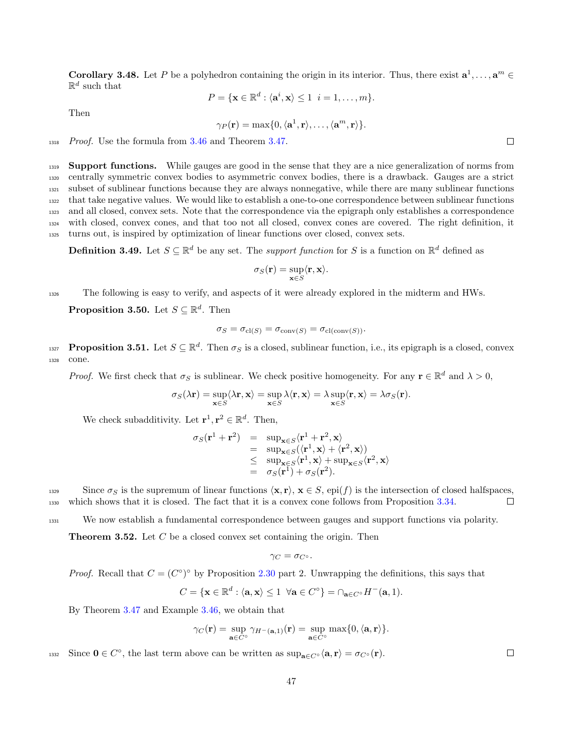<span id="page-46-0"></span>**Corollary 3.48.** Let P be a polyhedron containing the origin in its interior. Thus, there exist  $\mathbf{a}^1, \ldots, \mathbf{a}^m \in \mathbb{R}$  $\mathbb{R}^d$  such that

$$
P = \{ \mathbf{x} \in \mathbb{R}^d : \langle \mathbf{a}^i, \mathbf{x} \rangle \le 1 \ \ i = 1, \dots, m \}.
$$

Then

$$
\gamma_P(\mathbf{r}) = \max\{0, \langle \mathbf{a}^1, \mathbf{r} \rangle, \dots, \langle \mathbf{a}^m, \mathbf{r} \rangle\}.
$$

1318 Proof. Use the formula from [3.46](#page-45-0) and Theorem [3.47.](#page-45-1)

**Support functions.** While gauges are good in the sense that they are a nice generalization of norms from centrally symmetric convex bodies to asymmetric convex bodies, there is a drawback. Gauges are a strict subset of sublinear functions because they are always nonnegative, while there are many sublinear functions that take negative values. We would like to establish a one-to-one correspondence between sublinear functions and all closed, convex sets. Note that the correspondence via the epigraph only establishes a correspondence with closed, convex cones, and that too not all closed, convex cones are covered. The right definition, it turns out, is inspired by optimization of linear functions over closed, convex sets.

**Definition 3.49.** Let  $S \subseteq \mathbb{R}^d$  be any set. The *support function* for S is a function on  $\mathbb{R}^d$  defined as

$$
\sigma_S(\mathbf{r}) = \sup_{\mathbf{x} \in S} \langle \mathbf{r}, \mathbf{x} \rangle.
$$

<sup>1326</sup> The following is easy to verify, and aspects of it were already explored in the midterm and HWs.

<span id="page-46-3"></span>**Proposition 3.50.** Let  $S \subseteq \mathbb{R}^d$ . Then

$$
\sigma_S = \sigma_{\text{cl}(S)} = \sigma_{\text{conv}(S)} = \sigma_{\text{cl}(\text{conv}(S))}.
$$

<span id="page-46-2"></span>**Proposition 3.51.** Let  $S \subseteq \mathbb{R}^d$ . Then  $\sigma_S$  is a closed, sublinear function, i.e., its epigraph is a closed, convex <sup>1328</sup> cone.

*Proof.* We first check that  $\sigma_S$  is sublinear. We check positive homogeneity. For any  $\mathbf{r} \in \mathbb{R}^d$  and  $\lambda > 0$ ,

$$
\sigma_S(\lambda \mathbf{r}) = \sup_{\mathbf{x} \in S} \langle \lambda \mathbf{r}, \mathbf{x} \rangle = \sup_{\mathbf{x} \in S} \lambda \langle \mathbf{r}, \mathbf{x} \rangle = \lambda \sup_{\mathbf{x} \in S} \langle \mathbf{r}, \mathbf{x} \rangle = \lambda \sigma_S(\mathbf{r}).
$$

We check subadditivity. Let  $\mathbf{r}^1, \mathbf{r}^2 \in \mathbb{R}^d$ . Then,

$$
\sigma_S(\mathbf{r}^1 + \mathbf{r}^2) = \sup_{\mathbf{x} \in S} \langle \mathbf{r}^1 + \mathbf{r}^2, \mathbf{x} \rangle
$$
  
\n
$$
= \sup_{\mathbf{x} \in S} \langle \langle \mathbf{r}^1, \mathbf{x} \rangle + \langle \mathbf{r}^2, \mathbf{x} \rangle \rangle
$$
  
\n
$$
\leq \sup_{\mathbf{x} \in S} \langle \mathbf{r}^1, \mathbf{x} \rangle + \sup_{\mathbf{x} \in S} \langle \mathbf{r}^2, \mathbf{x} \rangle
$$
  
\n
$$
= \sigma_S(\mathbf{r}^1) + \sigma_S(\mathbf{r}^2).
$$

Since  $\sigma_S$  is the supremum of linear functions  $\langle \mathbf{x}, \mathbf{r} \rangle$ ,  $\mathbf{x} \in S$ , epi(f) is the intersection of closed halfspaces,<br>which shows that it is closed. The fact that it is a convex cone follows from Proposition 3.3 <sup>1330</sup> which shows that it is closed. The fact that it is a convex cone follows from Proposition [3.34.](#page-42-2)

<sup>1331</sup> We now establish a fundamental correspondence between gauges and support functions via polarity.

<span id="page-46-1"></span>**Theorem 3.52.** Let  $C$  be a closed convex set containing the origin. Then

$$
\gamma_C = \sigma_{C^\circ}.
$$

*Proof.* Recall that  $C = (C^{\circ})^{\circ}$  by Proposition [2.30](#page-12-0) part 2. Unwrapping the definitions, this says that

$$
C = \{ \mathbf{x} \in \mathbb{R}^d : \langle \mathbf{a}, \mathbf{x} \rangle \le 1 \ \forall \mathbf{a} \in C^\circ \} = \cap_{\mathbf{a} \in C^\circ} H^-(\mathbf{a}, 1).
$$

By Theorem [3.47](#page-45-1) and Example [3.46,](#page-45-0) we obtain that

$$
\gamma_C(\mathbf{r}) = \sup_{\mathbf{a} \in C^{\circ}} \gamma_{H^-(\mathbf{a},1)}(\mathbf{r}) = \sup_{\mathbf{a} \in C^{\circ}} \max\{0, \langle \mathbf{a}, \mathbf{r} \rangle\}.
$$

1332 Since  $0 \in C^{\circ}$ , the last term above can be written as  $\sup_{\mathbf{a} \in C^{\circ}} \langle \mathbf{a}, \mathbf{r} \rangle = \sigma_{C^{\circ}}(\mathbf{r}).$ 

 $\Box$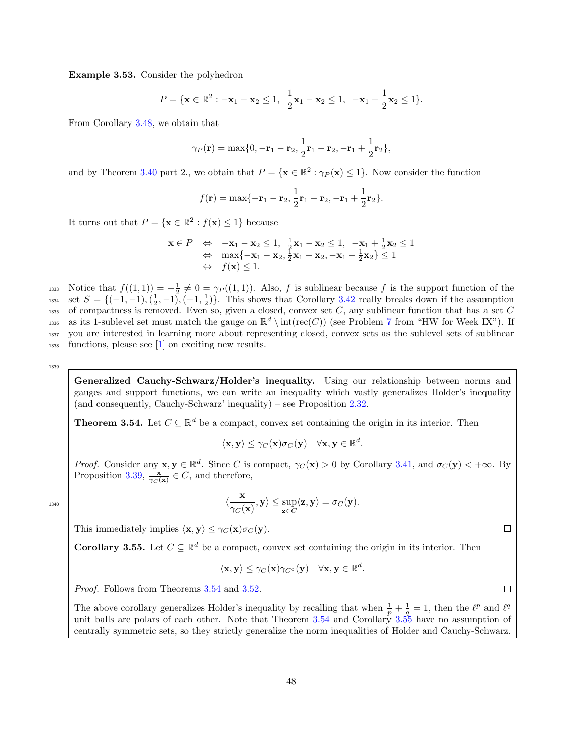Example 3.53. Consider the polyhedron

$$
P = \{ \mathbf{x} \in \mathbb{R}^2 : -\mathbf{x}_1 - \mathbf{x}_2 \le 1, \ \frac{1}{2}\mathbf{x}_1 - \mathbf{x}_2 \le 1, \ -\mathbf{x}_1 + \frac{1}{2}\mathbf{x}_2 \le 1 \}.
$$

From Corollary [3.48,](#page-46-0) we obtain that

$$
\gamma_P(\mathbf{r}) = \max\{0, -\mathbf{r}_1 - \mathbf{r}_2, \frac{1}{2}\mathbf{r}_1 - \mathbf{r}_2, -\mathbf{r}_1 + \frac{1}{2}\mathbf{r}_2\},\,
$$

and by Theorem [3.40](#page-43-2) part 2., we obtain that  $P = {\mathbf{x} \in \mathbb{R}^2 : \gamma_P(\mathbf{x}) \le 1}$ . Now consider the function

$$
f(\mathbf{r}) = \max\{-\mathbf{r}_1 - \mathbf{r}_2, \frac{1}{2}\mathbf{r}_1 - \mathbf{r}_2, -\mathbf{r}_1 + \frac{1}{2}\mathbf{r}_2\}.
$$

It turns out that  $P = {\mathbf{x} \in \mathbb{R}^2 : f(\mathbf{x}) \le 1}$  because

$$
\mathbf{x} \in P \Leftrightarrow -\mathbf{x}_1 - \mathbf{x}_2 \le 1, \quad \frac{1}{2}\mathbf{x}_1 - \mathbf{x}_2 \le 1, \quad -\mathbf{x}_1 + \frac{1}{2}\mathbf{x}_2 \le 1
$$
  
\n
$$
\Leftrightarrow \max\{-\mathbf{x}_1 - \mathbf{x}_2, \frac{1}{2}\mathbf{x}_1 - \mathbf{x}_2, -\mathbf{x}_1 + \frac{1}{2}\mathbf{x}_2\} \le 1
$$
  
\n
$$
\Leftrightarrow f(\mathbf{x}) \le 1.
$$

1333 Notice that  $f((1,1)) = -\frac{1}{2} \neq 0 = \gamma_P((1,1))$ . Also, f is sublinear because f is the support function of the 1334 set  $S = \{(-1,-1),(\frac{1}{2},-1),(-1,\frac{1}{2})\}$ . This shows that Corollary [3.42](#page-44-1) really breaks down if the assumption 1335 of compactness is removed. Even so, given a closed, convex set  $C$ , any sublinear function that has a set  $C$ as its 1-sublevel set must match the gauge on  $\mathbb{R}^d \setminus \text{int}(\text{rec}(C))$  (see Problem [7](#page-3-2) from "HW for Week IX"). If <sup>1337</sup> you are interested in learning more about representing closed, convex sets as the sublevel sets of sublinear <sup>1338</sup> functions, please see [\[1\]](#page-75-1) on exciting new results.

1339

1340

Generalized Cauchy-Schwarz/Holder's inequality. Using our relationship between norms and gauges and support functions, we can write an inequality which vastly generalizes Holder's inequality (and consequently, Cauchy-Schwarz' inequality) – see Proposition [2.32.](#page-13-0)

<span id="page-47-0"></span>**Theorem 3.54.** Let  $C \subseteq \mathbb{R}^d$  be a compact, convex set containing the origin in its interior. Then

$$
\langle \mathbf{x}, \mathbf{y} \rangle \leq \gamma_C(\mathbf{x}) \sigma_C(\mathbf{y}) \quad \forall \mathbf{x}, \mathbf{y} \in \mathbb{R}^d.
$$

*Proof.* Consider any  $\mathbf{x}, \mathbf{y} \in \mathbb{R}^d$ . Since C is compact,  $\gamma_C(\mathbf{x}) > 0$  by Corollary [3.41,](#page-44-0) and  $\sigma_C(\mathbf{y}) < +\infty$ . By Proposition [3.39,](#page-43-1)  $\frac{\mathbf{x}}{\gamma_C(\mathbf{x})} \in C$ , and therefore,

$$
\langle \frac{\mathbf{x}}{\gamma_C(\mathbf{x})}, \mathbf{y} \rangle \leq \sup_{\mathbf{z} \in C} \langle \mathbf{z}, \mathbf{y} \rangle = \sigma_C(\mathbf{y}).
$$

This immediately implies  $\langle \mathbf{x}, \mathbf{y} \rangle \leq \gamma_C (\mathbf{x}) \sigma_C (\mathbf{y}).$ 

<span id="page-47-1"></span>**Corollary 3.55.** Let  $C \subseteq \mathbb{R}^d$  be a compact, convex set containing the origin in its interior. Then

$$
\langle \mathbf{x}, \mathbf{y} \rangle \leq \gamma_C(\mathbf{x}) \gamma_{C^{\circ}}(\mathbf{y}) \quad \forall \mathbf{x}, \mathbf{y} \in \mathbb{R}^d
$$

.

Proof. Follows from Theorems [3.54](#page-47-0) and [3.52.](#page-46-1)

The above corollary generalizes Holder's inequality by recalling that when  $\frac{1}{p} + \frac{1}{q} = 1$ , then the  $\ell^p$  and  $\ell^q$ unit balls are polars of each other. Note that Theorem [3.54](#page-47-0) and Corollary  $3.55$  have no assumption of centrally symmetric sets, so they strictly generalize the norm inequalities of Holder and Cauchy-Schwarz.

 $\Box$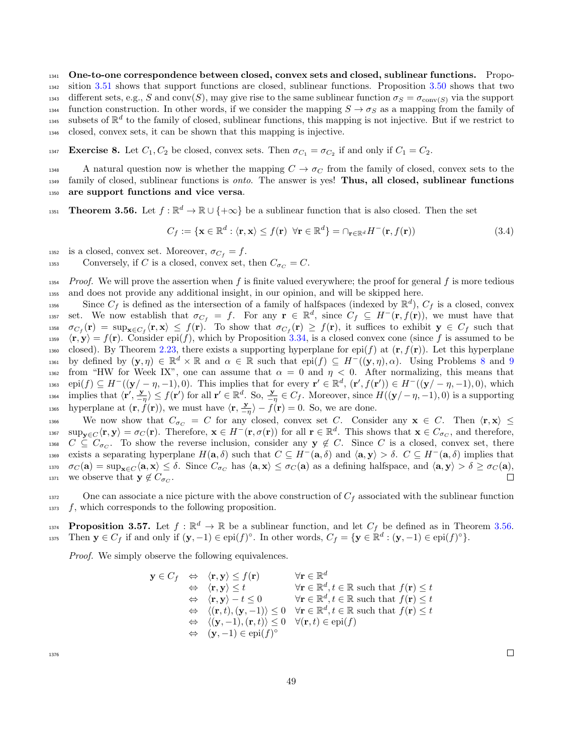<sup>1341</sup> One-to-one correspondence between closed, convex sets and closed, sublinear functions. Propo-<sup>1342</sup> sition [3.51](#page-46-2) shows that support functions are closed, sublinear functions. Proposition [3.50](#page-46-3) shows that two 1343 different sets, e.g., S and conv(S), may give rise to the same sublinear function  $\sigma_S = \sigma_{\text{conv}(S)}$  via the support function construction. In other words, if we consider the mapping  $S \to \sigma_S$  as a mapping from the family of subsets of  $\mathbb{R}^d$  to the family of closed, sublinear functions, this mapping is not injective. But if we restrict to <sup>1346</sup> closed, convex sets, it can be shown that this mapping is injective.

**Exercise 8.** Let  $C_1$ ,  $C_2$  be closed, convex sets. Then  $\sigma_{C_1} = \sigma_{C_2}$  if and only if  $C_1 = C_2$ .

1348 A natural question now is whether the mapping  $C \rightarrow \sigma_C$  from the family of closed, convex sets to the  $_{1349}$  family of closed, sublinear functions is *onto*. The answer is yes! **Thus, all closed, sublinear functions** <sup>1350</sup> are support functions and vice versa.

<span id="page-48-0"></span>**Theorem 3.56.** Let  $f : \mathbb{R}^d \to \mathbb{R} \cup \{+\infty\}$  be a sublinear function that is also closed. Then the set

<span id="page-48-2"></span>
$$
C_f := \{ \mathbf{x} \in \mathbb{R}^d : \langle \mathbf{r}, \mathbf{x} \rangle \le f(\mathbf{r}) \ \forall \mathbf{r} \in \mathbb{R}^d \} = \cap_{\mathbf{r} \in \mathbb{R}^d} H^-(\mathbf{r}, f(\mathbf{r})) \tag{3.4}
$$

1352 is a closed, convex set. Moreover,  $\sigma_{C_f} = f$ .

1353 Conversely, if C is a closed, convex set, then  $C_{\sigma_C} = C$ .

 $1354$  Proof. We will prove the assertion when f is finite valued everywhere; the proof for general f is more tedious <sup>1355</sup> and does not provide any additional insight, in our opinion, and will be skipped here.

<sup>1356</sup> Since  $C_f$  is defined as the intersection of a family of halfspaces (indexed by  $\mathbb{R}^d$ ),  $C_f$  is a closed, convex 1357 set. We now establish that  $\sigma_{C_f} = f$ . For any  $\mathbf{r} \in \mathbb{R}^d$ , since  $C_f \subseteq H^-(\mathbf{r}, f(\mathbf{r}))$ , we must have that <sup>1358</sup>  $\sigma_{C_f}(\mathbf{r}) = \sup_{\mathbf{x} \in C_f} \langle \mathbf{r}, \mathbf{x} \rangle \leq f(\mathbf{r}).$  To show that  $\sigma_{C_f}(\mathbf{r}) \geq f(\mathbf{r}),$  it suffices to exhibit  $\mathbf{y} \in C_f$  such that  $\langle \mathbf{r}, \mathbf{y} \rangle = f(\mathbf{r})$ . Consider epi(f), which by Proposition [3.34,](#page-42-2) is a closed convex cone (since f is assumed to be 1360 closed). By Theorem [2.23,](#page-10-0) there exists a supporting hyperplane for epi(f) at  $(\mathbf{r}, f(\mathbf{r}))$ . Let this hyperplane 1361 by defined by  $(\mathbf{y}, \eta) \in \mathbb{R}^d \times \mathbb{R}$  and  $\alpha \in \mathbb{R}$  such that  $epi(f) \subseteq H^{-1}((\mathbf{y}, \eta), \alpha)$ . Using Problems [8](#page-3-3) and [9](#page-3-4) 1362 from "HW for Week IX", one can assume that  $\alpha = 0$  and  $\eta < 0$ . After normalizing, this means that  $\text{epi}(f) \subseteq H^-((\mathbf{y}/-\eta,-1),0)$ . This implies that for every  $\mathbf{r}' \in \mathbb{R}^d$ ,  $(\mathbf{r}',f(\mathbf{r}')) \in H^-((\mathbf{y}/-\eta,-1),0)$ , which  $\text{implies that } \langle \mathbf{r}', \frac{\mathbf{y}}{-\eta} \rangle \leq f(\mathbf{r}') \text{ for all } \mathbf{r}' \in \mathbb{R}^d. \text{ So, } \frac{\mathbf{y}}{-\eta} \in C_f. \text{ Moreover, since } H((\mathbf{y}/-\eta, -1), 0) \text{ is a supporting }$ hyperplane at  $(\mathbf{r}, \hat{f}(\mathbf{r}))$ , we must have  $\langle \mathbf{r}, \frac{\mathbf{y}}{-\eta} \rangle - \hat{f}(\mathbf{r}) = 0$ . So, we are done.

1366 We now show that  $C_{\sigma_C} = C$  for any closed, convex set C. Consider any  $\mathbf{x} \in C$ . Then  $\langle \mathbf{r}, \mathbf{x} \rangle \leq C$ 1367  $\sup_{\mathbf{y}\in C} \langle \mathbf{r}, \mathbf{y} \rangle = \sigma_C(\mathbf{r})$ . Therefore,  $\mathbf{x} \in H^-(\mathbf{r}, \sigma(\mathbf{r}))$  for all  $\mathbf{r} \in \mathbb{R}^d$ . This shows that  $\mathbf{x} \in C_{\sigma_C}$ , and therefore, <sup>1368</sup>  $C \subseteq C_{\sigma_C}$ . To show the reverse inclusion, consider any  $y \notin C$ . Since C is a closed, convex set, there exists a separating hyperplane  $H(\mathbf{a}, \delta)$  such that  $C \subseteq H^{-}(\mathbf{a}, \delta)$  and  $\langle \mathbf{a}, \mathbf{y} \rangle > \delta$ .  $C \subseteq H^{-}(\mathbf{a}, \delta)$  implies that 1370  $\sigma_C(\mathbf{a}) = \sup_{\mathbf{x} \in C} \langle \mathbf{a}, \mathbf{x} \rangle \leq \delta$ . Since  $C_{\sigma_C}$  has  $\langle \mathbf{a}, \mathbf{x} \rangle \leq \sigma_C(\mathbf{a})$  as a defining halfspace, and  $\langle \mathbf{a}, \mathbf{y} \rangle > \delta \geq \sigma_C(\mathbf{a})$ ,  $\square$ <sup>1371</sup> we observe that  $y \notin C_{\sigma_C}$ .

1372 One can associate a nice picture with the above construction of  $C_f$  associated with the sublinear function  $1373 \quad f$ , which corresponds to the following proposition.

<span id="page-48-1"></span>**Proposition 3.57.** Let  $f : \mathbb{R}^d \to \mathbb{R}$  be a sublinear function, and let  $C_f$  be defined as in Theorem [3.56.](#page-48-0) 1375 Then  $y \in C_f$  if and only if  $(y, -1) \in epi(f)^\circ$ . In other words,  $C_f = \{y \in \mathbb{R}^d : (y, -1) \in epi(f)^\circ\}$ .

Proof. We simply observe the following equivalences.

$$
\mathbf{y} \in C_f \Leftrightarrow \langle \mathbf{r}, \mathbf{y} \rangle \leq f(\mathbf{r}) \qquad \forall \mathbf{r} \in \mathbb{R}^d
$$
\n
$$
\Leftrightarrow \langle \mathbf{r}, \mathbf{y} \rangle \leq t \qquad \forall \mathbf{r} \in \mathbb{R}^d, t \in \mathbb{R} \text{ such that } f(\mathbf{r}) \leq t
$$
\n
$$
\Leftrightarrow \langle \mathbf{r}, \mathbf{y} \rangle - t \leq 0 \qquad \forall \mathbf{r} \in \mathbb{R}^d, t \in \mathbb{R} \text{ such that } f(\mathbf{r}) \leq t
$$
\n
$$
\Leftrightarrow \langle (\mathbf{r}, t), (\mathbf{y}, -1) \rangle \leq 0 \quad \forall \mathbf{r} \in \mathbb{R}^d, t \in \mathbb{R} \text{ such that } f(\mathbf{r}) \leq t
$$
\n
$$
\Leftrightarrow \langle (\mathbf{y}, -1), (\mathbf{r}, t) \rangle \leq 0 \quad \forall (\mathbf{r}, t) \in \text{epi}(f)
$$
\n
$$
\Leftrightarrow (\mathbf{y}, -1) \in \text{epi}(f)^\circ
$$

1376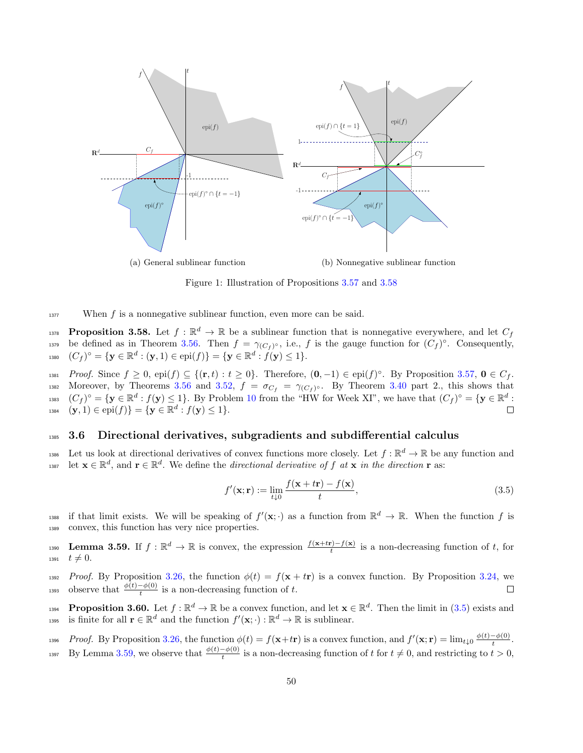<span id="page-49-3"></span>

(b) Nonnegative sublinear function

Figure 1: Illustration of Propositions [3.57](#page-48-1) and [3.58](#page-49-0)



<span id="page-49-0"></span>**Proposition 3.58.** Let  $f : \mathbb{R}^d \to \mathbb{R}$  be a sublinear function that is nonnegative everywhere, and let  $C_f$ 1379 be defined as in Theorem [3.56.](#page-48-0) Then  $f = \gamma_{(C_f)^\circ}$ , i.e., f is the gauge function for  $(C_f)^\circ$ . Consequently, 1380  $(C_f)^\circ = \{ \mathbf{y} \in \mathbb{R}^d : (\mathbf{y}, 1) \in \text{epi}(f) \} = \{ \mathbf{y} \in \mathbb{R}^d : f(\mathbf{y}) \leq 1 \}.$ 

1381 Proof. Since  $f \geq 0$ , epi $(f) \subseteq \{(\mathbf{r},t) : t \geq 0\}$ . Therefore,  $(\mathbf{0},-1) \in \text{epi}(f)$ <sup>o</sup>. By Proposition [3.57,](#page-48-1)  $\mathbf{0} \in C_f$ . 1382 Moreover, by Theorems [3.56](#page-48-0) and [3.52,](#page-46-1)  $f = \sigma_{C_f} = \gamma_{(C_f)}$ . By Theorem [3.40](#page-43-2) part 2., this shows that <sup>1383</sup>  $(C_f)^\circ = \{ \mathbf{y} \in \mathbb{R}^d : f(\mathbf{y}) \leq 1 \}.$  By Problem [10](#page-4-1) from the "HW for Week XI", we have that  $(C_f)^\circ = \{ \mathbf{y} \in \mathbb{R}^d : f(\mathbf{y}) \leq 1 \}.$ 1384  $(\mathbf{y}, 1) \in \text{epi}(f)$  =  $\{\mathbf{y} \in \mathbb{R}^d : f(\mathbf{y}) \le 1\}.$  $\Box$ 

### <sup>1385</sup> 3.6 Directional derivatives, subgradients and subdifferential calculus

1386 Let us look at directional derivatives of convex functions more closely. Let  $f : \mathbb{R}^d \to \mathbb{R}$  be any function and 1387 let  $\mathbf{x} \in \mathbb{R}^d$ , and  $\mathbf{r} \in \mathbb{R}^d$ . We define the *directional derivative of f at*  $\mathbf{x}$  in the *direction*  $\mathbf{r}$  as:

<span id="page-49-1"></span>
$$
f'(\mathbf{x}; \mathbf{r}) := \lim_{t \downarrow 0} \frac{f(\mathbf{x} + t\mathbf{r}) - f(\mathbf{x})}{t},
$$
\n(3.5)

<sup>1388</sup> if that limit exists. We will be speaking of  $f'(\mathbf{x}; \cdot)$  as a function from  $\mathbb{R}^d \to \mathbb{R}$ . When the function f is <sup>1389</sup> convex, this function has very nice properties.

<span id="page-49-2"></span>**Lemma 3.59.** If  $f : \mathbb{R}^d \to \mathbb{R}$  is convex, the expression  $\frac{f(x+tr)-f(x)}{t}$  is a non-decreasing function of t, for 1391  $t \neq 0$ .

1392 Proof. By Proposition [3.26,](#page-40-1) the function  $\phi(t) = f(\mathbf{x} + t\mathbf{r})$  is a convex function. By Proposition [3.24,](#page-39-0) we 1393 observe that  $\frac{\phi(t)-\phi(0)}{t}$  is a non-decreasing function of t.  $\Box$ 

<span id="page-49-4"></span>**Proposition 3.60.** Let  $f : \mathbb{R}^d \to \mathbb{R}$  be a convex function, and let  $\mathbf{x} \in \mathbb{R}^d$ . Then the limit in [\(3.5\)](#page-49-1) exists and 1395 is finite for all  $\mathbf{r} \in \mathbb{R}^d$  and the function  $f'(\mathbf{x}; \cdot) : \mathbb{R}^d \to \mathbb{R}$  is sublinear.

*Proof.* By Proposition [3.26,](#page-40-1) the function  $\phi(t) = f(\mathbf{x}+t\mathbf{r})$  is a convex function, and  $f'(\mathbf{x}; \mathbf{r}) = \lim_{t\downarrow 0} \frac{\phi(t)-\phi(0)}{t}$ <sup>1396</sup> Proof. By Proposition 3.26, the function  $\phi(t) = f(\mathbf{x}+t\mathbf{r})$  is a convex function, and  $f'(\mathbf{x}; \mathbf{r}) = \lim_{t\downarrow 0} \frac{\phi(t) - \phi(0)}{t}$ .

<sup>1397</sup> By Lemma [3.59,](#page-49-2) we observe that  $\frac{\phi(t)-\phi(0)}{t}$  is a non-decreasing function of t for  $t \neq 0$ , and restricting to  $t > 0$ ,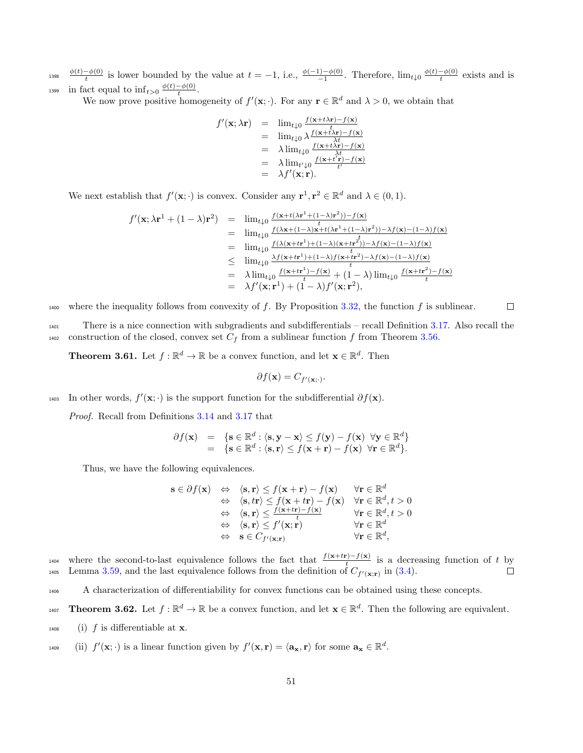$\phi(t)-\phi(0)$  $\frac{t-\phi(0)}{t}$  is lower bounded by the value at  $t = -1$ , i.e.,  $\frac{\phi(-1)-\phi(0)}{-1}$ . Therefore,  $\lim_{t\downarrow 0} \frac{\phi(t)-\phi(0)}{t}$ <sup>1398</sup>  $\frac{\varphi(t)-\varphi(0)}{t}$  is lower bounded by the value at  $t=-1$ , i.e.,  $\frac{\varphi(-1)-\varphi(0)}{-1}$ . Therefore,  $\lim_{t\downarrow 0} \frac{\varphi(t)-\varphi(0)}{t}$  exists and is in fact equal to  $\inf_{t>0} \frac{\phi(t)-\phi(0)}{t}$ 1399 in fact equal to  $\inf_{t>0} \frac{\varphi(t)-\varphi(0)}{t}$ .

We now prove positive homogeneity of  $f'(\mathbf{x}; \cdot)$ . For any  $\mathbf{r} \in \mathbb{R}^d$  and  $\lambda > 0$ , we obtain that

$$
f'(\mathbf{x}; \lambda \mathbf{r}) = \lim_{t \downarrow 0} \frac{f(\mathbf{x}+t\lambda \mathbf{r})-f(\mathbf{x})}{t}
$$
  
\n
$$
= \lim_{t \downarrow 0} \lambda \frac{f(\mathbf{x}+t\lambda \mathbf{r})-f(\mathbf{x})}{\lambda t}
$$
  
\n
$$
= \lambda \lim_{t \downarrow 0} \frac{f(\mathbf{x}+t\lambda \mathbf{r})-f(\mathbf{x})}{\lambda t}
$$
  
\n
$$
= \lambda \lim_{t' \downarrow 0} \frac{f(\mathbf{x}+t\lambda \mathbf{r})-f(\mathbf{x})}{t'}
$$
  
\n
$$
= \lambda f'(\mathbf{x}; \mathbf{r}).
$$

We next establish that  $f'(\mathbf{x}; \cdot)$  is convex. Consider any  $\mathbf{r}^1, \mathbf{r}^2 \in \mathbb{R}^d$  and  $\lambda \in (0, 1)$ .

$$
f'(\mathbf{x}; \lambda \mathbf{r}^1 + (1 - \lambda)\mathbf{r}^2) = \lim_{t \downarrow 0} \frac{f(\mathbf{x} + t(\lambda \mathbf{r}^1 + (1 - \lambda)\mathbf{r}^2)) - f(\mathbf{x})}{t}
$$
  
\n
$$
= \lim_{t \downarrow 0} \frac{f(\lambda \mathbf{x} + (1 - \lambda)\mathbf{x} + t(\lambda \mathbf{r}^1 + (1 - \lambda)\mathbf{r}^2)) - \lambda f(\mathbf{x}) - (1 - \lambda)f(\mathbf{x})}{t}
$$
  
\n
$$
= \lim_{t \downarrow 0} \frac{f(\lambda(\mathbf{x} + t\mathbf{r}^1) + (1 - \lambda)(\mathbf{x} + t\mathbf{r}^2)) - \lambda f(\mathbf{x}) - (1 - \lambda)f(\mathbf{x})}{t}
$$
  
\n
$$
\leq \lim_{t \downarrow 0} \frac{\lambda f(\mathbf{x} + t\mathbf{r}^1) + (1 - \lambda)f(\mathbf{x} + t\mathbf{r}^2) - \lambda f(\mathbf{x}) - (1 - \lambda)f(\mathbf{x})}{t}
$$
  
\n
$$
= \lambda \lim_{t \downarrow 0} \frac{f(\mathbf{x} + t\mathbf{r}^1) - f(\mathbf{x})}{t} + (1 - \lambda) \lim_{t \downarrow 0} \frac{f(\mathbf{x} + t\mathbf{r}^2) - f(\mathbf{x})}{t}
$$
  
\n
$$
= \lambda f'(\mathbf{x}; \mathbf{r}^1) + (1 - \lambda)f'(\mathbf{x}; \mathbf{r}^2),
$$

1400 where the inequality follows from convexity of f. By Proposition [3.32,](#page-42-0) the function f is sublinear.  $\Box$ 

<sup>1401</sup> There is a nice connection with subgradients and subdifferentials – recall Definition [3.17.](#page-37-2) Also recall the <sup>1402</sup> construction of the closed, convex set  $C_f$  from a sublinear function f from Theorem [3.56.](#page-48-0)

<span id="page-50-0"></span>**Theorem 3.61.** Let  $f : \mathbb{R}^d \to \mathbb{R}$  be a convex function, and let  $\mathbf{x} \in \mathbb{R}^d$ . Then

$$
\partial f(\mathbf{x}) = C_{f'(\mathbf{x};\cdot)}.
$$

1403 In other words,  $f'(\mathbf{x}; \cdot)$  is the support function for the subdifferential  $\partial f(\mathbf{x})$ .

Proof. Recall from Definitions [3.14](#page-36-1) and [3.17](#page-37-2) that

$$
\begin{array}{rcl}\n\partial f(\mathbf{x}) & = & \{\mathbf{s} \in \mathbb{R}^d : \langle \mathbf{s}, \mathbf{y} - \mathbf{x} \rangle \le f(\mathbf{y}) - f(\mathbf{x}) \ \forall \mathbf{y} \in \mathbb{R}^d\} \\
& = & \{\mathbf{s} \in \mathbb{R}^d : \langle \mathbf{s}, \mathbf{r} \rangle \le f(\mathbf{x} + \mathbf{r}) - f(\mathbf{x}) \ \forall \mathbf{r} \in \mathbb{R}^d\}.\n\end{array}
$$

Thus, we have the following equivalences.

$$
\begin{array}{rcl}\n\mathbf{s} \in \partial f(\mathbf{x}) & \Leftrightarrow & \langle \mathbf{s}, \mathbf{r} \rangle \le f(\mathbf{x} + \mathbf{r}) - f(\mathbf{x}) & \forall \mathbf{r} \in \mathbb{R}^d \\
& \Leftrightarrow & \langle \mathbf{s}, t \mathbf{r} \rangle \le f(\mathbf{x} + t\mathbf{r}) - f(\mathbf{x}) & \forall \mathbf{r} \in \mathbb{R}^d, t > 0 \\
& \Leftrightarrow & \langle \mathbf{s}, \mathbf{r} \rangle \le \frac{f(\mathbf{x} + t\mathbf{r}) - f(\mathbf{x})}{t} & \forall \mathbf{r} \in \mathbb{R}^d, t > 0 \\
& \Leftrightarrow & \langle \mathbf{s}, \mathbf{r} \rangle \le f'(\mathbf{x}; \mathbf{r}) & \forall \mathbf{r} \in \mathbb{R}^d \\
& \Leftrightarrow & \mathbf{s} \in C_{f'(\mathbf{x}; \mathbf{r})} & \forall \mathbf{r} \in \mathbb{R}^d,\n\end{array}
$$

where the second-to-last equivalence follows the fact that  $\frac{f(x+tr)-f(x)}{t}$  is a decreasing function of t by <sup>1405</sup> Lemma [3.59,](#page-49-2) and the last equivalence follows from the definition of  $C_{f'(\mathbf{x};\mathbf{r})}$  in [\(3.4\)](#page-48-2).  $\Box$ 

<sup>1406</sup> A characterization of differentiability for convex functions can be obtained using these concepts.

- **Theorem 3.62.** Let  $f : \mathbb{R}^d \to \mathbb{R}$  be a convex function, and let  $\mathbf{x} \in \mathbb{R}^d$ . Then the following are equivalent.
- $_{1408}$  (i) f is differentiable at **x**.
- 1409 (ii)  $f'(\mathbf{x}; \cdot)$  is a linear function given by  $f'(\mathbf{x}, \mathbf{r}) = \langle \mathbf{a}_{\mathbf{x}}, \mathbf{r} \rangle$  for some  $\mathbf{a}_{\mathbf{x}} \in \mathbb{R}^d$ .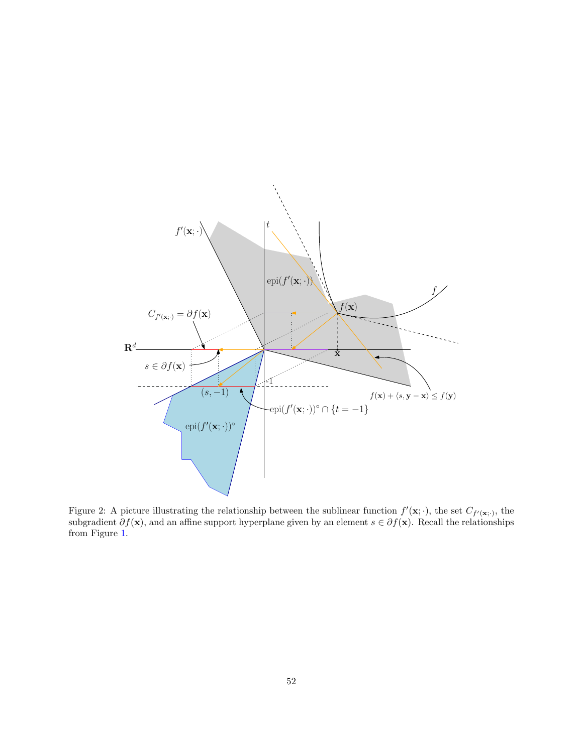

Figure 2: A picture illustrating the relationship between the sublinear function  $f'(\mathbf{x}; \cdot)$ , the set  $C_{f'(\mathbf{x}; \cdot)}$ , the subgradient  $\partial f(\mathbf{x})$ , and an affine support hyperplane given by an element  $s \in \partial f(\mathbf{x})$ . Recall the relationships from Figure [1.](#page-49-3)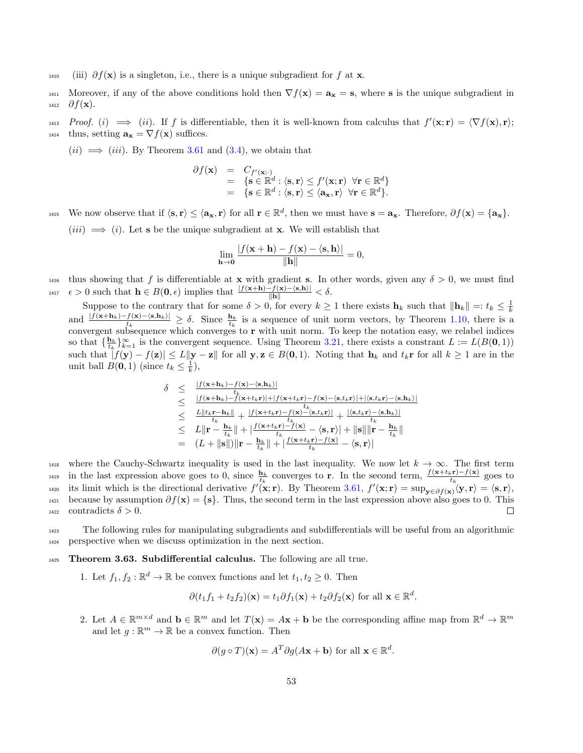- <sup>1410</sup> (iii)  $\partial f(\mathbf{x})$  is a singleton, i.e., there is a unique subgradient for f at **x**.
- 1411 Moreover, if any of the above conditions hold then  $\nabla f(\mathbf{x}) = \mathbf{a}_{\mathbf{x}} = \mathbf{s}$ , where s is the unique subgradient in  $_{1412}$  ∂ $f(\mathbf{x})$ .
- 1413 Proof. (i)  $\implies$  (ii). If f is differentiable, then it is well-known from calculus that  $f'(\mathbf{x}; \mathbf{r}) = \langle \nabla f(\mathbf{x}), \mathbf{r} \rangle;$ 1414 thus, setting  $\mathbf{a}_{\mathbf{x}} = \nabla f(\mathbf{x})$  suffices.

 $(ii) \implies (iii)$ . By Theorem [3.61](#page-50-0) and [\(3.4\)](#page-48-2), we obtain that

$$
\partial f(\mathbf{x}) = C_{f'(\mathbf{x};\cdot)} \n= {s \in \mathbb{R}^d : \langle \mathbf{s}, \mathbf{r} \rangle \le f'(\mathbf{x}; \mathbf{r}) \forall \mathbf{r} \in \mathbb{R}^d} \n= {s \in \mathbb{R}^d : \langle \mathbf{s}, \mathbf{r} \rangle \le \langle \mathbf{a}_{\mathbf{x}}, \mathbf{r} \rangle \forall \mathbf{r} \in \mathbb{R}^d}.
$$

1415 We now observe that if  $\langle s, r \rangle \leq \langle a_x, r \rangle$  for all  $r \in \mathbb{R}^d$ , then we must have  $s = a_x$ . Therefore,  $\partial f(x) = \{a_x\}$ .

 $(iii) \implies (i)$ . Let **s** be the unique subgradient at **x**. We will establish that

$$
\lim_{\mathbf{h}\to\mathbf{0}}\frac{|f(\mathbf{x}+\mathbf{h})-f(\mathbf{x})-\langle\mathbf{s},\mathbf{h}\rangle|}{\|\mathbf{h}\|}=0,
$$

<sup>1416</sup> thus showing that f is differentiable at **x** with gradient **s**. In other words, given any  $\delta > 0$ , we must find 1417  $\epsilon > 0$  such that  $\mathbf{h} \in B(\mathbf{0}, \epsilon)$  implies that  $\frac{|f(\mathbf{x}+\mathbf{h})-f(\mathbf{x})-\langle \mathbf{s}, \mathbf{h} \rangle|}{\|\mathbf{h}\|} < \delta$ .

Suppose to the contrary that for some  $\delta > 0$ , for every  $k \ge 1$  there exists  $\mathbf{h}_k$  such that  $\|\mathbf{h}_k\| =: t_k \le \frac{1}{k}$ and  $\frac{|f(x+h_k)-f(x)-\langle s,h_k\rangle|}{t_k} \geq \delta$ . Since  $\frac{h_k}{t_k}$  is a sequence of unit norm vectors, by Theorem [1.10,](#page-4-2) there is a convergent subsequence which converges to  $r$  with unit norm. To keep the notation easy, we relabel indices so that  $\{\frac{\mathbf{h}_k}{t_k}\}_{k=1}^{\infty}$  is the convergent sequence. Using Theorem [3.21,](#page-38-2) there exists a constrant  $L := L(B(\mathbf{0}, 1))$ such that  $|f(\mathbf{y}) - f(\mathbf{z})| \le L \|\mathbf{y} - \mathbf{z}\|$  for all  $\mathbf{y}, \mathbf{z} \in B(0, 1)$ . Noting that  $\mathbf{h}_k$  and  $t_k \mathbf{r}$  for all  $k \ge 1$  are in the unit ball  $B(\mathbf{0}, 1)$  (since  $t_k \leq \frac{1}{k}$ ),

$$
\delta \leq \frac{|f(\mathbf{x}+\mathbf{h}_k)-f(\mathbf{x})-\langle \mathbf{s}, \mathbf{h}_k \rangle|}{t_k}
$$
\n
$$
\leq \frac{|f(\mathbf{x}+\mathbf{h}_k)-f(\mathbf{x}+\langle \mathbf{h}_k \rangle)|+|f(\mathbf{x}+\langle \mathbf{h}_k \mathbf{r})-\langle \mathbf{s}, t_k \mathbf{r} \rangle|+|\langle \mathbf{s}, t_k \mathbf{r} \rangle-\langle \mathbf{s}, \mathbf{h}_k \rangle|}{t_k}
$$
\n
$$
\leq \frac{L||t_k - \mathbf{h}_k||}{t_k} + \frac{|f(\mathbf{x}+t_k\mathbf{r})-f(\mathbf{x})-\langle \mathbf{s}, t_k \mathbf{r} \rangle|}{t_k} + \frac{|\langle \mathbf{s}, t_k \mathbf{r} \rangle-\langle \mathbf{s}, \mathbf{h}_k \rangle|}{t_k}
$$
\n
$$
\leq L||\mathbf{r} - \frac{\mathbf{h}_k}{t_k}|| + \frac{f(\mathbf{x}+t_k\mathbf{r})-f(\mathbf{x})}{t_k} - \langle \mathbf{s}, \mathbf{r} \rangle| + ||\mathbf{s}|| ||\mathbf{r} - \frac{\mathbf{h}_k}{t_k}||
$$
\n
$$
= (L + ||\mathbf{s}||)||\mathbf{r} - \frac{\mathbf{h}_k}{t_k}|| + \frac{f(\mathbf{x}+t_k\mathbf{r})-f(\mathbf{x})}{t_k} - \langle \mathbf{s}, \mathbf{r} \rangle|
$$

<sup>1418</sup> where the Cauchy-Schwartz inequality is used in the last inequality. We now let  $k \to \infty$ . The first term <sup>1419</sup> in the last expression above goes to 0, since  $\frac{\mathbf{h}_k}{t_k}$  converges to **r**. In the second term,  $\frac{f(\mathbf{x}+t_k\mathbf{r})-f(\mathbf{x})}{t_k}$  goes to <sup>1420</sup> its limit which is the directional derivative  $f'(\mathbf{x}; \mathbf{r})$ . By Theorem [3.61,](#page-50-0)  $f'(\mathbf{x}; \mathbf{r}) = \sup_{\mathbf{y} \in \partial f(\mathbf{x})} \langle \mathbf{y}, \mathbf{r} \rangle = \langle \mathbf{s}, \mathbf{r} \rangle$ , 1421 because by assumption  $\partial f(\mathbf{x}) = \{\mathbf{s}\}\$ . Thus, the second term in the last expression above also goes to 0. This contradicts  $\delta > 0$ . 1422 contradicts  $\delta > 0$ .

<sup>1423</sup> The following rules for manipulating subgradients and subdifferentials will be useful from an algorithmic <sup>1424</sup> perspective when we discuss optimization in the next section.

#### <span id="page-52-0"></span>1425 Theorem 3.63. Subdifferential calculus. The following are all true.

1. Let  $f_1, f_2 : \mathbb{R}^d \to \mathbb{R}$  be convex functions and let  $t_1, t_2 \geq 0$ . Then

$$
\partial (t_1 f_1 + t_2 f_2)(\mathbf{x}) = t_1 \partial f_1(\mathbf{x}) + t_2 \partial f_2(\mathbf{x}) \text{ for all } \mathbf{x} \in \mathbb{R}^d.
$$

2. Let  $A \in \mathbb{R}^{m \times d}$  and  $\mathbf{b} \in \mathbb{R}^m$  and let  $T(\mathbf{x}) = A\mathbf{x} + \mathbf{b}$  be the corresponding affine map from  $\mathbb{R}^d \to \mathbb{R}^m$ and let  $g : \mathbb{R}^m \to \mathbb{R}$  be a convex function. Then

$$
\partial(g \circ T)(\mathbf{x}) = A^T \partial g(A\mathbf{x} + \mathbf{b}) \text{ for all } \mathbf{x} \in \mathbb{R}^d.
$$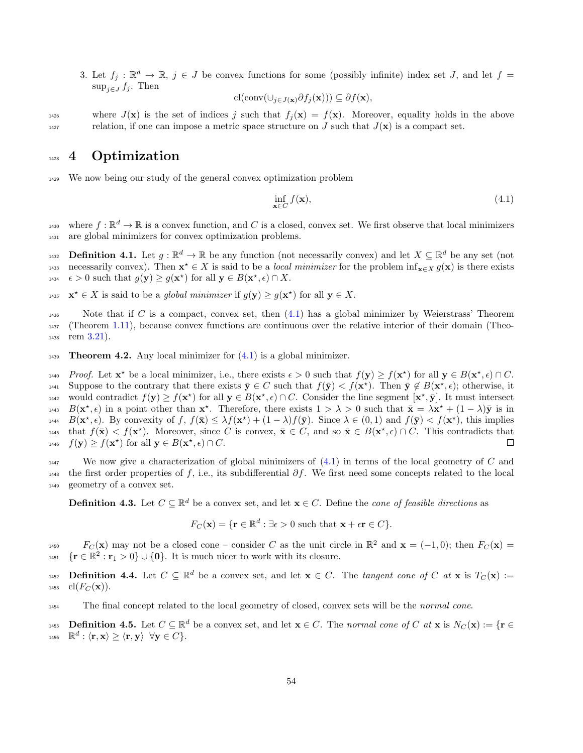3. Let  $f_j : \mathbb{R}^d \to \mathbb{R}$ ,  $j \in J$  be convex functions for some (possibly infinite) index set J, and let  $f =$  $\sup_{i \in J} f_i$ . Then

$$
\mathrm{cl}(\mathrm{conv}(\cup_{j\in J(\mathbf{x})}\partial f_j(\mathbf{x})))\subseteq \partial f(\mathbf{x}),
$$

1426 where  $J(\mathbf{x})$  is the set of indices j such that  $f_j(\mathbf{x}) = f(\mathbf{x})$ . Moreover, equality holds in the above relation, if one can impose a metric space structure on J such that  $J(\mathbf{x})$  is a compact set.

# 1428 4 Optimization

<sup>1429</sup> We now being our study of the general convex optimization problem

<span id="page-53-0"></span>
$$
\inf_{\mathbf{x}\in C} f(\mathbf{x}),\tag{4.1}
$$

where  $f : \mathbb{R}^d \to \mathbb{R}$  is a convex function, and C is a closed, convex set. We first observe that local minimizers <sup>1431</sup> are global minimizers for convex optimization problems.

**Definition 4.1.** Let  $g : \mathbb{R}^d \to \mathbb{R}$  be any function (not necessarily convex) and let  $X \subseteq \mathbb{R}^d$  be any set (not necessarily convex). Then  $\mathbf{x}^* \in X$  is said to be a *local minimizer* for the problem  $\inf_{\mathbf{x} \in X} g(\mathbf{x})$  is there exists 1434  $\epsilon > 0$  such that  $g(\mathbf{y}) \ge g(\mathbf{x}^*)$  for all  $\mathbf{y} \in B(\mathbf{x}^*, \epsilon) \cap X$ .

- 1435  $\mathbf{x}^* \in X$  is said to be a global minimizer if  $g(\mathbf{y}) \ge g(\mathbf{x}^*)$  for all  $\mathbf{y} \in X$ .
- 1436 Note that if C is a compact, convex set, then  $(4.1)$  has a global minimizer by Weierstrass' Theorem <sup>1437</sup> (Theorem [1.11\)](#page-4-0), because convex functions are continuous over the relative interior of their domain (Theo- $1438$  rem  $3.21$ ).
- 1439 Theorem 4.2. Any local minimizer for  $(4.1)$  is a global minimizer.

1440 Proof. Let  $\mathbf{x}^*$  be a local minimizer, i.e., there exists  $\epsilon > 0$  such that  $f(\mathbf{y}) \ge f(\mathbf{x}^*)$  for all  $\mathbf{y} \in B(\mathbf{x}^*, \epsilon) \cap C$ . Suppose to the contrary that there exists  $\bar{y} \in C$  such that  $f(\bar{y}) < f(x^*)$ . Then  $\bar{y} \notin B(x^*, \epsilon)$ ; otherwise, it <sup>1442</sup> would contradict  $f(\mathbf{y}) \ge f(\mathbf{x}^*)$  for all  $\mathbf{y} \in B(\mathbf{x}^*, \epsilon) \cap C$ . Consider the line segment  $[\mathbf{x}^*, \bar{\mathbf{y}}]$ . It must intersect 1443  $B(\mathbf{x}^*, \epsilon)$  in a point other than  $\mathbf{x}^*$ . Therefore, there exists  $1 > \lambda > 0$  such that  $\bar{\mathbf{x}} = \lambda \mathbf{x}^* + (1 - \lambda)\bar{\mathbf{y}}$  is in 1444  $B(\mathbf{x}^*, \epsilon)$ . By convexity of  $f, f(\bar{\mathbf{x}}) \leq \lambda f(\mathbf{x}^*) + (1 - \lambda)f(\bar{\mathbf{y}})$ . Since  $\lambda \in (0, 1)$  and  $f(\bar{\mathbf{y}}) < f(\mathbf{x}^*)$ , this implies that  $f(\bar{\mathbf{x}}) < f(\mathbf{x}^*)$ . Moreover, since C is convex,  $\bar{\mathbf{x}} \in C$ , and so  $\bar{\mathbf{x}} \in B(\mathbf{x}^*, \epsilon) \cap C$ . This contradicts that <sup>1446</sup>  $f(\mathbf{y}) \ge f(\mathbf{x}^*)$  for all  $\mathbf{y} \in B(\mathbf{x}^*, \epsilon) \cap C$ .

<sup>1447</sup> We now give a characterization of global minimizers of  $(4.1)$  in terms of the local geometry of C and 1448 the first order properties of f, i.e., its subdifferential  $\partial f$ . We first need some concepts related to the local <sup>1449</sup> geometry of a convex set.

**Definition 4.3.** Let  $C \subseteq \mathbb{R}^d$  be a convex set, and let  $\mathbf{x} \in C$ . Define the *cone of feasible directions* as

$$
F_C(\mathbf{x}) = \{\mathbf{r} \in \mathbb{R}^d : \exists \epsilon > 0 \text{ such that } \mathbf{x} + \epsilon \mathbf{r} \in C\}.
$$

 $F_C(\mathbf{x})$  may not be a closed cone – consider C as the unit circle in  $\mathbb{R}^2$  and  $\mathbf{x} = (-1,0)$ ; then  $F_C(\mathbf{x}) =$ 1451  $\{r \in \mathbb{R}^2 : r_1 > 0\} \cup \{0\}$ . It is much nicer to work with its closure.

**Definition 4.4.** Let  $C \subseteq \mathbb{R}^d$  be a convex set, and let  $\mathbf{x} \in C$ . The tangent cone of C at  $\mathbf{x}$  is  $T_C(\mathbf{x}) :=$ 1453 cl( $F_C(\mathbf{x})$ ).

<sup>1454</sup> The final concept related to the local geometry of closed, convex sets will be the normal cone.

**Definition 4.5.** Let  $C \subseteq \mathbb{R}^d$  be a convex set, and let  $\mathbf{x} \in C$ . The normal cone of C at  $\mathbf{x}$  is  $N_C(\mathbf{x}) := \{ \mathbf{r} \in C \mid \mathbf{x} \in C \mid \mathbf{r} \in C \}$  $_{^{1456}}$   $\;$   $\mathbb{R}^{d}$  :  $\langle \mathbf{r}, \mathbf{x} \rangle \geq \langle \mathbf{r}, \mathbf{y} \rangle \;$   $\forall \mathbf{y} \in C \}.$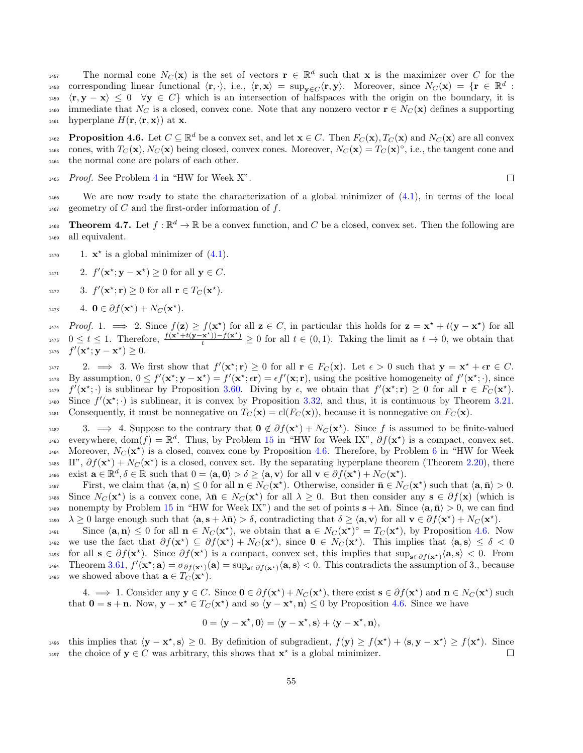The normal cone  $N_C(\mathbf{x})$  is the set of vectors  $\mathbf{r} \in \mathbb{R}^d$  such that x is the maximizer over C for the 1458 corresponding linear functional  $\langle \mathbf{r}, \cdot \rangle$ , i.e.,  $\langle \mathbf{r}, \mathbf{x} \rangle = \sup_{\mathbf{y} \in C} \langle \mathbf{r}, \mathbf{y} \rangle$ . Moreover, since  $N_C(\mathbf{x}) = \{ \mathbf{r} \in \mathbb{R}^d :$  $\langle \mathbf{r}, \mathbf{y} - \mathbf{x} \rangle \leq 0 \quad \forall \mathbf{y} \in C$  which is an intersection of halfspaces with the origin on the boundary, it is 1460 immediate that N<sub>C</sub> is a closed, convex cone. Note that any nonzero vector  $\mathbf{r} \in N_C(\mathbf{x})$  defines a supporting 1461 hyperplane  $H(\mathbf{r},\langle\mathbf{r},\mathbf{x}\rangle)$  at **x**.

<span id="page-54-0"></span>**Proposition 4.6.** Let  $C \subseteq \mathbb{R}^d$  be a convex set, and let  $\mathbf{x} \in C$ . Then  $F_C(\mathbf{x})$ ,  $T_C(\mathbf{x})$  and  $N_C(\mathbf{x})$  are all convex 1463 cones, with  $T_C(\mathbf{x})$ ,  $N_C(\mathbf{x})$  being closed, convex cones. Moreover,  $N_C(\mathbf{x}) = T_C(\mathbf{x})^{\circ}$ , i.e., the tangent cone and <sup>1464</sup> the normal cone are polars of each other.

 $1465$  $1465$  $1465$  *Proof.* See Problem 4 in "HW for Week X".

 $\Box$ 

<sup>1466</sup> We are now ready to state the characterization of a global minimizer of [\(4.1\)](#page-53-0), in terms of the local  $_{1467}$  geometry of C and the first-order information of f.

**Theorem 4.7.** Let  $f : \mathbb{R}^d \to \mathbb{R}$  be a convex function, and C be a closed, convex set. Then the following are <sup>1469</sup> all equivalent.

- <sup>1470</sup> 1.  $\mathbf{x}^*$  is a global minimizer of  $(4.1)$ .
- <sup>1471</sup> 2.  $f'(\mathbf{x}^*; \mathbf{y} \mathbf{x}^*) \ge 0$  for all  $\mathbf{y} \in C$ .
- <sup>1472</sup> 3.  $f'(\mathbf{x}^*; \mathbf{r}) \ge 0$  for all  $\mathbf{r} \in T_C(\mathbf{x}^*)$ .

$$
A_{1473} \qquad 4. \quad \mathbf{0} \in \partial f(\mathbf{x}^{\star}) + N_C(\mathbf{x}^{\star}).
$$

 $Proof. 1. \implies 2. \text{ Since } f(\mathbf{z}) \geq f(\mathbf{x}^{\star}) \text{ for all } \mathbf{z} \in C, \text{ in particular this holds for } \mathbf{z} = \mathbf{x}^{\star} + t(\mathbf{y} - \mathbf{x}^{\star}) \text{ for all } \mathbf{z} \in C.$  $\begin{array}{ll} 0 \leq t \leq 1. \end{array}$  Therefore,  $\frac{f(x^*+t(y-x^*))-f(x^*)}{t} \geq 0$  for all  $t \in (0,1)$ . Taking the limit as  $t \to 0$ , we obtain that 1476  $f'(\mathbf{x}^*; \mathbf{y} - \mathbf{x}^*) \geq 0$ .

1477 2.  $\implies$  3. We first show that  $f'(\mathbf{x}^*; \mathbf{r}) \geq 0$  for all  $\mathbf{r} \in F_C(\mathbf{x})$ . Let  $\epsilon > 0$  such that  $\mathbf{y} = \mathbf{x}^* + \epsilon \mathbf{r} \in C$ . <sup>1478</sup> By assumption,  $0 \le f'(\mathbf{x}^*; \mathbf{y} - \mathbf{x}^*) = f'(\mathbf{x}^*; \epsilon \mathbf{r}) = \epsilon f'(\mathbf{x}; \mathbf{r})$ , using the positive homogeneity of  $f'(\mathbf{x}^*; \cdot)$ , since <sup>1479</sup>  $f'(\mathbf{x}^*; \cdot)$  is sublinear by Proposition [3.60.](#page-49-4) Diving by  $\epsilon$ , we obtain that  $f'(\mathbf{x}^*; \mathbf{r}) \geq 0$  for all  $\mathbf{r} \in F_C(\mathbf{x}^*)$ . 1480 Since  $f'(\mathbf{x}^*; \cdot)$  is sublinear, it is convex by Proposition [3.32,](#page-42-0) and thus, it is continuous by Theorem [3.21.](#page-38-2) 1481 Consequently, it must be nonnegative on  $T_C(\mathbf{x}) = \text{cl}(F_C(\mathbf{x}))$ , because it is nonnegative on  $F_C(\mathbf{x})$ .

1482 3.  $\implies$  4. Suppose to the contrary that  $0 \notin \partial f(x^*) + N_C(x^*)$ . Since f is assumed to be finite-valued 1483 everywhere, dom $(f) = \mathbb{R}^d$ . Thus, by Problem [15](#page-5-0) in "HW for Week IX",  $\partial f(x^*)$  is a compact, convex set. 1484 Moreover,  $N_C(\mathbf{x}^*)$  is a closed, convex cone by Proposition [4.6.](#page-54-0) Therefore, by Problem [6](#page-3-6) in "HW for Week 1485 II",  $\partial f(\mathbf{x}^*) + N_C(\mathbf{x}^*)$  is a closed, convex set. By the separating hyperplane theorem (Theorem [2.20\)](#page-10-1), there 1486 exist  $\mathbf{a} \in \mathbb{R}^d, \delta \in \mathbb{R}$  such that  $0 = \langle \mathbf{a}, \mathbf{0} \rangle > \delta \ge \langle \mathbf{a}, \mathbf{v} \rangle$  for all  $\mathbf{v} \in \partial f(\mathbf{x}^{\star}) + N_C(\mathbf{x}^{\star})$ .

First, we claim that  $\langle \mathbf{a}, \mathbf{n} \rangle \leq 0$  for all  $\mathbf{n} \in N_C(\mathbf{x}^*)$ . Otherwise, consider  $\bar{\mathbf{n}} \in N_C(\mathbf{x}^*)$  such that  $\langle \mathbf{a}, \bar{\mathbf{n}} \rangle > 0$ . 1488 Since  $N_C(\mathbf{x}^*)$  is a convex cone,  $\lambda \bar{\mathbf{n}} \in N_C(\mathbf{x}^*)$  for all  $\lambda \geq 0$ . But then consider any  $\mathbf{s} \in \partial f(\mathbf{x})$  (which is 1489 nonempty by Problem [15](#page-5-0) in "HW for Week IX") and the set of points  $s + \lambda \bar{n}$ . Since  $\langle a, \bar{n} \rangle > 0$ , we can find 1490  $\lambda \geq 0$  large enough such that  $\langle \mathbf{a}, \mathbf{s} + \lambda \bar{\mathbf{n}} \rangle > \delta$ , contradicting that  $\delta \geq \langle \mathbf{a}, \mathbf{v} \rangle$  for all  $\mathbf{v} \in \partial f(\mathbf{x}^*) + N_C(\mathbf{x}^*)$ .

Since  $\langle \mathbf{a}, \mathbf{n} \rangle \leq 0$  for all  $\mathbf{n} \in N_C(\mathbf{x}^*)$ , we obtain that  $\mathbf{a} \in N_C(\mathbf{x}^*)^{\circ} = T_C(\mathbf{x}^*)$ , by Proposition [4.6.](#page-54-0) Now 1492 we use the fact that  $\partial f(\mathbf{x}^*) \subseteq \partial f(\mathbf{x}^*) + N_C(\mathbf{x}^*)$ , since  $\mathbf{0} \in N_C(\mathbf{x}^*)$ . This implies that  $\langle \mathbf{a}, \mathbf{s} \rangle \leq \delta < 0$ 1493 for all  $s \in \partial f(x^*)$ . Since  $\partial f(x^*)$  is a compact, convex set, this implies that  $\sup_{s \in \partial f(x^*)}\langle a, s \rangle < 0$ . From 1494 Theorem [3.61,](#page-50-0)  $f'(\mathbf{x}^*; \mathbf{a}) = \sigma_{\partial f(\mathbf{x}^*)}(\mathbf{a}) = \sup_{\mathbf{s} \in \partial f(\mathbf{x}^*)} \langle \mathbf{a}, \mathbf{s} \rangle < 0$ . This contradicts the assumption of 3., because 1495 we showed above that  $\mathbf{a} \in T_C(\mathbf{x}^*)$ .

4.  $\implies$  1. Consider any  $y \in C$ . Since  $0 \in \partial f(x^*) + N_C(x^*)$ , there exist  $s \in \partial f(x^*)$  and  $n \in N_C(x^*)$  such that  $0 = s + n$ . Now,  $y - x^* \in T_C(x^*)$  and so  $\langle y - x^*, n \rangle \leq 0$  by Proposition [4.6.](#page-54-0) Since we have

$$
0=\langle \mathbf{y}-\mathbf{x}^{\star},\mathbf{0}\rangle=\langle \mathbf{y}-\mathbf{x}^{\star},\mathbf{s}\rangle+\langle \mathbf{y}-\mathbf{x}^{\star},\mathbf{n}\rangle,
$$

1496 this implies that  $\langle y - x^*, s \rangle \ge 0$ . By definition of subgradient,  $f(y) \ge f(x^*) + \langle s, y - x^* \rangle \ge f(x^*)$ . Since <sup>1497</sup> the choice of  $y \in C$  was arbitrary, this shows that  $x^*$  is a global minimizer.  $\Box$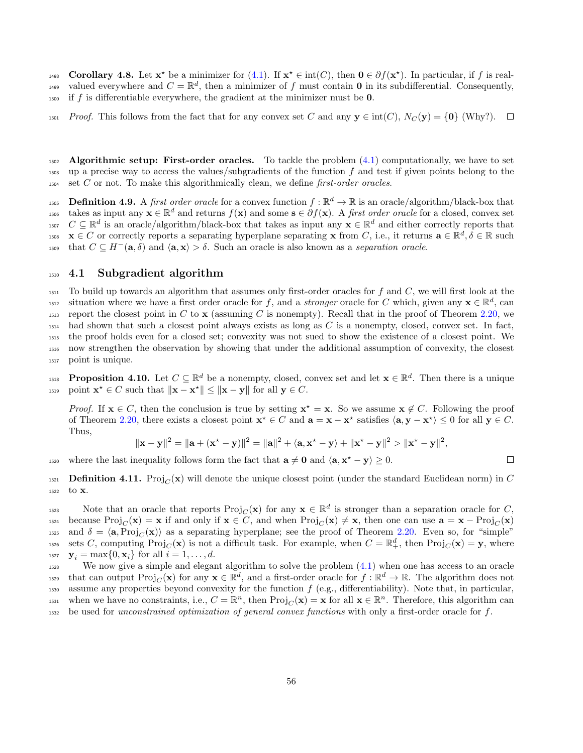1498 Corollary 4.8. Let  $\mathbf{x}^*$  be a minimizer for [\(4.1\)](#page-53-0). If  $\mathbf{x}^* \in \text{int}(C)$ , then  $\mathbf{0} \in \partial f(\mathbf{x}^*)$ . In particular, if f is realvalued everywhere and  $C = \mathbb{R}^d$ , then a minimizer of f must contain **0** in its subdifferential. Consequently,  $_{1500}$  if f is differentiable everywhere, the gradient at the minimizer must be 0.

1501 Proof. This follows from the fact that for any convex set C and any  $y \in \text{int}(C)$ ,  $N_C(y) = \{0\}$  (Why?).  $\square$ 

 $1502$  Algorithmic setup: First-order oracles. To tackle the problem  $(4.1)$  computationally, we have to set  $_{1503}$  up a precise way to access the values/subgradients of the function f and test if given points belong to the  $1504 \text{ set } C \text{ or not. To make this algorithmically clean, we define first-order oracles.}$ 

1505 **Definition 4.9.** A *first order oracle* for a convex function  $f : \mathbb{R}^d \to \mathbb{R}$  is an oracle/algorithm/black-box that takes as input any  $\mathbf{x} \in \mathbb{R}^d$  and returns  $f(\mathbf{x})$  and some  $\mathbf{s} \in \partial f(\mathbf{x})$ . A first order oracle for a closed, convex set <sup>1507</sup>  $C \subseteq \mathbb{R}^d$  is an oracle/algorithm/black-box that takes as input any  $\mathbf{x} \in \mathbb{R}^d$  and either correctly reports that <sup>1508</sup>  $\mathbf{x} \in C$  or correctly reports a separating hyperplane separating  $\mathbf{x}$  from C, i.e., it returns  $\mathbf{a} \in \mathbb{R}^d, \delta \in \mathbb{R}$  such that  $C \subseteq H^{-}(\mathbf{a}, \delta)$  and  $\langle \mathbf{a}, \mathbf{x} \rangle > \delta$ . Such an oracle is also known as a separation oracle.

### <span id="page-55-0"></span><sup>1510</sup> 4.1 Subgradient algorithm

 $1511$  To build up towards an algorithm that assumes only first-order oracles for f and C, we will first look at the <sup>1512</sup> situation where we have a first order oracle for f, and a *stronger* oracle for C which, given any  $\mathbf{x} \in \mathbb{R}^d$ , can 1513 report the closest point in C to x (assuming C is nonempty). Recall that in the proof of Theorem [2.20,](#page-10-1) we  $_{1514}$  had shown that such a closest point always exists as long as C is a nonempty, closed, convex set. In fact, <sup>1515</sup> the proof holds even for a closed set; convexity was not sued to show the existence of a closest point. We <sup>1516</sup> now strengthen the observation by showing that under the additional assumption of convexity, the closest <sup>1517</sup> point is unique.

**Proposition 4.10.** Let  $C \subseteq \mathbb{R}^d$  be a nonempty, closed, convex set and let  $\mathbf{x} \in \mathbb{R}^d$ . Then there is a unique 1519 point  $\mathbf{x}^* \in C$  such that  $\|\mathbf{x} - \mathbf{x}^*\| \le \|\mathbf{x} - \mathbf{y}\|$  for all  $\mathbf{y} \in C$ .

*Proof.* If  $x \in C$ , then the conclusion is true by setting  $x^* = x$ . So we assume  $x \notin C$ . Following the proof of Theorem [2.20,](#page-10-1) there exists a closest point  $\mathbf{x}^* \in C$  and  $\mathbf{a} = \mathbf{x} - \mathbf{x}^*$  satisfies  $\langle \mathbf{a}, \mathbf{y} - \mathbf{x}^* \rangle \leq 0$  for all  $\mathbf{y} \in C$ . Thus,

$$
\|\mathbf{x}-\mathbf{y}\|^2 = \|\mathbf{a}+(\mathbf{x}^*-\mathbf{y})\|^2 = \|\mathbf{a}\|^2 + \langle \mathbf{a}, \mathbf{x}^*-\mathbf{y}\rangle + \|\mathbf{x}^*-\mathbf{y}\|^2 > \|\mathbf{x}^*-\mathbf{y}\|^2,
$$

1520 where the last inequality follows form the fact that  $\mathbf{a} \neq \mathbf{0}$  and  $\langle \mathbf{a}, \mathbf{x}^* - \mathbf{y} \rangle \ge 0$ .

1521 **Definition 4.11.** Proj<sub>C</sub>( $\bf{x}$ ) will denote the unique closest point (under the standard Euclidean norm) in C <sup>1522</sup> to x.

Note that an oracle that reports  $\text{Proj}_C(\mathbf{x})$  for any  $\mathbf{x} \in \mathbb{R}^d$  is stronger than a separation oracle for C,  $\text{because Proj}_{C}(\mathbf{x}) = \mathbf{x}$  if and only if  $\mathbf{x} \in C$ , and when  $\text{Proj}_{C}(\mathbf{x}) \neq \mathbf{x}$ , then one can use  $\mathbf{a} = \mathbf{x} - \text{Proj}_{C}(\mathbf{x})$ <sup>1525</sup> and  $\delta = \langle \mathbf{a}, \text{Proj}_C(\mathbf{x}) \rangle$  as a separating hyperplane; see the proof of Theorem [2.20.](#page-10-1) Even so, for "simple" <sup>1526</sup> sets C, computing  $\text{Proj}_C(\mathbf{x})$  is not a difficult task. For example, when  $C = \mathbb{R}^d_+$ , then  $\text{Proj}_C(\mathbf{x}) = \mathbf{y}$ , where 1527  $\mathbf{y}_i = \max\{0, \mathbf{x}_i\}$  for all  $i = 1, \ldots, d$ .

<sup>1528</sup> We now give a simple and elegant algorithm to solve the problem [\(4.1\)](#page-53-0) when one has access to an oracle that can output  $\text{Proj}_C(\mathbf{x})$  for any  $\mathbf{x} \in \mathbb{R}^d$ , and a first-order oracle for  $f : \mathbb{R}^d \to \mathbb{R}$ . The algorithm does not 1530 assume any properties beyond convexity for the function  $f$  (e.g., differentiability). Note that, in particular, <sup>1531</sup> when we have no constraints, i.e.,  $C = \mathbb{R}^n$ , then  $\text{Proj}_C(\mathbf{x}) = \mathbf{x}$  for all  $\mathbf{x} \in \mathbb{R}^n$ . Therefore, this algorithm can <sup>1532</sup> be used for unconstrained optimization of general convex functions with only a first-order oracle for f.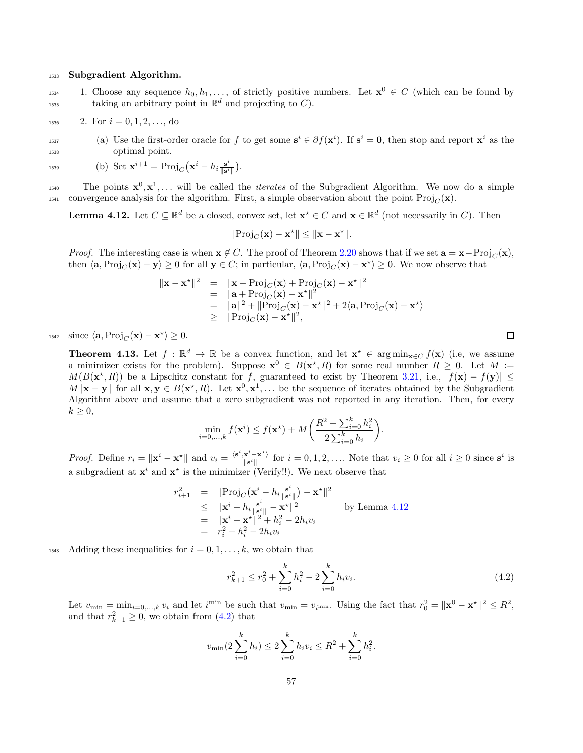#### <sup>1533</sup> Subgradient Algorithm.

1. Choose any sequence  $h_0, h_1, \ldots,$  of strictly positive numbers. Let  $\mathbf{x}^0 \in C$  (which can be found by taking an arbitrary point in  $\mathbb{R}^d$  and projecting to C).

$$
1536 \t 2. For i = 0, 1, 2, ..., do
$$

<sup>1537</sup> (a) Use the first-order oracle for f to get some  $s^i \in \partial f(x^i)$ . If  $s^i = 0$ , then stop and report  $x^i$  as the <sup>1538</sup> optimal point.

$$
\text{1539} \qquad \qquad \text{(b) Set } \mathbf{x}^{i+1} = \text{Proj}_C \big( \mathbf{x}^i - h_i \frac{\mathbf{s}^i}{\|\mathbf{s}^i\|} \big).
$$

<sup>1540</sup> The points  $\mathbf{x}^0, \mathbf{x}^1, \ldots$  will be called the *iterates* of the Subgradient Algorithm. We now do a simple 1541 convergence analysis for the algorithm. First, a simple observation about the point  $\text{Proj}_C(\mathbf{x})$ .

<span id="page-56-0"></span>**Lemma 4.12.** Let  $C \subseteq \mathbb{R}^d$  be a closed, convex set, let  $\mathbf{x}^* \in C$  and  $\mathbf{x} \in \mathbb{R}^d$  (not necessarily in C). Then

$$
\|\mathrm{Proj}_C(\mathbf{x}) - \mathbf{x}^{\star}\| \le \|\mathbf{x} - \mathbf{x}^{\star}\|.
$$

*Proof.* The interesting case is when  $x \notin C$ . The proof of Theorem [2.20](#page-10-1) shows that if we set  $a = x - Proj_C(x)$ , then  $\langle \mathbf{a}, \text{Proj}_C(\mathbf{x}) - \mathbf{y} \rangle \ge 0$  for all  $\mathbf{y} \in C$ ; in particular,  $\langle \mathbf{a}, \text{Proj}_C(\mathbf{x}) - \mathbf{x}^* \rangle \ge 0$ . We now observe that

$$
\|\mathbf{x} - \mathbf{x}^{\star}\|^2 = \|\mathbf{x} - \text{Proj}_C(\mathbf{x}) + \text{Proj}_C(\mathbf{x}) - \mathbf{x}^{\star}\|^2
$$
  
\n
$$
= \|\mathbf{a} + \text{Proj}_C(\mathbf{x}) - \mathbf{x}^{\star}\|^2
$$
  
\n
$$
= \|\mathbf{a}\|^2 + \|\text{Proj}_C(\mathbf{x}) - \mathbf{x}^{\star}\|^2 + 2\langle \mathbf{a}, \text{Proj}_C(\mathbf{x}) - \mathbf{x}^{\star}\rangle
$$
  
\n
$$
\geq \|\text{Proj}_C(\mathbf{x}) - \mathbf{x}^{\star}\|^2,
$$

1542 since  $\langle \mathbf{a}, \text{Proj}_C(\mathbf{x}) - \mathbf{x}^* \rangle \ge 0$ .

**Theorem 4.13.** Let  $f : \mathbb{R}^d \to \mathbb{R}$  be a convex function, and let  $\mathbf{x}^* \in \arg \min_{\mathbf{x} \in C} f(\mathbf{x})$  (i.e, we assume a minimizer exists for the problem). Suppose  $\mathbf{x}^0 \in B(\mathbf{x}^*, R)$  for some real number  $R \geq 0$ . Let  $M :=$  $M(B(\mathbf{x}^*, R))$  be a Lipschitz constant for f, guaranteed to exist by Theorem [3.21,](#page-38-2) i.e.,  $|f(\mathbf{x}) - f(\mathbf{y})| \le$  $M\|\mathbf{x}-\mathbf{y}\|$  for all  $\mathbf{x}, \mathbf{y} \in B(\mathbf{x}^*, R)$ . Let  $\mathbf{x}^0, \mathbf{x}^1, \ldots$  be the sequence of iterates obtained by the Subgradient Algorithm above and assume that a zero subgradient was not reported in any iteration. Then, for every  $k \geq 0$ ,

$$
\min_{i=0,...,k} f(\mathbf{x}^i) \le f(\mathbf{x}^*) + M\bigg(\frac{R^2 + \sum_{i=0}^k h_i^2}{2\sum_{i=0}^k h_i}\bigg).
$$

*Proof.* Define  $r_i = \|\mathbf{x}^i - \mathbf{x}^{\star}\|$  and  $v_i = \frac{\langle \mathbf{s}^i, \mathbf{x}^i - \mathbf{x}^{\star} \rangle}{\|\mathbf{s}^i\|}$  $\frac{\mathbf{x}^i - \mathbf{x}^*}{\|\mathbf{s}^i\|}$  for  $i = 0, 1, 2, \ldots$  Note that  $v_i \geq 0$  for all  $i \geq 0$  since  $\mathbf{s}^i$  is a subgradient at  $x^i$  and  $x^*$  is the minimizer (Verify!!). We next observe that

$$
r_{i+1}^2 = \|\text{Proj}_C(\mathbf{x}^i - h_i \frac{\mathbf{s}^i}{\|\mathbf{s}^i\|}) - \mathbf{x}^*\|^2
$$
  
\n
$$
\leq \|\mathbf{x}^i - h_i \frac{\mathbf{s}^i}{\|\mathbf{s}^i\|} - \mathbf{x}^*\|^2
$$
by Lemma 4.12  
\n
$$
= \|\mathbf{x}^i - \mathbf{x}^*\|^2 + h_i^2 - 2h_i v_i
$$
  
\n
$$
= r_i^2 + h_i^2 - 2h_i v_i
$$

<sup>1543</sup> Adding these inequalities for  $i = 0, 1, \ldots, k$ , we obtain that

<span id="page-56-1"></span>
$$
r_{k+1}^2 \le r_0^2 + \sum_{i=0}^k h_i^2 - 2 \sum_{i=0}^k h_i v_i.
$$
 (4.2)

Let  $v_{\min} = \min_{i=0,\dots,k} v_i$  and let  $i^{\min}$  be such that  $v_{\min} = v_{i^{\min}}$ . Using the fact that  $r_0^2 = ||\mathbf{x}^0 - \mathbf{x}^*||^2 \leq R^2$ , and that  $r_{k+1}^2 \geq 0$ , we obtain from [\(4.2\)](#page-56-1) that

$$
v_{\min}(2\sum_{i=0}^{k}h_i) \le 2\sum_{i=0}^{k}h_iv_i \le R^2 + \sum_{i=0}^{k}h_i^2.
$$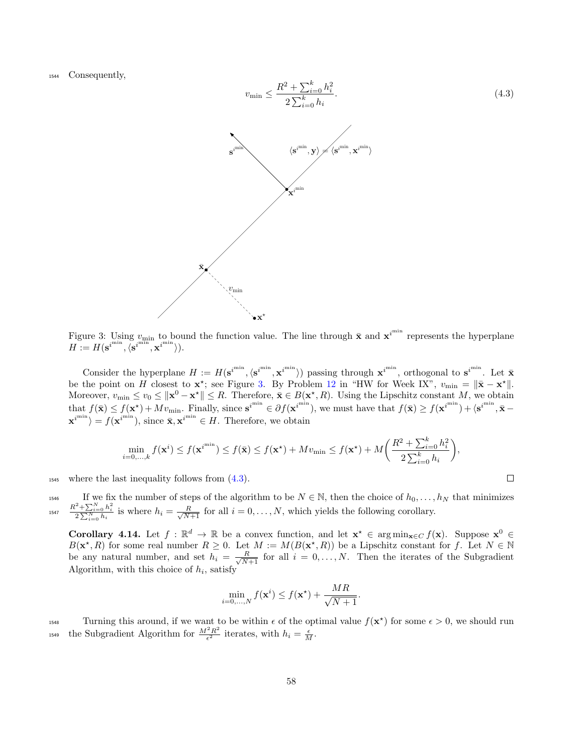<span id="page-57-0"></span><sup>1544</sup> Consequently,

<span id="page-57-1"></span>
$$
v_{\min} \leq \frac{R^2 + \sum_{i=0}^k h_i^2}{2 \sum_{i=0}^k h_i}.
$$
\n
$$
\mathbf{s}^{\min} \tag{4.3}
$$
\n
$$
\mathbf{x}^{\min}
$$
\n
$$
\mathbf{x}^{\min}
$$
\n
$$
\mathbf{x}^{\min}
$$
\n
$$
\mathbf{x}^{\min}
$$
\n
$$
\mathbf{x}^{\min}
$$
\n
$$
\mathbf{x}^{\min}
$$
\n
$$
\mathbf{x}^{\min}
$$
\n
$$
\mathbf{x}^{\min}
$$
\n
$$
\mathbf{x}^{\min}
$$
\n
$$
\mathbf{x}^{\min}
$$
\n
$$
\mathbf{x}^{\min}
$$

Figure 3: Using  $v_{\text{min}}$  to bound the function value. The line through  $\bar{x}$  and  $x^{i^{\min}}$  represents the hyperplane  $H := H(\mathbf{s}^{i^{\min}}, \langle \mathbf{s}^{i^{\min}}, \mathbf{x}^{i^{\min}} \rangle).$ 

Consider the hyperplane  $H := H(\mathbf{s}^{i^{min}}, \langle \mathbf{s}^{i^{min}}, \mathbf{x}^{i^{min}} \rangle)$  passing through  $\mathbf{x}^{i^{min}}$ , orthogonal to  $\mathbf{s}^{i^{min}}$ . Let  $\bar{\mathbf{x}}$ be the point on H closest to  $\mathbf{x}^*$ ; see Figure [3.](#page-57-0) By Problem [12](#page-4-3) in "HW for Week IX",  $v_{\min} = ||\bar{\mathbf{x}} - \mathbf{x}^*||$ . Moreover,  $v_{\min} \le v_0 \le ||\mathbf{x}^0 - \mathbf{x}^*|| \le R$ . Therefore,  $\bar{\mathbf{x}} \in B(\mathbf{x}^*, R)$ . Using the Lipschitz constant M, we obtain that  $f(\bar{\mathbf{x}}) \leq f(\mathbf{x}^*) + Mv_{\min}$ . Finally, since  $\mathbf{s}^{i^{\min}} \in \partial f(\mathbf{x}^{i^{\min}})$ , we must have that  $f(\bar{\mathbf{x}}) \geq f(\mathbf{x}^{i^{\min}}) + \langle \mathbf{s}^{i^{\min}}, \bar{\mathbf{x}} - \mathbf{s}^{i^{\min}} \rangle$  $\mathbf{x}^{i^{\min}}$  =  $f(\mathbf{x}^{i^{\min}})$ , since  $\bar{\mathbf{x}}, \mathbf{x}^{i^{\min}} \in H$ . Therefore, we obtain

$$
\min_{i=0,\dots,k} f(\mathbf{x}^i) \le f(\mathbf{x}^{i^{\min}}) \le f(\bar{\mathbf{x}}) \le f(\mathbf{x}^*) + Mv_{\min} \le f(\mathbf{x}^*) + M\left(\frac{R^2 + \sum_{i=0}^k h_i^2}{2\sum_{i=0}^k h_i}\right),
$$

 $_{1545}$  where the last inequality follows from  $(4.3)$ .

<sup>1546</sup><br>If we fix the number of steps of the algorithm to be  $N \in \mathbb{N}$ , then the choice of  $h_0, \ldots, h_N$  that minimizes<br><sup>1547</sup><br> $\frac{R^2 + \sum_{i=0}^N h_i^2}{2 \sum_{i=0}^N h_i}$  is where  $h_i = \frac{R}{\sqrt{N+1}}$  for all  $i = 0, \ldots, N$ , which yi

<span id="page-57-2"></span>Corollary 4.14. Let  $f : \mathbb{R}^d \to \mathbb{R}$  be a convex function, and let  $\mathbf{x}^* \in \arg \min_{\mathbf{x} \in C} f(\mathbf{x})$ . Suppose  $\mathbf{x}^0 \in$  $B(\mathbf{x}^*,R)$  for some real number  $R \geq 0$ . Let  $M := M(B(\mathbf{x}^*,R))$  be a Lipschitz constant for f. Let  $N \in \mathbb{N}$ be any natural number, and set  $h_i = \frac{R}{\sqrt{N+1}}$  for all  $i = 0, \ldots, N$ . Then the iterates of the Subgradient Algorithm, with this choice of  $h_i$ , satisfy

$$
\min_{i=0,\ldots,N} f(\mathbf{x}^i) \le f(\mathbf{x}^\star) + \frac{MR}{\sqrt{N+1}}.
$$

Turning this around, if we want to be within  $\epsilon$  of the optimal value  $f(\mathbf{x}^*)$  for some  $\epsilon > 0$ , we should run the Subgradient Algorithm for  $\frac{M^2 R^2}{\epsilon^2}$ <sup>1549</sup> the Subgradient Algorithm for  $\frac{M^2 R^2}{\epsilon^2}$  iterates, with  $h_i = \frac{\epsilon}{M}$ .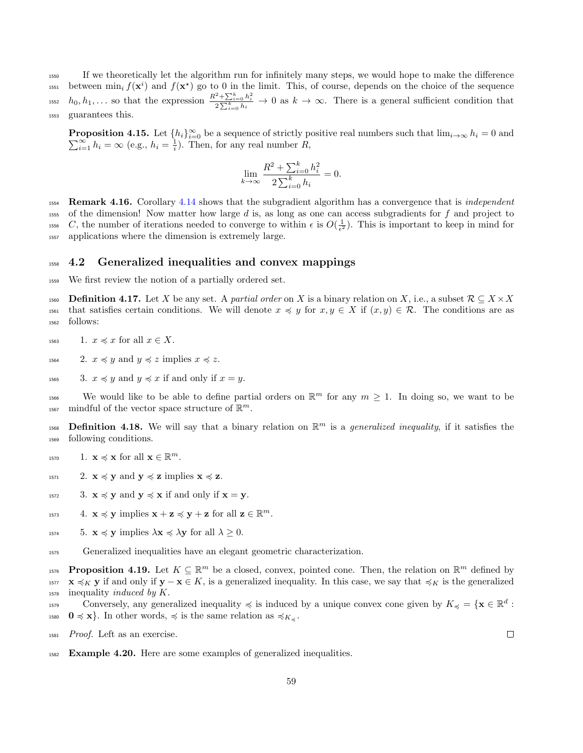<sup>1550</sup> If we theoretically let the algorithm run for infinitely many steps, we would hope to make the difference <sup>1551</sup> between  $\min_i f(\mathbf{x}^i)$  and  $f(\mathbf{x}^*)$  go to 0 in the limit. This, of course, depends on the choice of the sequence <sup>1552</sup>  $h_0, h_1, \ldots$  so that the expression  $\frac{R^2 + \sum_{i=0}^k h_i^2}{2 \sum_{i=0}^k h_i} \to 0$  as  $k \to \infty$ . There is a general sufficient condition that <sup>1553</sup> guarantees this.

**Proposition 4.15.** Let  $\{h_i\}_{i=0}^{\infty}$  be a sequence of strictly positive real numbers such that  $\lim_{i\to\infty} h_i = 0$  and  $\sum_{i=1}^{\infty} h_i = \infty$  (e.g.,  $h_i = \frac{1}{i}$ ). Then, for any real number R,

$$
\lim_{k \to \infty} \frac{R^2 + \sum_{i=0}^k h_i^2}{2 \sum_{i=0}^k h_i} = 0.
$$

<span id="page-58-1"></span>1554 Remark 4.16. Corollary [4.14](#page-57-2) shows that the subgradient algorithm has a convergence that is *independent*  $1555$  of the dimension! Now matter how large d is, as long as one can access subgradients for f and project to 1556 C, the number of iterations needed to converge to within  $\epsilon$  is  $O(\frac{1}{\epsilon^2})$ . This is important to keep in mind for <sup>1557</sup> applications where the dimension is extremely large.

### <sup>1558</sup> 4.2 Generalized inequalities and convex mappings

<sup>1559</sup> We first review the notion of a partially ordered set.

1560 Definition 4.17. Let X be any set. A partial order on X is a binary relation on X, i.e., a subset  $\mathcal{R} \subseteq X \times X$ 1561 that satisfies certain conditions. We will denote  $x \preccurlyeq y$  for  $x, y \in X$  if  $(x, y) \in \mathcal{R}$ . The conditions are as <sup>1562</sup> follows:

<sup>1563</sup> 1.  $x \preccurlyeq x$  for all  $x \in X$ .

1564 2.  $x \preccurlyeq y$  and  $y \preccurlyeq z$  implies  $x \preccurlyeq z$ .

<sup>1565</sup> 3.  $x \preccurlyeq y$  and  $y \preccurlyeq x$  if and only if  $x = y$ .

1566 We would like to be able to define partial orders on  $\mathbb{R}^m$  for any  $m \geq 1$ . In doing so, we want to be <sup>1567</sup> mindful of the vector space structure of  $\mathbb{R}^m$ .

1568 **Definition 4.18.** We will say that a binary relation on  $\mathbb{R}^m$  is a *generalized inequality*, if it satisfies the <sup>1569</sup> following conditions.

- <sup>1570</sup> 1.  $\mathbf{x} \preccurlyeq \mathbf{x}$  for all  $\mathbf{x} \in \mathbb{R}^m$ .
- 1571 2.  $\mathbf{x} \preccurlyeq \mathbf{y}$  and  $\mathbf{y} \preccurlyeq \mathbf{z}$  implies  $\mathbf{x} \preccurlyeq \mathbf{z}$ .
- $1572$  3.  $\mathbf{x} \preccurlyeq \mathbf{y}$  and  $\mathbf{y} \preccurlyeq \mathbf{x}$  if and only if  $\mathbf{x} = \mathbf{y}$ .
- <sup>1573</sup> 4.  $\mathbf{x} \preccurlyeq \mathbf{y}$  implies  $\mathbf{x} + \mathbf{z} \preccurlyeq \mathbf{y} + \mathbf{z}$  for all  $\mathbf{z} \in \mathbb{R}^m$ .
- 1574 5.  $\mathbf{x} \preccurlyeq \mathbf{y}$  implies  $\lambda \mathbf{x} \preccurlyeq \lambda \mathbf{y}$  for all  $\lambda \geq 0$ .
- <sup>1575</sup> Generalized inequalities have an elegant geometric characterization.

1576 **Proposition 4.19.** Let  $K \subseteq \mathbb{R}^m$  be a closed, convex, pointed cone. Then, the relation on  $\mathbb{R}^m$  defined by  $1577 \text{ X} \preccurlyeq_K \text{y}$  if and only if  $\text{y} - \text{x} \in K$ , is a generalized inequality. In this case, we say that  $\preccurlyeq_K$  is the generalized  $_{1578}$  inequality *induced by K*.

Conversely, any generalized inequality  $\preccurlyeq$  is induced by a unique convex cone given by  $K_{\preccurlyeq} = \{ \mathbf{x} \in \mathbb{R}^d :$ 1580  $0 \leq x$ . In other words,  $\leq$  is the same relation as  $\leq K_{\leq}$ .

- <sup>1581</sup> Proof. Left as an exercise.
- <span id="page-58-0"></span><sup>1582</sup> Example 4.20. Here are some examples of generalized inequalities.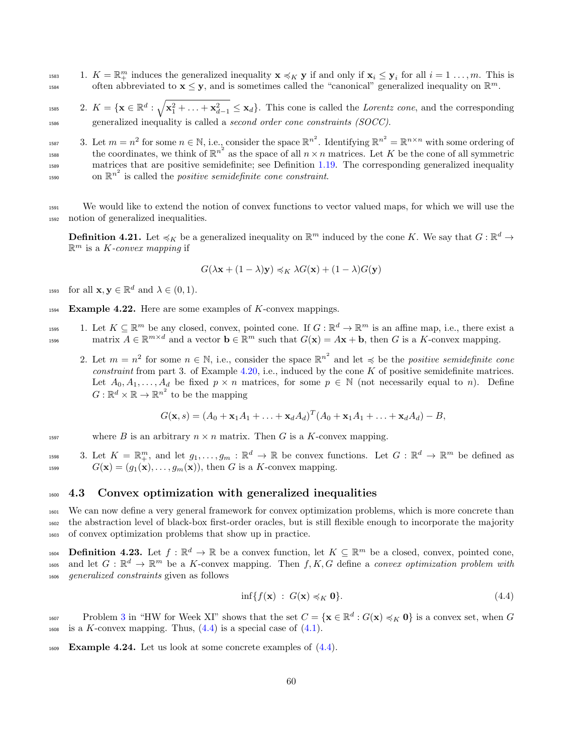<sup>1583</sup> 1.  $K = \mathbb{R}^m_+$  induces the generalized inequality  $\mathbf{x} \preccurlyeq_K \mathbf{y}$  if and only if  $\mathbf{x}_i \leq \mathbf{y}_i$  for all  $i = 1, ..., m$ . This is often abbreviated to  $\mathbf{x} \leq \mathbf{y}$ , and is sometimes called the "canonical" generalized inequality on  $\mathbb{R}^m$ .

<sup>1585</sup> 2.  $K = {\mathbf{x} \in \mathbb{R}^d : \sqrt{\mathbf{x}_1^2 + \ldots + \mathbf{x}_{d-1}^2} \leq \mathbf{x}_d}$ . This cone is called the *Lorentz cone*, and the corresponding <sup>1586</sup> generalized inequality is called a second order cone constraints (SOCC).

<sup>1587</sup> 3. Let  $m = n^2$  for some  $n \in \mathbb{N}$ , i.e., consider the space  $\mathbb{R}^{n^2}$ . Identifying  $\mathbb{R}^{n^2} = \mathbb{R}^{n \times n}$  with some ordering of the coordinates, we think of  $\mathbb{R}^{n^2}$  as the space of all  $n \times n$  matrices. Let K be the cone of all symmetric <sup>1589</sup> matrices that are positive semidefinite; see Definition [1.19.](#page-5-1) The corresponding generalized inequality  $\sum_{1590}$  on  $\mathbb{R}^{n^2}$  is called the *positive semidefinite cone constraint*.

<sup>1591</sup> We would like to extend the notion of convex functions to vector valued maps, for which we will use the <sup>1592</sup> notion of generalized inequalities.

**Definition 4.21.** Let  $\preccurlyeq_K$  be a generalized inequality on  $\mathbb{R}^m$  induced by the cone K. We say that  $G : \mathbb{R}^d \to$  $\mathbb{R}^m$  is a *K*-convex mapping if

$$
G(\lambda {\bf x} + (1-\lambda) {\bf y}) \preccurlyeq_K \lambda G({\bf x}) + (1-\lambda) G({\bf y})
$$

<sup>1593</sup> for all  $\mathbf{x}, \mathbf{y} \in \mathbb{R}^d$  and  $\lambda \in (0, 1)$ .

<span id="page-59-1"></span> $1594$  Example 4.22. Here are some examples of K-convex mappings.

1. Let  $K \subseteq \mathbb{R}^m$  be any closed, convex, pointed cone. If  $G : \mathbb{R}^d \to \mathbb{R}^m$  is an affine map, i.e., there exist a matrix  $A \in \mathbb{R}^{m \times d}$  and a vector  $\mathbf{b} \in \mathbb{R}^m$  such that  $G(\mathbf{x}) = A\mathbf{x} + \mathbf{b}$ , then G is a K-convex mapping.

2. Let  $m = n^2$  for some  $n \in \mathbb{N}$ , i.e., consider the space  $\mathbb{R}^{n^2}$  and let  $\preccurlyeq$  be the *positive semidefinite cone* constraint from part 3. of Example [4.20,](#page-58-0) i.e., induced by the cone  $K$  of positive semidefinite matrices. Let  $A_0, A_1, \ldots, A_d$  be fixed  $p \times n$  matrices, for some  $p \in \mathbb{N}$  (not necessarily equal to n). Define  $G: \mathbb{R}^d \times \mathbb{R} \to \mathbb{R}^{n^2}$  to be the mapping

$$
G(\mathbf{x}, s) = (A_0 + \mathbf{x}_1 A_1 + \ldots + \mathbf{x}_d A_d)^T (A_0 + \mathbf{x}_1 A_1 + \ldots + \mathbf{x}_d A_d) - B,
$$

1597 where B is an arbitrary  $n \times n$  matrix. Then G is a K-convex mapping.

<sup>1598</sup> 3. Let  $K = \mathbb{R}^m_+$ , and let  $g_1, \ldots, g_m : \mathbb{R}^d \to \mathbb{R}$  be convex functions. Let  $G : \mathbb{R}^d \to \mathbb{R}^m$  be defined as <sup>1599</sup>  $G(\mathbf{x}) = (g_1(\mathbf{x}), \dots, g_m(\mathbf{x}))$ , then G is a K-convex mapping.

### <sup>1600</sup> 4.3 Convex optimization with generalized inequalities

<sup>1601</sup> We can now define a very general framework for convex optimization problems, which is more concrete than <sup>1602</sup> the abstraction level of black-box first-order oracles, but is still flexible enough to incorporate the majority <sup>1603</sup> of convex optimization problems that show up in practice.

1604 **Definition 4.23.** Let  $f : \mathbb{R}^d \to \mathbb{R}$  be a convex function, let  $K \subseteq \mathbb{R}^m$  be a closed, convex, pointed cone, <sup>1605</sup> and let  $G: \mathbb{R}^d \to \mathbb{R}^m$  be a K-convex mapping. Then  $f, K, G$  define a convex optimization problem with <sup>1606</sup> generalized constraints given as follows

<span id="page-59-0"></span>
$$
\inf\{f(\mathbf{x})\;:\;G(\mathbf{x})\preccurlyeq_K \mathbf{0}\}.\tag{4.4}
$$

Problem [3](#page-3-0) in "HW for Week XI" shows that the set  $C = {\mathbf{x} \in \mathbb{R}^d : G(\mathbf{x}) \preccurlyeq_K \mathbf{0}}$  is a convex set, when G  $_{1608}$  is a K-convex mapping. Thus,  $(4.4)$  is a special case of  $(4.1)$ .

<span id="page-59-2"></span> $F_{1609}$  **Example 4.24.** Let us look at some concrete examples of  $(4.4)$ .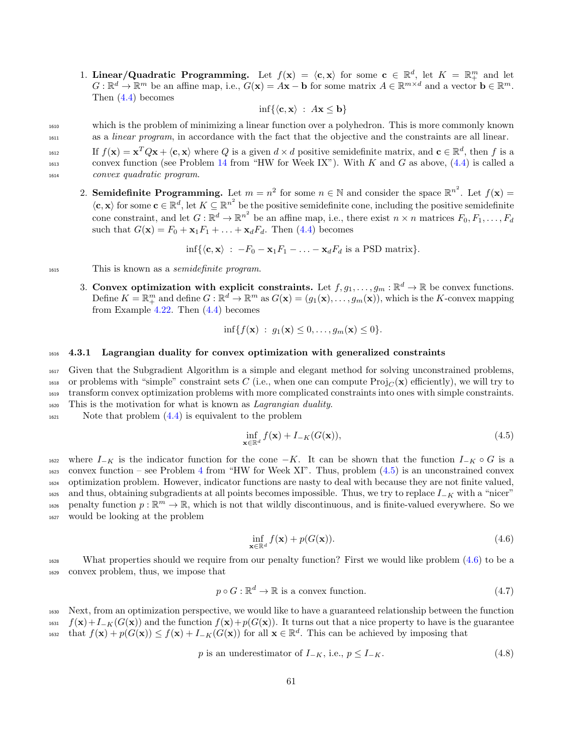1. Linear/Quadratic Programming. Let  $f(\mathbf{x}) = \langle \mathbf{c}, \mathbf{x} \rangle$  for some  $\mathbf{c} \in \mathbb{R}^d$ , let  $K = \mathbb{R}^m_+$  and let  $G: \mathbb{R}^d \to \mathbb{R}^m$  be an affine map, i.e.,  $G(\mathbf{x}) = A\mathbf{x} - \mathbf{b}$  for some matrix  $A \in \mathbb{R}^{m \times d}$  and a vector  $\mathbf{b} \in \mathbb{R}^m$ . Then [\(4.4\)](#page-59-0) becomes

$$
\inf\{\langle \mathbf{c}, \mathbf{x}\rangle\ :\ A\mathbf{x}\leq \mathbf{b}\}\
$$

- <sup>1610</sup> which is the problem of minimizing a linear function over a polyhedron. This is more commonly known 1611 as a *linear program*, in accordance with the fact that the objective and the constraints are all linear.
- If  $f(\mathbf{x}) = \mathbf{x}^T Q \mathbf{x} + \langle \mathbf{c}, \mathbf{x} \rangle$  where Q is a given  $d \times d$  positive semidefinite matrix, and  $\mathbf{c} \in \mathbb{R}^d$ , then f is a <sup>1613</sup> convex function (see Problem [14](#page-5-2) from "HW for Week IX"). With K and G as above,  $(4.4)$  is called a <sup>1614</sup> convex quadratic program.
	- 2. Semidefinite Programming. Let  $m = n^2$  for some  $n \in \mathbb{N}$  and consider the space  $\mathbb{R}^{n^2}$ . Let  $f(\mathbf{x}) =$  $\langle c, x \rangle$  for some  $c \in \mathbb{R}^d$ , let  $K \subseteq \mathbb{R}^{n^2}$  be the positive semidefinite cone, including the positive semidefinite cone constraint, and let  $G: \mathbb{R}^d \to \mathbb{R}^{n^2}$  be an affine map, i.e., there exist  $n \times n$  matrices  $F_0, F_1, \ldots, F_d$ such that  $G(\mathbf{x}) = F_0 + \mathbf{x}_1 F_1 + \ldots + \mathbf{x}_d F_d$ . Then [\(4.4\)](#page-59-0) becomes

$$
\inf\{\langle \mathbf{c}, \mathbf{x}\rangle : -F_0 - \mathbf{x}_1 F_1 - \ldots - \mathbf{x}_d F_d \text{ is a PSD matrix}\}.
$$

<sup>1615</sup> This is known as a semidefinite program.

3. Convex optimization with explicit constraints. Let  $f, g_1, \ldots, g_m : \mathbb{R}^d \to \mathbb{R}$  be convex functions. Define  $K = \mathbb{R}^m_+$  and define  $G : \mathbb{R}^d \to \mathbb{R}^m$  as  $G(\mathbf{x}) = (g_1(\mathbf{x}), \dots, g_m(\mathbf{x}))$ , which is the K-convex mapping from Example [4.22.](#page-59-1) Then [\(4.4\)](#page-59-0) becomes

$$
\inf\{f(\mathbf{x})\;:\;g_1(\mathbf{x})\leq 0,\ldots,g_m(\mathbf{x})\leq 0\}.
$$

#### <sup>1616</sup> 4.3.1 Lagrangian duality for convex optimization with generalized constraints

 Given that the Subgradient Algorithm is a simple and elegant method for solving unconstrained problems, <sup>1618</sup> or problems with "simple" constraint sets C (i.e., when one can compute  $\text{Proj}_{C}(\mathbf{x})$  efficiently), we will try to transform convex optimization problems with more complicated constraints into ones with simple constraints. This is the motivation for what is known as Lagrangian duality.

 $_{1621}$  Note that problem  $(4.4)$  is equivalent to the problem

<span id="page-60-0"></span>
$$
\inf_{\mathbf{x}\in\mathbb{R}^d} f(\mathbf{x}) + I_{-K}(G(\mathbf{x})),\tag{4.5}
$$

 where  $I_{-K}$  is the indicator function for the cone  $-K$ . It can be shown that the function  $I_{-K} \circ G$  is a convex function – see Problem [4](#page-3-5) from "HW for Week XI". Thus, problem  $(4.5)$  is an unconstrained convex optimization problem. However, indicator functions are nasty to deal with because they are not finite valued, and thus, obtaining subgradients at all points becomes impossible. Thus, we try to replace  $I_{-K}$  with a "nicer"  $p_{\text{new}}$  penalty function  $p : \mathbb{R}^m \to \mathbb{R}$ , which is not that wildly discontinuous, and is finite-valued everywhere. So we would be looking at the problem

<span id="page-60-1"></span>
$$
\inf_{\mathbf{x}\in\mathbb{R}^d} f(\mathbf{x}) + p(G(\mathbf{x})).\tag{4.6}
$$

<sup>1628</sup> What properties should we require from our penalty function? First we would like problem [\(4.6\)](#page-60-1) to be a <sup>1629</sup> convex problem, thus, we impose that

<span id="page-60-3"></span>
$$
p \circ G : \mathbb{R}^d \to \mathbb{R} \text{ is a convex function.}
$$
\n
$$
(4.7)
$$

<sup>1630</sup> Next, from an optimization perspective, we would like to have a guaranteed relationship between the function  $f(x)+I_{-K}(G(x))$  and the function  $f(x)+p(G(x))$ . It turns out that a nice property to have is the guarantee that  $f(\mathbf{x}) + p(G(\mathbf{x})) \le f(\mathbf{x}) + I_{-K}(G(\mathbf{x}))$  for all  $\mathbf{x} \in \mathbb{R}^d$ . This can be achieved by imposing that

<span id="page-60-2"></span>
$$
p \text{ is an underestimator of } I_{-K}, \text{ i.e., } p \le I_{-K}. \tag{4.8}
$$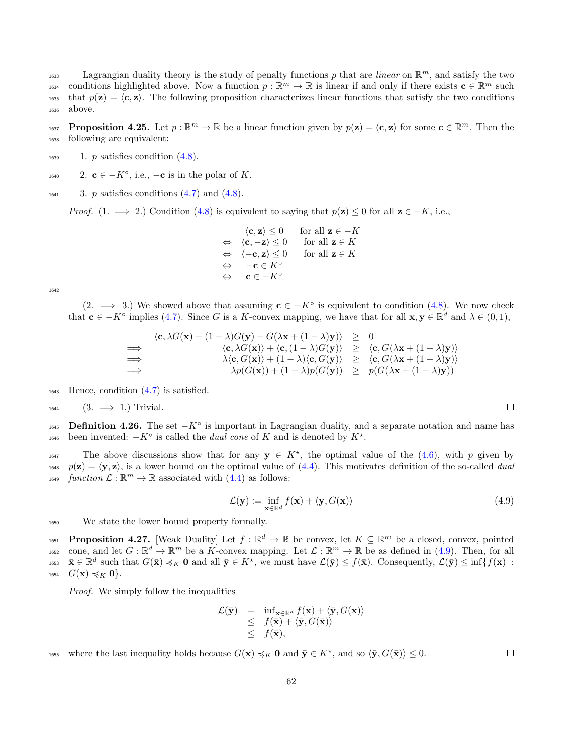Lagrangian duality theory is the study of penalty functions p that are *linear* on  $\mathbb{R}^m$ , and satisfy the two <sup>1634</sup> conditions highlighted above. Now a function  $p : \mathbb{R}^m \to \mathbb{R}$  is linear if and only if there exists  $\mathbf{c} \in \mathbb{R}^m$  such 1635 that  $p(\mathbf{z}) = \langle \mathbf{c}, \mathbf{z} \rangle$ . The following proposition characterizes linear functions that satisfy the two conditions <sup>1636</sup> above.

**Proposition 4.25.** Let  $p : \mathbb{R}^m \to \mathbb{R}$  be a linear function given by  $p(\mathbf{z}) = \langle \mathbf{c}, \mathbf{z} \rangle$  for some  $\mathbf{c} \in \mathbb{R}^m$ . Then the <sup>1638</sup> following are equivalent:

- $_{1639}$  1. p satisfies condition  $(4.8)$ .
- 1640 2.  $\mathbf{c} \in -K^{\circ}$ , i.e.,  $-\mathbf{c}$  is in the polar of K.
- $_{1641}$  3. p satisfies conditions  $(4.7)$  and  $(4.8)$ .

*Proof.* (1.  $\implies$  2.) Condition [\(4.8\)](#page-60-2) is equivalent to saying that  $p(z) \leq 0$  for all  $z \in -K$ , i.e.,

 $\langle \mathbf{c}, \mathbf{z} \rangle \leq 0$  for all  $\mathbf{z} \in -K$ <br> $\langle \mathbf{c}, -\mathbf{z} \rangle \leq 0$  for all  $\mathbf{z} \in K$  $\Leftrightarrow \langle c, -z \rangle \leq 0$  for all  $z \in K$  $\Leftrightarrow \langle -\mathbf{c}, \mathbf{z} \rangle \leq 0 \quad \text{for all } \mathbf{z} \in K$  $\Leftrightarrow$  –c  $\in K^{\circ}$  $\mathbf{c} \in -K^{\circ}$ 

1642

 $(2. \implies 3.)$  We showed above that assuming  $c \in -K^{\circ}$  is equivalent to condition  $(4.8)$ . We now check that  $\mathbf{c} \in -K^{\circ}$  implies [\(4.7\)](#page-60-3). Since G is a K-convex mapping, we have that for all  $\mathbf{x}, \mathbf{y} \in \mathbb{R}^d$  and  $\lambda \in (0,1)$ ,

$$
\langle \mathbf{c}, \lambda G(\mathbf{x}) + (1 - \lambda)G(\mathbf{y}) - G(\lambda \mathbf{x} + (1 - \lambda)\mathbf{y}) \rangle \geq 0
$$
\n
$$
\implies \langle \mathbf{c}, \lambda G(\mathbf{x}) \rangle + \langle \mathbf{c}, (1 - \lambda)G(\mathbf{y}) \rangle \geq \langle \mathbf{c}, G(\lambda \mathbf{x} + (1 - \lambda)\mathbf{y}) \rangle
$$
\n
$$
\implies \lambda \langle \mathbf{c}, G(\mathbf{x}) \rangle + (1 - \lambda) \langle \mathbf{c}, G(\mathbf{y}) \rangle \geq \langle \mathbf{c}, G(\lambda \mathbf{x} + (1 - \lambda)\mathbf{y}) \rangle
$$
\n
$$
\implies \lambda p(G(\mathbf{x})) + (1 - \lambda)p(G(\mathbf{y})) \geq p(G(\lambda \mathbf{x} + (1 - \lambda)\mathbf{y}))
$$

<sup>1643</sup> Hence, condition [\(4.7\)](#page-60-3) is satisfied.

$$
1644 \qquad (3. \implies 1.)
$$
 Trivial.

1645 **Definition 4.26.** The set  $-K^\circ$  is important in Lagrangian duality, and a separate notation and name has been invented:  $-K^{\circ}$  is called the *dual cone* of K and is denoted by  $K^*$ .

1647 The above discussions show that for any  $y \in K^*$ , the optimal value of the [\(4.6\)](#page-60-1), with p given by  $p(\mathbf{z}) = \langle \mathbf{y}, \mathbf{z} \rangle$ , is a lower bound on the optimal value of [\(4.4\)](#page-59-0). This motivates definition of the so-called *dual* <sup>1649</sup> function  $\mathcal{L}: \mathbb{R}^m \to \mathbb{R}$  associated with  $(4.4)$  as follows:

<span id="page-61-0"></span>
$$
\mathcal{L}(\mathbf{y}) := \inf_{\mathbf{x} \in \mathbb{R}^d} f(\mathbf{x}) + \langle \mathbf{y}, G(\mathbf{x}) \rangle \tag{4.9}
$$

<sup>1650</sup> We state the lower bound property formally.

<span id="page-61-1"></span>1651 **Proposition 4.27.** [Weak Duality] Let  $f : \mathbb{R}^d \to \mathbb{R}$  be convex, let  $K \subseteq \mathbb{R}^m$  be a closed, convex, pointed tess cone, and let  $G : \mathbb{R}^d \to \mathbb{R}^m$  be a K-convex mapping. Let  $\mathcal{L} : \mathbb{R}^m \to \mathbb{R}$  be as defined in [\(4.9\)](#page-61-0). Then, for all <sup>1653</sup>  $\bar{\mathbf{x}} \in \mathbb{R}^d$  such that  $G(\bar{\mathbf{x}}) \preccurlyeq_K \mathbf{0}$  and all  $\bar{\mathbf{y}} \in K^*$ , we must have  $\mathcal{L}(\bar{\mathbf{y}}) \leq f(\bar{\mathbf{x}})$ . Consequently,  $\mathcal{L}(\bar{\mathbf{y}}) \leq \inf\{f(\mathbf{x}) :$  $_{1654}$   $G(\mathbf{x}) \preccurlyeq_K \mathbf{0}$ .

Proof. We simply follow the inequalities

$$
\mathcal{L}(\bar{\mathbf{y}}) = \inf_{\mathbf{x} \in \mathbb{R}^d} f(\mathbf{x}) + \langle \bar{\mathbf{y}}, G(\mathbf{x}) \rangle \leq f(\bar{\mathbf{x}}) + \langle \bar{\mathbf{y}}, G(\bar{\mathbf{x}}) \rangle \leq f(\bar{\mathbf{x}}),
$$

1655 where the last inequality holds because  $G(\mathbf{x}) \preccurlyeq_K \mathbf{0}$  and  $\bar{\mathbf{y}} \in K^*$ , and so  $\langle \bar{\mathbf{y}}, G(\bar{\mathbf{x}}) \rangle \leq 0$ .

 $\Box$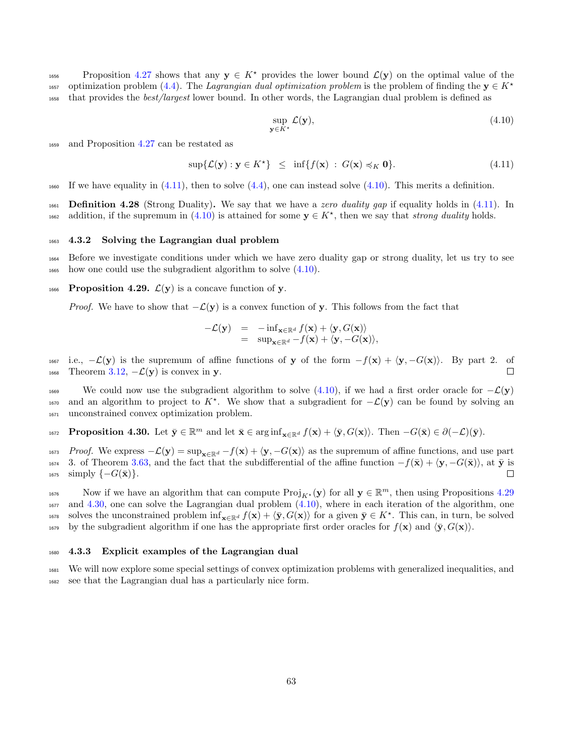1656 Proposition [4.27](#page-61-1) shows that any  $y \in K^*$  provides the lower bound  $\mathcal{L}(y)$  on the optimal value of the optimization problem [\(4.4\)](#page-59-0). The Lagrangian dual optimization problem is the problem of finding the  $y \in K^*$ 1657 <sup>1658</sup> that provides the best/largest lower bound. In other words, the Lagrangian dual problem is defined as

<span id="page-62-1"></span>
$$
\sup_{\mathbf{y}\in K^*} \mathcal{L}(\mathbf{y}),\tag{4.10}
$$

<sup>1659</sup> and Proposition [4.27](#page-61-1) can be restated as

<span id="page-62-0"></span>
$$
\sup\{\mathcal{L}(\mathbf{y}): \mathbf{y} \in K^{\star}\}\ \leq\ \inf\{f(\mathbf{x})\ : \ G(\mathbf{x}) \preccurlyeq_K \mathbf{0}\}.\tag{4.11}
$$

 $_{1660}$  If we have equality in [\(4.11\)](#page-62-0), then to solve [\(4.4\)](#page-59-0), one can instead solve [\(4.10\)](#page-62-1). This merits a definition.

1661 **Definition 4.28** (Strong Duality). We say that we have a zero duality gap if equality holds in  $(4.11)$ . In 1662 addition, if the supremum in [\(4.10\)](#page-62-1) is attained for some  $y \in K^*$ , then we say that *strong duality* holds.

#### <sup>1663</sup> 4.3.2 Solving the Lagrangian dual problem

<sup>1664</sup> Before we investigate conditions under which we have zero duality gap or strong duality, let us try to see <sup>1665</sup> how one could use the subgradient algorithm to solve [\(4.10\)](#page-62-1).

<span id="page-62-2"></span>1666 Proposition 4.29.  $\mathcal{L}(\mathbf{y})$  is a concave function of y.

*Proof.* We have to show that  $-\mathcal{L}(\mathbf{y})$  is a convex function of y. This follows from the fact that

$$
-{\mathcal{L}}(\mathbf{y}) = -\inf_{\mathbf{x}\in\mathbb{R}^d} f(\mathbf{x}) + \langle \mathbf{y}, G(\mathbf{x}) \rangle = \sup_{\mathbf{x}\in\mathbb{R}^d} -f(\mathbf{x}) + \langle \mathbf{y}, -G(\mathbf{x}) \rangle,
$$

1667 i.e.,  $-\mathcal{L}(\mathbf{y})$  is the supremum of affine functions of **y** of the form  $-f(\mathbf{x}) + \langle \mathbf{y}, -G(\mathbf{x}) \rangle$ . By part 2. of Theorem 3.12,  $-\mathcal{L}(\mathbf{y})$  is convex in **y**. 1668 Theorem [3.12,](#page-35-0)  $-\mathcal{L}(\mathbf{y})$  is convex in y.

1669 We could now use the subgradient algorithm to solve  $(4.10)$ , if we had a first order oracle for  $-\mathcal{L}(\mathbf{y})$ 1670 and an algorithm to project to K<sup>\*</sup>. We show that a subgradient for  $-\mathcal{L}(\mathbf{y})$  can be found by solving an <sup>1671</sup> unconstrained convex optimization problem.

<span id="page-62-3"></span>1672 **Proposition 4.30.** Let  $\bar{\mathbf{y}} \in \mathbb{R}^m$  and let  $\bar{\mathbf{x}} \in \arginf_{\mathbf{x} \in \mathbb{R}^d} f(\mathbf{x}) + \langle \bar{\mathbf{y}}, G(\mathbf{x}) \rangle$ . Then  $-G(\bar{\mathbf{x}}) \in \partial(-\mathcal{L})(\bar{\mathbf{y}})$ .

1673 Proof. We express  $-\mathcal{L}(\mathbf{y}) = \sup_{\mathbf{x} \in \mathbb{R}^d} -f(\mathbf{x}) + \langle \mathbf{y}, -G(\mathbf{x}) \rangle$  as the supremum of affine functions, and use part <sup>1674</sup> 3. of Theorem [3.63,](#page-52-0) and the fact that the subdifferential of the affine function  $-f(\bar{\mathbf{x}}) + \langle \mathbf{y}, -G(\bar{\mathbf{x}}) \rangle$ , at  $\bar{\mathbf{y}}$  is simply  $\{-G(\bar{\mathbf{x}})\}\$ . □  $_{1675}$  simply  $\{-G(\bar{\mathbf{x}})\}.$ 

Now if we have an algorithm that can compute  $\text{Proj}_{K^*}(\mathbf{y})$  for all  $\mathbf{y} \in \mathbb{R}^m$ , then using Propositions [4.29](#page-62-2) <sup>1677</sup> and [4.30,](#page-62-3) one can solve the Lagrangian dual problem [\(4.10\)](#page-62-1), where in each iteration of the algorithm, one <sup>1678</sup> solves the unconstrained problem  $\inf_{\mathbf{x} \in \mathbb{R}^d} f(\mathbf{x}) + \langle \bar{\mathbf{y}}, G(\mathbf{x}) \rangle$  for a given  $\bar{\mathbf{y}} \in K^*$ . This can, in turn, be solved <sup>1679</sup> by the subgradient algorithm if one has the appropriate first order oracles for  $f(\mathbf{x})$  and  $\langle \bar{y}, G(\mathbf{x}) \rangle$ .

#### <sup>1680</sup> 4.3.3 Explicit examples of the Lagrangian dual

<sup>1681</sup> We will now explore some special settings of convex optimization problems with generalized inequalities, and <sup>1682</sup> see that the Lagrangian dual has a particularly nice form.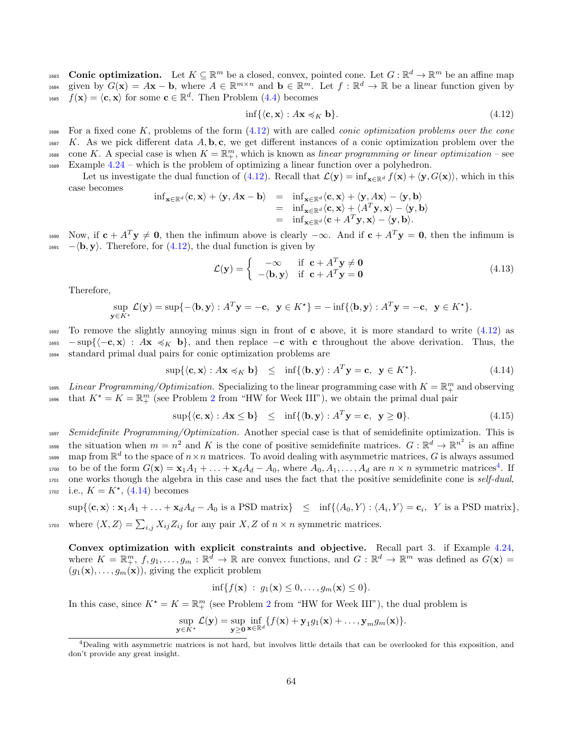1683 **Conic optimization.** Let  $K \subseteq \mathbb{R}^m$  be a closed, convex, pointed cone. Let  $G : \mathbb{R}^d \to \mathbb{R}^m$  be an affine map 1684 given by  $G(\mathbf{x}) = A\mathbf{x} - \mathbf{b}$ , where  $A \in \mathbb{R}^{m \times n}$  and  $\mathbf{b} \in \mathbb{R}^m$ . Let  $f : \mathbb{R}^d \to \mathbb{R}$  be a linear function given by <sup>1685</sup>  $f(\mathbf{x}) = \langle \mathbf{c}, \mathbf{x} \rangle$  for some  $\mathbf{c} \in \mathbb{R}^d$ . Then Problem [\(4.4\)](#page-59-0) becomes

<span id="page-63-0"></span>
$$
\inf\{\langle \mathbf{c}, \mathbf{x} \rangle : A\mathbf{x} \preccurlyeq_K \mathbf{b}\}. \tag{4.12}
$$

 $1686$  For a fixed cone K, problems of the form  $(4.12)$  with are called *conic optimization problems over the cone*  $_{1687}$  K. As we pick different data A, b, c, we get different instances of a conic optimization problem over the <sup>1688</sup> cone K. A special case is when  $K = \mathbb{R}^m_+$ , which is known as linear programming or linear optimization – see <sup>1689</sup> Example [4.24](#page-59-2) – which is the problem of optimizing a linear function over a polyhedron.

Let us investigate the dual function of [\(4.12\)](#page-63-0). Recall that  $\mathcal{L}(\mathbf{y}) = \inf_{\mathbf{x} \in \mathbb{R}^d} f(\mathbf{x}) + \langle \mathbf{y}, G(\mathbf{x}) \rangle$ , which in this case becomes

$$
\mathrm{inf}_{\mathbf{x}\in\mathbb{R}^d}\langle\mathbf{c},\mathbf{x}\rangle + \langle\mathbf{y},A\mathbf{x}-\mathbf{b}\rangle = \mathrm{inf}_{\mathbf{x}\in\mathbb{R}^d}\langle\mathbf{c},\mathbf{x}\rangle + \langle\mathbf{y},A\mathbf{x}\rangle - \langle\mathbf{y},\mathbf{b}\rangle \n= \mathrm{inf}_{\mathbf{x}\in\mathbb{R}^d}\langle\mathbf{c},\mathbf{x}\rangle + \langle A^T\mathbf{y},\mathbf{x}\rangle - \langle\mathbf{y},\mathbf{b}\rangle \n= \mathrm{inf}_{\mathbf{x}\in\mathbb{R}^d}\langle\mathbf{c}+A^T\mathbf{y},\mathbf{x}\rangle - \langle\mathbf{y},\mathbf{b}\rangle.
$$

1690 Now, if  $c + A^T y \neq 0$ , then the infimum above is clearly  $-\infty$ . And if  $c + A^T y = 0$ , then the infimum is  $1691 - \langle \mathbf{b}, \mathbf{y} \rangle$ . Therefore, for [\(4.12\)](#page-63-0), the dual function is given by

$$
\mathcal{L}(\mathbf{y}) = \begin{cases}\n-\infty & \text{if } \mathbf{c} + A^T \mathbf{y} \neq \mathbf{0} \\
-\langle \mathbf{b}, \mathbf{y} \rangle & \text{if } \mathbf{c} + A^T \mathbf{y} = \mathbf{0}\n\end{cases}
$$
\n(4.13)

Therefore,

$$
\sup_{\mathbf{y}\in K^*} \mathcal{L}(\mathbf{y}) = \sup\{-\langle \mathbf{b}, \mathbf{y}\rangle : A^T \mathbf{y} = -\mathbf{c}, \ \mathbf{y}\in K^*\} = -\inf\{\langle \mathbf{b}, \mathbf{y}\rangle : A^T \mathbf{y} = -\mathbf{c}, \ \mathbf{y}\in K^*\}.
$$

<sup>1692</sup> To remove the slightly annoying minus sign in front of c above, it is more standard to write [\(4.12\)](#page-63-0) as  $\frac{1}{1693}$  – sup{ $\langle -c, x \rangle : Ax \leq K b$ , and then replace –c with c throughout the above derivation. Thus, the <sup>1694</sup> standard primal dual pairs for conic optimization problems are

<span id="page-63-2"></span>
$$
\sup\{\langle \mathbf{c}, \mathbf{x}\rangle : A\mathbf{x} \preccurlyeq_K \mathbf{b}\} \leq \inf\{\langle \mathbf{b}, \mathbf{y}\rangle : A^T \mathbf{y} = \mathbf{c}, \mathbf{y} \in K^{\star}\}. \tag{4.14}
$$

<sup>1695</sup> Linear Programming/Optimization. Specializing to the linear programming case with  $K = \mathbb{R}^m_+$  and observing that  $K^* = K = \mathbb{R}^m_+$  (see Problem [2](#page-3-7) from "HW for Week III"), we obtain the primal dual pair

<span id="page-63-3"></span>
$$
\sup\{\langle \mathbf{c}, \mathbf{x}\rangle : A\mathbf{x} \le \mathbf{b}\} \le \inf\{\langle \mathbf{b}, \mathbf{y}\rangle : A^T \mathbf{y} = \mathbf{c}, \ \mathbf{y} \ge \mathbf{0}\}. \tag{4.15}
$$

1697 Semidefinite Programming/Optimization. Another special case is that of semidefinite optimization. This is 1698 the situation when  $m = n^2$  and K is the cone of positive semidefinite matrices.  $G : \mathbb{R}^d \to \mathbb{R}^{n^2}$  is an affine 1699 map from  $\mathbb{R}^d$  to the space of  $n \times n$  matrices. To avoid dealing with asymmetric matrices, G is always assumed 1700 to be of the form  $G(\mathbf{x}) = \mathbf{x}_1 A_1 + \ldots + \mathbf{x}_d A_d - A_0$ , where  $A_0, A_1, \ldots, A_d$  are  $n \times n$  symmetric matrices<sup>[4](#page-63-1)</sup>. If 1701 one works though the algebra in this case and uses the fact that the positive semidefinite cone is self-dual, 1702 i.e.,  $K = K^*$ , [\(4.14\)](#page-63-2) becomes

 $\sup\{\langle \mathbf{c}, \mathbf{x}\rangle : \mathbf{x}_1 A_1 + \ldots + \mathbf{x}_d A_d - A_0 \text{ is a PSD matrix}\}\leq \inf\{\langle A_0, Y\rangle : \langle A_i, Y\rangle = \mathbf{c}_i, Y \text{ is a PSD matrix}\},\$ <sup>1703</sup> where  $\langle X, Z \rangle = \sum_{i,j} X_{ij} Z_{ij}$  for any pair  $X, Z$  of  $n \times n$  symmetric matrices.

Convex optimization with explicit constraints and objective. Recall part 3. if Example [4.24,](#page-59-2) where  $K = \mathbb{R}_{+}^{m}$ ,  $f, g_1, \ldots, g_m : \mathbb{R}^d \to \mathbb{R}$  are convex functions, and  $G : \mathbb{R}^d \to \mathbb{R}^m$  was defined as  $G(\mathbf{x}) =$  $(g_1(\mathbf{x}), \ldots, g_m(\mathbf{x}))$ , giving the explicit problem

$$
\inf\{f(\mathbf{x})\;:\;g_1(\mathbf{x})\leq 0,\ldots,g_m(\mathbf{x})\leq 0\}.
$$

In this case, since  $K^* = K = \mathbb{R}^m_+$  (see Problem [2](#page-3-7) from "HW for Week III"), the dual problem is

$$
\sup_{\mathbf{y}\in K^*}\mathcal{L}(\mathbf{y})=\sup_{\mathbf{y}\geq\mathbf{0}}\inf_{\mathbf{x}\in\mathbb{R}^d}\{f(\mathbf{x})+\mathbf{y}_1g_1(\mathbf{x})+\ldots,\mathbf{y}_mg_m(\mathbf{x})\}.
$$

<span id="page-63-1"></span><sup>4</sup>Dealing with asymmetric matrices is not hard, but involves little details that can be overlooked for this exposition, and don't provide any great insight.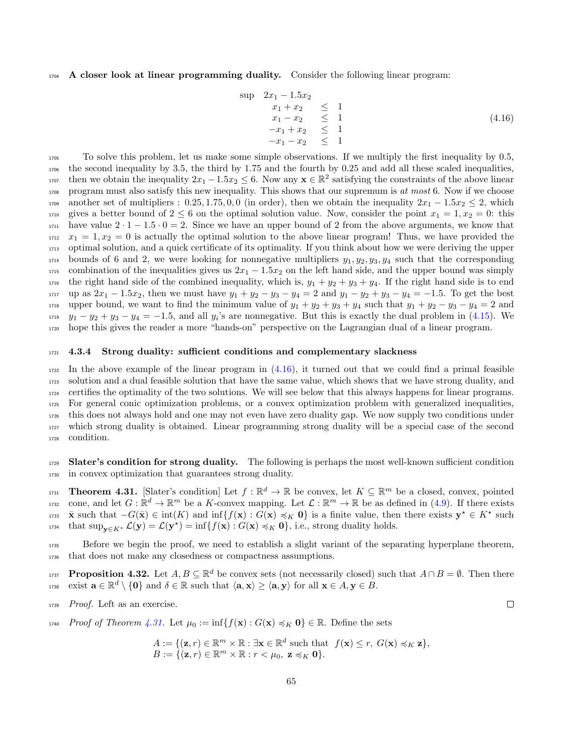#### <sup>1704</sup> A closer look at linear programming duality. Consider the following linear program:

<span id="page-64-0"></span>
$$
\sup \quad 2x_1 - 1.5x_2
$$
\n
$$
\begin{array}{rcl}\n x_1 + x_2 & \leq 1 \\
 x_1 - x_2 & \leq 1 \\
 -x_1 + x_2 & \leq 1 \\
 -x_1 - x_2 & \leq 1\n \end{array}\n \tag{4.16}
$$

<sup>1705</sup> To solve this problem, let us make some simple observations. If we multiply the first inequality by 0.5, <sup>1706</sup> the second inequality by 3.5, the third by 1.75 and the fourth by 0.25 and add all these scaled inequalities, <sup>1707</sup> then we obtain the inequality  $2x_1 - 1.5x_2 \leq 6$ . Now any  $\mathbf{x} \in \mathbb{R}^2$  satisfying the constraints of the above linear 1708 program must also satisfy this new inequality. This shows that our supremum is at most 6. Now if we choose 1709 another set of multipliers : 0.25, 1.75, 0, 0 (in order), then we obtain the inequality  $2x_1 - 1.5x_2 \le 2$ , which 1710 gives a better bound of  $2 \leq 6$  on the optimal solution value. Now, consider the point  $x_1 = 1, x_2 = 0$ : this  $1711$  have value  $2 \cdot 1 - 1.5 \cdot 0 = 2$ . Since we have an upper bound of 2 from the above arguments, we know that  $x_1 = 1, x_2 = 0$  is actually the optimal solution to the above linear program! Thus, we have provided the <sup>1713</sup> optimal solution, and a quick certificate of its optimality. If you think about how we were deriving the upper  $1714$  bounds of 6 and 2, we were looking for nonnegative multipliers  $y_1, y_2, y_3, y_4$  such that the corresponding 1715 combination of the inequalities gives us  $2x_1 - 1.5x_2$  on the left hand side, and the upper bound was simply  $_{1716}$  the right hand side of the combined inequality, which is,  $y_1 + y_2 + y_3 + y_4$ . If the right hand side is to end 1717 up as  $2x_1 - 1.5x_2$ , then we must have  $y_1 + y_2 - y_3 - y_4 = 2$  and  $y_1 - y_2 + y_3 - y_4 = -1.5$ . To get the best 1718 upper bound, we want to find the minimum value of  $y_1 + y_2 + y_3 + y_4$  such that  $y_1 + y_2 - y_3 - y_4 = 2$  and  $y_1 - y_2 + y_3 - y_4 = -1.5$ , and all  $y_i$ 's are nonnegative. But this is exactly the dual problem in [\(4.15\)](#page-63-3). We <sup>1720</sup> hope this gives the reader a more "hands-on" perspective on the Lagrangian dual of a linear program.

#### <sup>1721</sup> 4.3.4 Strong duality: sufficient conditions and complementary slackness

 In the above example of the linear program in  $(4.16)$ , it turned out that we could find a primal feasible solution and a dual feasible solution that have the same value, which shows that we have strong duality, and certifies the optimality of the two solutions. We will see below that this always happens for linear programs. For general conic optimization problems, or a convex optimization problem with generalized inequalities, this does not always hold and one may not even have zero duality gap. We now supply two conditions under which strong duality is obtained. Linear programming strong duality will be a special case of the second condition.

1729 Slater's condition for strong duality. The following is perhaps the most well-known sufficient condition <sup>1730</sup> in convex optimization that guarantees strong duality.

<span id="page-64-1"></span>Theorem 4.31. [Slater's condition] Let  $f : \mathbb{R}^d \to \mathbb{R}$  be convex, let  $K \subseteq \mathbb{R}^m$  be a closed, convex, pointed <sup>1732</sup> cone, and let  $G: \mathbb{R}^d \to \mathbb{R}^m$  be a K-convex mapping. Let  $\mathcal{L}: \mathbb{R}^m \to \mathbb{R}$  be as defined in [\(4.9\)](#page-61-0). If there exists 1733  $\bar{\mathbf{x}}$  such that  $-G(\bar{\mathbf{x}}) \in \text{int}(K)$  and  $\text{inf}\{f(\mathbf{x}) : G(\mathbf{x}) \preccurlyeq_K \mathbf{0}\}$  is a finite value, then there exists  $\mathbf{y}^* \in K^*$  such <sup>1734</sup> that sup<sub>y∈K</sub>  $\mathcal{L}(\mathbf{y}) = \mathcal{L}(\mathbf{y}^*) = \inf\{f(\mathbf{x}) : G(\mathbf{x}) \preccurlyeq_K \mathbf{0}\},$  i.e., strong duality holds.

<sup>1735</sup> Before we begin the proof, we need to establish a slight variant of the separating hyperplane theorem, <sup>1736</sup> that does not make any closedness or compactness assumptions.

<span id="page-64-2"></span>**Proposition 4.32.** Let  $A, B \subseteq \mathbb{R}^d$  be convex sets (not necessarily closed) such that  $A \cap B = \emptyset$ . Then there 1738 exist  $\mathbf{a} \in \mathbb{R}^d \setminus \{\mathbf{0}\}$  and  $\delta \in \mathbb{R}$  such that  $\langle \mathbf{a}, \mathbf{x} \rangle \geq \langle \mathbf{a}, \mathbf{y} \rangle$  for all  $\mathbf{x} \in A, \mathbf{y} \in B$ .

<sup>1739</sup> Proof. Left as an exercise.

1740 Proof of Theorem [4.31.](#page-64-1) Let  $\mu_0 := \inf\{f(\mathbf{x}) : G(\mathbf{x}) \preccurlyeq_K \mathbf{0}\}\in \mathbb{R}$ . Define the sets

$$
A := \{ (\mathbf{z}, r) \in \mathbb{R}^m \times \mathbb{R} : \exists \mathbf{x} \in \mathbb{R}^d \text{ such that } f(\mathbf{x}) \le r, G(\mathbf{x}) \preccurlyeq_K \mathbf{z} \},
$$
  

$$
B := \{ (\mathbf{z}, r) \in \mathbb{R}^m \times \mathbb{R} : r < \mu_0, \mathbf{z} \preccurlyeq_K \mathbf{0} \}.
$$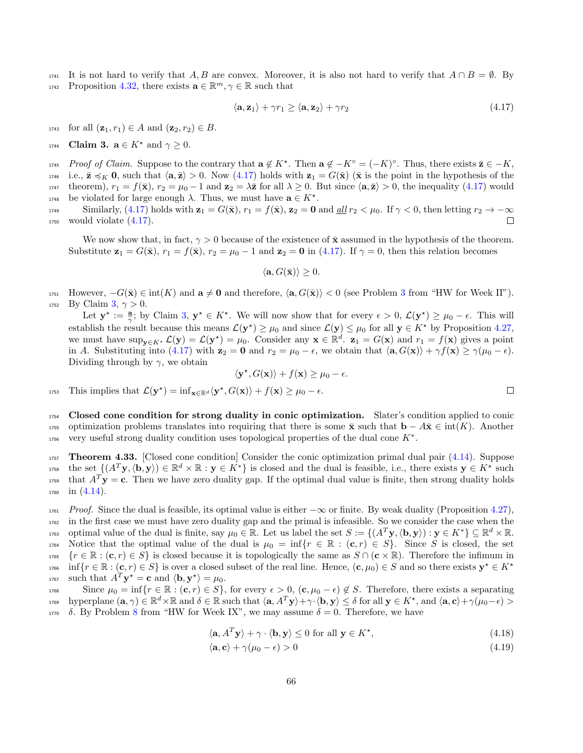$1741$  It is not hard to verify that A, B are convex. Moreover, it is also not hard to verify that  $A \cap B = \emptyset$ . By <sup>1742</sup> Proposition [4.32,](#page-64-2) there exists  $\mathbf{a} \in \mathbb{R}^m$ ,  $\gamma \in \mathbb{R}$  such that

<span id="page-65-0"></span>
$$
\langle \mathbf{a}, \mathbf{z}_1 \rangle + \gamma r_1 \ge \langle \mathbf{a}, \mathbf{z}_2 \rangle + \gamma r_2 \tag{4.17}
$$

1743 for all  $(\mathbf{z}_1, r_1) \in A$  and  $(\mathbf{z}_2, r_2) \in B$ .

<span id="page-65-1"></span>1744 **Claim 3.**  $\mathbf{a} \in K^*$  and  $\gamma \geq 0$ .

1745 Proof of Claim. Suppose to the contrary that  $\mathbf{a} \notin K^*$ . Then  $\mathbf{a} \notin -K^{\circ} = (-K)^{\circ}$ . Thus, there exists  $\bar{\mathbf{z}} \in -K$ , 1746 i.e.,  $\bar{\mathbf{z}} \preccurlyeq_K \mathbf{0}$ , such that  $\langle \mathbf{a}, \bar{\mathbf{z}} \rangle > 0$ . Now  $(4.17)$  holds with  $\mathbf{z}_1 = G(\bar{\mathbf{x}})$  ( $\bar{\mathbf{x}}$  is the point in the hypothesis of the 1747 theorem),  $r_1 = f(\bar{\mathbf{x}})$ ,  $r_2 = \mu_0 - 1$  and  $\mathbf{z}_2 = \lambda \bar{\mathbf{z}}$  for all  $\lambda \geq 0$ . But since  $\langle \mathbf{a}, \bar{\mathbf{z}} \rangle > 0$ , the inequality [\(4.17\)](#page-65-0) would  $1748$  be violated for large enough  $\lambda$ . Thus, we must have  $a \in K^*$ .

1749 Similarly, [\(4.17\)](#page-65-0) holds with  $\mathbf{z}_1 = G(\bar{\mathbf{x}})$ ,  $r_1 = f(\bar{\mathbf{x}})$ ,  $\mathbf{z}_2 = \mathbf{0}$  and  $\underline{all}$   $r_2 < \mu_0$ . If  $\gamma < 0$ , then letting  $r_2 \to -\infty$ <br>would violate (4.17).  $1750$  would violate  $(4.17)$ .

We now show that, in fact,  $\gamma > 0$  because of the existence of  $\bar{\mathbf{x}}$  assumed in the hypothesis of the theorem. Substitute  $\mathbf{z}_1 = G(\bar{\mathbf{x}}), r_1 = f(\bar{\mathbf{x}}), r_2 = \mu_0 - 1$  and  $\mathbf{z}_2 = \mathbf{0}$  in [\(4.17\)](#page-65-0). If  $\gamma = 0$ , then this relation becomes

 $\langle \mathbf{a}, G(\bar{\mathbf{x}}) \rangle \geq 0.$ 

1751 However,  $-G(\bar{\mathbf{x}}) \in \text{int}(K)$  and  $\mathbf{a} \neq \mathbf{0}$  and therefore,  $\langle \mathbf{a}, G(\bar{\mathbf{x}}) \rangle < 0$  (see Problem [3](#page-3-0) from "HW for Week II"). 1752 By Claim [3,](#page-65-1)  $\gamma > 0$ .

Let  $\mathbf{y}^* := \frac{\mathbf{a}}{\gamma}$ ; by Claim [3,](#page-65-1)  $\mathbf{y}^* \in K^*$ . We will now show that for every  $\epsilon > 0$ ,  $\mathcal{L}(\mathbf{y}^*) \geq \mu_0 - \epsilon$ . This will establish the result because this means  $\mathcal{L}(\mathbf{y}^*) \geq \mu_0$  and since  $\mathcal{L}(\mathbf{y}) \leq \mu_0$  for all  $\mathbf{y} \in K^*$  by Proposition [4.27,](#page-61-1) we must have  $\sup_{\mathbf{y}\in K^*}\mathcal{L}(\mathbf{y})=\mathcal{L}(\mathbf{y}^*)=\mu_0$ . Consider any  $\mathbf{x}\in\mathbb{R}^d$ .  $\mathbf{z}_1=G(\mathbf{x})$  and  $r_1=f(\mathbf{x})$  gives a point in A. Substituting into [\(4.17\)](#page-65-0) with  $z_2 = 0$  and  $r_2 = \mu_0 - \epsilon$ , we obtain that  $\langle \mathbf{a}, G(\mathbf{x}) \rangle + \gamma f(\mathbf{x}) \geq \gamma(\mu_0 - \epsilon)$ . Dividing through by  $\gamma$ , we obtain

$$
\langle \mathbf{y}^*, G(\mathbf{x}) \rangle + f(\mathbf{x}) \ge \mu_0 - \epsilon.
$$

1753 This implies that  $\mathcal{L}(\mathbf{y}^*) = \inf_{\mathbf{x} \in \mathbb{R}^d} \langle \mathbf{y}^*, G(\mathbf{x}) \rangle + f(\mathbf{x}) \ge \mu_0 - \epsilon$ .

<sup>1754</sup> Closed cone condition for strong duality in conic optimization. Slater's condition applied to conic 1755 optimization problems translates into requiring that there is some  $\bar{\mathbf{x}}$  such that  $\mathbf{b} - A\bar{\mathbf{x}} \in \text{int}(K)$ . Another  $v_{1756}$  very useful strong duality condition uses topological properties of the dual cone  $K^*$ .

<span id="page-65-4"></span>**1757** Theorem 4.33. [Closed cone condition] Consider the conic optimization primal dual pair  $(4.14)$ . Suppose  $\text{dist} \text{ the set } \{ (A^T \mathbf{y}, \langle \mathbf{b}, \mathbf{y} \rangle) \in \mathbb{R}^d \times \mathbb{R} : \mathbf{y} \in K^* \}$  is closed and the dual is feasible, i.e., there exists  $\mathbf{y} \in K^*$  such <sup>1759</sup> that  $A^T$ **y** = **c**. Then we have zero duality gap. If the optimal dual value is finite, then strong duality holds  $_{1760}$  in  $(4.14)$ .

 $1761$  Proof. Since the dual is feasible, its optimal value is either  $-\infty$  or finite. By weak duality (Proposition [4.27\)](#page-61-1), <sup>1762</sup> in the first case we must have zero duality gap and the primal is infeasible. So we consider the case when the optimal value of the dual is finite, say  $\mu_0 \in \mathbb{R}$ . Let us label the set  $S := \{(A^T \mathbf{y}, \langle \mathbf{b}, \mathbf{y} \rangle) : \mathbf{y} \in K^*\} \subseteq \mathbb{R}^d \times \mathbb{R}$ . 1764 Notice that the optimal value of the dual is  $\mu_0 = \inf\{r \in \mathbb{R} : (\mathbf{c}, r) \in S\}$ . Since S is closed, the set 1765  ${r \in \mathbb{R} : (\mathbf{c}, r) \in S}$  is closed because it is topologically the same as  $S \cap (\mathbf{c} \times \mathbb{R})$ . Therefore the infimum in  $\inf\{r \in \mathbb{R} : (\mathbf{c}, r) \in S\}$  is over a closed subset of the real line. Hence,  $(\mathbf{c}, \mu_0) \in S$  and so there exists  $\mathbf{y}^* \in K^*$ 1766 <sup>1767</sup> such that  $A^T \mathbf{y}^* = \mathbf{c}$  and  $\langle \mathbf{b}, \mathbf{y}^* \rangle = \mu_0$ .

1768 Since  $\mu_0 = \inf \{r \in \mathbb{R} : (\mathbf{c}, r) \in S\}$ , for every  $\epsilon > 0$ ,  $(\mathbf{c}, \mu_0 - \epsilon) \notin S$ . Therefore, there exists a separating  $\mathcal{L}_{\mathcal{A}}^{\mathcal{A}}$  hyperplane  $(\mathbf{a}, \gamma) \in \mathbb{R}^d \times \mathbb{R}$  and  $\delta \in \mathbb{R}$  such that  $\langle \mathbf{a}, A^T \mathbf{y} \rangle + \gamma \cdot \langle \mathbf{b}, \mathbf{y} \rangle \leq \delta$  for all  $\mathbf{y} \in K^*$ , and  $\langle \mathbf{a}, \mathbf{c} \rangle + \gamma(\mu_0 - \epsilon) >$ 1770 δ. By Problem [8](#page-3-3) from "HW for Week IX", we may assume  $\delta = 0$ . Therefore, we have

$$
\langle \mathbf{a}, A^T \mathbf{y} \rangle + \gamma \cdot \langle \mathbf{b}, \mathbf{y} \rangle \le 0 \text{ for all } \mathbf{y} \in K^\star,
$$
\n(4.18)

<span id="page-65-3"></span><span id="page-65-2"></span>
$$
\langle \mathbf{a}, \mathbf{c} \rangle + \gamma(\mu_0 - \epsilon) > 0 \tag{4.19}
$$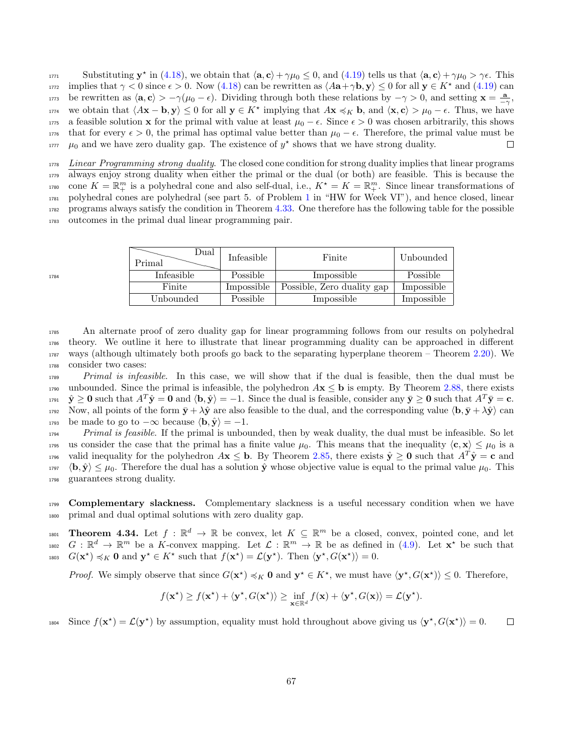Substituting  $y^*$  in [\(4.18\)](#page-65-2), we obtain that  $\langle a, c \rangle + \gamma \mu_0 \le 0$ , and [\(4.19\)](#page-65-3) tells us that  $\langle a, c \rangle + \gamma \mu_0 > \gamma \epsilon$ . This implies that  $\gamma < 0$  since  $\epsilon > 0$ . Now [\(4.18\)](#page-65-2) can be rewritten as  $\langle A\mathbf{a} + \gamma \mathbf{b}, \mathbf{y} \rangle \leq 0$  for all  $\mathbf{y} \in K^*$  and [\(4.19\)](#page-65-3) can <sup>1773</sup> be rewritten as  $\langle \mathbf{a}, \mathbf{c} \rangle > -\gamma(\mu_0 - \epsilon)$ . Dividing through both these relations by  $-\gamma > 0$ , and setting  $\mathbf{x} = \frac{\mathbf{a}}{-\gamma}$ ,  $\lambda$ <sub>1774</sub> we obtain that  $\langle A\mathbf{x} - \mathbf{b}, \mathbf{y} \rangle \le 0$  for all  $\mathbf{y} \in K^*$  implying that  $A\mathbf{x} \preccurlyeq_K \mathbf{b}$ , and  $\langle \mathbf{x}, \mathbf{c} \rangle > \mu_0 - \epsilon$ . Thus, we have 1775 a feasible solution x for the primal with value at least  $\mu_0 - \epsilon$ . Since  $\epsilon > 0$  was chosen arbitrarily, this shows <sup>1776</sup> that for every  $\epsilon > 0$ , the primal has optimal value better than  $\mu_0 - \epsilon$ . Therefore, the primal value must be  $\mu_0$  and we have zero duality gap. The existence of  $\psi^*$  shows that we have strong duality. □  $\mu_0$  and we have zero duality gap. The existence of  $y^*$  shows that we have strong duality.

 Linear Programming strong duality. The closed cone condition for strong duality implies that linear programs always enjoy strong duality when either the primal or the dual (or both) are feasible. This is because the <sup>1780</sup> cone  $K = \mathbb{R}^m_+$  is a polyhedral cone and also self-dual, i.e.,  $K^* = K = \mathbb{R}^m_+$ . Since linear transformations of polyhedral cones are polyhedral (see part 5. of Problem [1](#page-3-8) in "HW for Week VI"), and hence closed, linear programs always satisfy the condition in Theorem [4.33.](#page-65-4) One therefore has the following table for the possible outcomes in the primal dual linear programming pair.

| Dual<br>Primal | Infeasible | Finite                     | Unbounded  |
|----------------|------------|----------------------------|------------|
| Infeasible     | Possible   | Impossible                 | Possible   |
| Finite         | Impossible | Possible, Zero duality gap | Impossible |
| Unbounded      | Possible   | Impossible                 | Impossible |

 An alternate proof of zero duality gap for linear programming follows from our results on polyhedral theory. We outline it here to illustrate that linear programming duality can be approached in different ways (although ultimately both proofs go back to the separating hyperplane theorem – Theorem [2.20\)](#page-10-1). We consider two cases:

<sup>1789</sup> Primal is infeasible. In this case, we will show that if the dual is feasible, then the dual must be 1790 unbounded. Since the primal is infeasible, the polyhedron  $A\mathbf{x} \leq \mathbf{b}$  is empty. By Theorem [2.88,](#page-28-0) there exists  $\hat{\mathbf{y}} \geq \mathbf{0}$  such that  $A^T \hat{\mathbf{y}} = \mathbf{0}$  and  $\langle \mathbf{b}, \hat{\mathbf{y}} \rangle = -1$ . Since the dual is feasible, consider any  $\bar{\mathbf{y}} \geq \mathbf{0}$  such that  $A^T \bar{\mathbf{y}} = \mathbf{c}$ . 1792 Now, all points of the form  $\bar{y} + \lambda \hat{y}$  are also feasible to the dual, and the corresponding value  $\langle \mathbf{b}, \bar{y} + \lambda \hat{y} \rangle$  can<br>1793 be made to go to  $-\infty$  because  $\langle \mathbf{b}, \hat{y} \rangle = -1$ . be made to go to  $-\infty$  because  $\langle \mathbf{b}, \hat{\mathbf{y}} \rangle = -1$ .

<sup>1794</sup> Primal is feasible. If the primal is unbounded, then by weak duality, the dual must be infeasible. So let 1795 us consider the case that the primal has a finite value  $\mu_0$ . This means that the inequality  $\langle c, x \rangle \leq \mu_0$  is a valid inequality for the polyhedron  $A\mathbf{x} \leq \mathbf{b}$ . By Theorem [2.85,](#page-27-0) there exists  $\hat{\mathbf{y}} \geq \mathbf{0}$  such that  $A^T \hat{\mathbf{y}} = \mathbf{c}$  and  $1797 \langle \mathbf{b}, \hat{\mathbf{y}} \rangle \leq \mu_0$ . Therefore the dual has a solution  $\hat{\mathbf{y}}$  whose objective value is equal to the primal value  $\mu_0$ . This <sup>1798</sup> guarantees strong duality.

<sup>1799</sup> Complementary slackness. Complementary slackness is a useful necessary condition when we have <sup>1800</sup> primal and dual optimal solutions with zero duality gap.

<span id="page-66-0"></span>1801 **Theorem 4.34.** Let  $f : \mathbb{R}^d \to \mathbb{R}$  be convex, let  $K \subseteq \mathbb{R}^m$  be a closed, convex, pointed cone, and let  $G: \mathbb{R}^d \to \mathbb{R}^m$  be a K-convex mapping. Let  $\mathcal{L}: \mathbb{R}^m \to \mathbb{R}$  be as defined in [\(4.9\)](#page-61-0). Let  $\mathbf{x}^*$  be such that 1803  $G(\mathbf{x}^*) \preccurlyeq_K \mathbf{0}$  and  $\mathbf{y}^* \in K^*$  such that  $f(\mathbf{x}^*) = \mathcal{L}(\mathbf{y}^*)$ . Then  $\langle \mathbf{y}^*, G(\mathbf{x}^*) \rangle = 0$ .

*Proof.* We simply observe that since  $G(\mathbf{x}^*) \preccurlyeq_K \mathbf{0}$  and  $\mathbf{y}^* \in K^*$ , we must have  $\langle \mathbf{y}^*, G(\mathbf{x}^*) \rangle \leq 0$ . Therefore,

$$
f(\mathbf{x}^*) \ge f(\mathbf{x}^*) + \langle \mathbf{y}^*, G(\mathbf{x}^*) \rangle \ge \inf_{\mathbf{x} \in \mathbb{R}^d} f(\mathbf{x}) + \langle \mathbf{y}^*, G(\mathbf{x}) \rangle = \mathcal{L}(\mathbf{y}^*).
$$

1804 Since  $f(\mathbf{x}^*) = \mathcal{L}(\mathbf{y}^*)$  by assumption, equality must hold throughout above giving us  $\langle \mathbf{y}^*, G(\mathbf{x}^*) \rangle = 0$ .  $\Box$ 

1784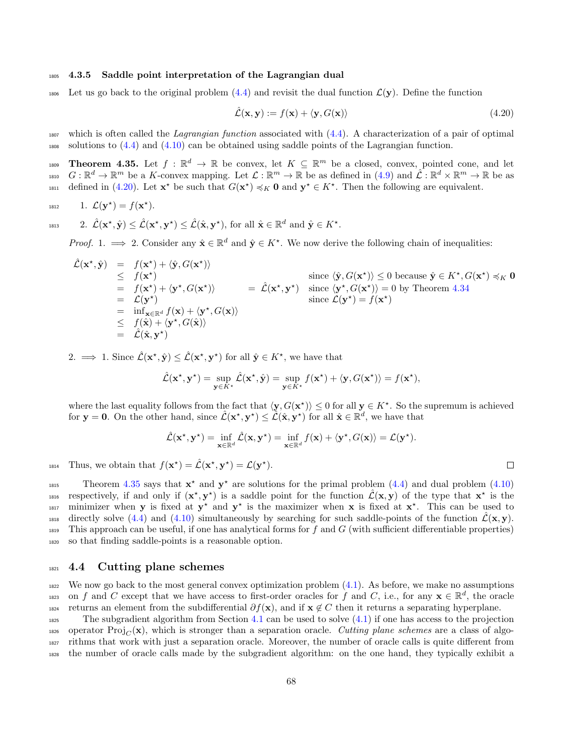#### <sup>1805</sup> 4.3.5 Saddle point interpretation of the Lagrangian dual

<sup>1806</sup> Let us go back to the original problem  $(4.4)$  and revisit the dual function  $\mathcal{L}(\mathbf{y})$ . Define the function

<span id="page-67-0"></span>
$$
\hat{\mathcal{L}}(\mathbf{x}, \mathbf{y}) := f(\mathbf{x}) + \langle \mathbf{y}, G(\mathbf{x}) \rangle \tag{4.20}
$$

 $\Box$ 

 $_{1807}$  which is often called the *Lagrangian function* associated with  $(4.4)$ . A characterization of a pair of optimal <sup>1808</sup> solutions to [\(4.4\)](#page-59-0) and [\(4.10\)](#page-62-1) can be obtained using saddle points of the Lagrangian function.

<span id="page-67-1"></span>1809 **Theorem 4.35.** Let  $f : \mathbb{R}^d \to \mathbb{R}$  be convex, let  $K \subseteq \mathbb{R}^m$  be a closed, convex, pointed cone, and let 1810  $G: \mathbb{R}^d \to \mathbb{R}^m$  be a K-convex mapping. Let  $\mathcal{L}: \mathbb{R}^m \to \mathbb{R}$  be as defined in  $(4.9)$  and  $\mathcal{L}: \mathbb{R}^d \times \mathbb{R}^m \to \mathbb{R}$  be as  $\det_{\mathcal{A}}$  defined in [\(4.20\)](#page-67-0). Let  $\mathbf{x}^*$  be such that  $G(\mathbf{x}^*) \preccurlyeq_K \mathbf{0}$  and  $\mathbf{y}^* \in K^*$ . Then the following are equivalent.

$$
1812 \qquad 1. \mathcal{L}(\mathbf{y}^*) = f(\mathbf{x}^*).
$$

1813 2. 
$$
\hat{\mathcal{L}}(\mathbf{x}^*, \hat{\mathbf{y}}) \leq \hat{\mathcal{L}}(\mathbf{x}^*, \mathbf{y}^*) \leq \hat{\mathcal{L}}(\hat{\mathbf{x}}, \mathbf{y}^*),
$$
 for all  $\hat{\mathbf{x}} \in \mathbb{R}^d$  and  $\hat{\mathbf{y}} \in K^*$ .

*Proof.* 1.  $\implies$  2. Consider any  $\hat{\mathbf{x}} \in \mathbb{R}^d$  and  $\hat{\mathbf{y}} \in K^*$ . We now derive the following chain of inequalities:

$$
\hat{\mathcal{L}}(\mathbf{x}^*, \hat{\mathbf{y}}) = f(\mathbf{x}^*) + \langle \hat{\mathbf{y}}, G(\mathbf{x}^*) \rangle \n\leq f(\mathbf{x}^*) + \langle \hat{\mathbf{y}}, G(\mathbf{x}^*) \rangle \n= f(\mathbf{x}^*) + \langle \mathbf{y}^*, G(\mathbf{x}^*) \rangle \n= \mathcal{L}(\mathbf{y}^*) \n= \mathcal{L}(\mathbf{y}^*) \n= \inf_{\mathbf{x} \in \mathbb{R}^d} f(\mathbf{x}) + \langle \mathbf{y}^*, G(\mathbf{x}) \rangle \n\leq f(\hat{\mathbf{x}}) + \langle \mathbf{y}^*, G(\mathbf{x}) \rangle \n= \hat{\mathcal{L}}(\hat{\mathbf{x}}^*) \times \mathcal{L}(\mathbf{y}^*) = f(\mathbf{x}^*) \n= \hat{\mathcal{L}}(\hat{\mathbf{x}}, \mathbf{y}^*)
$$
\nwhere  $\mathcal{L}(\mathbf{y}^*) = f(\mathbf{x}^*)$ 

2.  $\implies$  1. Since  $\hat{\mathcal{L}}(\mathbf{x}^*, \hat{\mathbf{y}}) \leq \hat{\mathcal{L}}(\mathbf{x}^*, \mathbf{y}^*)$  for all  $\hat{\mathbf{y}} \in K^*$ , we have that

$$
\hat{\mathcal{L}}(\mathbf{x}^{\star}, \mathbf{y}^{\star}) = \sup_{\mathbf{y} \in K^{\star}} \hat{\mathcal{L}}(\mathbf{x}^{\star}, \hat{\mathbf{y}}) = \sup_{\mathbf{y} \in K^{\star}} f(\mathbf{x}^{\star}) + \langle \mathbf{y}, G(\mathbf{x}^{\star}) \rangle = f(\mathbf{x}^{\star}),
$$

where the last equality follows from the fact that  $\langle y, G(x^*)\rangle \leq 0$  for all  $y \in K^*$ . So the supremum is achieved for  $y = 0$ . On the other hand, since  $\hat{\mathcal{L}}(\mathbf{x}^*, y^*) \leq \hat{\mathcal{L}}(\hat{\mathbf{x}}, y^*)$  for all  $\hat{\mathbf{x}} \in \mathbb{R}^d$ , we have that

$$
\hat{\mathcal{L}}(\mathbf{x}^{\star}, \mathbf{y}^{\star}) = \inf_{\mathbf{x} \in \mathbb{R}^d} \hat{\mathcal{L}}(\mathbf{x}, \mathbf{y}^{\star}) = \inf_{\mathbf{x} \in \mathbb{R}^d} f(\mathbf{x}) + \langle \mathbf{y}^{\star}, G(\mathbf{x}) \rangle = \mathcal{L}(\mathbf{y}^{\star}).
$$

1814 Thus, we obtain that  $f(\mathbf{x}^*) = \hat{\mathcal{L}}(\mathbf{x}^*, \mathbf{y}^*) = \mathcal{L}(\mathbf{y}^*).$ 

Theorem [4.35](#page-67-1) says that  $x^*$  and  $y^*$  are solutions for the primal problem [\(4.4\)](#page-59-0) and dual problem [\(4.10\)](#page-62-1) <sup>1816</sup> respectively, if and only if  $(x^*, y^*)$  is a saddle point for the function  $\hat{\mathcal{L}}(x, y)$  of the type that  $x^*$  is the 1817 minimizer when y is fixed at  $y^*$  and  $y^*$  is the maximizer when x is fixed at  $x^*$ . This can be used to  $\alpha$ <sup>1818</sup> directly solve [\(4.4\)](#page-59-0) and [\(4.10\)](#page-62-1) simultaneously by searching for such saddle-points of the function  $\mathcal{L}(\mathbf{x}, \mathbf{y})$ .  $_{1819}$  This approach can be useful, if one has analytical forms for f and G (with sufficient differentiable properties) <sup>1820</sup> so that finding saddle-points is a reasonable option.

### <sup>1821</sup> 4.4 Cutting plane schemes

<sup>1822</sup> We now go back to the most general convex optimization problem [\(4.1\)](#page-53-0). As before, we make no assumptions <sup>1823</sup> on f and C except that we have access to first-order oracles for f and C, i.e., for any  $\mathbf{x} \in \mathbb{R}^d$ , the oracle 1824 returns an element from the subdifferential  $\partial f(\mathbf{x})$ , and if  $\mathbf{x} \notin C$  then it returns a separating hyperplane.

 The subgradient algorithm from Section [4.1](#page-55-0) can be used to solve [\(4.1\)](#page-53-0) if one has access to the projection 1826 operator  $\text{Proj}_{C}(\mathbf{x})$ , which is stronger than a separation oracle. Cutting plane schemes are a class of algo- rithms that work with just a separation oracle. Moreover, the number of oracle calls is quite different from the number of oracle calls made by the subgradient algorithm: on the one hand, they typically exhibit a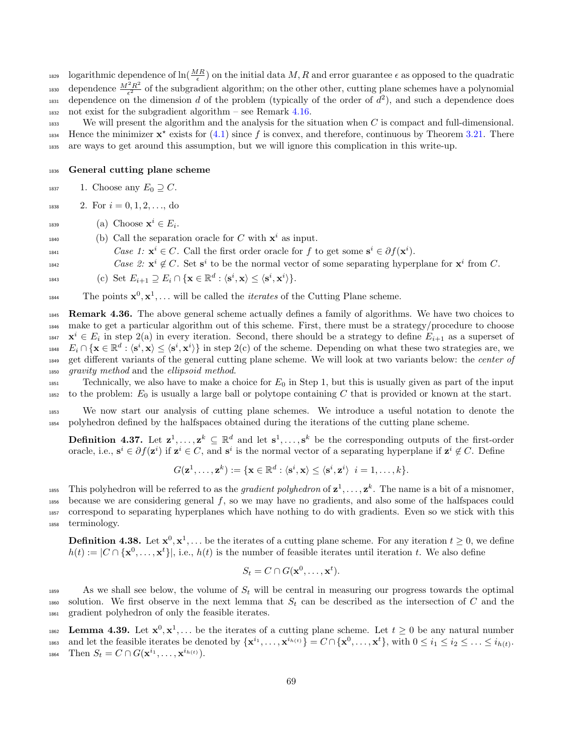logarithmic dependence of  $\ln(\frac{MR}{\epsilon})$  on the initial data M, R and error guarantee  $\epsilon$  as opposed to the quadratic dependence  $\frac{M^2 R^2}{\epsilon^2}$ 1830 dependence  $\frac{M^2 R^2}{\epsilon^2}$  of the subgradient algorithm; on the other other, cutting plane schemes have a polynomial 1831 dependence on the dimension d of the problem (typically of the order of  $d^2$ ), and such a dependence does 1832 not exist for the subgradient algorithm – see Remark  $4.16$ .

<sup>1833</sup> We will present the algorithm and the analysis for the situation when C is compact and full-dimensional. 1834 Hence the minimizer  $x^*$  exists for [\(4.1\)](#page-53-0) since f is convex, and therefore, continuous by Theorem [3.21.](#page-38-2) There <sup>1835</sup> are ways to get around this assumption, but we will ignore this complication in this write-up.

#### <sup>1836</sup> General cutting plane scheme

1837 1. Choose any  $E_0 \supseteq C$ .

1838 2. For  $i = 0, 1, 2, \ldots$ , do

- 1839  $(a)$  Choose  $\mathbf{x}^i \in E_i$ .
- <sup>1840</sup> (b) Call the separation oracle for C with  $\mathbf{x}^i$  as input.
- 1841 Case 1:  $\mathbf{x}^i \in C$ . Call the first order oracle for f to get some  $\mathbf{s}^i \in \partial f(\mathbf{x}^i)$ .
- <sup>1842</sup> *Case 2:*  $\mathbf{x}^i \notin C$ . Set  $\mathbf{s}^i$  to be the normal vector of some separating hyperplane for  $\mathbf{x}^i$  from C.

$$
\text{1843} \qquad \qquad \text{(c) Set } E_{i+1} \supseteq E_i \cap \{ \mathbf{x} \in \mathbb{R}^d : \langle \mathbf{s}^i, \mathbf{x} \rangle \leq \langle \mathbf{s}^i, \mathbf{x}^i \rangle \}.
$$

<sup>1844</sup> The points  $\mathbf{x}^0, \mathbf{x}^1, \ldots$  will be called the *iterates* of the Cutting Plane scheme.

1845 Remark 4.36. The above general scheme actually defines a family of algorithms. We have two choices to <sup>1846</sup> make to get a particular algorithm out of this scheme. First, there must be a strategy/procedure to choose  $x^i \in E_i$  in step 2(a) in every iteration. Second, there should be a strategy to define  $E_{i+1}$  as a superset of  $E_i \cap {\bf x} \in \mathbb{R}^d : \langle {\bf s}^i, {\bf x} \rangle \le \langle {\bf s}^i, {\bf x}^i \rangle$  in step 2(c) of the scheme. Depending on what these two strategies are, we 1849 get different variants of the general cutting plane scheme. We will look at two variants below: the center of <sup>1850</sup> gravity method and the ellipsoid method.

 $\Gamma_{1851}$  Technically, we also have to make a choice for  $E_0$  in Step 1, but this is usually given as part of the input 1852 to the problem:  $E_0$  is usually a large ball or polytope containing C that is provided or known at the start.

<sup>1853</sup> We now start our analysis of cutting plane schemes. We introduce a useful notation to denote the <sup>1854</sup> polyhedron defined by the halfspaces obtained during the iterations of the cutting plane scheme.

**Definition 4.37.** Let  $z^1, \ldots, z^k \subseteq \mathbb{R}^d$  and let  $s^1, \ldots, s^k$  be the corresponding outputs of the first-order oracle, i.e.,  $s^i \in \partial f(\mathbf{z}^i)$  if  $\mathbf{z}^i \in C$ , and  $s^i$  is the normal vector of a separating hyperplane if  $\mathbf{z}^i \notin C$ . Define

$$
G(\mathbf{z}^1,\ldots,\mathbf{z}^k):=\{\mathbf{x}\in\mathbb{R}^d:\langle\mathbf{s}^i,\mathbf{x}\rangle\leq\langle\mathbf{s}^i,\mathbf{z}^i\rangle\ \ i=1,\ldots,k\}.
$$

<sup>1855</sup> This polyhedron will be referred to as the *gradient polyhedron* of  $z^1, \ldots, z^k$ . The name is a bit of a misnomer, because we are considering general f, so we may have no gradients, and also some of the halfspaces could correspond to separating hyperplanes which have nothing to do with gradients. Even so we stick with this terminology.

**Definition 4.38.** Let  $\mathbf{x}^0, \mathbf{x}^1, \ldots$  be the iterates of a cutting plane scheme. For any iteration  $t \geq 0$ , we define  $h(t) := |C \cap {\mathbf{x}^0, \dots, \mathbf{x}^t}|$ , i.e.,  $h(t)$  is the number of feasible iterates until iteration t. We also define

$$
S_t = C \cap G(\mathbf{x}^0, \dots, \mathbf{x}^t).
$$

1859 As we shall see below, the volume of  $S_t$  will be central in measuring our progress towards the optimal 1860 solution. We first observe in the next lemma that  $S_t$  can be described as the intersection of C and the <sup>1861</sup> gradient polyhedron of only the feasible iterates.

<span id="page-68-0"></span>1862 Lemma 4.39. Let  $x^0, x^1, \ldots$  be the iterates of a cutting plane scheme. Let  $t \geq 0$  be any natural number 1863 and let the feasible iterates be denoted by  $\{\mathbf{x}^{i_1}, \ldots, \mathbf{x}^{i_{h(t)}}\} = C \cap \{\mathbf{x}^0, \ldots, \mathbf{x}^t\}$ , with  $0 \le i_1 \le i_2 \le \ldots \le i_{h(t)}$ . 1864 Then  $S_t = C \cap G(\mathbf{x}^{i_1}, \dots, \mathbf{x}^{i_{h(t)}})$ .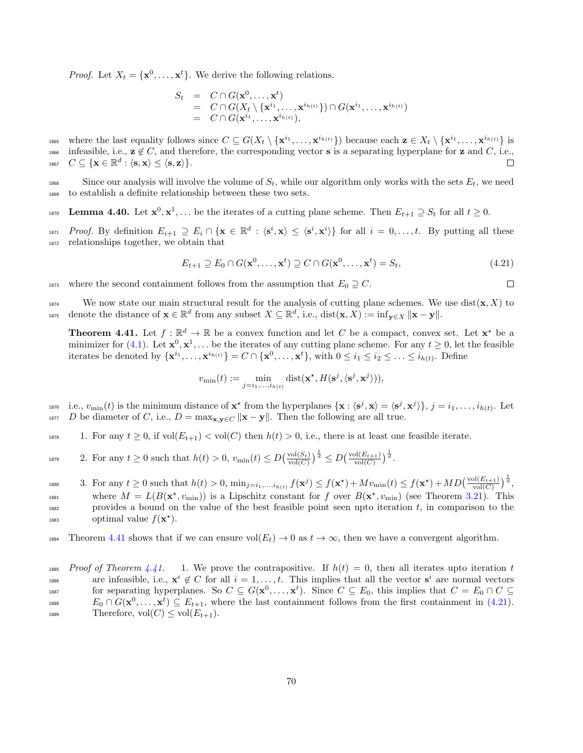*Proof.* Let  $X_t = {\mathbf{x}^0, ..., \mathbf{x}^t}$ . We derive the following relations.

$$
S_t = C \cap G(\mathbf{x}^0, ..., \mathbf{x}^t)
$$
  
=  $C \cap G(X_t \setminus {\mathbf{x}^{i_1}, ..., \mathbf{x}^{i_{h(t)}}}) \cap G(\mathbf{x}^{i_1}, ..., \mathbf{x}^{i_{h(t)}})$   
=  $C \cap G(\mathbf{x}^{i_1}, ..., \mathbf{x}^{i_{h(t)}}),$ 

1865 where the last equality follows since  $C \subseteq G(X_t \setminus {\{\mathbf{x}^{i_1}, \ldots, \mathbf{x}^{i_{h(t)}}\}})$  because each  $\mathbf{z} \in X_t \setminus {\{\mathbf{x}^{i_1}, \ldots, \mathbf{x}^{i_{h(t)}}\}}$  is 1866 infeasible, i.e.,  $\mathbf{z} \notin C$ , and therefore, the corresponding vector **s** is a separating hyperplane for **z** and C, i.e.,  $C \subseteq \{\mathbf{x} \in \mathbb{R}^d : \langle \mathbf{s}, \mathbf{x} \rangle \leq \langle \mathbf{s}, \mathbf{z} \rangle\}$ .  $_{^{1867}}\quad C\subseteq \{\mathbf{x}\in \mathbb{R}^{d}:\langle \mathbf{s},\mathbf{x}\rangle \leq \langle \mathbf{s},\mathbf{z}\rangle \}.$ 

1868 Since our analysis will involve the volume of  $S_t$ , while our algorithm only works with the sets  $E_t$ , we need <sup>1869</sup> to establish a definite relationship between these two sets.

<span id="page-69-2"></span>1870 **Lemma 4.40.** Let  $\mathbf{x}^0, \mathbf{x}^1, \ldots$  be the iterates of a cutting plane scheme. Then  $E_{t+1} \supseteq S_t$  for all  $t \geq 0$ .

<sup>1871</sup> Proof. By definition  $E_{i+1} \supseteq E_i \cap {\mathbf{x} \in \mathbb{R}^d : \langle {\mathbf{s}^i}, {\mathbf{x}} \rangle \leq \langle {\mathbf{s}^i}, {\mathbf{x}^i} \rangle}$  for all  $i = 0, \ldots, t$ . By putting all these <sup>1872</sup> relationships together, we obtain that

<span id="page-69-1"></span>
$$
E_{t+1} \supseteq E_0 \cap G(\mathbf{x}^0, \dots, \mathbf{x}^t) \supseteq C \cap G(\mathbf{x}^0, \dots, \mathbf{x}^t) = S_t,
$$
\n(4.21)

 $\Box$ 

1873 where the second containment follows from the assumption that  $E_0 \supseteq C$ .

<sup>1874</sup> We now state our main structural result for the analysis of cutting plane schemes. We use dist $(\mathbf{x}, X)$  to 1875 denote the distance of  $\mathbf{x} \in \mathbb{R}^d$  from any subset  $X \subseteq \mathbb{R}^d$ , i.e.,  $dist(\mathbf{x}, X) := inf_{\mathbf{y} \in X} ||\mathbf{x} - \mathbf{y}||$ .

<span id="page-69-0"></span>**Theorem 4.41.** Let  $f : \mathbb{R}^d \to \mathbb{R}$  be a convex function and let C be a compact, convex set. Let  $\mathbf{x}^*$  be a minimizer for [\(4.1\)](#page-53-0). Let  $\mathbf{x}^0, \mathbf{x}^1, \ldots$  be the iterates of any cutting plane scheme. For any  $t \geq 0$ , let the feasible iterates be denoted by  $\{\mathbf{x}^{i_1}, \ldots, \mathbf{x}^{i_{h(t)}}\} = C \cap \{\mathbf{x}^0, \ldots, \mathbf{x}^t\}$ , with  $0 \le i_1 \le i_2 \le \ldots \le i_{h(t)}$ . Define

$$
v_{\min}(t) := \min_{j=i_1,\dots,i_{h(t)}} \text{dist}(\mathbf{x}^{\star}, H(\mathbf{s}^j, \langle \mathbf{s}^j, \mathbf{x}^j \rangle)),
$$

1876 i.e.,  $v_{\min}(t)$  is the minimum distance of  $\mathbf{x}^*$  from the hyperplanes  $\{\mathbf{x} : \langle \mathbf{s}^j, \mathbf{x} \rangle = \langle \mathbf{s}^j, \mathbf{x}^j \rangle\}, j = i_1, \ldots, i_{h(t)}$ . Let 1877 D be diameter of C, i.e.,  $D = \max_{\mathbf{x}, \mathbf{y} \in C} \|\mathbf{x} - \mathbf{y}\|$ . Then the following are all true.

1878 1. For any  $t \geq 0$ , if  $vol(E_{t+1}) < vol(C)$  then  $h(t) > 0$ , i.e., there is at least one feasible iterate.

1879 2. For any  $t \geq 0$  such that  $h(t) > 0$ ,  $v_{\min}(t) \leq D(\frac{\text{vol}(S_t)}{\text{vol}(C)})^{\frac{1}{d}} \leq D(\frac{\text{vol}(E_{t+1})}{\text{vol}(C)})^{\frac{1}{d}}$ .

<sup>1880</sup> 3. For any  $t \geq 0$  such that  $h(t) > 0$ ,  $\min_{j=i_1,...,i_{h(t)}} f(\mathbf{x}^j) \leq f(\mathbf{x}^*) + Mv_{\min}(t) \leq f(\mathbf{x}^*) + MD(\frac{\text{vol}(E_{t+1})}{\text{vol}(C)})^{\frac{1}{d}},$ <sup>1881</sup> where  $M = L(B(\mathbf{x}^*, v_{\text{min}}))$  is a Lipschitz constant for f over  $B(\mathbf{x}^*, v_{\text{min}})$  (see Theorem [3.21\)](#page-38-2). This  $1882$  provides a bound on the value of the best feasible point seen upto iteration t, in comparison to the <sup>1883</sup> optimal value  $f(\mathbf{x}^*)$ .

1884 Theorem [4.41](#page-69-0) shows that if we can ensure  $vol(E_t) \to 0$  as  $t \to \infty$ , then we have a convergent algorithm.

<sup>1885</sup> Proof of Theorem [4.41.](#page-69-0) 1. We prove the contrapositive. If  $h(t) = 0$ , then all iterates upto iteration t are infeasible, i.e.,  $\mathbf{x}^i \notin C$  for all  $i = 1, \ldots, t$ . This implies that all the vector  $\mathbf{s}^i$  are normal vectors for separating hyperplanes. So  $C \subseteq G(\mathbf{x}^0, \dots, \mathbf{x}^t)$ . Since  $C \subseteq E_0$ , this implies that  $C = E_0 \cap C \subseteq$ 1888  $E_0 \cap G(\mathbf{x}^0, \dots, \mathbf{x}^t) \subseteq E_{t+1}$ , where the last containment follows from the first containment in [\(4.21\)](#page-69-1). 1889 Therefore,  $vol(C) \le vol(E_{t+1})$ .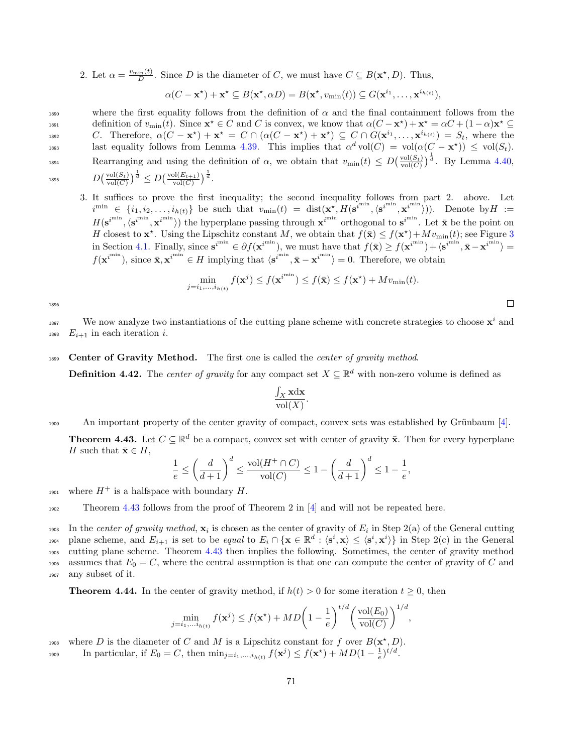2. Let  $\alpha = \frac{v_{\min}(t)}{D}$ . Since D is the diameter of C, we must have  $C \subseteq B(\mathbf{x}^*, D)$ . Thus,

$$
\alpha(C - \mathbf{x}^*) + \mathbf{x}^* \subseteq B(\mathbf{x}^*, \alpha D) = B(\mathbf{x}^*, v_{\min}(t)) \subseteq G(\mathbf{x}^{i_1}, \dots, \mathbf{x}^{i_{h(t)}}),
$$

1890 where the first equality follows from the definition of  $\alpha$  and the final containment follows from the definition of  $v_{\min}(t)$ . Since  $\mathbf{x}^* \in C$  and C is convex, we know that  $\alpha(C - \mathbf{x}^*) + \mathbf{x}^* = \alpha C + (1 - \alpha)\mathbf{x}^* \subseteq$ 1892 C. Therefore,  $\alpha(C - \mathbf{x}^*) + \mathbf{x}^* = C \cap (\alpha(C - \mathbf{x}^*) + \mathbf{x}^*) \subseteq C \cap G(\mathbf{x}^{i_1}, \dots, \mathbf{x}^{i_{h(t)}}) = S_t$ , where the last equality follows from Lemma [4.39.](#page-68-0) This implies that  $\alpha^d \text{vol}(C) = \text{vol}(\alpha(C - \mathbf{x}^*) ) \le \text{vol}(S_t)$ . Rearranging and using the definition of  $\alpha$ , we obtain that  $v_{\text{min}}(t) \le D\left(\frac{\text{vol}(S_t)}{\text{vol}(C)}\right)^{\frac{1}{d}}$ . By Lemma [4.40,](#page-69-2)  $\frac{1}{d}$ 1895  $D\left(\frac{\text{vol}(S_t)}{\text{vol}(C)}\right)^{\frac{1}{d}} \leq D\left(\frac{\text{vol}(E_{t+1})}{\text{vol}(C)}\right)^{\frac{1}{d}}.$ 

$$
D\left(\frac{\text{vol}(S_t)}{\text{vol}(C)}\right)^{\frac{1}{d}} \le D\left(\frac{1}{2}\right)
$$

3. It suffices to prove the first inequality; the second inequality follows from part 2. above. Let  $i^{\min} \in \{i_1, i_2, \ldots, i_{h(t)}\}$  be such that  $v_{\min}(t) = \text{dist}(\mathbf{x}^*, H(\mathbf{s}^{i^{\min}}, \langle \mathbf{s}^{i^{\min}}, \mathbf{x}^{i^{\min}} \rangle))$ . Denote by  $H :=$  $H(\mathbf{s}^{i^{min}}, \langle \mathbf{s}^{i^{min}} \rangle)$  the hyperplane passing through  $\mathbf{x}^{i^{min}}$  orthogonal to  $\mathbf{s}^{i^{min}}$ . Let  $\bar{\mathbf{x}}$  be the point on H closest to  $\mathbf{x}^*$ . Using the Lipschitz constant M, we obtain that  $f(\bar{\mathbf{x}}) \leq f(\mathbf{x}^*) + Mv_{\min}(t)$ ; see Figure [3](#page-57-0) in Section [4.1.](#page-55-0) Finally, since  $s^{i^{min}} \in \partial f(x^{i^{min}})$ , we must have that  $f(\bar{x}) \ge f(x^{i^{min}}) + \langle s^{i^{min}}, \bar{x} - x^{i^{min}} \rangle =$  $f(\mathbf{x}^{i^{\min}})$ , since  $\bar{\mathbf{x}}, \mathbf{x}^{i^{\min}} \in H$  implying that  $\langle \mathbf{s}^{i^{\min}}, \bar{\mathbf{x}} - \mathbf{x}^{i^{\min}} \rangle = 0$ . Therefore, we obtain

$$
\min_{j=i_1,\dots,i_{h(t)}} f(\mathbf{x}^j) \le f(\mathbf{x}^{i^{\min}}) \le f(\bar{\mathbf{x}}) \le f(\mathbf{x}^*) + Mv_{\min}(t).
$$

 $\Box$ 

1896

1897 We now analyze two instantiations of the cutting plane scheme with concrete strategies to choose  $\mathbf{x}^i$  and 1898  $E_{i+1}$  in each iteration i.

## 1899 Center of Gravity Method. The first one is called the *center of gravity method*.

**Definition 4.42.** The *center of gravity* for any compact set  $X \subseteq \mathbb{R}^d$  with non-zero volume is defined as

$$
\frac{\int_X \mathbf{x} \mathrm{d} \mathbf{x}}{\mathrm{vol}(X)}.
$$

1900 An important property of the center gravity of compact, convex sets was established by Grünbaum  $[4]$ .

<span id="page-70-0"></span>**Theorem 4.43.** Let  $C \subseteq \mathbb{R}^d$  be a compact, convex set with center of gravity  $\bar{\mathbf{x}}$ . Then for every hyperplane H such that  $\bar{\mathbf{x}} \in H$ ,

$$
\frac{1}{e} \le \left(\frac{d}{d+1}\right)^d \le \frac{\text{vol}(H^+ \cap C)}{\text{vol}(C)} \le 1 - \left(\frac{d}{d+1}\right)^d \le 1 - \frac{1}{e},
$$

1901 where  $H^+$  is a halfspace with boundary H.

<sup>1902</sup> Theorem [4.43](#page-70-0) follows from the proof of Theorem 2 in [\[4\]](#page-75-2) and will not be repeated here.

1903 In the *center of gravity method*,  $x_i$  is chosen as the center of gravity of  $E_i$  in Step 2(a) of the General cutting  $p_{i}$  plane scheme, and  $E_{i+1}$  is set to be *equal* to  $E_i \cap {\mathbf{x} \in \mathbb{R}^d : \langle {\mathbf{s}^i}, {\mathbf{x}} \rangle \le \langle {\mathbf{s}^i}, {\mathbf{x}^i} \rangle}$  in Step 2(c) in the General <sup>1905</sup> cutting plane scheme. Theorem [4.43](#page-70-0) then implies the following. Sometimes, the center of gravity method 1906 assumes that  $E_0 = C$ , where the central assumption is that one can compute the center of gravity of C and <sup>1907</sup> any subset of it.

<span id="page-70-1"></span>**Theorem 4.44.** In the center of gravity method, if  $h(t) > 0$  for some iteration  $t \geq 0$ , then

$$
\min_{j=i_1,\dots,i_{h(t)}} f(\mathbf{x}^j) \le f(\mathbf{x}^*) + MD\left(1 - \frac{1}{e}\right)^{t/d} \left(\frac{\text{vol}(E_0)}{\text{vol}(C)}\right)^{1/d},
$$

1908 where D is the diameter of C and M is a Lipschitz constant for f over  $B(\mathbf{x}^*, D)$ .

1909 In particular, if  $E_0 = C$ , then  $\min_{j=i_1,...,i_{h(t)}} f(\mathbf{x}^j) \le f(\mathbf{x}^*) + MD(1 - \frac{1}{e})^{t/d}$ .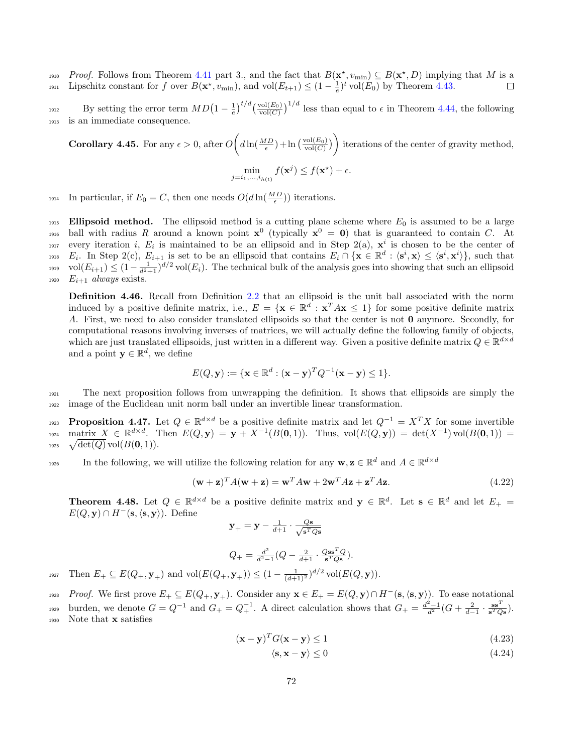<sup>1910</sup> Proof. Follows from Theorem [4.41](#page-69-0) part 3., and the fact that  $B(\mathbf{x}^*, v_{\text{min}}) \subseteq B(\mathbf{x}^*, D)$  implying that M is a 1911 Lipschitz constant for f over  $B(\mathbf{x}^*, v_{\text{min}})$ , and  $\text{vol}(E_{t+1}) \leq (1 - \frac{1}{e})^t \text{vol}(E_0)$  by Theorem [4.43.](#page-70-0)  $\Box$ 

By setting the error term  $MD(1-\frac{1}{e})^{t/d}(\frac{\text{vol}(E_0)}{\text{vol}(C)})^{1/d}$  less than equal to  $\epsilon$  in Theorem [4.44,](#page-70-1) the following <sup>1913</sup> is an immediate consequence.

**Corollary 4.45.** For any  $\epsilon > 0$ , after  $O\left(d\ln(\frac{MD}{\epsilon}) + \ln(\frac{\text{vol}(E_0)}{\text{vol}(C)})\right)$  iterations of the center of gravity method,

$$
\min_{j=i_1,\dots,i_{h(t)}} f(\mathbf{x}^j) \le f(\mathbf{x}^*) + \epsilon.
$$

<sup>1914</sup> In particular, if  $E_0 = C$ , then one needs  $O(d \ln(\frac{MD}{\epsilon}))$  iterations.

1915 Ellipsoid method. The ellipsoid method is a cutting plane scheme where  $E_0$  is assumed to be a large <sup>1916</sup> ball with radius R around a known point  $x^0$  (typically  $x^0 = 0$ ) that is guaranteed to contain C. At <sup>1917</sup> every iteration *i*,  $E_i$  is maintained to be an ellipsoid and in Step 2(a),  $\mathbf{x}^i$  is chosen to be the center of 1918  $E_i$ . In Step 2(c),  $E_{i+1}$  is set to be an ellipsoid that contains  $E_i \cap {\{\mathbf{x} \in \mathbb{R}^d : \langle \mathbf{s}^i, \mathbf{x} \rangle \leq \langle \mathbf{s}^i, \mathbf{x}^i \rangle\}},$  such that  $\text{vol}(E_{i+1}) \leq (1 - \frac{1}{d^2+1})^{d/2} \text{vol}(E_i)$ . The technical bulk of the analysis goes into showing that such an ellipsoid 1920  $E_{i+1}$  always exists.

Definition 4.46. Recall from Definition [2.2](#page-5-3) that an ellipsoid is the unit ball associated with the norm induced by a positive definite matrix, i.e.,  $E = \{ \mathbf{x} \in \mathbb{R}^d : \mathbf{x}^T A \mathbf{x} \leq 1 \}$  for some positive definite matrix A. First, we need to also consider translated ellipsoids so that the center is not 0 anymore. Secondly, for computational reasons involving inverses of matrices, we will actually define the following family of objects, which are just translated ellipsoids, just written in a different way. Given a positive definite matrix  $Q \in \mathbb{R}^{d \times d}$ and a point  $\mathbf{y} \in \mathbb{R}^d$ , we define

$$
E(Q, \mathbf{y}) := \{ \mathbf{x} \in \mathbb{R}^d : (\mathbf{x} - \mathbf{y})^T Q^{-1} (\mathbf{x} - \mathbf{y}) \le 1 \}.
$$

<sup>1921</sup> The next proposition follows from unwrapping the definition. It shows that ellipsoids are simply the <sup>1922</sup> image of the Euclidean unit norm ball under an invertible linear transformation.

**Proposition 4.47.** Let  $Q \in \mathbb{R}^{d \times d}$  be a positive definite matrix and let  $Q^{-1} = X^T X$  for some invertible  $\text{matrix } X \in \mathbb{R}^{d \times d}$ . Then  $E(Q, y) = y + X^{-1}(B(0, 1))$ . Thus,  $\text{vol}(E(Q, y)) = \text{det}(X^{-1}) \text{vol}(B(0, 1)) =$ 1924  $_{\text{1925}} \quad \sqrt{\text{det}(Q)} \, \text{vol}(B(\mathbf{0},1)).$ 

In the following, we will utilize the following relation for any  $\mathbf{w}, \mathbf{z} \in \mathbb{R}^d$  and  $A \in \mathbb{R}^{d \times d}$ 1926

$$
(\mathbf{w} + \mathbf{z})^T A (\mathbf{w} + \mathbf{z}) = \mathbf{w}^T A \mathbf{w} + 2 \mathbf{w}^T A \mathbf{z} + \mathbf{z}^T A \mathbf{z}.
$$
 (4.22)

**Theorem 4.48.** Let  $Q \in \mathbb{R}^{d \times d}$  be a positive definite matrix and  $\mathbf{y} \in \mathbb{R}^d$ . Let  $\mathbf{s} \in \mathbb{R}^d$  and let  $E_+ =$  $E(Q, y) \cap H^-(s, \langle s, y \rangle)$ . Define

$$
\mathbf{y}_{+} = \mathbf{y} - \frac{1}{d+1} \cdot \frac{Q\mathbf{s}}{\sqrt{\mathbf{s}^T Q \mathbf{s}}}
$$

$$
Q_{+} = \frac{d^{2}}{d^{2}-1}(Q - \frac{2}{d+1} \cdot \frac{QSS^{T}Q}{s^{T}Qs}).
$$

1927 Then  $E_+ \subseteq E(Q_+, \mathbf{y}_+)$  and  $vol(E(Q_+, \mathbf{y}_+)) \leq (1 - \frac{1}{(d+1)^2})^{d/2} vol(E(Q, \mathbf{y})).$ 

1928 Proof. We first prove  $E_+ \subseteq E(Q_+, \mathbf{y}_+)$ . Consider any  $\mathbf{x} \in E_+ = E(Q, \mathbf{y}) \cap H^-(\mathbf{s}, \langle \mathbf{s}, \mathbf{y} \rangle)$ . To ease notational burden, we denote  $G = Q^{-1}$  and  $G_{+} = Q_{+}^{-1}$ . A direct calculation shows that  $G_{+} = \frac{d^{2}-1}{d^{2}}(G + \frac{2}{d-1} \cdot \frac{ss^{T}}{s^{T}Qs})$ . <sup>1930</sup> Note that x satisfies

$$
(\mathbf{x} - \mathbf{y})^T G(\mathbf{x} - \mathbf{y}) \le 1
$$
\n(4.23)

$$
\langle \mathbf{s}, \mathbf{x} - \mathbf{y} \rangle \le 0 \tag{4.24}
$$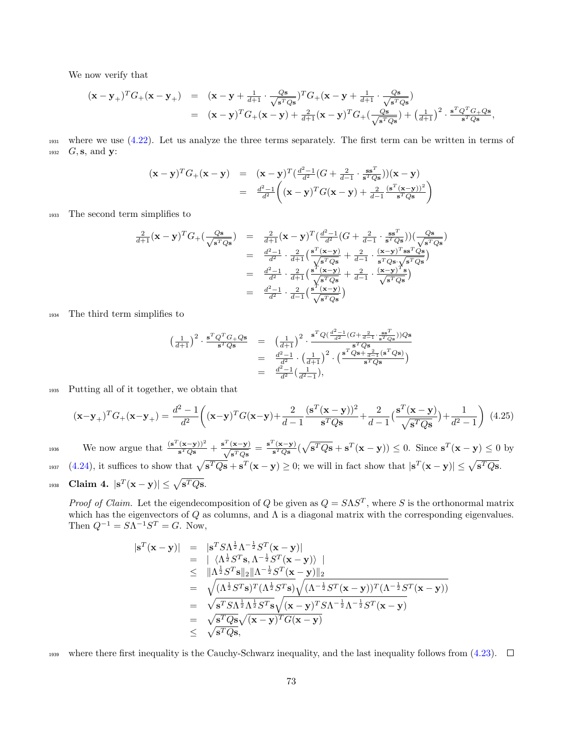We now verify that

$$
\begin{array}{rcl}\n(\mathbf{x}-\mathbf{y}_+)^TG_+(\mathbf{x}-\mathbf{y}_+) & = & (\mathbf{x}-\mathbf{y}+\frac{1}{d+1}\cdot\frac{Q\mathbf{s}}{\sqrt{\mathbf{s}^TQ\mathbf{s}}})^TG_+(\mathbf{x}-\mathbf{y}+\frac{1}{d+1}\cdot\frac{Q\mathbf{s}}{\sqrt{\mathbf{s}^TQ\mathbf{s}}}) \\
 & = & (\mathbf{x}-\mathbf{y})^TG_+(\mathbf{x}-\mathbf{y})+\frac{2}{d+1}(\mathbf{x}-\mathbf{y})^TG_+(\frac{Q\mathbf{s}}{\sqrt{\mathbf{s}^TQ\mathbf{s}}})+\left(\frac{1}{d+1}\right)^2\cdot\frac{\mathbf{s}^TQ^TG_+Q\mathbf{s}}{\mathbf{s}^TQ\mathbf{s}},\n\end{array}
$$

<sup>1931</sup> where we use [\(4.22\)](#page-71-0). Let us analyze the three terms separately. The first term can be written in terms of 1932  $G, s$ , and **y**:

$$
(\mathbf{x} - \mathbf{y})^T G_+(\mathbf{x} - \mathbf{y}) = (\mathbf{x} - \mathbf{y})^T (\frac{d^2 - 1}{d^2} (G + \frac{2}{d-1} \cdot \frac{\mathbf{s} \mathbf{s}^T}{\mathbf{s}^T Q \mathbf{s}})) (\mathbf{x} - \mathbf{y})
$$
  
= 
$$
\frac{d^2 - 1}{d^2} \left( (\mathbf{x} - \mathbf{y})^T G (\mathbf{x} - \mathbf{y}) + \frac{2}{d-1} \frac{(\mathbf{s}^T (\mathbf{x} - \mathbf{y}))^2}{\mathbf{s}^T Q \mathbf{s}} \right)
$$

<sup>1933</sup> The second term simplifies to

$$
\frac{2}{d+1}(\mathbf{x}-\mathbf{y})^T G_+(\frac{Q\mathbf{s}}{\sqrt{\mathbf{s}^TQ\mathbf{s}}}) = \frac{2}{d+1}(\mathbf{x}-\mathbf{y})^T (\frac{d^2-1}{d^2}(G+\frac{2}{d-1}\cdot\frac{\mathbf{s}\mathbf{s}^T}{\mathbf{s}^TQ\mathbf{s}}))(\frac{Q\mathbf{s}}{\sqrt{\mathbf{s}^TQ\mathbf{s}}})
$$
\n
$$
= \frac{d^2-1}{d^2}\cdot\frac{2}{d+1}(\frac{\mathbf{s}^T(\mathbf{x}-\mathbf{y})}{\sqrt{\mathbf{s}^TQ\mathbf{s}}}+\frac{2}{d-1}\cdot\frac{(\mathbf{x}-\mathbf{y})^T\mathbf{s}\mathbf{s}^TQ\mathbf{s}}{\mathbf{s}^TQ\mathbf{s}\cdot\sqrt{\mathbf{s}^TQ\mathbf{s}}})
$$
\n
$$
= \frac{d^2-1}{d^2}\cdot\frac{2}{d+1}(\frac{\mathbf{s}^T(\mathbf{x}-\mathbf{y})}{\sqrt{\mathbf{s}^TQ\mathbf{s}}}+\frac{2}{d-1}\cdot\frac{(\mathbf{x}-\mathbf{y})^T\mathbf{s}}{\sqrt{\mathbf{s}^TQ\mathbf{s}}})
$$
\n
$$
= \frac{d^2-1}{d^2}\cdot\frac{2}{d-1}(\frac{\mathbf{s}^T(\mathbf{x}-\mathbf{y})}{\sqrt{\mathbf{s}^TQ\mathbf{s}}})
$$

<sup>1934</sup> The third term simplifies to

$$
\begin{array}{rcl} \left( \frac{1}{d+1} \right)^2 \cdot \frac{\mathbf{s}^T Q^T G + Q \mathbf{s}}{\mathbf{s}^T Q \mathbf{s}} & = & \left( \frac{1}{d+1} \right)^2 \cdot \frac{\mathbf{s}^T Q (\frac{d^2-1}{d^2} (G + \frac{2}{d-1} \cdot \frac{\mathbf{s} \mathbf{s}^T}{\mathbf{s}^T Q \mathbf{s}})) Q \mathbf{s}}{\mathbf{s}^T Q \mathbf{s}} \\ & = & \frac{d^2-1}{d^2} \cdot \left( \frac{1}{d+1} \right)^2 \cdot \Big( \frac{\mathbf{s}^T Q \mathbf{s} + \frac{2}{d-1} (\mathbf{s}^T Q \mathbf{s})}{\mathbf{s}^T Q \mathbf{s}} \Big) \\ & = & \frac{d^2-1}{d^2} \left( \frac{1}{d^2-1} \right), \end{array}
$$

<sup>1935</sup> Putting all of it together, we obtain that

<span id="page-72-0"></span>
$$
(\mathbf{x} - \mathbf{y}_{+})^{T} G_{+}(\mathbf{x} - \mathbf{y}_{+}) = \frac{d^{2} - 1}{d^{2}} \left( (\mathbf{x} - \mathbf{y})^{T} G (\mathbf{x} - \mathbf{y}) + \frac{2}{d - 1} \frac{(\mathbf{s}^{T} (\mathbf{x} - \mathbf{y}))^{2}}{\mathbf{s}^{T} Q \mathbf{s}} + \frac{2}{d - 1} \left( \frac{\mathbf{s}^{T} (\mathbf{x} - \mathbf{y})}{\sqrt{\mathbf{s}^{T} Q \mathbf{s}}} \right) + \frac{1}{d^{2} - 1} \right) (4.25)
$$

We now argue that  $\frac{(s^T(x-y))^2}{s^TQs} + \frac{s^T(x-y)}{s^TQs}$  $\frac{(\mathbf{x}-\mathbf{y})}{\mathbf{s}^TQ\mathbf{s}} = \frac{\mathbf{s}^T(\mathbf{x}-\mathbf{y})}{\mathbf{s}^TQ\mathbf{s}}$ 1936 We now argue that  $\frac{(s^T(x-y))^2}{s^TQs} + \frac{s^T(x-y)}{\sqrt{s^TQs}} = \frac{s^T(x-y)}{s^TQs}(\sqrt{s^TQs} + s^T(x-y)) \leq 0.$  Since  $s^T(x-y) \leq 0$  by 1937 [\(4.24\)](#page-71-1), it suffices to show that  $\sqrt{s^TQs} + s^T(x - y) \ge 0$ ; we will in fact show that  $|s^T(x - y)| \le \sqrt{s^TQs}$ .  $\text{Claim 4. } |\mathbf{s}^T(\mathbf{x}-\mathbf{y})| \leq \sqrt{\mathbf{s}^TQ\mathbf{s}}.$ 

*Proof of Claim.* Let the eigendecomposition of Q be given as  $Q = SAS^T$ , where S is the orthonormal matrix which has the eigenvectors of  $Q$  as columns, and  $\Lambda$  is a diagonal matrix with the corresponding eigenvalues. Then  $Q^{-1} = S\Lambda^{-1}S^{T} = G$ . Now,

$$
\begin{array}{rcl}\n|\mathbf{s}^{T}(\mathbf{x}-\mathbf{y})| &=& |\mathbf{s}^{T}S\Lambda^{\frac{1}{2}}\Lambda^{-\frac{1}{2}}S^{T}(\mathbf{x}-\mathbf{y})| \\
&=& |\langle \Lambda^{\frac{1}{2}}S^{T}\mathbf{s}, \Lambda^{-\frac{1}{2}}S^{T}(\mathbf{x}-\mathbf{y}) \rangle| \\
&\leq & ||\Lambda^{\frac{1}{2}}S^{T}\mathbf{s}||_{2}||\Lambda^{-\frac{1}{2}}S^{T}(\mathbf{x}-\mathbf{y})||_{2} \\
&=& \sqrt{(\Lambda^{\frac{1}{2}}S^{T}\mathbf{s})^{T}(\Lambda^{\frac{1}{2}}S^{T}\mathbf{s})}\sqrt{(\Lambda^{-\frac{1}{2}}S^{T}(\mathbf{x}-\mathbf{y}))^{T}(\Lambda^{-\frac{1}{2}}S^{T}(\mathbf{x}-\mathbf{y}))} \\
&=& \sqrt{\mathbf{s}^{T}S\Lambda^{\frac{1}{2}}\Lambda^{\frac{1}{2}}S^{T}\mathbf{s}}\sqrt{(\mathbf{x}-\mathbf{y})^{T}S\Lambda^{-\frac{1}{2}}\Lambda^{-\frac{1}{2}}S^{T}(\mathbf{x}-\mathbf{y})} \\
&=& \sqrt{\mathbf{s}^{T}Q\mathbf{s}}\sqrt{(\mathbf{x}-\mathbf{y})^{T}G(\mathbf{x}-\mathbf{y})} \\
&\leq & \sqrt{\mathbf{s}^{T}Q\mathbf{s}},\n\end{array}
$$

1939 where there first inequality is the Cauchy-Schwarz inequality, and the last inequality follows from  $(4.23)$ .  $\square$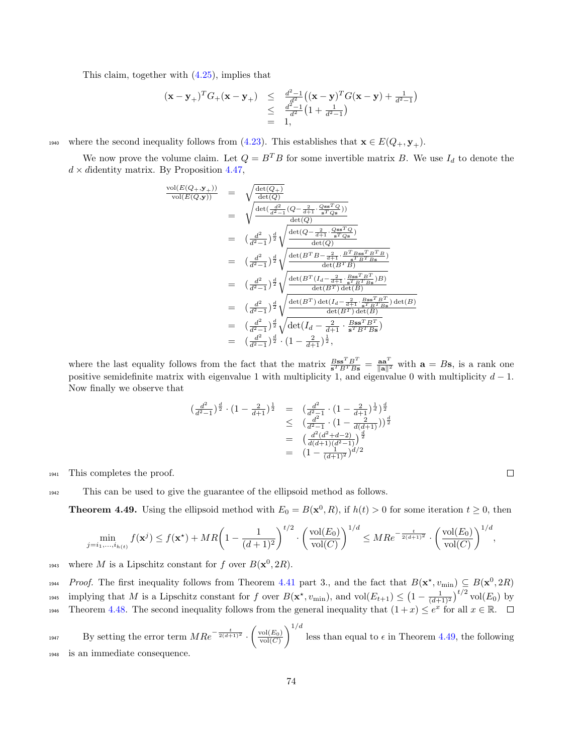This claim, together with [\(4.25\)](#page-72-0), implies that

$$
\begin{array}{rcl} (\mathbf{x}-\mathbf{y}_{+})^{T}G_{+}(\mathbf{x}-\mathbf{y}_{+}) & \leq & \frac{d^{2}-1}{d^{2}-1}\big((\mathbf{x}-\mathbf{y})^{T}G(\mathbf{x}-\mathbf{y})+\frac{1}{d^{2}-1}\big) \\ & \leq & \frac{d^{2}-1}{d^{2}}\big(1+\frac{1}{d^{2}-1}\big) \\ & = & 1, \end{array}
$$

1940 where the second inequality follows from [\(4.23\)](#page-71-1). This establishes that  $\mathbf{x} \in E(Q_+, \mathbf{y}_+)$ .

We now prove the volume claim. Let  $Q = B^T B$  for some invertible matrix B. We use  $I_d$  to denote the  $d \times d$ identity matrix. By Proposition [4.47,](#page-71-2)

$$
\frac{\text{vol}(E(Q_+,y_+))}{\text{vol}(E(Q,y))} = \sqrt{\frac{\det(Q_+)}{\det(Q)}}\n= \sqrt{\frac{\det(\frac{d^2}{d^2-1}(Q-\frac{2}{d+1}\cdot\frac{Q\text{ss}^TQ}{s^TQs}))}{\det(Q)}}\n= (\frac{d^2}{d^2-1})^{\frac{d}{2}}\sqrt{\frac{\det(Q-\frac{2}{d+1}\cdot\frac{Q\text{ss}^TQ}{s^TQs})}{\det(Q)}}\n= (\frac{d^2}{d^2-1})^{\frac{d}{2}}\sqrt{\frac{\det(B^TB-\frac{2}{d+1}\cdot\frac{B^TB\text{ss}^TB^TB}{s^TB^TBs})}{\det(B^TB)}}\n= (\frac{d^2}{d^2-1})^{\frac{d}{2}}\sqrt{\frac{\det(B^T(I_d-\frac{2}{d+1}\cdot\frac{B\text{ss}^TB^TB}{s^TB^TBs})}{\det(B^T)\det(B)}}\n= (\frac{d^2}{d^2-1})^{\frac{d}{2}}\sqrt{\frac{\det(B^T)\det(I_d-\frac{2}{d+1}\cdot\frac{B\text{ss}^TB^T}{s^TB^TBs})\det(B)}}{\det(B^T)\det(B)}}\n= (\frac{d^2}{d^2-1})^{\frac{d}{2}}\sqrt{\frac{\det(I_d-\frac{2}{d+1}\cdot\frac{B\text{ss}^TB^T}{s^TB^TBs})}{\det(B^T)\det(B)}}\n= (\frac{d^2}{d^2-1})^{\frac{d}{2}}\cdot(1-\frac{2}{d+1})^{\frac{1}{2}},
$$

where the last equality follows from the fact that the matrix  $\frac{BSS^TB^T}{s^TB^TBS} = \frac{aa^T}{\|a\|^2}$  with  $a = Bs$ , is a rank one positive semidefinite matrix with eigenvalue 1 with multiplicity 1, and eigenvalue 0 with multiplicity  $d-1$ . Now finally we observe that

$$
\begin{array}{rcl} \left(\frac{d^2}{d^2-1}\right)^{\frac{d}{2}} \cdot \left(1 - \frac{2}{d+1}\right)^{\frac{1}{2}} & = & \left(\frac{d^2}{d^2-1} \cdot \left(1 - \frac{2}{d+1}\right)^{\frac{1}{d}}\right)^{\frac{d}{2}}\\ & \leq & \left(\frac{d^2}{d^2-1} \cdot \left(1 - \frac{2}{d(d+1)}\right)\right)^{\frac{d}{2}}\\ & = & \left(\frac{d^2(d^2+d-2)}{d(d+1)(d^2-1)}\right)^{\frac{d}{2}}\\ & = & \left(1 - \frac{1}{(d+1)^2}\right)^{d/2} \end{array}
$$

<sup>1941</sup> This completes the proof.

<sup>1942</sup> This can be used to give the guarantee of the ellipsoid method as follows.

<span id="page-73-0"></span>**Theorem 4.49.** Using the ellipsoid method with  $E_0 = B(\mathbf{x}^0, R)$ , if  $h(t) > 0$  for some iteration  $t \ge 0$ , then

$$
\min_{j=i_1,\dots,i_{h(t)}} f(\mathbf{x}^j) \le f(\mathbf{x}^*) + MR\left(1 - \frac{1}{(d+1)^2}\right)^{t/2} \cdot \left(\frac{\text{vol}(E_0)}{\text{vol}(C)}\right)^{1/d} \le MR e^{-\frac{t}{2(d+1)^2}} \cdot \left(\frac{\text{vol}(E_0)}{\text{vol}(C)}\right)^{1/d},
$$

1943 where M is a Lipschitz constant for f over  $B(\mathbf{x}^0, 2R)$ .

1944 Proof. The first inequality follows from Theorem [4.41](#page-69-0) part 3., and the fact that  $B(\mathbf{x}^*, v_{\text{min}}) \subseteq B(\mathbf{x}^0, 2R)$ <sup>1945</sup> implying that M is a Lipschitz constant for f over  $B(\mathbf{x}^*, v_{\text{min}})$ , and  $\text{vol}(E_{t+1}) \leq (1 - \frac{1}{(d+1)^2})^{t/2} \text{vol}(E_0)$  by Theorem [4.48.](#page-71-3) The second inequality follows from the general inequality that  $(1+x) \leq e^x$  for all  $x \in \mathbb{R}$ .

By setting the error term  $MRe^{-\frac{t}{2(d+1)^2}}$ .  $\left(\frac{\text{vol}(E_0)}{\text{vol}(C)}\right)$ <sup>1947</sup> By setting the error term  $MRe^{-\frac{t}{2(d+1)^2}} \cdot \left(\frac{{\rm vol}(E_0)}{{\rm vol}(C)}\right)^{1/d}$  less than equal to  $\epsilon$  in Theorem [4.49,](#page-73-0) the following <sup>1948</sup> is an immediate consequence.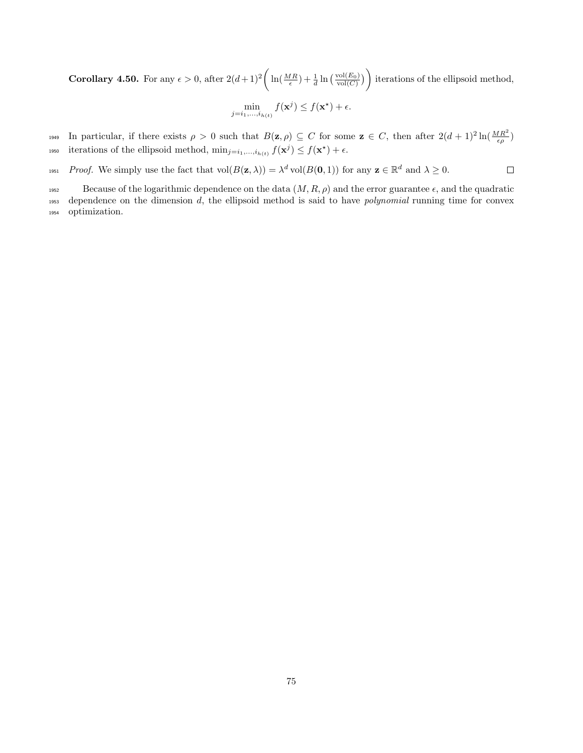**Corollary 4.50.** For any  $\epsilon > 0$ , after  $2(d+1)^2 \left( \ln(\frac{MR}{\epsilon}) + \frac{1}{d} \ln(\frac{\text{vol}(E_0)}{\text{vol}(C)}) \right)$  iterations of the ellipsoid method,

$$
\min_{j=i_1,\ldots,i_{h(t)}} f(\mathbf{x}^j) \le f(\mathbf{x}^*) + \epsilon.
$$

1949 In particular, if there exists  $\rho > 0$  such that  $B(z, \rho) \subseteq C$  for some  $z \in C$ , then after  $2(d+1)^2 \ln(\frac{MR^2}{\epsilon \rho})$ iterations of the ellipsoid method,  $\min_{j=i_1,\ldots,i_{h(t)}} f(\mathbf{x}^j) \leq f(\mathbf{x}^*) + \epsilon$ .

1951 Proof. We simply use the fact that  $vol(B(\mathbf{z}, \lambda)) = \lambda^d vol(B(\mathbf{0}, 1))$  for any  $\mathbf{z} \in \mathbb{R}^d$  and  $\lambda \geq 0$ .  $\Box$ 

1952 Because of the logarithmic dependence on the data  $(M, R, \rho)$  and the error guarantee  $\epsilon$ , and the quadratic <sup>1953</sup> dependence on the dimension d, the ellipsoid method is said to have polynomial running time for convex <sup>1954</sup> optimization.